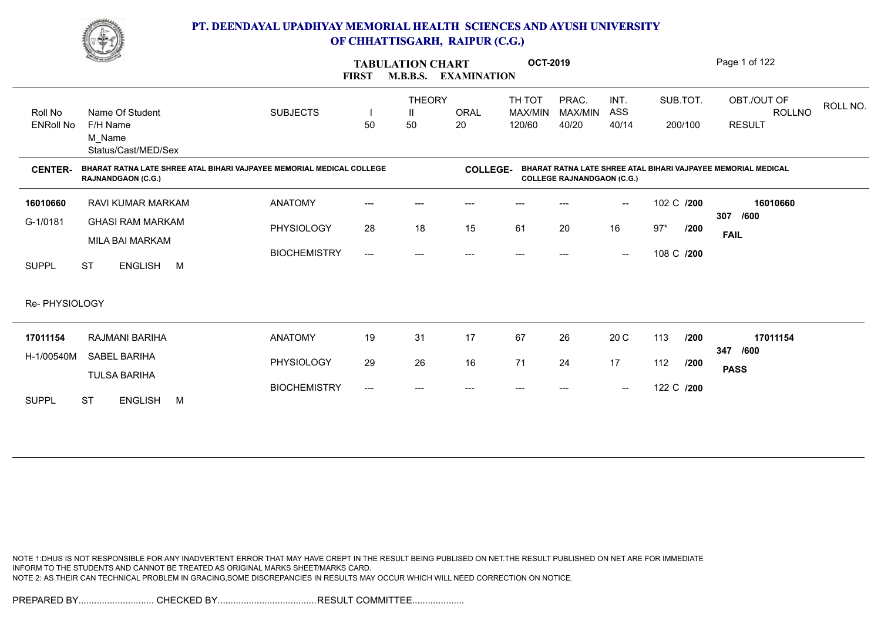

|                             | <u>Change</u>                                                                                      |                     | <b>FIRST</b>        | <b>TABULATION CHART</b><br><b>M.B.B.S.</b> | <b>EXAMINATION</b> | <b>OCT-2019</b>             |                                   |                          |            |         | Page 1 of 122                                                 |          |
|-----------------------------|----------------------------------------------------------------------------------------------------|---------------------|---------------------|--------------------------------------------|--------------------|-----------------------------|-----------------------------------|--------------------------|------------|---------|---------------------------------------------------------------|----------|
| Roll No<br><b>ENRoll No</b> | Name Of Student<br>F/H Name                                                                        | <b>SUBJECTS</b>     | 50                  | <b>THEORY</b><br>$\mathbf{H}$<br>50        | <b>ORAL</b><br>20  | TH TOT<br>MAX/MIN<br>120/60 | PRAC.<br>MAX/MIN<br>40/20         | INT.<br>ASS<br>40/14     | SUB.TOT.   | 200/100 | OBT./OUT OF<br>ROLLNO<br><b>RESULT</b>                        | ROLL NO. |
|                             | M Name<br>Status/Cast/MED/Sex                                                                      |                     |                     |                                            |                    |                             |                                   |                          |            |         |                                                               |          |
| <b>CENTER-</b>              | BHARAT RATNA LATE SHREE ATAL BIHARI VAJPAYEE MEMORIAL MEDICAL COLLEGE<br><b>RAJNANDGAON (C.G.)</b> |                     |                     |                                            | <b>COLLEGE-</b>    |                             | <b>COLLEGE RAJNANDGAON (C.G.)</b> |                          |            |         | BHARAT RATNA LATE SHREE ATAL BIHARI VAJPAYEE MEMORIAL MEDICAL |          |
| 16010660                    | <b>RAVI KUMAR MARKAM</b>                                                                           | <b>ANATOMY</b>      | $---$               | ---                                        | ---                | $---$                       |                                   | $\overline{\phantom{a}}$ | 102 C /200 |         | 16010660<br>307<br>/600                                       |          |
| G-1/0181                    | <b>GHASI RAM MARKAM</b>                                                                            | PHYSIOLOGY          | 28                  | 18                                         | 15                 | 61                          | 20                                | 16                       | $97*$      | /200    | <b>FAIL</b>                                                   |          |
| <b>SUPPL</b>                | MILA BAI MARKAM<br><b>ST</b><br><b>ENGLISH</b><br>M                                                | <b>BIOCHEMISTRY</b> | $\qquad \qquad - -$ | ---                                        | ---                | $---$                       | ---                               | $\overline{\phantom{a}}$ | 108 C /200 |         |                                                               |          |
| Re- PHYSIOLOGY              |                                                                                                    |                     |                     |                                            |                    |                             |                                   |                          |            |         |                                                               |          |
| 17011154                    | RAJMANI BARIHA                                                                                     | <b>ANATOMY</b>      | 19                  | 31                                         | 17                 | 67                          | 26                                | 20 C                     | 113        | /200    | 17011154<br>/600<br>347                                       |          |
| H-1/00540M                  | <b>SABEL BARIHA</b>                                                                                | PHYSIOLOGY          | 29                  | 26                                         | 16                 | 71                          | 24                                | 17                       | 112        | /200    | <b>PASS</b>                                                   |          |
| <b>SUPPL</b>                | <b>TULSA BARIHA</b><br><b>ST</b><br><b>ENGLISH</b><br>M                                            | <b>BIOCHEMISTRY</b> | $---$               | ---                                        | ---                | $---$                       |                                   | $\hspace{0.05cm}$        | 122 C /200 |         |                                                               |          |

NOTE 1:DHUS IS NOT RESPONSIBLE FOR ANY INADVERTENT ERROR THAT MAY HAVE CREPT IN THE RESULT BEING PUBLISED ON NET.THE RESULT PUBLISHED ON NET ARE FOR IMMEDIATE INFORM TO THE STUDENTS AND CANNOT BE TREATED AS ORIGINAL MARKS SHEET/MARKS CARD. NOTE 2: AS THEIR CAN TECHNICAL PROBLEM IN GRACING,SOME DISCREPANCIES IN RESULTS MAY OCCUR WHICH WILL NEED CORRECTION ON NOTICE.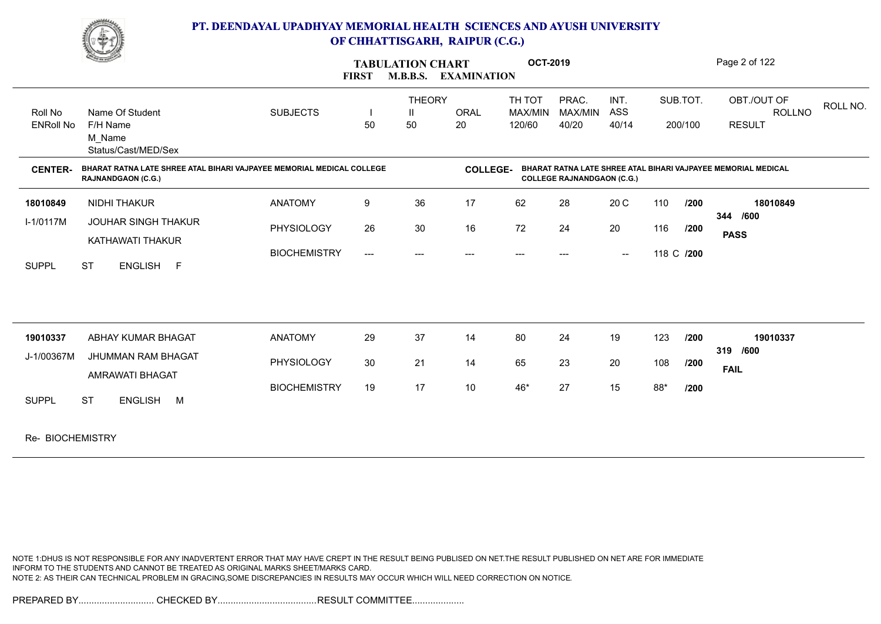

|                             | <b>STATE</b>                                                                                       |                     | <b>FIRST</b>                        | <b>TABULATION CHART</b><br><b>M.B.B.S. EXAMINATION</b> |                   | <b>OCT-2019</b>             |                                   |                      |     |                     | Page 2 of 122                                                 |          |
|-----------------------------|----------------------------------------------------------------------------------------------------|---------------------|-------------------------------------|--------------------------------------------------------|-------------------|-----------------------------|-----------------------------------|----------------------|-----|---------------------|---------------------------------------------------------------|----------|
| Roll No<br><b>ENRoll No</b> | Name Of Student<br>F/H Name<br>M Name<br>Status/Cast/MED/Sex                                       | <b>SUBJECTS</b>     | 50                                  | <b>THEORY</b><br>Ш<br>50                               | <b>ORAL</b><br>20 | TH TOT<br>MAX/MIN<br>120/60 | PRAC.<br>MAX/MIN<br>40/20         | INT.<br>ASS<br>40/14 |     | SUB.TOT.<br>200/100 | OBT./OUT OF<br><b>ROLLNO</b><br><b>RESULT</b>                 | ROLL NO. |
| <b>CENTER-</b>              | BHARAT RATNA LATE SHREE ATAL BIHARI VAJPAYEE MEMORIAL MEDICAL COLLEGE<br><b>RAJNANDGAON (C.G.)</b> |                     |                                     |                                                        | <b>COLLEGE-</b>   |                             | <b>COLLEGE RAJNANDGAON (C.G.)</b> |                      |     |                     | BHARAT RATNA LATE SHREE ATAL BIHARI VAJPAYEE MEMORIAL MEDICAL |          |
| 18010849                    | NIDHI THAKUR                                                                                       | <b>ANATOMY</b>      | 9                                   | 36                                                     | 17                | 62                          | 28                                | 20 C                 | 110 | 1200                | 18010849                                                      |          |
| $I-1/0117M$                 | <b>JOUHAR SINGH THAKUR</b><br>KATHAWATI THAKUR                                                     | PHYSIOLOGY          | 26                                  | 30                                                     | 16                | 72                          | 24                                | 20                   | 116 | /200                | 344 /600<br><b>PASS</b>                                       |          |
| <b>SUPPL</b>                | ENGLISH F<br><b>ST</b>                                                                             | <b>BIOCHEMISTRY</b> | $\hspace{0.05cm}---\hspace{0.05cm}$ | $---$                                                  | ---               | $--$                        | $---$                             | $\sim$               |     | 118 C /200          |                                                               |          |
|                             |                                                                                                    |                     |                                     |                                                        |                   |                             |                                   |                      |     |                     |                                                               |          |
| 19010337                    | ABHAY KUMAR BHAGAT<br><b>JHUMMAN RAM BHAGAT</b>                                                    | <b>ANATOMY</b>      | 29                                  | 37                                                     | 14                | 80                          | 24                                | 19                   | 123 | 1200                | 19010337<br>319 /600                                          |          |
| J-1/00367M                  | AMRAWATI BHAGAT                                                                                    | PHYSIOLOGY          | 30                                  | 21                                                     | 14                | 65                          | 23                                | 20                   | 108 | /200                | <b>FAIL</b>                                                   |          |
| <b>SUPPL</b>                | <b>ST</b><br>ENGLISH M                                                                             | <b>BIOCHEMISTRY</b> | 19                                  | 17                                                     | 10                | 46*                         | 27                                | 15                   | 88* | /200                |                                                               |          |
| Re- BIOCHEMISTRY            |                                                                                                    |                     |                                     |                                                        |                   |                             |                                   |                      |     |                     |                                                               |          |

NOTE 1:DHUS IS NOT RESPONSIBLE FOR ANY INADVERTENT ERROR THAT MAY HAVE CREPT IN THE RESULT BEING PUBLISED ON NET.THE RESULT PUBLISHED ON NET ARE FOR IMMEDIATE INFORM TO THE STUDENTS AND CANNOT BE TREATED AS ORIGINAL MARKS SHEET/MARKS CARD. NOTE 2: AS THEIR CAN TECHNICAL PROBLEM IN GRACING,SOME DISCREPANCIES IN RESULTS MAY OCCUR WHICH WILL NEED CORRECTION ON NOTICE.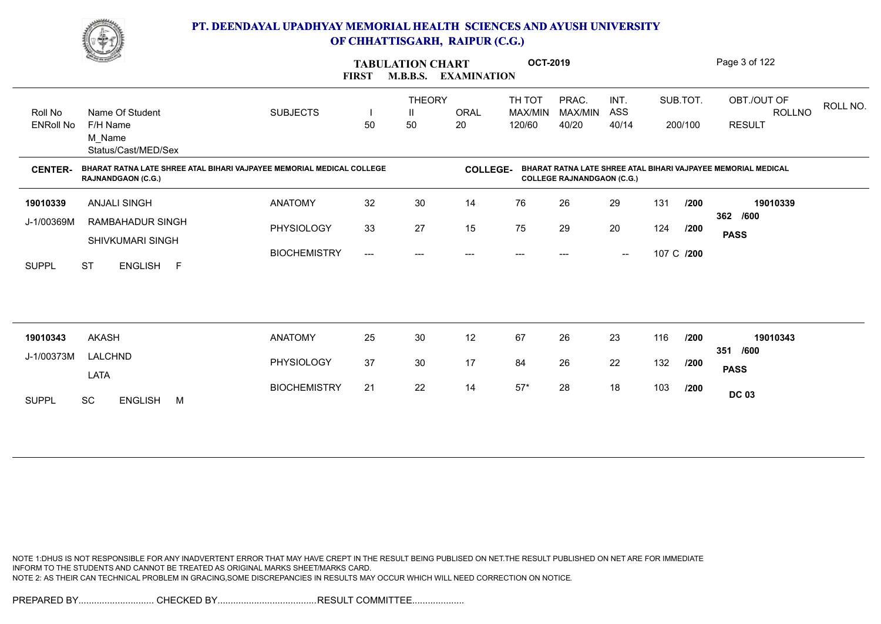

|                  | <b>Comment of the Comment of the Comment of the Comment of the Comment of The Comment of The Comment of The Comment of The Comment of The Comment of The Comment of The Comment of The Comment of The Comment of The Comment of </b> |                     | <b>FIRST</b>              | <b>TABULATION CHART</b><br><b>M.B.B.S.</b> | <b>EXAMINATION</b> | <b>OCT-2019</b>   |                                   |                                                |     |            | Page 3 of 122                                                 |
|------------------|--------------------------------------------------------------------------------------------------------------------------------------------------------------------------------------------------------------------------------------|---------------------|---------------------------|--------------------------------------------|--------------------|-------------------|-----------------------------------|------------------------------------------------|-----|------------|---------------------------------------------------------------|
| Roll No          | Name Of Student                                                                                                                                                                                                                      | <b>SUBJECTS</b>     |                           | <b>THEORY</b><br>Ш                         | <b>ORAL</b>        | TH TOT<br>MAX/MIN | PRAC.<br>MAX/MIN                  | INT.<br>ASS                                    |     | SUB.TOT.   | OBT./OUT OF<br>ROLL NO.<br><b>ROLLNO</b>                      |
| <b>ENRoll No</b> | F/H Name<br>M Name<br>Status/Cast/MED/Sex                                                                                                                                                                                            |                     | 50                        | 50                                         | 20                 | 120/60            | 40/20                             | 40/14                                          |     | 200/100    | <b>RESULT</b>                                                 |
| <b>CENTER-</b>   | BHARAT RATNA LATE SHREE ATAL BIHARI VAJPAYEE MEMORIAL MEDICAL COLLEGE<br><b>RAJNANDGAON (C.G.)</b>                                                                                                                                   |                     |                           |                                            | <b>COLLEGE-</b>    |                   | <b>COLLEGE RAJNANDGAON (C.G.)</b> |                                                |     |            | BHARAT RATNA LATE SHREE ATAL BIHARI VAJPAYEE MEMORIAL MEDICAL |
| 19010339         | <b>ANJALI SINGH</b>                                                                                                                                                                                                                  | <b>ANATOMY</b>      | 32                        | 30                                         | 14                 | 76                | 26                                | 29                                             | 131 | /200       | 19010339<br>362 /600                                          |
| J-1/00369M       | RAMBAHADUR SINGH<br>SHIVKUMARI SINGH                                                                                                                                                                                                 | <b>PHYSIOLOGY</b>   | 33                        | 27                                         | 15                 | 75                | 29                                | 20                                             | 124 | 1200       | <b>PASS</b>                                                   |
| <b>SUPPL</b>     | <b>ST</b><br>ENGLISH F                                                                                                                                                                                                               | <b>BIOCHEMISTRY</b> | $\qquad \qquad -\qquad -$ | ---                                        | $---$              | $---$             | $---$                             | $\hspace{0.1mm}-\hspace{0.1mm}-\hspace{0.1mm}$ |     | 107 C /200 |                                                               |
|                  |                                                                                                                                                                                                                                      |                     |                           |                                            |                    |                   |                                   |                                                |     |            |                                                               |
| 19010343         | <b>AKASH</b>                                                                                                                                                                                                                         | <b>ANATOMY</b>      | 25                        | 30                                         | 12                 | 67                | 26                                | 23                                             | 116 | 1200       | 19010343<br>/600<br>351                                       |
| J-1/00373M       | LALCHND<br>LATA                                                                                                                                                                                                                      | PHYSIOLOGY          | 37                        | 30                                         | 17                 | 84                | 26                                | 22                                             | 132 | /200       | <b>PASS</b>                                                   |
| <b>SUPPL</b>     | <b>SC</b><br><b>ENGLISH</b><br>M                                                                                                                                                                                                     | <b>BIOCHEMISTRY</b> | 21                        | 22                                         | 14                 | $57*$             | 28                                | 18                                             | 103 | /200       | <b>DC 03</b>                                                  |
|                  |                                                                                                                                                                                                                                      |                     |                           |                                            |                    |                   |                                   |                                                |     |            |                                                               |

NOTE 1:DHUS IS NOT RESPONSIBLE FOR ANY INADVERTENT ERROR THAT MAY HAVE CREPT IN THE RESULT BEING PUBLISED ON NET.THE RESULT PUBLISHED ON NET ARE FOR IMMEDIATE INFORM TO THE STUDENTS AND CANNOT BE TREATED AS ORIGINAL MARKS SHEET/MARKS CARD. NOTE 2: AS THEIR CAN TECHNICAL PROBLEM IN GRACING,SOME DISCREPANCIES IN RESULTS MAY OCCUR WHICH WILL NEED CORRECTION ON NOTICE.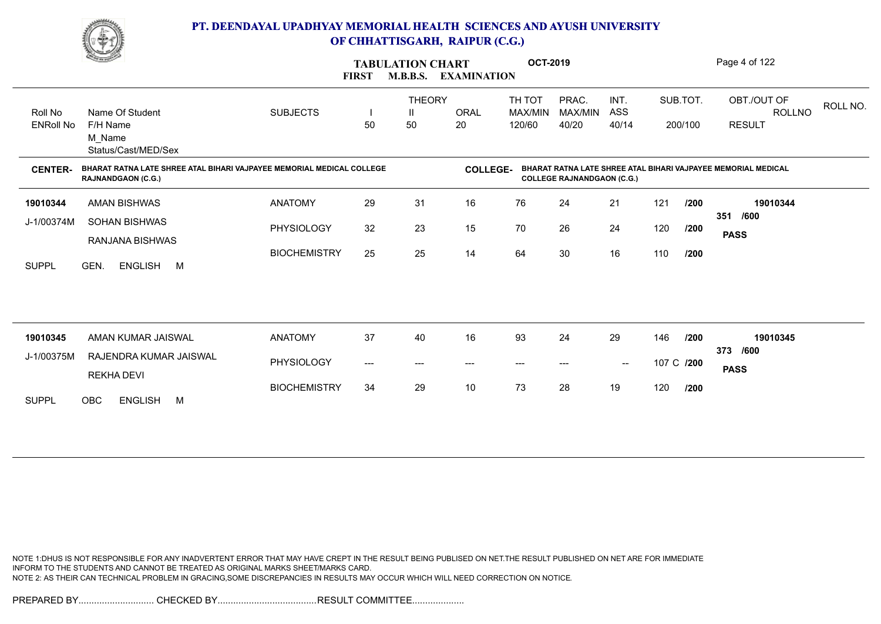

|                  | <b>Comment</b>                                                                              |                     | <b>FIRST</b> | <b>TABULATION CHART</b><br><b>M.B.B.S.</b> | <b>EXAMINATION</b> | <b>OCT-2019</b>   |                                   |                                                |            |          | Page 4 of 122                                                 |
|------------------|---------------------------------------------------------------------------------------------|---------------------|--------------|--------------------------------------------|--------------------|-------------------|-----------------------------------|------------------------------------------------|------------|----------|---------------------------------------------------------------|
| Roll No          | Name Of Student                                                                             | <b>SUBJECTS</b>     |              | <b>THEORY</b><br>$\mathbf{I}$              | <b>ORAL</b>        | TH TOT<br>MAX/MIN | PRAC.<br>MAX/MIN                  | INT.<br>ASS                                    |            | SUB.TOT. | OBT./OUT OF<br>ROLL NO.<br><b>ROLLNO</b>                      |
| <b>ENRoll No</b> | F/H Name<br>M Name<br>Status/Cast/MED/Sex                                                   |                     | 50           | 50                                         | 20                 | 120/60            | 40/20                             | 40/14                                          |            | 200/100  | <b>RESULT</b>                                                 |
| <b>CENTER-</b>   | BHARAT RATNA LATE SHREE ATAL BIHARI VAJPAYEE MEMORIAL MEDICAL COLLEGE<br>RAJNANDGAON (C.G.) |                     |              |                                            | <b>COLLEGE-</b>    |                   | <b>COLLEGE RAJNANDGAON (C.G.)</b> |                                                |            |          | BHARAT RATNA LATE SHREE ATAL BIHARI VAJPAYEE MEMORIAL MEDICAL |
| 19010344         | AMAN BISHWAS                                                                                | <b>ANATOMY</b>      | 29           | 31                                         | 16                 | 76                | 24                                | 21                                             | 121        | /200     | 19010344<br>/600<br>351                                       |
| J-1/00374M       | <b>SOHAN BISHWAS</b><br>RANJANA BISHWAS                                                     | PHYSIOLOGY          | 32           | 23                                         | 15                 | 70                | 26                                | 24                                             | 120        | /200     | <b>PASS</b>                                                   |
| <b>SUPPL</b>     | GEN.<br>ENGLISH M                                                                           | <b>BIOCHEMISTRY</b> | 25           | 25                                         | 14                 | 64                | 30                                | 16                                             | 110        | /200     |                                                               |
|                  |                                                                                             |                     |              |                                            |                    |                   |                                   |                                                |            |          |                                                               |
| 19010345         | AMAN KUMAR JAISWAL                                                                          | <b>ANATOMY</b>      | 37           | 40                                         | 16                 | 93                | 24                                | 29                                             | 146        | /200     | 19010345<br>373 /600                                          |
| J-1/00375M       | RAJENDRA KUMAR JAISWAL<br><b>REKHA DEVI</b>                                                 | PHYSIOLOGY          | ---          | ---                                        | ---                | ---               |                                   | $\hspace{0.1mm}-\hspace{0.1mm}-\hspace{0.1mm}$ | 107 C /200 |          | <b>PASS</b>                                                   |
| <b>SUPPL</b>     | <b>OBC</b><br><b>ENGLISH</b><br>M                                                           | <b>BIOCHEMISTRY</b> | 34           | 29                                         | 10                 | 73                | 28                                | 19                                             | 120        | /200     |                                                               |

NOTE 1:DHUS IS NOT RESPONSIBLE FOR ANY INADVERTENT ERROR THAT MAY HAVE CREPT IN THE RESULT BEING PUBLISED ON NET.THE RESULT PUBLISHED ON NET ARE FOR IMMEDIATE INFORM TO THE STUDENTS AND CANNOT BE TREATED AS ORIGINAL MARKS SHEET/MARKS CARD. NOTE 2: AS THEIR CAN TECHNICAL PROBLEM IN GRACING,SOME DISCREPANCIES IN RESULTS MAY OCCUR WHICH WILL NEED CORRECTION ON NOTICE.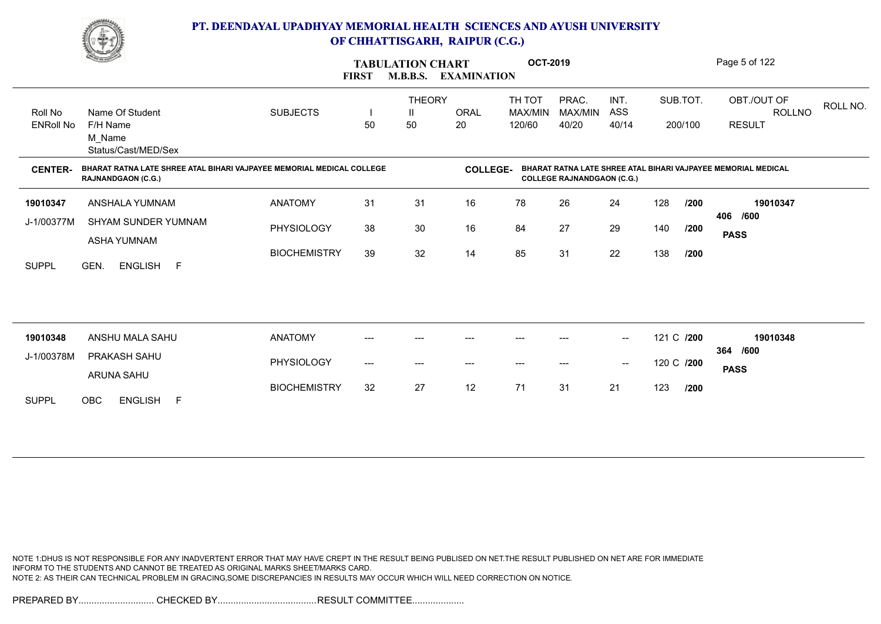

|                             | <u>Change of the Contract of the Contract of the Contract of the Contract of the Contract of The Contract of The Contract of The Contract of The Contract of The Contract of The Contract of The Contract of The Contract of The</u> |                     | <b>FIRST</b> | <b>TABULATION CHART</b><br><b>M.B.B.S.</b> | <b>EXAMINATION</b> | <b>OCT-2019</b>             |                                   |                          |                     |      | Page 5 of 122                                                 |          |
|-----------------------------|--------------------------------------------------------------------------------------------------------------------------------------------------------------------------------------------------------------------------------------|---------------------|--------------|--------------------------------------------|--------------------|-----------------------------|-----------------------------------|--------------------------|---------------------|------|---------------------------------------------------------------|----------|
| Roll No<br><b>ENRoll No</b> | Name Of Student<br>F/H Name<br>M_Name<br>Status/Cast/MED/Sex                                                                                                                                                                         | <b>SUBJECTS</b>     | 50           | <b>THEORY</b><br>50                        | <b>ORAL</b><br>20  | TH TOT<br>MAX/MIN<br>120/60 | PRAC.<br>MAX/MIN<br>40/20         | INT.<br>ASS<br>40/14     | SUB.TOT.<br>200/100 |      | OBT./OUT OF<br><b>ROLLNO</b><br><b>RESULT</b>                 | ROLL NO. |
| <b>CENTER-</b>              | BHARAT RATNA LATE SHREE ATAL BIHARI VAJPAYEE MEMORIAL MEDICAL COLLEGE<br><b>RAJNANDGAON (C.G.)</b>                                                                                                                                   |                     |              |                                            | <b>COLLEGE-</b>    |                             | <b>COLLEGE RAJNANDGAON (C.G.)</b> |                          |                     |      | BHARAT RATNA LATE SHREE ATAL BIHARI VAJPAYEE MEMORIAL MEDICAL |          |
| 19010347                    | ANSHALA YUMNAM                                                                                                                                                                                                                       | <b>ANATOMY</b>      | 31           | 31                                         | 16                 | 78                          | 26                                | 24                       | 128                 | /200 | 19010347                                                      |          |
| J-1/00377M                  | SHYAM SUNDER YUMNAM<br><b>ASHA YUMNAM</b>                                                                                                                                                                                            | <b>PHYSIOLOGY</b>   | 38           | 30                                         | 16                 | 84                          | 27                                | 29                       | 140                 | /200 | 406 /600<br><b>PASS</b>                                       |          |
| <b>SUPPL</b>                | GEN.<br>ENGLISH F                                                                                                                                                                                                                    | <b>BIOCHEMISTRY</b> | 39           | 32                                         | 14                 | 85                          | 31                                | 22                       | 138                 | /200 |                                                               |          |
|                             |                                                                                                                                                                                                                                      |                     |              |                                            |                    |                             |                                   |                          |                     |      |                                                               |          |
| 19010348                    | ANSHU MALA SAHU                                                                                                                                                                                                                      | <b>ANATOMY</b>      | ---          | ---                                        | $---$              | $---$                       | ---                               | $\overline{\phantom{a}}$ | 121 C /200          |      | 19010348                                                      |          |
| J-1/00378M                  | <b>PRAKASH SAHU</b><br>ARUNA SAHU                                                                                                                                                                                                    | PHYSIOLOGY          | ---          | $---$                                      | ---                | $\qquad \qquad \cdots$      | $---$                             | $\sim$                   | 120 C /200          |      | /600<br>364<br><b>PASS</b>                                    |          |
| <b>SUPPL</b>                | OBC<br><b>ENGLISH</b><br>$\overline{F}$                                                                                                                                                                                              | <b>BIOCHEMISTRY</b> | 32           | 27                                         | 12                 | 71                          | 31                                | 21                       | 123                 | 1200 |                                                               |          |

NOTE 1:DHUS IS NOT RESPONSIBLE FOR ANY INADVERTENT ERROR THAT MAY HAVE CREPT IN THE RESULT BEING PUBLISED ON NET.THE RESULT PUBLISHED ON NET ARE FOR IMMEDIATE INFORM TO THE STUDENTS AND CANNOT BE TREATED AS ORIGINAL MARKS SHEET/MARKS CARD. NOTE 2: AS THEIR CAN TECHNICAL PROBLEM IN GRACING,SOME DISCREPANCIES IN RESULTS MAY OCCUR WHICH WILL NEED CORRECTION ON NOTICE.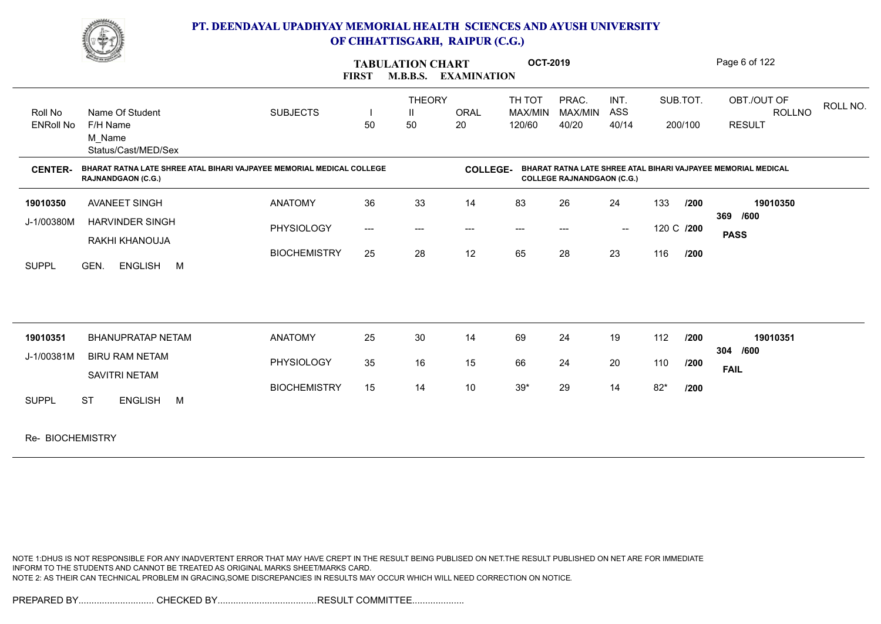

|                             | <b>Contract of the Contract of the Contract of the Contract of the Contract of the Contract of the Contract of The Contract of The Contract of The Contract of The Contract of The Contract of The Contract of The Contract of T</b> |                     | <b>FIRST</b>                        | <b>TABULATION CHART</b><br><b>M.B.B.S. EXAMINATION</b> |                   | <b>OCT-2019</b>             |                                   |                                                |            |                     | Page 6 of 122                                                 |          |
|-----------------------------|--------------------------------------------------------------------------------------------------------------------------------------------------------------------------------------------------------------------------------------|---------------------|-------------------------------------|--------------------------------------------------------|-------------------|-----------------------------|-----------------------------------|------------------------------------------------|------------|---------------------|---------------------------------------------------------------|----------|
| Roll No<br><b>ENRoll No</b> | Name Of Student<br>F/H Name<br>M Name<br>Status/Cast/MED/Sex                                                                                                                                                                         | <b>SUBJECTS</b>     | 50                                  | <b>THEORY</b><br>Ш<br>50                               | <b>ORAL</b><br>20 | TH TOT<br>MAX/MIN<br>120/60 | PRAC.<br>MAX/MIN<br>40/20         | INT.<br>ASS<br>40/14                           |            | SUB.TOT.<br>200/100 | OBT./OUT OF<br><b>ROLLNO</b><br><b>RESULT</b>                 | ROLL NO. |
| <b>CENTER-</b>              | BHARAT RATNA LATE SHREE ATAL BIHARI VAJPAYEE MEMORIAL MEDICAL COLLEGE<br><b>RAJNANDGAON (C.G.)</b>                                                                                                                                   |                     |                                     |                                                        | <b>COLLEGE-</b>   |                             | <b>COLLEGE RAJNANDGAON (C.G.)</b> |                                                |            |                     | BHARAT RATNA LATE SHREE ATAL BIHARI VAJPAYEE MEMORIAL MEDICAL |          |
| 19010350                    | AVANEET SINGH                                                                                                                                                                                                                        | <b>ANATOMY</b>      | 36                                  | 33                                                     | 14                | 83                          | 26                                | 24                                             | 133        | /200                | 19010350                                                      |          |
| J-1/00380M                  | <b>HARVINDER SINGH</b>                                                                                                                                                                                                               | PHYSIOLOGY          | $\hspace{0.05cm}---\hspace{0.05cm}$ | $---$                                                  | ---               | $---$                       | $---$                             | $\hspace{0.1mm}-\hspace{0.1mm}-\hspace{0.1mm}$ | 120 C /200 |                     | 369 /600<br><b>PASS</b>                                       |          |
| <b>SUPPL</b>                | RAKHI KHANOUJA<br>GEN.<br>ENGLISH M                                                                                                                                                                                                  | <b>BIOCHEMISTRY</b> | 25                                  | 28                                                     | 12                | 65                          | 28                                | 23                                             | 116        | 1200                |                                                               |          |
|                             |                                                                                                                                                                                                                                      |                     |                                     |                                                        |                   |                             |                                   |                                                |            |                     |                                                               |          |
| 19010351                    | <b>BHANUPRATAP NETAM</b>                                                                                                                                                                                                             | <b>ANATOMY</b>      | 25                                  | 30                                                     | 14                | 69                          | 24                                | 19                                             | 112        | 1200                | 19010351                                                      |          |
| J-1/00381M                  | <b>BIRU RAM NETAM</b><br>SAVITRI NETAM                                                                                                                                                                                               | PHYSIOLOGY          | 35                                  | 16                                                     | 15                | 66                          | 24                                | 20                                             | 110        | /200                | 304 /600<br><b>FAIL</b>                                       |          |
| <b>SUPPL</b>                | ENGLISH M<br><b>ST</b>                                                                                                                                                                                                               | <b>BIOCHEMISTRY</b> | 15                                  | 14                                                     | 10                | $39*$                       | 29                                | 14                                             | $82*$      | 1200                |                                                               |          |
| Re- BIOCHEMISTRY            |                                                                                                                                                                                                                                      |                     |                                     |                                                        |                   |                             |                                   |                                                |            |                     |                                                               |          |

NOTE 1:DHUS IS NOT RESPONSIBLE FOR ANY INADVERTENT ERROR THAT MAY HAVE CREPT IN THE RESULT BEING PUBLISED ON NET.THE RESULT PUBLISHED ON NET ARE FOR IMMEDIATE INFORM TO THE STUDENTS AND CANNOT BE TREATED AS ORIGINAL MARKS SHEET/MARKS CARD. NOTE 2: AS THEIR CAN TECHNICAL PROBLEM IN GRACING,SOME DISCREPANCIES IN RESULTS MAY OCCUR WHICH WILL NEED CORRECTION ON NOTICE.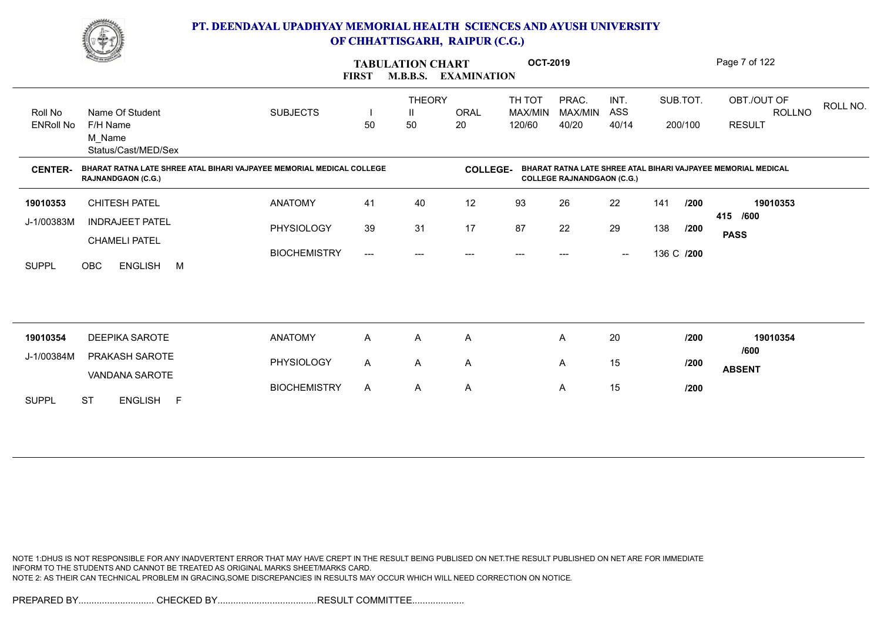

|                  | <u>Change</u>                                                                                      |                     | <b>FIRST</b>            | <b>TABULATION CHART</b><br><b>M.B.B.S.</b> | <b>EXAMINATION</b> | <b>OCT-2019</b>   |                                   |                                                |            |          | Page 7 of 122                                                 |
|------------------|----------------------------------------------------------------------------------------------------|---------------------|-------------------------|--------------------------------------------|--------------------|-------------------|-----------------------------------|------------------------------------------------|------------|----------|---------------------------------------------------------------|
| Roll No          | Name Of Student                                                                                    | <b>SUBJECTS</b>     |                         | <b>THEORY</b><br>Ш                         | <b>ORAL</b>        | TH TOT<br>MAX/MIN | PRAC.<br>MAX/MIN                  | INT.<br>ASS                                    |            | SUB.TOT. | OBT./OUT OF<br>ROLL NO.<br><b>ROLLNO</b>                      |
| <b>ENRoll No</b> | F/H Name<br>M Name<br>Status/Cast/MED/Sex                                                          |                     | 50                      | 50                                         | 20                 | 120/60            | 40/20                             | 40/14                                          |            | 200/100  | <b>RESULT</b>                                                 |
| <b>CENTER-</b>   | BHARAT RATNA LATE SHREE ATAL BIHARI VAJPAYEE MEMORIAL MEDICAL COLLEGE<br><b>RAJNANDGAON (C.G.)</b> |                     |                         |                                            | <b>COLLEGE-</b>    |                   | <b>COLLEGE RAJNANDGAON (C.G.)</b> |                                                |            |          | BHARAT RATNA LATE SHREE ATAL BIHARI VAJPAYEE MEMORIAL MEDICAL |
| 19010353         | <b>CHITESH PATEL</b>                                                                               | <b>ANATOMY</b>      | 41                      | 40                                         | 12                 | 93                | 26                                | 22                                             | 141        | /200     | 19010353                                                      |
| J-1/00383M       | <b>INDRAJEET PATEL</b><br><b>CHAMELI PATEL</b>                                                     | PHYSIOLOGY          | 39                      | 31                                         | 17                 | 87                | 22                                | 29                                             | 138        | 1200     | 415 /600<br><b>PASS</b>                                       |
| <b>SUPPL</b>     | OBC<br><b>ENGLISH</b><br><b>M</b>                                                                  | <b>BIOCHEMISTRY</b> | $\qquad \qquad -\qquad$ | ---                                        | $---$              | ---               |                                   | $\hspace{0.1mm}-\hspace{0.1mm}-\hspace{0.1mm}$ | 136 C /200 |          |                                                               |
|                  |                                                                                                    |                     |                         |                                            |                    |                   |                                   |                                                |            |          |                                                               |
| 19010354         | <b>DEEPIKA SAROTE</b>                                                                              | <b>ANATOMY</b>      | A                       | Α                                          | Α                  |                   | A                                 | 20                                             |            | /200     | 19010354<br>/600                                              |
| J-1/00384M       | PRAKASH SAROTE<br>VANDANA SAROTE                                                                   | PHYSIOLOGY          | A                       | A                                          | Α                  |                   | A                                 | 15                                             |            | /200     | <b>ABSENT</b>                                                 |
| <b>SUPPL</b>     | ENGLISH F<br><b>ST</b>                                                                             | <b>BIOCHEMISTRY</b> | $\mathsf{A}$            | A                                          | A                  |                   | A                                 | 15                                             |            | /200     |                                                               |

NOTE 1:DHUS IS NOT RESPONSIBLE FOR ANY INADVERTENT ERROR THAT MAY HAVE CREPT IN THE RESULT BEING PUBLISED ON NET.THE RESULT PUBLISHED ON NET ARE FOR IMMEDIATE INFORM TO THE STUDENTS AND CANNOT BE TREATED AS ORIGINAL MARKS SHEET/MARKS CARD. NOTE 2: AS THEIR CAN TECHNICAL PROBLEM IN GRACING,SOME DISCREPANCIES IN RESULTS MAY OCCUR WHICH WILL NEED CORRECTION ON NOTICE.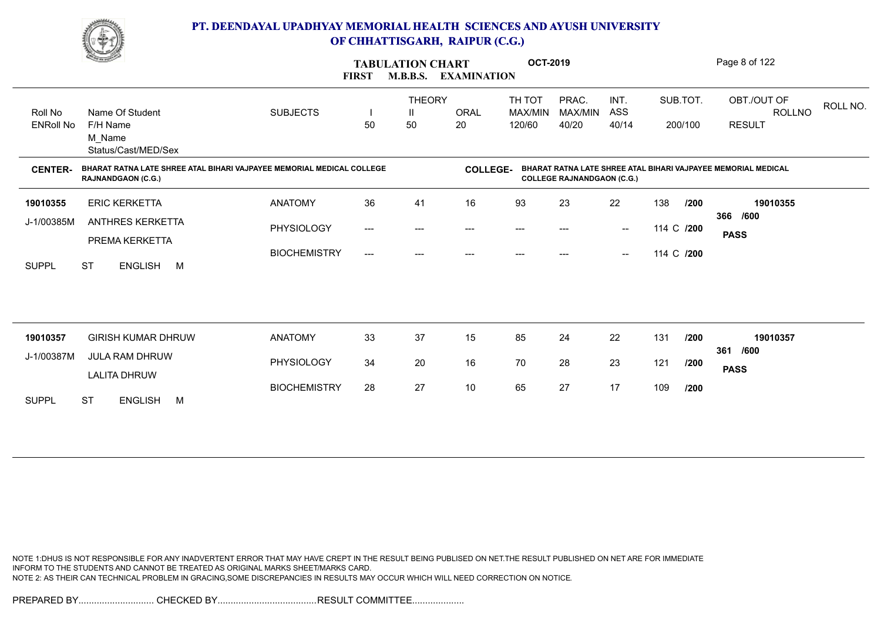

|                             | <u>Change of the South of the South of the South of the South of the South of the South of the South of the South of the South of the South of the South of the South of the South of the South of the South of the South of the</u> | <b>FIRST</b>        | <b>TABULATION CHART</b><br><b>M.B.B.S.</b> | <b>EXAMINATION</b>       | <b>OCT-2019</b> |                                          |                                   |                                                |     | Page 8 of 122       |                                                               |          |
|-----------------------------|--------------------------------------------------------------------------------------------------------------------------------------------------------------------------------------------------------------------------------------|---------------------|--------------------------------------------|--------------------------|-----------------|------------------------------------------|-----------------------------------|------------------------------------------------|-----|---------------------|---------------------------------------------------------------|----------|
| Roll No<br><b>ENRoll No</b> | Name Of Student<br>F/H Name                                                                                                                                                                                                          | <b>SUBJECTS</b>     | 50                                         | <b>THEORY</b><br>Ш<br>50 | ORAL<br>20      | TH TOT<br>MAX/MIN<br>120/60              | PRAC.<br>MAX/MIN<br>40/20         | INT.<br>ASS<br>40/14                           |     | SUB.TOT.<br>200/100 | OBT./OUT OF<br><b>ROLLNO</b><br><b>RESULT</b>                 | ROLL NO. |
|                             | M Name<br>Status/Cast/MED/Sex                                                                                                                                                                                                        |                     |                                            |                          |                 |                                          |                                   |                                                |     |                     |                                                               |          |
| <b>CENTER-</b>              | BHARAT RATNA LATE SHREE ATAL BIHARI VAJPAYEE MEMORIAL MEDICAL COLLEGE<br><b>RAJNANDGAON (C.G.)</b>                                                                                                                                   |                     |                                            |                          | <b>COLLEGE-</b> |                                          | <b>COLLEGE RAJNANDGAON (C.G.)</b> |                                                |     |                     | BHARAT RATNA LATE SHREE ATAL BIHARI VAJPAYEE MEMORIAL MEDICAL |          |
| 19010355                    | <b>ERIC KERKETTA</b>                                                                                                                                                                                                                 | <b>ANATOMY</b>      | 36                                         | 41                       | 16              | 93                                       | 23                                | 22                                             | 138 | /200                | 19010355<br>366 /600                                          |          |
| J-1/00385M                  | <b>ANTHRES KERKETTA</b><br>PREMA KERKETTA                                                                                                                                                                                            | PHYSIOLOGY          | $\hspace{0.05cm}---\hspace{0.05cm}$        | ---                      | ---             | $\hspace{0.05cm} \ldots \hspace{0.05cm}$ | ---                               | $\hspace{0.1mm}-\hspace{0.1mm}-\hspace{0.1mm}$ |     | 114 C /200          | <b>PASS</b>                                                   |          |
| <b>SUPPL</b>                | <b>ST</b><br>ENGLISH M                                                                                                                                                                                                               | <b>BIOCHEMISTRY</b> | ---                                        | ---                      | $---$           | $---$                                    | $---$                             | $\hspace{0.1mm}-\hspace{0.1mm}-\hspace{0.1mm}$ |     | 114 C /200          |                                                               |          |
|                             |                                                                                                                                                                                                                                      |                     |                                            |                          |                 |                                          |                                   |                                                |     |                     |                                                               |          |
| 19010357                    | <b>GIRISH KUMAR DHRUW</b>                                                                                                                                                                                                            | <b>ANATOMY</b>      | 33                                         | 37                       | 15              | 85                                       | 24                                | 22                                             | 131 | /200                | 19010357                                                      |          |
| J-1/00387M                  | <b>JULA RAM DHRUW</b><br><b>LALITA DHRUW</b>                                                                                                                                                                                         | PHYSIOLOGY          | 34                                         | 20                       | 16              | 70                                       | 28                                | 23                                             | 121 | /200                | 361 /600<br><b>PASS</b>                                       |          |
| <b>SUPPL</b>                | <b>ST</b><br><b>ENGLISH</b><br>M                                                                                                                                                                                                     | <b>BIOCHEMISTRY</b> | 28                                         | 27                       | $10$            | 65                                       | 27                                | 17                                             | 109 | /200                |                                                               |          |
|                             |                                                                                                                                                                                                                                      |                     |                                            |                          |                 |                                          |                                   |                                                |     |                     |                                                               |          |

NOTE 1:DHUS IS NOT RESPONSIBLE FOR ANY INADVERTENT ERROR THAT MAY HAVE CREPT IN THE RESULT BEING PUBLISED ON NET.THE RESULT PUBLISHED ON NET ARE FOR IMMEDIATE INFORM TO THE STUDENTS AND CANNOT BE TREATED AS ORIGINAL MARKS SHEET/MARKS CARD. NOTE 2: AS THEIR CAN TECHNICAL PROBLEM IN GRACING,SOME DISCREPANCIES IN RESULTS MAY OCCUR WHICH WILL NEED CORRECTION ON NOTICE.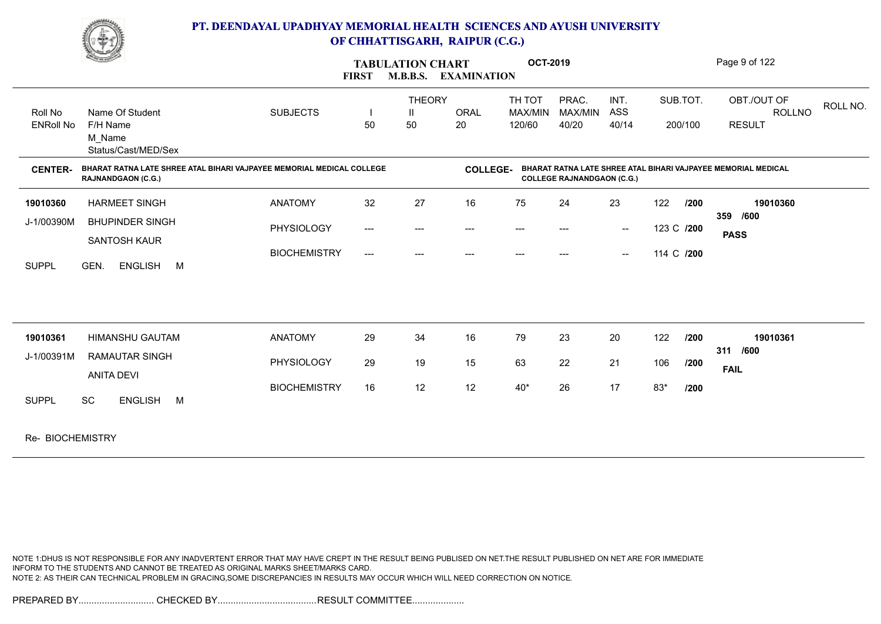

|                  | <b>Charles Company</b>                                                                             |                     | <b>FIRST</b>                             | <b>TABULATION CHART</b><br><b>M.B.B.S.</b> | <b>EXAMINATION</b> | <b>OCT-2019</b> |                                   |                                                |            |          | Page 9 of 122                                                 |          |
|------------------|----------------------------------------------------------------------------------------------------|---------------------|------------------------------------------|--------------------------------------------|--------------------|-----------------|-----------------------------------|------------------------------------------------|------------|----------|---------------------------------------------------------------|----------|
|                  |                                                                                                    |                     |                                          | <b>THEORY</b>                              |                    | TH TOT          | PRAC.                             | INT.                                           |            | SUB.TOT. | OBT./OUT OF                                                   | ROLL NO. |
| Roll No          | Name Of Student                                                                                    | <b>SUBJECTS</b>     |                                          | Ш                                          | <b>ORAL</b>        | MAX/MIN         | MAX/MIN                           | ASS                                            |            |          | ROLLNO                                                        |          |
| <b>ENRoll No</b> | F/H Name<br>M Name<br>Status/Cast/MED/Sex                                                          |                     | 50                                       | 50                                         | 20                 | 120/60          | 40/20                             | 40/14                                          |            | 200/100  | <b>RESULT</b>                                                 |          |
| <b>CENTER-</b>   | BHARAT RATNA LATE SHREE ATAL BIHARI VAJPAYEE MEMORIAL MEDICAL COLLEGE<br><b>RAJNANDGAON (C.G.)</b> |                     |                                          |                                            | <b>COLLEGE-</b>    |                 | <b>COLLEGE RAJNANDGAON (C.G.)</b> |                                                |            |          | BHARAT RATNA LATE SHREE ATAL BIHARI VAJPAYEE MEMORIAL MEDICAL |          |
| 19010360         | <b>HARMEET SINGH</b>                                                                               | <b>ANATOMY</b>      | 32                                       | 27                                         | 16                 | 75              | 24                                | 23                                             | 122        | 1200     | 19010360                                                      |          |
| J-1/00390M       | <b>BHUPINDER SINGH</b>                                                                             | PHYSIOLOGY          | $\hspace{0.05cm} \ldots \hspace{0.05cm}$ | $---$                                      | ---                | $---$           | $---$                             | $\hspace{0.1mm}-\hspace{0.1mm}-\hspace{0.1mm}$ | 123 C /200 |          | 359 /600                                                      |          |
|                  | SANTOSH KAUR                                                                                       |                     |                                          |                                            |                    |                 |                                   |                                                |            |          | <b>PASS</b>                                                   |          |
| <b>SUPPL</b>     | GEN.<br><b>ENGLISH</b><br>M                                                                        | <b>BIOCHEMISTRY</b> | $\qquad \qquad - -$                      | $---$                                      | $---$              | $---$           | $---$                             | $\sim$                                         | 114 C /200 |          |                                                               |          |
| 19010361         | <b>HIMANSHU GAUTAM</b>                                                                             | <b>ANATOMY</b>      | 29                                       | 34                                         | 16                 | 79              | 23                                | 20                                             | 122        | 1200     | 19010361                                                      |          |
| J-1/00391M       | <b>RAMAUTAR SINGH</b>                                                                              | PHYSIOLOGY          | 29                                       | 19                                         | 15                 | 63              | 22                                | 21                                             | 106        | /200     | 311 /600<br><b>FAIL</b>                                       |          |
|                  | <b>ANITA DEVI</b>                                                                                  |                     |                                          |                                            |                    |                 |                                   |                                                |            |          |                                                               |          |
| <b>SUPPL</b>     | <b>SC</b><br><b>ENGLISH</b><br>M                                                                   | <b>BIOCHEMISTRY</b> | 16                                       | 12                                         | 12                 | $40*$           | 26                                | 17                                             | 83*        | /200     |                                                               |          |
| Re- BIOCHEMISTRY |                                                                                                    |                     |                                          |                                            |                    |                 |                                   |                                                |            |          |                                                               |          |

NOTE 1:DHUS IS NOT RESPONSIBLE FOR ANY INADVERTENT ERROR THAT MAY HAVE CREPT IN THE RESULT BEING PUBLISED ON NET.THE RESULT PUBLISHED ON NET ARE FOR IMMEDIATE INFORM TO THE STUDENTS AND CANNOT BE TREATED AS ORIGINAL MARKS SHEET/MARKS CARD. NOTE 2: AS THEIR CAN TECHNICAL PROBLEM IN GRACING,SOME DISCREPANCIES IN RESULTS MAY OCCUR WHICH WILL NEED CORRECTION ON NOTICE.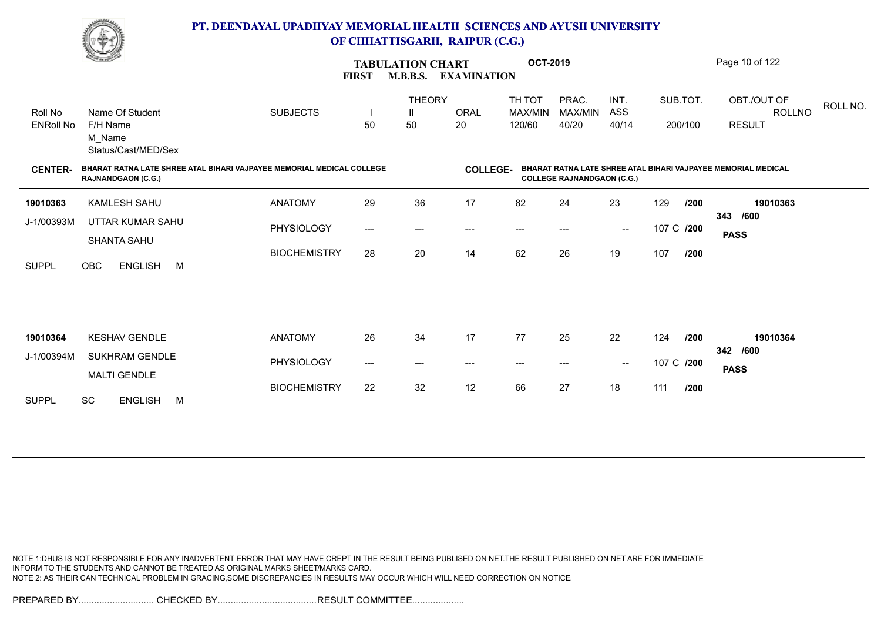

|                                               | <u>Change</u>                                                                                      |                     | <b>FIRST</b> | <b>TABULATION CHART</b>  | M.B.B.S. EXAMINATION | <b>OCT-2019</b>             |                                   |                                                |            |                     | Page 10 of 122                                                |
|-----------------------------------------------|----------------------------------------------------------------------------------------------------|---------------------|--------------|--------------------------|----------------------|-----------------------------|-----------------------------------|------------------------------------------------|------------|---------------------|---------------------------------------------------------------|
| Roll No<br><b>ENRoll No</b><br><b>CENTER-</b> | Name Of Student<br>F/H Name<br>M Name<br>Status/Cast/MED/Sex                                       | <b>SUBJECTS</b>     | H<br>50      | <b>THEORY</b><br>Ш<br>50 | ORAL<br>20           | TH TOT<br>MAX/MIN<br>120/60 | PRAC.<br>MAX/MIN<br>40/20         | INT.<br>ASS<br>40/14                           |            | SUB.TOT.<br>200/100 | OBT./OUT OF<br>ROLL NO.<br><b>ROLLNO</b><br><b>RESULT</b>     |
|                                               | BHARAT RATNA LATE SHREE ATAL BIHARI VAJPAYEE MEMORIAL MEDICAL COLLEGE<br><b>RAJNANDGAON (C.G.)</b> |                     |              |                          | <b>COLLEGE-</b>      |                             | <b>COLLEGE RAJNANDGAON (C.G.)</b> |                                                |            |                     | BHARAT RATNA LATE SHREE ATAL BIHARI VAJPAYEE MEMORIAL MEDICAL |
| 19010363                                      | KAMLESH SAHU                                                                                       | <b>ANATOMY</b>      | 29           | 36                       | 17                   | 82                          | 24                                | 23                                             | 129        | /200                | 19010363                                                      |
| J-1/00393M                                    | UTTAR KUMAR SAHU                                                                                   | PHYSIOLOGY          | ---          | $---$                    | $---$                | $---$                       | ---                               | $\hspace{0.1mm}-\hspace{0.1mm}-\hspace{0.1mm}$ | 107 C /200 |                     | 343 /600<br><b>PASS</b>                                       |
| <b>SUPPL</b>                                  | SHANTA SAHU<br><b>ENGLISH</b><br><b>OBC</b><br>M                                                   | <b>BIOCHEMISTRY</b> | 28           | 20                       | 14                   | 62                          | 26                                | 19                                             | 107        | /200                |                                                               |
|                                               |                                                                                                    |                     |              |                          |                      |                             |                                   |                                                |            |                     |                                                               |
| 19010364                                      | <b>KESHAV GENDLE</b>                                                                               | <b>ANATOMY</b>      | 26           | 34                       | 17                   | 77                          | 25                                | 22                                             | 124        | /200                | 19010364                                                      |
| J-1/00394M                                    | <b>SUKHRAM GENDLE</b>                                                                              | PHYSIOLOGY          | ---          | $---$                    | ---                  | ---                         | ---                               | $\hspace{0.1mm}-\hspace{0.1mm}-\hspace{0.1mm}$ | 107 C /200 |                     | 342 /600<br><b>PASS</b>                                       |
| <b>SUPPL</b>                                  | <b>MALTI GENDLE</b><br><b>SC</b><br><b>ENGLISH</b><br>M                                            | <b>BIOCHEMISTRY</b> | 22           | 32                       | 12                   | 66                          | 27                                | 18                                             | 111        | /200                |                                                               |

NOTE 1:DHUS IS NOT RESPONSIBLE FOR ANY INADVERTENT ERROR THAT MAY HAVE CREPT IN THE RESULT BEING PUBLISED ON NET.THE RESULT PUBLISHED ON NET ARE FOR IMMEDIATE INFORM TO THE STUDENTS AND CANNOT BE TREATED AS ORIGINAL MARKS SHEET/MARKS CARD. NOTE 2: AS THEIR CAN TECHNICAL PROBLEM IN GRACING,SOME DISCREPANCIES IN RESULTS MAY OCCUR WHICH WILL NEED CORRECTION ON NOTICE.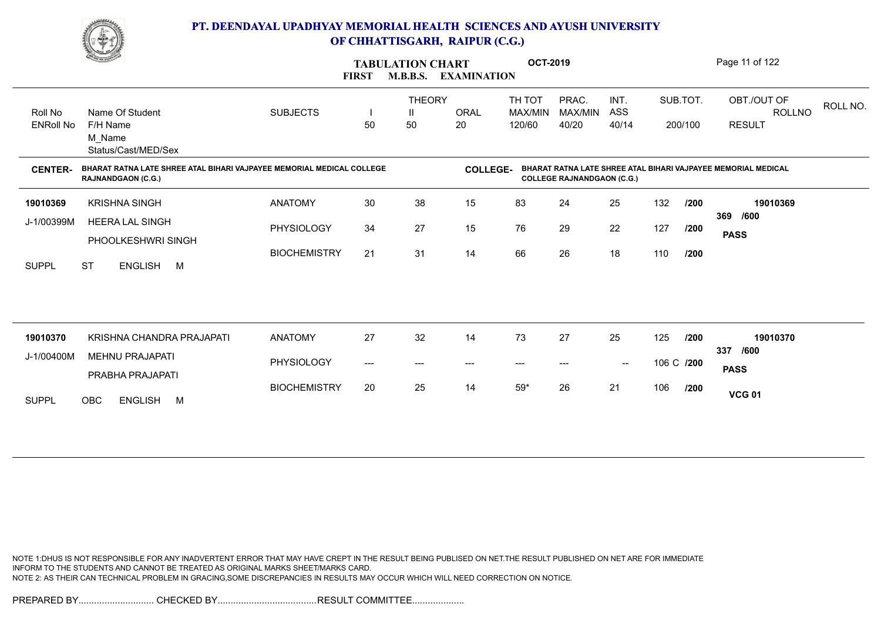

|                  | <b>Construction</b>                                                                                |                     | <b>FIRST</b> | <b>TABULATION CHART</b><br><b>M.B.B.S.</b> | <b>EXAMINATION</b> | <b>OCT-2019</b>        |                                   |                   |            |         | Page 11 of 122                                                |
|------------------|----------------------------------------------------------------------------------------------------|---------------------|--------------|--------------------------------------------|--------------------|------------------------|-----------------------------------|-------------------|------------|---------|---------------------------------------------------------------|
| Roll No          | Name Of Student                                                                                    | <b>SUBJECTS</b>     |              | <b>THEORY</b><br>Ш                         | <b>ORAL</b>        | TH TOT<br>MAX/MIN      | PRAC.<br>MAX/MIN                  | INT.<br>ASS       | SUB.TOT.   |         | OBT./OUT OF<br>ROLL NO.<br><b>ROLLNO</b>                      |
| <b>ENRoll No</b> | F/H Name<br>M Name<br>Status/Cast/MED/Sex                                                          |                     | 50           | 50                                         | 20                 | 120/60                 | 40/20                             | 40/14             |            | 200/100 | <b>RESULT</b>                                                 |
| <b>CENTER-</b>   | BHARAT RATNA LATE SHREE ATAL BIHARI VAJPAYEE MEMORIAL MEDICAL COLLEGE<br><b>RAJNANDGAON (C.G.)</b> |                     |              |                                            | <b>COLLEGE-</b>    |                        | <b>COLLEGE RAJNANDGAON (C.G.)</b> |                   |            |         | BHARAT RATNA LATE SHREE ATAL BIHARI VAJPAYEE MEMORIAL MEDICAL |
| 19010369         | <b>KRISHNA SINGH</b>                                                                               | <b>ANATOMY</b>      | 30           | 38                                         | 15                 | 83                     | 24                                | 25                | 132        | /200    | 19010369<br>369 /600                                          |
| J-1/00399M       | <b>HEERA LAL SINGH</b><br>PHOOLKESHWRI SINGH                                                       | PHYSIOLOGY          | 34           | 27                                         | 15                 | 76                     | 29                                | 22                | 127        | /200    | <b>PASS</b>                                                   |
| <b>SUPPL</b>     | <b>ST</b><br>ENGLISH M                                                                             | <b>BIOCHEMISTRY</b> | 21           | 31                                         | 14                 | 66                     | 26                                | 18                | 110        | /200    |                                                               |
|                  |                                                                                                    |                     |              |                                            |                    |                        |                                   |                   |            |         |                                                               |
| 19010370         | KRISHNA CHANDRA PRAJAPATI                                                                          | <b>ANATOMY</b>      | 27           | 32                                         | 14                 | 73                     | 27                                | 25                | 125        | 1200    | 19010370                                                      |
| J-1/00400M       | <b>MEHNU PRAJAPATI</b><br>PRABHA PRAJAPATI                                                         | PHYSIOLOGY          | ---          | $---$                                      | ---                | $\qquad \qquad \cdots$ |                                   | $\hspace{0.05cm}$ | 106 C /200 |         | 337 /600<br><b>PASS</b>                                       |
| <b>SUPPL</b>     | ENGLISH M<br><b>OBC</b>                                                                            | <b>BIOCHEMISTRY</b> | 20           | 25                                         | 14                 | $59^{\star}$           | 26                                | 21                | 106        | /200    | <b>VCG 01</b>                                                 |
|                  |                                                                                                    |                     |              |                                            |                    |                        |                                   |                   |            |         |                                                               |

NOTE 1:DHUS IS NOT RESPONSIBLE FOR ANY INADVERTENT ERROR THAT MAY HAVE CREPT IN THE RESULT BEING PUBLISED ON NET.THE RESULT PUBLISHED ON NET ARE FOR IMMEDIATE INFORM TO THE STUDENTS AND CANNOT BE TREATED AS ORIGINAL MARKS SHEET/MARKS CARD. NOTE 2: AS THEIR CAN TECHNICAL PROBLEM IN GRACING,SOME DISCREPANCIES IN RESULTS MAY OCCUR WHICH WILL NEED CORRECTION ON NOTICE.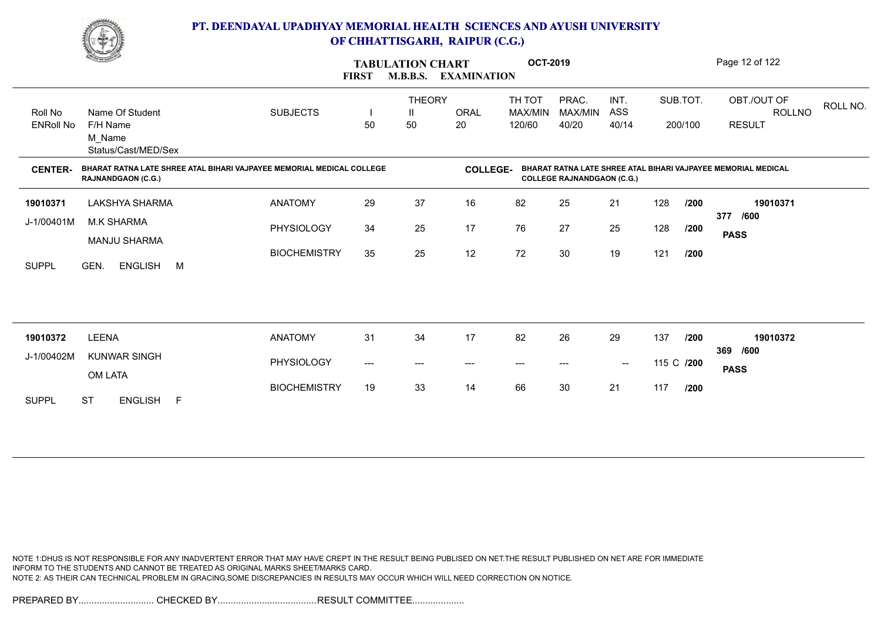

|                             | <b>Comment of the Comment of the Comment of the Comment of the Comment of The Comment of The Comment of The Comment of The Comment of The Comment of The Comment of The Comment of The Comment of The Comment of The Comment of </b> |                     | <b>FIRST</b> | <b>TABULATION CHART</b><br><b>M.B.B.S.</b> | <b>EXAMINATION</b> | <b>OCT-2019</b>                          |                                   |                      |            |                     | Page 12 of 122                                                |
|-----------------------------|--------------------------------------------------------------------------------------------------------------------------------------------------------------------------------------------------------------------------------------|---------------------|--------------|--------------------------------------------|--------------------|------------------------------------------|-----------------------------------|----------------------|------------|---------------------|---------------------------------------------------------------|
| Roll No<br><b>ENRoll No</b> | Name Of Student<br>F/H Name<br>M Name<br>Status/Cast/MED/Sex                                                                                                                                                                         | <b>SUBJECTS</b>     | 50           | <b>THEORY</b><br>Ш<br>50                   | <b>ORAL</b><br>20  | TH TOT<br>MAX/MIN<br>120/60              | PRAC.<br>MAX/MIN<br>40/20         | INT.<br>ASS<br>40/14 |            | SUB.TOT.<br>200/100 | OBT./OUT OF<br>ROLL NO.<br><b>ROLLNO</b><br><b>RESULT</b>     |
| <b>CENTER-</b>              | BHARAT RATNA LATE SHREE ATAL BIHARI VAJPAYEE MEMORIAL MEDICAL COLLEGE<br><b>RAJNANDGAON (C.G.)</b>                                                                                                                                   |                     |              |                                            | <b>COLLEGE-</b>    |                                          | <b>COLLEGE RAJNANDGAON (C.G.)</b> |                      |            |                     | BHARAT RATNA LATE SHREE ATAL BIHARI VAJPAYEE MEMORIAL MEDICAL |
| 19010371                    | LAKSHYA SHARMA                                                                                                                                                                                                                       | <b>ANATOMY</b>      | 29           | 37                                         | 16                 | 82                                       | 25                                | 21                   | 128        | /200                | 19010371                                                      |
| J-1/00401M                  | <b>M.K SHARMA</b><br><b>MANJU SHARMA</b>                                                                                                                                                                                             | <b>PHYSIOLOGY</b>   | 34           | 25                                         | 17                 | 76                                       | 27                                | 25                   | 128        | /200                | 377 /600<br><b>PASS</b>                                       |
| <b>SUPPL</b>                | GEN.<br>ENGLISH M                                                                                                                                                                                                                    | <b>BIOCHEMISTRY</b> | 35           | 25                                         | 12                 | 72                                       | 30                                | 19                   | 121        | /200                |                                                               |
|                             |                                                                                                                                                                                                                                      |                     |              |                                            |                    |                                          |                                   |                      |            |                     |                                                               |
| 19010372                    | <b>LEENA</b>                                                                                                                                                                                                                         | <b>ANATOMY</b>      | 31           | 34                                         | 17                 | 82                                       | 26                                | 29                   | 137        | /200                | 19010372<br>369 /600                                          |
| J-1/00402M                  | <b>KUNWAR SINGH</b><br>OM LATA                                                                                                                                                                                                       | PHYSIOLOGY          | ---          | $---$                                      | ---                | $\hspace{0.05cm} \ldots \hspace{0.05cm}$ | ---                               | $\sim$               | 115 C /200 |                     | <b>PASS</b>                                                   |
| <b>SUPPL</b>                | <b>ST</b><br>ENGLISH F                                                                                                                                                                                                               | <b>BIOCHEMISTRY</b> | 19           | 33                                         | 14                 | 66                                       | 30                                | 21                   | 117        | /200                |                                                               |

NOTE 1:DHUS IS NOT RESPONSIBLE FOR ANY INADVERTENT ERROR THAT MAY HAVE CREPT IN THE RESULT BEING PUBLISED ON NET.THE RESULT PUBLISHED ON NET ARE FOR IMMEDIATE INFORM TO THE STUDENTS AND CANNOT BE TREATED AS ORIGINAL MARKS SHEET/MARKS CARD. NOTE 2: AS THEIR CAN TECHNICAL PROBLEM IN GRACING,SOME DISCREPANCIES IN RESULTS MAY OCCUR WHICH WILL NEED CORRECTION ON NOTICE.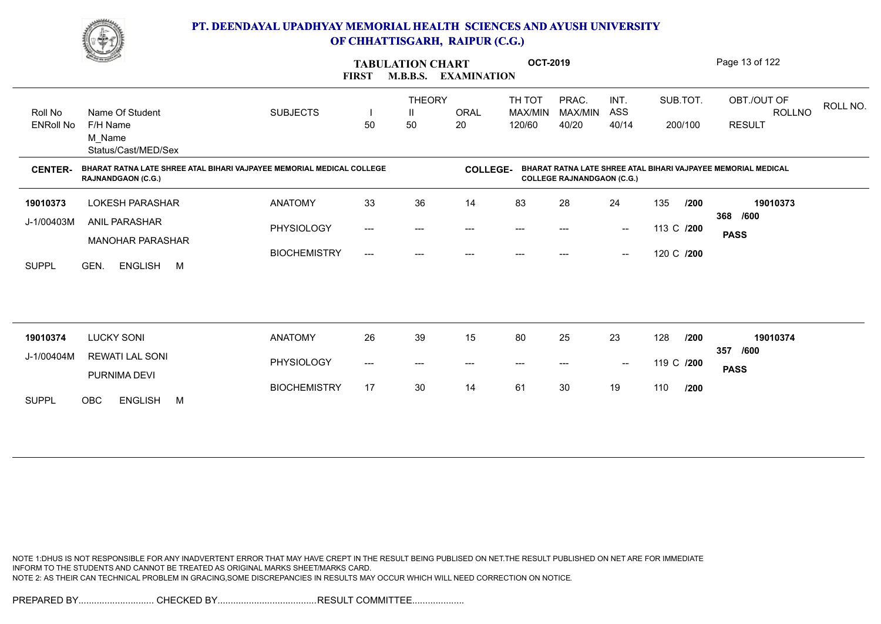

|                             | <u>Common Common Common Common Common Common Common Common Common Common Common Common Common Common Common Commo<br/>Common Common Common Common Common Common Common Common Common Common Common Common Common Common Common Commo</u> |                     | <b>FIRST</b>                        | <b>TABULATION CHART</b><br><b>M.B.B.S.</b> | <b>EXAMINATION</b> | <b>OCT-2019</b>             |                                   |                                                |            |         | Page 13 of 122                                                |  |
|-----------------------------|------------------------------------------------------------------------------------------------------------------------------------------------------------------------------------------------------------------------------------------|---------------------|-------------------------------------|--------------------------------------------|--------------------|-----------------------------|-----------------------------------|------------------------------------------------|------------|---------|---------------------------------------------------------------|--|
| Roll No<br><b>ENRoll No</b> | Name Of Student<br>F/H Name<br>M_Name<br>Status/Cast/MED/Sex                                                                                                                                                                             | <b>SUBJECTS</b>     | 50                                  | <b>THEORY</b><br>Ш<br>50                   | <b>ORAL</b><br>20  | TH TOT<br>MAX/MIN<br>120/60 | PRAC.<br>MAX/MIN<br>40/20         | INT.<br>ASS<br>40/14                           | SUB.TOT.   | 200/100 | OBT./OUT OF<br>ROLL NO.<br>ROLLNO<br><b>RESULT</b>            |  |
| <b>CENTER-</b>              | BHARAT RATNA LATE SHREE ATAL BIHARI VAJPAYEE MEMORIAL MEDICAL COLLEGE<br><b>RAJNANDGAON (C.G.)</b>                                                                                                                                       |                     |                                     |                                            | <b>COLLEGE-</b>    |                             | <b>COLLEGE RAJNANDGAON (C.G.)</b> |                                                |            |         | BHARAT RATNA LATE SHREE ATAL BIHARI VAJPAYEE MEMORIAL MEDICAL |  |
| 19010373                    | <b>LOKESH PARASHAR</b>                                                                                                                                                                                                                   | <b>ANATOMY</b>      | 33                                  | 36                                         | 14                 | 83                          | 28                                | 24                                             | 135        | /200    | 19010373                                                      |  |
| J-1/00403M                  | ANIL PARASHAR                                                                                                                                                                                                                            | PHYSIOLOGY          | $\hspace{0.05cm}---\hspace{0.05cm}$ | ---                                        | ---                | ---                         | ---                               | $\hspace{0.1mm}-\hspace{0.1mm}-\hspace{0.1mm}$ | 113 C /200 |         | 368 /600<br><b>PASS</b>                                       |  |
| <b>SUPPL</b>                | <b>MANOHAR PARASHAR</b><br><b>ENGLISH</b><br>GEN.<br>M                                                                                                                                                                                   | <b>BIOCHEMISTRY</b> | $---$                               | ---                                        |                    |                             |                                   | $\overline{\phantom{a}}$                       | 120 C /200 |         |                                                               |  |
|                             |                                                                                                                                                                                                                                          |                     |                                     |                                            |                    |                             |                                   |                                                |            |         |                                                               |  |
| 19010374                    | <b>LUCKY SONI</b>                                                                                                                                                                                                                        | <b>ANATOMY</b>      | 26                                  | 39                                         | 15                 | 80                          | 25                                | 23                                             | 128        | /200    | 19010374                                                      |  |
| J-1/00404M                  | <b>REWATI LAL SONI</b><br>PURNIMA DEVI                                                                                                                                                                                                   | PHYSIOLOGY          | ---                                 | $---$                                      | ---                | $---$                       | $---$                             | $\overline{\phantom{a}}$                       | 119 C /200 |         | 357<br>/600<br><b>PASS</b>                                    |  |
| <b>SUPPL</b>                | <b>OBC</b><br><b>ENGLISH</b><br>M                                                                                                                                                                                                        | <b>BIOCHEMISTRY</b> | 17                                  | 30                                         | 14                 | 61                          | 30                                | 19                                             | 110        | 1200    |                                                               |  |

NOTE 1:DHUS IS NOT RESPONSIBLE FOR ANY INADVERTENT ERROR THAT MAY HAVE CREPT IN THE RESULT BEING PUBLISED ON NET.THE RESULT PUBLISHED ON NET ARE FOR IMMEDIATE INFORM TO THE STUDENTS AND CANNOT BE TREATED AS ORIGINAL MARKS SHEET/MARKS CARD. NOTE 2: AS THEIR CAN TECHNICAL PROBLEM IN GRACING,SOME DISCREPANCIES IN RESULTS MAY OCCUR WHICH WILL NEED CORRECTION ON NOTICE.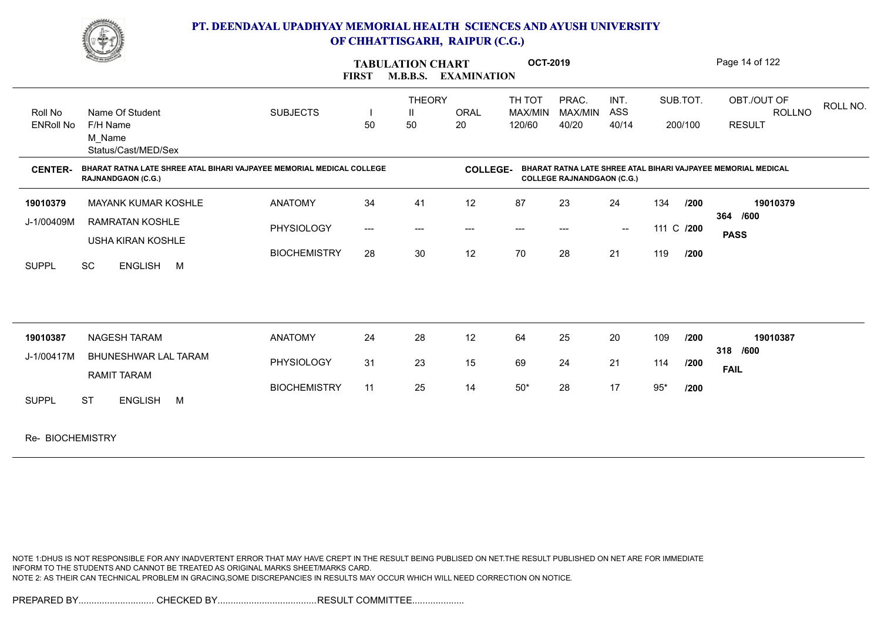

|                             | <b>Construction</b>                                                                                |                     | <b>FIRST</b>        | <b>TABULATION CHART</b><br><b>M.B.B.S. EXAMINATION</b> |                   | <b>OCT-2019</b>             |                                   |                                                |            |                     | Page 14 of 122                                                |          |
|-----------------------------|----------------------------------------------------------------------------------------------------|---------------------|---------------------|--------------------------------------------------------|-------------------|-----------------------------|-----------------------------------|------------------------------------------------|------------|---------------------|---------------------------------------------------------------|----------|
| Roll No<br><b>ENRoll No</b> | Name Of Student<br>F/H Name<br>M Name<br>Status/Cast/MED/Sex                                       | <b>SUBJECTS</b>     | 50                  | <b>THEORY</b><br>H.<br>50                              | <b>ORAL</b><br>20 | TH TOT<br>MAX/MIN<br>120/60 | PRAC.<br>MAX/MIN<br>40/20         | INT.<br>ASS<br>40/14                           |            | SUB.TOT.<br>200/100 | OBT./OUT OF<br><b>ROLLNO</b><br><b>RESULT</b>                 | ROLL NO. |
| <b>CENTER-</b>              | BHARAT RATNA LATE SHREE ATAL BIHARI VAJPAYEE MEMORIAL MEDICAL COLLEGE<br><b>RAJNANDGAON (C.G.)</b> |                     |                     |                                                        | <b>COLLEGE-</b>   |                             | <b>COLLEGE RAJNANDGAON (C.G.)</b> |                                                |            |                     | BHARAT RATNA LATE SHREE ATAL BIHARI VAJPAYEE MEMORIAL MEDICAL |          |
| 19010379                    | <b>MAYANK KUMAR KOSHLE</b>                                                                         | <b>ANATOMY</b>      | 34                  | 41                                                     | 12                | 87                          | 23                                | 24                                             | 134        | /200                | 19010379                                                      |          |
| J-1/00409M                  | <b>RAMRATAN KOSHLE</b><br>USHA KIRAN KOSHLE                                                        | <b>PHYSIOLOGY</b>   | $\qquad \qquad - -$ | $---$                                                  | $---$             | $---$                       | $---$                             | $\hspace{0.1mm}-\hspace{0.1mm}-\hspace{0.1mm}$ | 111 C /200 |                     | 364 /600<br><b>PASS</b>                                       |          |
| <b>SUPPL</b>                | SC<br>ENGLISH M                                                                                    | <b>BIOCHEMISTRY</b> | 28                  | 30                                                     | 12                | 70                          | 28                                | 21                                             | 119        | /200                |                                                               |          |
| 19010387                    | <b>NAGESH TARAM</b>                                                                                | <b>ANATOMY</b>      | 24                  | 28                                                     | 12                | 64                          | 25                                | 20                                             | 109        | 1200                | 19010387                                                      |          |
| J-1/00417M                  | BHUNESHWAR LAL TARAM<br><b>RAMIT TARAM</b>                                                         | <b>PHYSIOLOGY</b>   | 31                  | 23                                                     | 15                | 69                          | 24                                | 21                                             | 114        | /200                | 318 /600<br><b>FAIL</b>                                       |          |
| <b>SUPPL</b>                | <b>ST</b><br>ENGLISH M                                                                             | <b>BIOCHEMISTRY</b> | 11                  | 25                                                     | 14                | $50^{\star}$                | 28                                | 17                                             | $95*$      | /200                |                                                               |          |
| Re- BIOCHEMISTRY            |                                                                                                    |                     |                     |                                                        |                   |                             |                                   |                                                |            |                     |                                                               |          |

NOTE 1:DHUS IS NOT RESPONSIBLE FOR ANY INADVERTENT ERROR THAT MAY HAVE CREPT IN THE RESULT BEING PUBLISED ON NET.THE RESULT PUBLISHED ON NET ARE FOR IMMEDIATE INFORM TO THE STUDENTS AND CANNOT BE TREATED AS ORIGINAL MARKS SHEET/MARKS CARD. NOTE 2: AS THEIR CAN TECHNICAL PROBLEM IN GRACING,SOME DISCREPANCIES IN RESULTS MAY OCCUR WHICH WILL NEED CORRECTION ON NOTICE.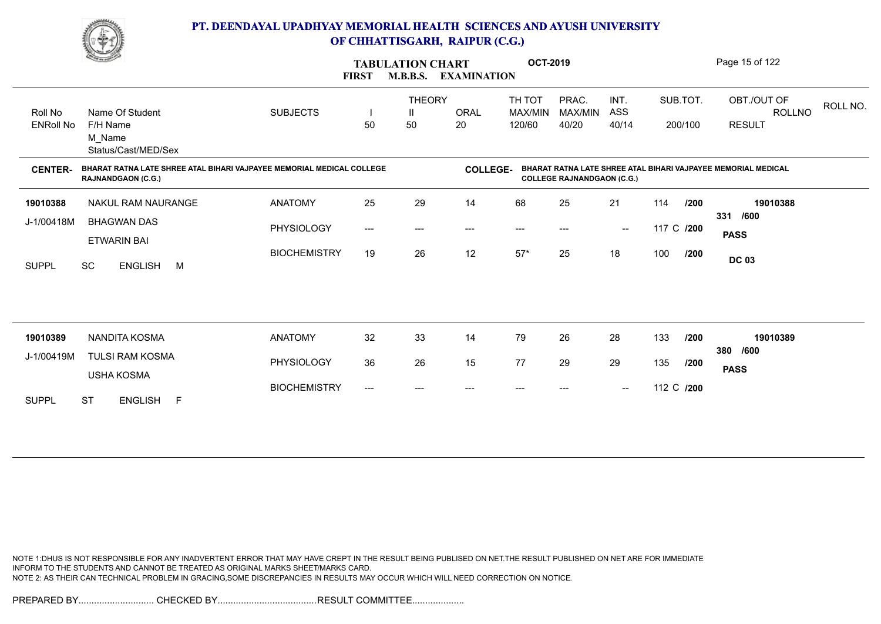

|                             | <u>Change</u>                                                                                      |                     | <b>FIRST</b>                        | <b>TABULATION CHART</b><br><b>M.B.B.S.</b> | <b>EXAMINATION</b> | <b>OCT-2019</b>                    |                                   |                                                |            |                     | Page 15 of 122                                                |
|-----------------------------|----------------------------------------------------------------------------------------------------|---------------------|-------------------------------------|--------------------------------------------|--------------------|------------------------------------|-----------------------------------|------------------------------------------------|------------|---------------------|---------------------------------------------------------------|
| Roll No<br><b>ENRoll No</b> | Name Of Student<br>F/H Name<br>M Name<br>Status/Cast/MED/Sex                                       | <b>SUBJECTS</b>     | 50                                  | <b>THEORY</b><br>Ш<br>50                   | <b>ORAL</b><br>20  | TH TOT<br><b>MAX/MIN</b><br>120/60 | PRAC.<br>MAX/MIN<br>40/20         | INT.<br>ASS<br>40/14                           |            | SUB.TOT.<br>200/100 | OBT./OUT OF<br>ROLL NO.<br>ROLLNO<br><b>RESULT</b>            |
| <b>CENTER-</b>              | BHARAT RATNA LATE SHREE ATAL BIHARI VAJPAYEE MEMORIAL MEDICAL COLLEGE<br><b>RAJNANDGAON (C.G.)</b> |                     |                                     |                                            | <b>COLLEGE-</b>    |                                    | <b>COLLEGE RAJNANDGAON (C.G.)</b> |                                                |            |                     | BHARAT RATNA LATE SHREE ATAL BIHARI VAJPAYEE MEMORIAL MEDICAL |
| 19010388                    | NAKUL RAM NAURANGE                                                                                 | <b>ANATOMY</b>      | 25                                  | 29                                         | 14                 | 68                                 | 25                                | 21                                             | 114        | 1200                | 19010388                                                      |
| J-1/00418M                  | <b>BHAGWAN DAS</b>                                                                                 | PHYSIOLOGY          | $\hspace{0.05cm}---\hspace{0.05cm}$ | $---$                                      | ---                | $---$                              |                                   | $\hspace{0.1mm}-\hspace{0.1mm}-\hspace{0.1mm}$ | 117 C /200 |                     | /600<br>331<br><b>PASS</b>                                    |
| <b>SUPPL</b>                | <b>ETWARIN BAI</b><br><b>SC</b><br><b>ENGLISH</b><br>M                                             | <b>BIOCHEMISTRY</b> | 19                                  | 26                                         | 12                 | $57*$                              | 25                                | 18                                             | 100        | /200                | <b>DC 03</b>                                                  |
|                             |                                                                                                    |                     |                                     |                                            |                    |                                    |                                   |                                                |            |                     |                                                               |
| 19010389                    | NANDITA KOSMA                                                                                      | <b>ANATOMY</b>      | 32                                  | 33                                         | 14                 | 79                                 | 26                                | 28                                             | 133        | /200                | 19010389<br>380<br>/600                                       |
| J-1/00419M                  | <b>TULSI RAM KOSMA</b><br><b>USHA KOSMA</b>                                                        | PHYSIOLOGY          | 36                                  | 26                                         | 15                 | 77                                 | 29                                | 29                                             | 135        | /200                | <b>PASS</b>                                                   |
| <b>SUPPL</b>                | <b>ST</b><br><b>ENGLISH</b><br>-F                                                                  | <b>BIOCHEMISTRY</b> | ---                                 | ---                                        |                    |                                    |                                   | $\hspace{0.1mm}-\hspace{0.1mm}-\hspace{0.1mm}$ | 112 C /200 |                     |                                                               |

NOTE 1:DHUS IS NOT RESPONSIBLE FOR ANY INADVERTENT ERROR THAT MAY HAVE CREPT IN THE RESULT BEING PUBLISED ON NET.THE RESULT PUBLISHED ON NET ARE FOR IMMEDIATE INFORM TO THE STUDENTS AND CANNOT BE TREATED AS ORIGINAL MARKS SHEET/MARKS CARD. NOTE 2: AS THEIR CAN TECHNICAL PROBLEM IN GRACING,SOME DISCREPANCIES IN RESULTS MAY OCCUR WHICH WILL NEED CORRECTION ON NOTICE.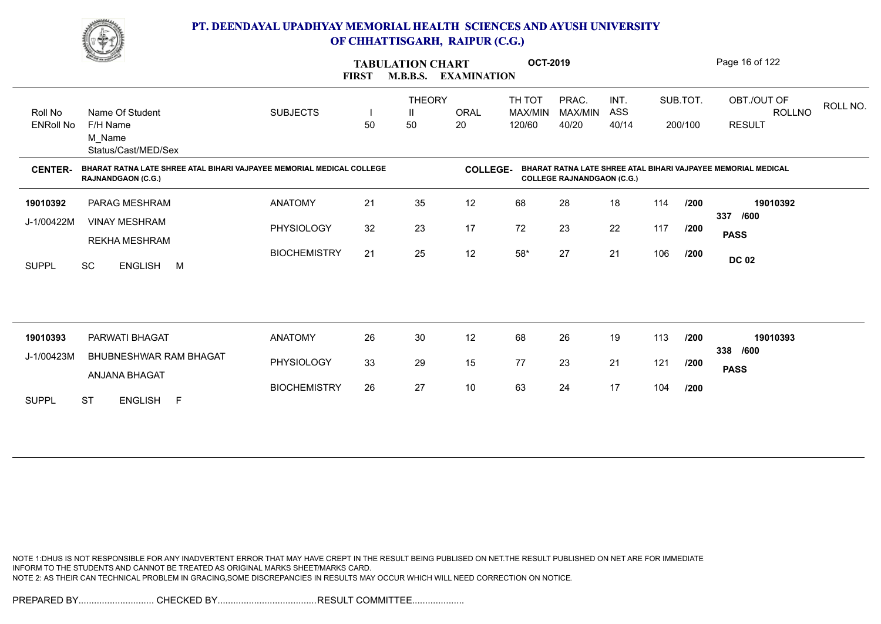

|                             | <u>Change of the South of the South of the South of the South of the South of the South of the South of the South of the South of the South of the South of the South of the South of the South of the South of the South of the</u> |                     | <b>FIRST</b> | <b>TABULATION CHART</b><br><b>M.B.B.S.</b> | <b>EXAMINATION</b> | <b>OCT-2019</b>             |                                   |                      |     |                     | Page 16 of 122                                                |
|-----------------------------|--------------------------------------------------------------------------------------------------------------------------------------------------------------------------------------------------------------------------------------|---------------------|--------------|--------------------------------------------|--------------------|-----------------------------|-----------------------------------|----------------------|-----|---------------------|---------------------------------------------------------------|
| Roll No<br><b>ENRoll No</b> | Name Of Student<br>F/H Name<br>M Name<br>Status/Cast/MED/Sex                                                                                                                                                                         | <b>SUBJECTS</b>     | 50           | <b>THEORY</b><br>50                        | <b>ORAL</b><br>20  | TH TOT<br>MAX/MIN<br>120/60 | PRAC.<br>MAX/MIN<br>40/20         | INT.<br>ASS<br>40/14 |     | SUB.TOT.<br>200/100 | OBT./OUT OF<br>ROLL NO.<br><b>ROLLNO</b><br><b>RESULT</b>     |
| <b>CENTER-</b>              | BHARAT RATNA LATE SHREE ATAL BIHARI VAJPAYEE MEMORIAL MEDICAL COLLEGE<br><b>RAJNANDGAON (C.G.)</b>                                                                                                                                   |                     |              |                                            | <b>COLLEGE-</b>    |                             | <b>COLLEGE RAJNANDGAON (C.G.)</b> |                      |     |                     | BHARAT RATNA LATE SHREE ATAL BIHARI VAJPAYEE MEMORIAL MEDICAL |
| 19010392                    | PARAG MESHRAM                                                                                                                                                                                                                        | <b>ANATOMY</b>      | 21           | 35                                         | 12                 | 68                          | 28                                | 18                   | 114 | /200                | 19010392                                                      |
| J-1/00422M                  | <b>VINAY MESHRAM</b><br><b>REKHA MESHRAM</b>                                                                                                                                                                                         | PHYSIOLOGY          | 32           | 23                                         | 17                 | 72                          | 23                                | 22                   | 117 | /200                | 337<br>/600<br><b>PASS</b>                                    |
| <b>SUPPL</b>                | <b>SC</b><br>ENGLISH M                                                                                                                                                                                                               | <b>BIOCHEMISTRY</b> | 21           | 25                                         | 12                 | $58^{\ast}$                 | 27                                | 21                   | 106 | /200                | <b>DC 02</b>                                                  |
|                             |                                                                                                                                                                                                                                      |                     |              |                                            |                    |                             |                                   |                      |     |                     |                                                               |
| 19010393                    | PARWATI BHAGAT                                                                                                                                                                                                                       | <b>ANATOMY</b>      | 26           | 30                                         | 12                 | 68                          | 26                                | 19                   | 113 | /200                | 19010393                                                      |
| J-1/00423M                  | BHUBNESHWAR RAM BHAGAT<br>ANJANA BHAGAT                                                                                                                                                                                              | PHYSIOLOGY          | 33           | 29                                         | 15                 | 77                          | 23                                | 21                   | 121 | /200                | 338 /600<br><b>PASS</b>                                       |
| <b>SUPPL</b>                | <b>ST</b><br>ENGLISH F                                                                                                                                                                                                               | <b>BIOCHEMISTRY</b> | 26           | 27                                         | 10                 | 63                          | 24                                | 17                   | 104 | 1200                |                                                               |
|                             |                                                                                                                                                                                                                                      |                     |              |                                            |                    |                             |                                   |                      |     |                     |                                                               |

NOTE 1:DHUS IS NOT RESPONSIBLE FOR ANY INADVERTENT ERROR THAT MAY HAVE CREPT IN THE RESULT BEING PUBLISED ON NET.THE RESULT PUBLISHED ON NET ARE FOR IMMEDIATE INFORM TO THE STUDENTS AND CANNOT BE TREATED AS ORIGINAL MARKS SHEET/MARKS CARD. NOTE 2: AS THEIR CAN TECHNICAL PROBLEM IN GRACING,SOME DISCREPANCIES IN RESULTS MAY OCCUR WHICH WILL NEED CORRECTION ON NOTICE.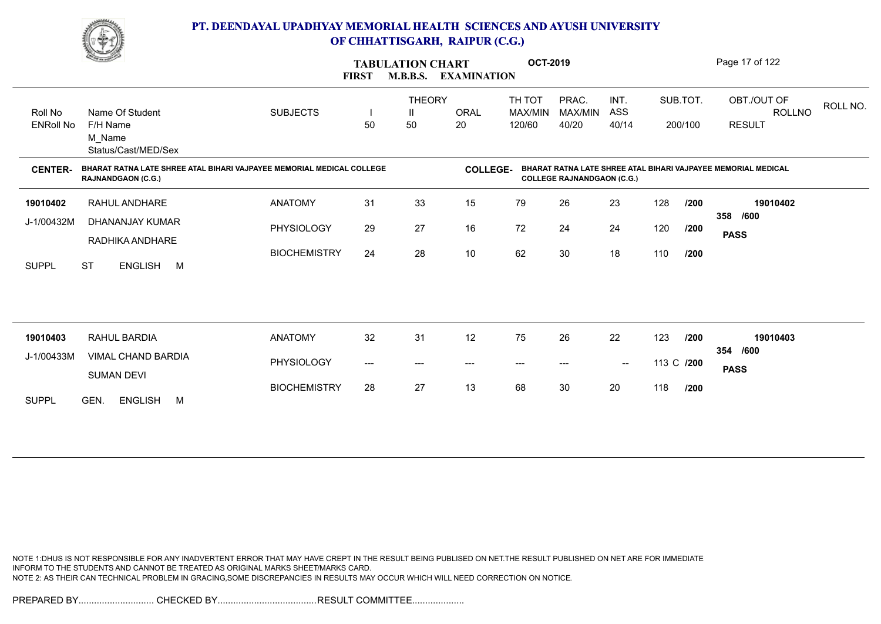

|                             | <b>Comment of the Comment of the Comment of the Comment of the Comment of The Comment of The Comment of The Comment of The Comment of The Comment of The Comment of The Comment of The Comment of The Comment of The Comment of </b> |                     | <b>FIRST</b> | <b>TABULATION CHART</b><br><b>M.B.B.S.</b> | <b>EXAMINATION</b> | <b>OCT-2019</b>             |                                   |                      |            |         | Page 17 of 122                                                |
|-----------------------------|--------------------------------------------------------------------------------------------------------------------------------------------------------------------------------------------------------------------------------------|---------------------|--------------|--------------------------------------------|--------------------|-----------------------------|-----------------------------------|----------------------|------------|---------|---------------------------------------------------------------|
| Roll No<br><b>ENRoll No</b> | Name Of Student<br>F/H Name                                                                                                                                                                                                          | <b>SUBJECTS</b>     | 50           | <b>THEORY</b><br>Ш<br>50                   | <b>ORAL</b><br>20  | TH TOT<br>MAX/MIN<br>120/60 | PRAC.<br>MAX/MIN<br>40/20         | INT.<br>ASS<br>40/14 | SUB.TOT.   | 200/100 | OBT./OUT OF<br>ROLL NO.<br>ROLLNO<br><b>RESULT</b>            |
|                             | M Name<br>Status/Cast/MED/Sex                                                                                                                                                                                                        |                     |              |                                            |                    |                             |                                   |                      |            |         |                                                               |
| <b>CENTER-</b>              | BHARAT RATNA LATE SHREE ATAL BIHARI VAJPAYEE MEMORIAL MEDICAL COLLEGE<br><b>RAJNANDGAON (C.G.)</b>                                                                                                                                   |                     |              |                                            | <b>COLLEGE-</b>    |                             | <b>COLLEGE RAJNANDGAON (C.G.)</b> |                      |            |         | BHARAT RATNA LATE SHREE ATAL BIHARI VAJPAYEE MEMORIAL MEDICAL |
| 19010402                    | RAHUL ANDHARE                                                                                                                                                                                                                        | <b>ANATOMY</b>      | 31           | 33                                         | 15                 | 79                          | 26                                | 23                   | 128        | /200    | 19010402                                                      |
| J-1/00432M                  | DHANANJAY KUMAR<br>RADHIKA ANDHARE                                                                                                                                                                                                   | PHYSIOLOGY          | 29           | 27                                         | 16                 | 72                          | 24                                | 24                   | 120        | /200    | /600<br>358<br><b>PASS</b>                                    |
| <b>SUPPL</b>                | <b>ST</b><br>ENGLISH M                                                                                                                                                                                                               | <b>BIOCHEMISTRY</b> | 24           | 28                                         | 10                 | 62                          | 30                                | 18                   | 110        | /200    |                                                               |
|                             |                                                                                                                                                                                                                                      |                     |              |                                            |                    |                             |                                   |                      |            |         |                                                               |
| 19010403                    | RAHUL BARDIA                                                                                                                                                                                                                         | <b>ANATOMY</b>      | 32           | 31                                         | 12                 | 75                          | 26                                | 22                   | 123        | 1200    | 19010403                                                      |
| J-1/00433M                  | <b>VIMAL CHAND BARDIA</b><br><b>SUMAN DEVI</b>                                                                                                                                                                                       | PHYSIOLOGY          | ---          | $---$                                      | ---                | $\hspace{0.05cm} \ldots$    | $---$                             | $\sim$               | 113 C /200 |         | 354 /600<br><b>PASS</b>                                       |
| <b>SUPPL</b>                | GEN.<br><b>ENGLISH</b><br>M                                                                                                                                                                                                          | <b>BIOCHEMISTRY</b> | 28           | 27                                         | 13                 | 68                          | 30                                | 20                   | 118        | /200    |                                                               |

NOTE 1:DHUS IS NOT RESPONSIBLE FOR ANY INADVERTENT ERROR THAT MAY HAVE CREPT IN THE RESULT BEING PUBLISED ON NET.THE RESULT PUBLISHED ON NET ARE FOR IMMEDIATE INFORM TO THE STUDENTS AND CANNOT BE TREATED AS ORIGINAL MARKS SHEET/MARKS CARD. NOTE 2: AS THEIR CAN TECHNICAL PROBLEM IN GRACING,SOME DISCREPANCIES IN RESULTS MAY OCCUR WHICH WILL NEED CORRECTION ON NOTICE.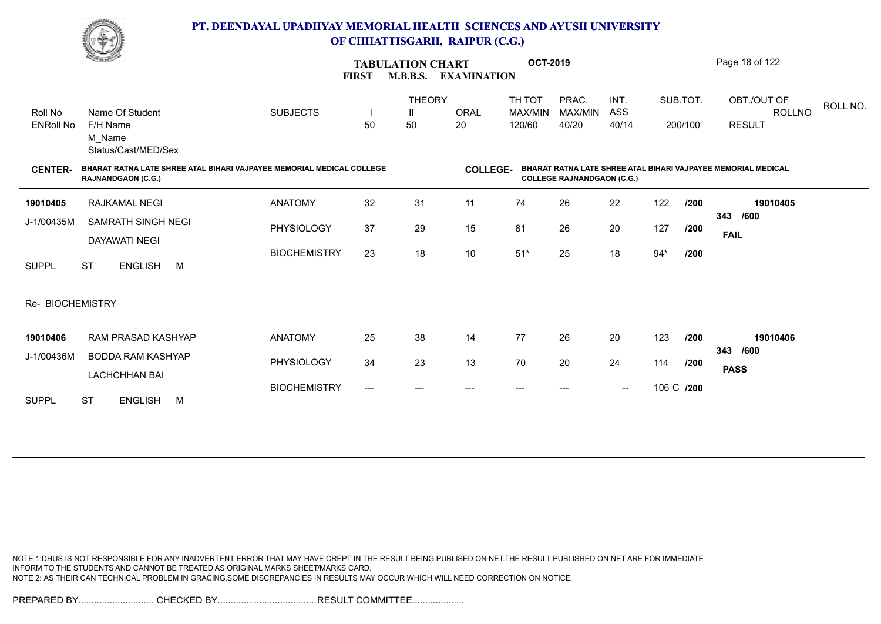

|                             | <u>Comment</u>                                                                                     |                     | <b>FIRST</b>                        | <b>TABULATION CHART</b><br><b>M.B.B.S.</b> | <b>EXAMINATION</b> | <b>OCT-2019</b>             |                                   |                                                |            |         | Page 18 of 122                                                |
|-----------------------------|----------------------------------------------------------------------------------------------------|---------------------|-------------------------------------|--------------------------------------------|--------------------|-----------------------------|-----------------------------------|------------------------------------------------|------------|---------|---------------------------------------------------------------|
| Roll No<br><b>ENRoll No</b> | Name Of Student<br>F/H Name<br>M Name<br>Status/Cast/MED/Sex                                       | <b>SUBJECTS</b>     | 50                                  | <b>THEORY</b><br>50                        | <b>ORAL</b><br>20  | TH TOT<br>MAX/MIN<br>120/60 | PRAC.<br>MAX/MIN<br>40/20         | INT.<br>ASS<br>40/14                           | SUB.TOT.   | 200/100 | OBT./OUT OF<br>ROLL NO.<br>ROLLNO<br><b>RESULT</b>            |
| <b>CENTER-</b>              | BHARAT RATNA LATE SHREE ATAL BIHARI VAJPAYEE MEMORIAL MEDICAL COLLEGE<br><b>RAJNANDGAON (C.G.)</b> |                     |                                     |                                            | <b>COLLEGE-</b>    |                             | <b>COLLEGE RAJNANDGAON (C.G.)</b> |                                                |            |         | BHARAT RATNA LATE SHREE ATAL BIHARI VAJPAYEE MEMORIAL MEDICAL |
| 19010405                    | RAJKAMAL NEGI                                                                                      | <b>ANATOMY</b>      | 32                                  | 31                                         | 11                 | 74                          | 26                                | 22                                             | 122        | /200    | 19010405                                                      |
| J-1/00435M                  | <b>SAMRATH SINGH NEGI</b><br><b>DAYAWATI NEGI</b>                                                  | <b>PHYSIOLOGY</b>   | 37                                  | 29                                         | 15                 | 81                          | 26                                | 20                                             | 127        | /200    | /600<br>343<br><b>FAIL</b>                                    |
| <b>SUPPL</b>                | <b>ST</b><br>ENGLISH M                                                                             | <b>BIOCHEMISTRY</b> | 23                                  | 18                                         | $10$               | $51*$                       | 25                                | 18                                             | $94*$      | /200    |                                                               |
| Re- BIOCHEMISTRY            |                                                                                                    |                     |                                     |                                            |                    |                             |                                   |                                                |            |         |                                                               |
| 19010406                    | RAM PRASAD KASHYAP                                                                                 | <b>ANATOMY</b>      | 25                                  | 38                                         | 14                 | 77                          | 26                                | 20                                             | 123        | /200    | 19010406                                                      |
| J-1/00436M                  | <b>BODDA RAM KASHYAP</b><br><b>LACHCHHAN BAI</b>                                                   | <b>PHYSIOLOGY</b>   | 34                                  | 23                                         | 13                 | 70                          | 20                                | 24                                             | 114        | /200    | 343<br>/600<br><b>PASS</b>                                    |
| <b>SUPPL</b>                | <b>ST</b><br><b>ENGLISH</b><br>M                                                                   | <b>BIOCHEMISTRY</b> | $\hspace{0.05cm}---\hspace{0.05cm}$ |                                            | ---                | ---                         |                                   | $\hspace{0.1mm}-\hspace{0.1mm}-\hspace{0.1mm}$ | 106 C /200 |         |                                                               |

NOTE 1:DHUS IS NOT RESPONSIBLE FOR ANY INADVERTENT ERROR THAT MAY HAVE CREPT IN THE RESULT BEING PUBLISED ON NET.THE RESULT PUBLISHED ON NET ARE FOR IMMEDIATE INFORM TO THE STUDENTS AND CANNOT BE TREATED AS ORIGINAL MARKS SHEET/MARKS CARD. NOTE 2: AS THEIR CAN TECHNICAL PROBLEM IN GRACING,SOME DISCREPANCIES IN RESULTS MAY OCCUR WHICH WILL NEED CORRECTION ON NOTICE.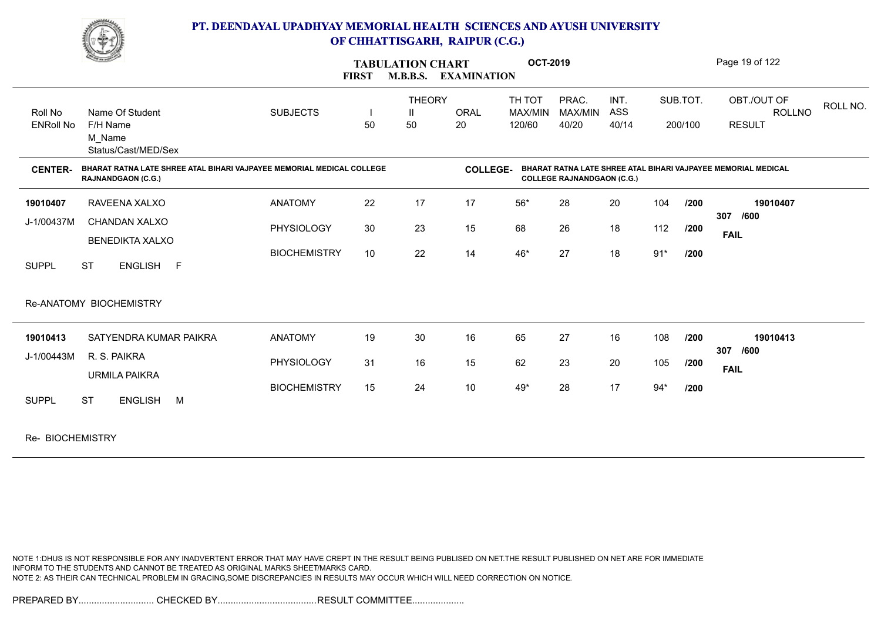

|                  | <u>Change</u>                                                                                      |                     | <b>FIRST</b> | <b>TABULATION CHART</b><br><b>M.B.B.S.</b> | <b>EXAMINATION</b> | <b>OCT-2019</b> |                                   |       |       |          | Page 19 of 122                                                |          |
|------------------|----------------------------------------------------------------------------------------------------|---------------------|--------------|--------------------------------------------|--------------------|-----------------|-----------------------------------|-------|-------|----------|---------------------------------------------------------------|----------|
|                  |                                                                                                    |                     |              | <b>THEORY</b>                              |                    | TH TOT          | PRAC.                             | INT.  |       | SUB.TOT. | OBT./OUT OF                                                   | ROLL NO. |
| Roll No          | Name Of Student                                                                                    | <b>SUBJECTS</b>     |              | H                                          | <b>ORAL</b>        | MAX/MIN         | MAX/MIN                           | ASS   |       |          | <b>ROLLNO</b>                                                 |          |
| <b>ENRoll No</b> | F/H Name<br>M Name<br>Status/Cast/MED/Sex                                                          |                     | 50           | 50                                         | 20                 | 120/60          | 40/20                             | 40/14 |       | 200/100  | <b>RESULT</b>                                                 |          |
| <b>CENTER-</b>   | BHARAT RATNA LATE SHREE ATAL BIHARI VAJPAYEE MEMORIAL MEDICAL COLLEGE<br><b>RAJNANDGAON (C.G.)</b> |                     |              |                                            | <b>COLLEGE-</b>    |                 | <b>COLLEGE RAJNANDGAON (C.G.)</b> |       |       |          | BHARAT RATNA LATE SHREE ATAL BIHARI VAJPAYEE MEMORIAL MEDICAL |          |
| 19010407         | RAVEENA XALXO                                                                                      | <b>ANATOMY</b>      | 22           | 17                                         | 17                 | $56*$           | 28                                | 20    | 104   | /200     | 19010407                                                      |          |
| J-1/00437M       | CHANDAN XALXO                                                                                      | PHYSIOLOGY          | 30           | 23                                         | 15                 | 68              | 26                                | 18    | 112   | /200     | 307<br>/600                                                   |          |
|                  | <b>BENEDIKTA XALXO</b>                                                                             |                     |              |                                            |                    |                 |                                   |       |       |          | <b>FAIL</b>                                                   |          |
| <b>SUPPL</b>     | <b>ST</b><br>ENGLISH F                                                                             | <b>BIOCHEMISTRY</b> | 10           | 22                                         | 14                 | 46*             | 27                                | 18    | $91*$ | /200     |                                                               |          |
|                  | Re-ANATOMY BIOCHEMISTRY                                                                            |                     |              |                                            |                    |                 |                                   |       |       |          |                                                               |          |
| 19010413         | SATYENDRA KUMAR PAIKRA                                                                             | <b>ANATOMY</b>      | 19           | 30                                         | 16                 | 65              | 27                                | 16    | 108   | /200     | 19010413                                                      |          |
| J-1/00443M       | R. S. PAIKRA                                                                                       | PHYSIOLOGY          | 31           | 16                                         | 15                 | 62              | 23                                | 20    | 105   | /200     | 307<br>/600                                                   |          |
|                  | <b>URMILA PAIKRA</b>                                                                               |                     |              |                                            |                    |                 |                                   |       |       |          | <b>FAIL</b>                                                   |          |
| <b>SUPPL</b>     | <b>ENGLISH</b><br>M<br><b>ST</b>                                                                   | <b>BIOCHEMISTRY</b> | 15           | 24                                         | $10$               | 49*             | 28                                | 17    | $94*$ | /200     |                                                               |          |
| $B = B(A)$       |                                                                                                    |                     |              |                                            |                    |                 |                                   |       |       |          |                                                               |          |

Re- BIOCHEMISTRY

NOTE 1:DHUS IS NOT RESPONSIBLE FOR ANY INADVERTENT ERROR THAT MAY HAVE CREPT IN THE RESULT BEING PUBLISED ON NET.THE RESULT PUBLISHED ON NET ARE FOR IMMEDIATE INFORM TO THE STUDENTS AND CANNOT BE TREATED AS ORIGINAL MARKS SHEET/MARKS CARD. NOTE 2: AS THEIR CAN TECHNICAL PROBLEM IN GRACING,SOME DISCREPANCIES IN RESULTS MAY OCCUR WHICH WILL NEED CORRECTION ON NOTICE.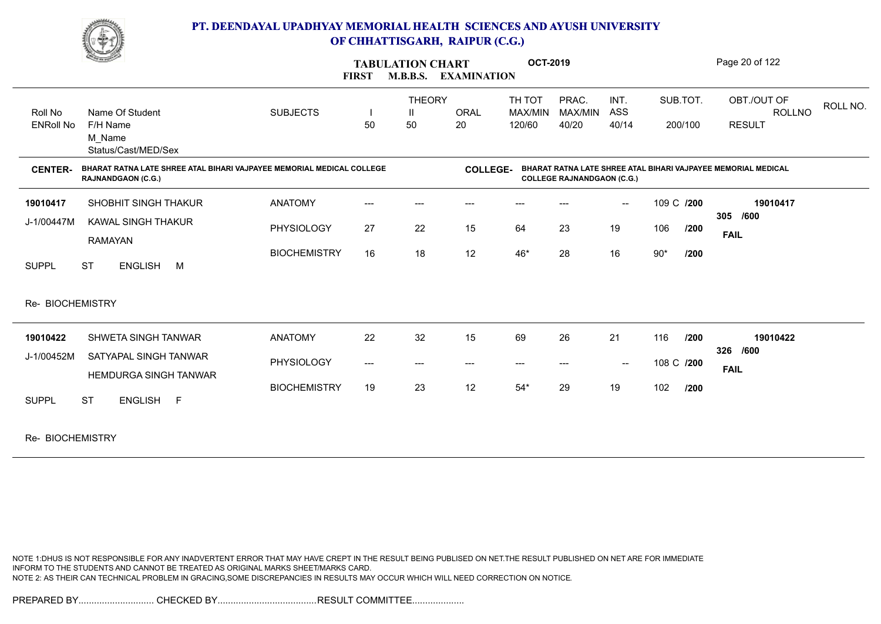

|                  | <b>Comment of the Comment of the Comment of the Comment of the Comment of The Comment of The Comment of The Comment of The Comment of The Comment of The Comment of The Comment of The Comment of The Comment of The Comment of </b> |                     | <b>FIRST</b> | <b>TABULATION CHART</b><br><b>M.B.B.S.</b> | <b>EXAMINATION</b> | <b>OCT-2019</b> |                                   |                                                |            |         | Page 20 of 122                                                |          |
|------------------|--------------------------------------------------------------------------------------------------------------------------------------------------------------------------------------------------------------------------------------|---------------------|--------------|--------------------------------------------|--------------------|-----------------|-----------------------------------|------------------------------------------------|------------|---------|---------------------------------------------------------------|----------|
|                  |                                                                                                                                                                                                                                      |                     |              | <b>THEORY</b>                              |                    | TH TOT          | PRAC.                             | INT.                                           | SUB.TOT.   |         | OBT./OUT OF                                                   |          |
| Roll No          | Name Of Student                                                                                                                                                                                                                      | <b>SUBJECTS</b>     |              | H.                                         | <b>ORAL</b>        | MAX/MIN         | MAX/MIN                           | ASS                                            |            |         | <b>ROLLNO</b>                                                 | ROLL NO. |
| <b>ENRoll No</b> | F/H Name                                                                                                                                                                                                                             |                     | 50           | 50                                         | 20                 | 120/60          | 40/20                             | 40/14                                          |            | 200/100 | <b>RESULT</b>                                                 |          |
|                  | M Name                                                                                                                                                                                                                               |                     |              |                                            |                    |                 |                                   |                                                |            |         |                                                               |          |
|                  | Status/Cast/MED/Sex                                                                                                                                                                                                                  |                     |              |                                            |                    |                 |                                   |                                                |            |         |                                                               |          |
| <b>CENTER-</b>   | BHARAT RATNA LATE SHREE ATAL BIHARI VAJPAYEE MEMORIAL MEDICAL COLLEGE<br><b>RAJNANDGAON (C.G.)</b>                                                                                                                                   |                     |              |                                            | <b>COLLEGE-</b>    |                 | <b>COLLEGE RAJNANDGAON (C.G.)</b> |                                                |            |         | BHARAT RATNA LATE SHREE ATAL BIHARI VAJPAYEE MEMORIAL MEDICAL |          |
| 19010417         | <b>SHOBHIT SINGH THAKUR</b>                                                                                                                                                                                                          | <b>ANATOMY</b>      |              |                                            |                    |                 |                                   | $\overline{\phantom{a}}$                       | 109 C /200 |         | 19010417                                                      |          |
| J-1/00447M       | KAWAL SINGH THAKUR                                                                                                                                                                                                                   |                     |              |                                            |                    |                 |                                   |                                                |            |         | 305 /600                                                      |          |
|                  | <b>RAMAYAN</b>                                                                                                                                                                                                                       | PHYSIOLOGY          | 27           | 22                                         | 15                 | 64              | 23                                | 19                                             | 106        | /200    | <b>FAIL</b>                                                   |          |
|                  |                                                                                                                                                                                                                                      | <b>BIOCHEMISTRY</b> | 16           | 18                                         | 12                 | $46*$           | 28                                | 16                                             | $90*$      | /200    |                                                               |          |
| <b>SUPPL</b>     | <b>ST</b><br>ENGLISH M                                                                                                                                                                                                               |                     |              |                                            |                    |                 |                                   |                                                |            |         |                                                               |          |
|                  |                                                                                                                                                                                                                                      |                     |              |                                            |                    |                 |                                   |                                                |            |         |                                                               |          |
| Re- BIOCHEMISTRY |                                                                                                                                                                                                                                      |                     |              |                                            |                    |                 |                                   |                                                |            |         |                                                               |          |
|                  |                                                                                                                                                                                                                                      |                     |              |                                            |                    |                 |                                   |                                                |            |         |                                                               |          |
| 19010422         | SHWETA SINGH TANWAR                                                                                                                                                                                                                  | <b>ANATOMY</b>      | 22           | 32                                         | 15                 | 69              | 26                                | 21                                             | 116        | /200    | 19010422<br>326 /600                                          |          |
| J-1/00452M       | SATYAPAL SINGH TANWAR                                                                                                                                                                                                                | PHYSIOLOGY          | ---          | ---                                        | $---$              | ---             | ---                               | $\hspace{0.1mm}-\hspace{0.1mm}-\hspace{0.1mm}$ | 108 C /200 |         |                                                               |          |
|                  | <b>HEMDURGA SINGH TANWAR</b>                                                                                                                                                                                                         |                     |              |                                            |                    |                 |                                   |                                                |            |         | <b>FAIL</b>                                                   |          |
|                  |                                                                                                                                                                                                                                      | <b>BIOCHEMISTRY</b> | 19           | 23                                         | 12                 | $54*$           | 29                                | 19                                             | 102        | 1200    |                                                               |          |
| <b>SUPPL</b>     | <b>ST</b><br>ENGLISH F                                                                                                                                                                                                               |                     |              |                                            |                    |                 |                                   |                                                |            |         |                                                               |          |
|                  |                                                                                                                                                                                                                                      |                     |              |                                            |                    |                 |                                   |                                                |            |         |                                                               |          |
|                  |                                                                                                                                                                                                                                      |                     |              |                                            |                    |                 |                                   |                                                |            |         |                                                               |          |

Re- BIOCHEMISTRY

NOTE 1:DHUS IS NOT RESPONSIBLE FOR ANY INADVERTENT ERROR THAT MAY HAVE CREPT IN THE RESULT BEING PUBLISED ON NET.THE RESULT PUBLISHED ON NET ARE FOR IMMEDIATE INFORM TO THE STUDENTS AND CANNOT BE TREATED AS ORIGINAL MARKS SHEET/MARKS CARD. NOTE 2: AS THEIR CAN TECHNICAL PROBLEM IN GRACING,SOME DISCREPANCIES IN RESULTS MAY OCCUR WHICH WILL NEED CORRECTION ON NOTICE.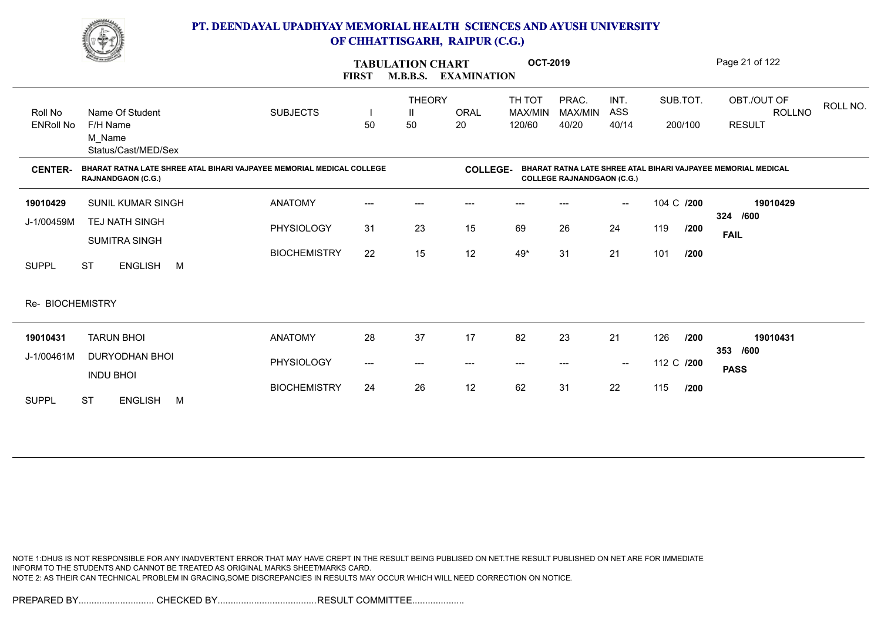

|                             | <u>Change of the Contract of the Contract of the Contract of the Contract of the Contract of the Contract of the Contract of the Contract of The Contract of The Contract of The Contract of The Contract of The Contract of The</u> |                     | <b>FIRST</b> | <b>TABULATION CHART</b><br><b>M.B.B.S.</b> | <b>EXAMINATION</b> | <b>OCT-2019</b>             |                                   |                                                |            |         | Page 21 of 122                                                |          |
|-----------------------------|--------------------------------------------------------------------------------------------------------------------------------------------------------------------------------------------------------------------------------------|---------------------|--------------|--------------------------------------------|--------------------|-----------------------------|-----------------------------------|------------------------------------------------|------------|---------|---------------------------------------------------------------|----------|
| Roll No<br><b>ENRoll No</b> | Name Of Student<br>F/H Name<br>M Name                                                                                                                                                                                                | <b>SUBJECTS</b>     | 50           | <b>THEORY</b><br>H.<br>50                  | <b>ORAL</b><br>20  | TH TOT<br>MAX/MIN<br>120/60 | PRAC.<br>MAX/MIN<br>40/20         | INT.<br>ASS<br>40/14                           | SUB.TOT.   | 200/100 | OBT./OUT OF<br>ROLLNO<br><b>RESULT</b>                        | ROLL NO. |
| <b>CENTER-</b>              | Status/Cast/MED/Sex<br>BHARAT RATNA LATE SHREE ATAL BIHARI VAJPAYEE MEMORIAL MEDICAL COLLEGE<br><b>RAJNANDGAON (C.G.)</b>                                                                                                            |                     |              |                                            | <b>COLLEGE-</b>    |                             | <b>COLLEGE RAJNANDGAON (C.G.)</b> |                                                |            |         | BHARAT RATNA LATE SHREE ATAL BIHARI VAJPAYEE MEMORIAL MEDICAL |          |
| 19010429                    | <b>SUNIL KUMAR SINGH</b>                                                                                                                                                                                                             | <b>ANATOMY</b>      | ---          | ---                                        | ---                | ---                         |                                   | $\overline{\phantom{a}}$                       | 104 C /200 |         | 19010429                                                      |          |
| J-1/00459M                  | TEJ NATH SINGH<br><b>SUMITRA SINGH</b>                                                                                                                                                                                               | PHYSIOLOGY          | 31           | 23                                         | 15                 | 69                          | 26                                | 24                                             | 119        | /200    | 324 /600<br><b>FAIL</b>                                       |          |
| <b>SUPPL</b>                | <b>ST</b><br>ENGLISH M                                                                                                                                                                                                               | <b>BIOCHEMISTRY</b> | 22           | 15                                         | 12                 | 49*                         | 31                                | 21                                             | 101        | /200    |                                                               |          |
| Re- BIOCHEMISTRY            |                                                                                                                                                                                                                                      |                     |              |                                            |                    |                             |                                   |                                                |            |         |                                                               |          |
| 19010431                    | <b>TARUN BHOI</b>                                                                                                                                                                                                                    | <b>ANATOMY</b>      | 28           | 37                                         | 17                 | 82                          | 23                                | 21                                             | 126        | /200    | 19010431                                                      |          |
| J-1/00461M                  | DURYODHAN BHOI<br><b>INDU BHOI</b>                                                                                                                                                                                                   | PHYSIOLOGY          | $---$        | ---                                        | ---                | ---                         |                                   | $\hspace{0.1mm}-\hspace{0.1mm}-\hspace{0.1mm}$ | 112 C /200 |         | /600<br>353<br><b>PASS</b>                                    |          |
| <b>SUPPL</b>                | <b>ST</b><br><b>ENGLISH</b><br>M                                                                                                                                                                                                     | <b>BIOCHEMISTRY</b> | 24           | 26                                         | 12                 | 62                          | 31                                | 22                                             | 115        | /200    |                                                               |          |

NOTE 1:DHUS IS NOT RESPONSIBLE FOR ANY INADVERTENT ERROR THAT MAY HAVE CREPT IN THE RESULT BEING PUBLISED ON NET.THE RESULT PUBLISHED ON NET ARE FOR IMMEDIATE INFORM TO THE STUDENTS AND CANNOT BE TREATED AS ORIGINAL MARKS SHEET/MARKS CARD. NOTE 2: AS THEIR CAN TECHNICAL PROBLEM IN GRACING,SOME DISCREPANCIES IN RESULTS MAY OCCUR WHICH WILL NEED CORRECTION ON NOTICE.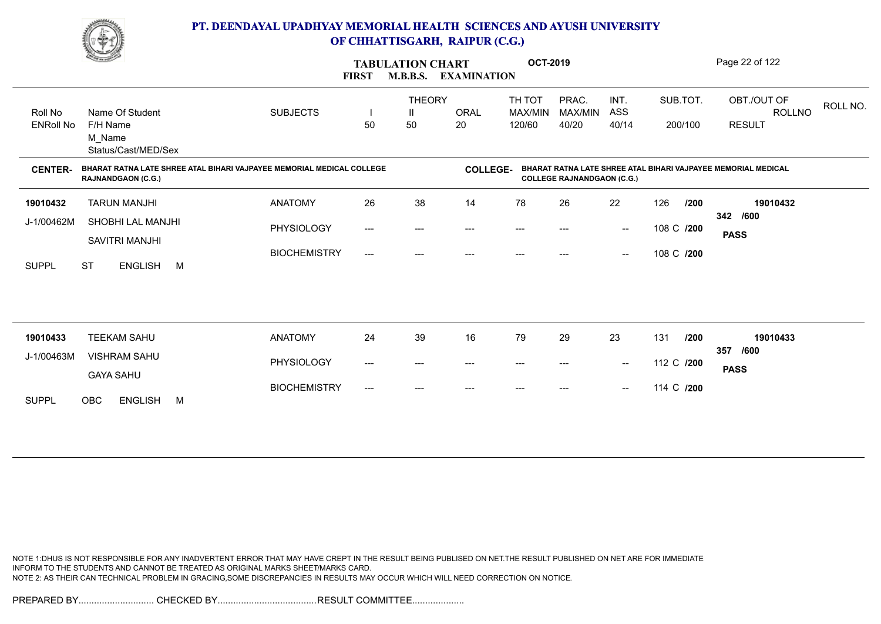

|                             | <u>Common Common</u>                                                                               |                     | <b>FIRST</b> | <b>TABULATION CHART</b><br><b>M.B.B.S.</b> | <b>EXAMINATION</b> | <b>OCT-2019</b>                          |                                   |                                                |                     |      | Page 22 of 122                                                |          |
|-----------------------------|----------------------------------------------------------------------------------------------------|---------------------|--------------|--------------------------------------------|--------------------|------------------------------------------|-----------------------------------|------------------------------------------------|---------------------|------|---------------------------------------------------------------|----------|
| Roll No<br><b>ENRoll No</b> | Name Of Student<br>F/H Name<br>M_Name<br>Status/Cast/MED/Sex                                       | <b>SUBJECTS</b>     | 50           | <b>THEORY</b><br>50                        | <b>ORAL</b><br>20  | TH TOT<br>MAX/MIN<br>120/60              | PRAC.<br>MAX/MIN<br>40/20         | INT.<br><b>ASS</b><br>40/14                    | SUB.TOT.<br>200/100 |      | OBT./OUT OF<br><b>ROLLNO</b><br><b>RESULT</b>                 | ROLL NO. |
| <b>CENTER-</b>              | BHARAT RATNA LATE SHREE ATAL BIHARI VAJPAYEE MEMORIAL MEDICAL COLLEGE<br><b>RAJNANDGAON (C.G.)</b> |                     |              |                                            | <b>COLLEGE-</b>    |                                          | <b>COLLEGE RAJNANDGAON (C.G.)</b> |                                                |                     |      | BHARAT RATNA LATE SHREE ATAL BIHARI VAJPAYEE MEMORIAL MEDICAL |          |
| 19010432                    | <b>TARUN MANJHI</b>                                                                                | <b>ANATOMY</b>      | 26           | 38                                         | 14                 | 78                                       | 26                                | 22                                             | 126                 | /200 | 19010432                                                      |          |
| J-1/00462M                  | SHOBHI LAL MANJHI<br><b>SAVITRI MANJHI</b>                                                         | PHYSIOLOGY          | $---$        | $---$                                      | ---                | $\hspace{0.05cm} \ldots \hspace{0.05cm}$ | $\qquad \qquad \cdots$            | $\hspace{0.1mm}-\hspace{0.1mm}-\hspace{0.1mm}$ | 108 C /200          |      | 342 /600<br><b>PASS</b>                                       |          |
| <b>SUPPL</b>                | <b>ST</b><br><b>ENGLISH</b><br>M                                                                   | <b>BIOCHEMISTRY</b> | $---$        | ---                                        | $---$              | $---$                                    | ---                               | $\hspace{0.1mm}-\hspace{0.1mm}-\hspace{0.1mm}$ | 108 C /200          |      |                                                               |          |
|                             |                                                                                                    |                     |              |                                            |                    |                                          |                                   |                                                |                     |      |                                                               |          |
| 19010433                    | <b>TEEKAM SAHU</b>                                                                                 | <b>ANATOMY</b>      | 24           | 39                                         | 16                 | 79                                       | 29                                | 23                                             | 131                 | /200 | 19010433                                                      |          |
| J-1/00463M                  | <b>VISHRAM SAHU</b>                                                                                | PHYSIOLOGY          | ---          | $---$                                      | ---                | $---$                                    | $---$                             | $\overline{\phantom{a}}$                       | 112 C /200          | 357  | /600<br><b>PASS</b>                                           |          |
| <b>SUPPL</b>                | <b>GAYA SAHU</b><br><b>OBC</b><br><b>ENGLISH</b><br>M                                              | <b>BIOCHEMISTRY</b> | ---          |                                            |                    |                                          |                                   | $\overline{\phantom{a}}$                       | 114 C /200          |      |                                                               |          |

NOTE 1:DHUS IS NOT RESPONSIBLE FOR ANY INADVERTENT ERROR THAT MAY HAVE CREPT IN THE RESULT BEING PUBLISED ON NET.THE RESULT PUBLISHED ON NET ARE FOR IMMEDIATE INFORM TO THE STUDENTS AND CANNOT BE TREATED AS ORIGINAL MARKS SHEET/MARKS CARD. NOTE 2: AS THEIR CAN TECHNICAL PROBLEM IN GRACING,SOME DISCREPANCIES IN RESULTS MAY OCCUR WHICH WILL NEED CORRECTION ON NOTICE.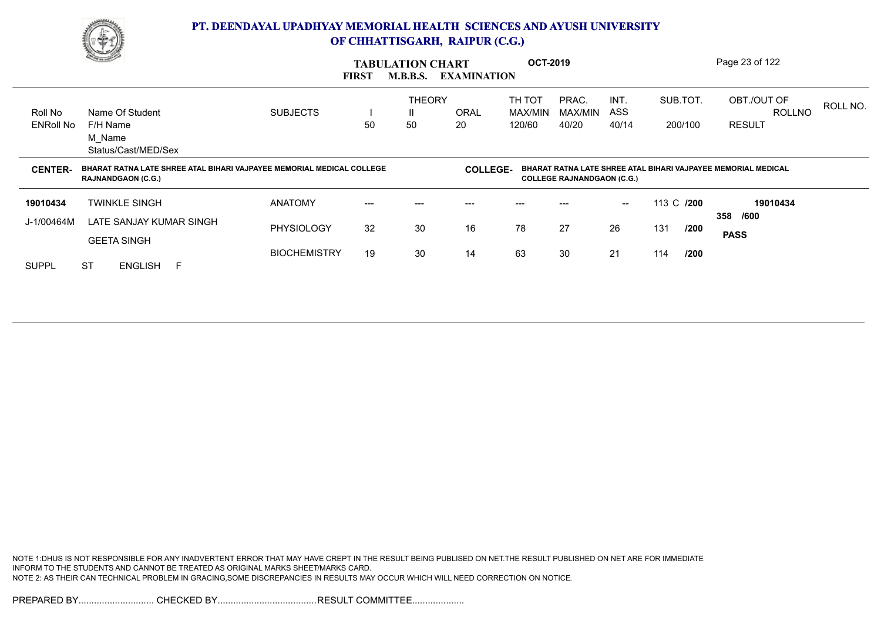

|                             | <b>Comment</b>                                                                                     |                 | <b>FIRST</b> | <b>TABULATION CHART</b><br><b>M.B.B.S.</b> | <b>EXAMINATION</b> | <b>OCT-2019</b>             |                                   |                      |                     |      | Page 23 of 122                                                |          |
|-----------------------------|----------------------------------------------------------------------------------------------------|-----------------|--------------|--------------------------------------------|--------------------|-----------------------------|-----------------------------------|----------------------|---------------------|------|---------------------------------------------------------------|----------|
| Roll No<br><b>ENRoll No</b> | Name Of Student<br>F/H Name<br>M_Name<br>Status/Cast/MED/Sex                                       | <b>SUBJECTS</b> | 50           | <b>THEORY</b><br>Ш<br>50                   | <b>ORAL</b><br>20  | TH TOT<br>MAX/MIN<br>120/60 | PRAC.<br>MAX/MIN<br>40/20         | INT.<br>ASS<br>40/14 | SUB.TOT.<br>200/100 |      | OBT./OUT OF<br><b>ROLLNO</b><br><b>RESULT</b>                 | ROLL NO. |
|                             |                                                                                                    |                 |              |                                            |                    |                             |                                   |                      |                     |      |                                                               |          |
| <b>CENTER-</b>              | BHARAT RATNA LATE SHREE ATAL BIHARI VAJPAYEE MEMORIAL MEDICAL COLLEGE<br><b>RAJNANDGAON (C.G.)</b> |                 |              |                                            | <b>COLLEGE-</b>    |                             | <b>COLLEGE RAJNANDGAON (C.G.)</b> |                      |                     |      | BHARAT RATNA LATE SHREE ATAL BIHARI VAJPAYEE MEMORIAL MEDICAL |          |
| 19010434                    | <b>TWINKLE SINGH</b>                                                                               | <b>ANATOMY</b>  | ---          | ---                                        | ---                |                             |                                   | $\sim$               | 113 C /200          |      | 19010434                                                      |          |
| J-1/00464M                  | LATE SANJAY KUMAR SINGH<br><b>GEETA SINGH</b>                                                      | PHYSIOLOGY      | 32           | 30                                         | 16                 | 78                          | 27                                | 26                   | 131                 | /200 | 358 /600<br><b>PASS</b>                                       |          |

NOTE 1:DHUS IS NOT RESPONSIBLE FOR ANY INADVERTENT ERROR THAT MAY HAVE CREPT IN THE RESULT BEING PUBLISED ON NET.THE RESULT PUBLISHED ON NET ARE FOR IMMEDIATE INFORM TO THE STUDENTS AND CANNOT BE TREATED AS ORIGINAL MARKS SHEET/MARKS CARD. NOTE 2: AS THEIR CAN TECHNICAL PROBLEM IN GRACING,SOME DISCREPANCIES IN RESULTS MAY OCCUR WHICH WILL NEED CORRECTION ON NOTICE.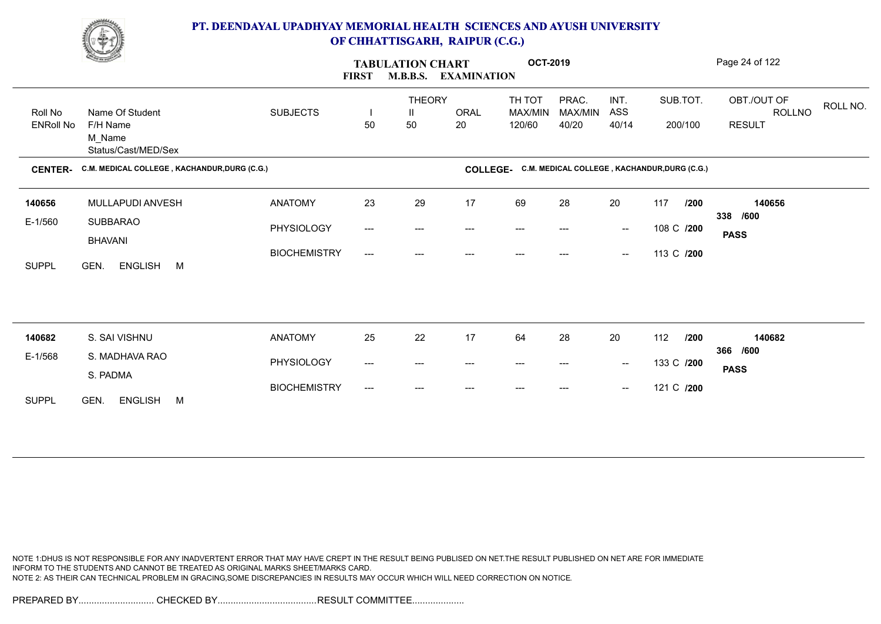

|                  | <b>Change of Congress</b>                    |                     | <b>FIRST</b>        | <b>TABULATION CHART</b> | <b>M.B.B.S. EXAMINATION</b> | <b>OCT-2019</b>                                       |                  |                                                |            |          | Page 24 of 122                           |  |
|------------------|----------------------------------------------|---------------------|---------------------|-------------------------|-----------------------------|-------------------------------------------------------|------------------|------------------------------------------------|------------|----------|------------------------------------------|--|
| Roll No          | Name Of Student                              | <b>SUBJECTS</b>     | $\blacksquare$      | <b>THEORY</b><br>Ш      | <b>ORAL</b>                 | TH TOT<br>MAX/MIN                                     | PRAC.<br>MAX/MIN | INT.<br>ASS                                    |            | SUB.TOT. | OBT./OUT OF<br>ROLL NO.<br><b>ROLLNO</b> |  |
| <b>ENRoll No</b> | F/H Name<br>M Name<br>Status/Cast/MED/Sex    |                     | 50                  | 50                      | 20                          | 120/60                                                | 40/20            | 40/14                                          |            | 200/100  | <b>RESULT</b>                            |  |
| <b>CENTER-</b>   | C.M. MEDICAL COLLEGE, KACHANDUR, DURG (C.G.) |                     |                     |                         |                             | COLLEGE- C.M. MEDICAL COLLEGE, KACHANDUR, DURG (C.G.) |                  |                                                |            |          |                                          |  |
| 140656           | MULLAPUDI ANVESH                             | <b>ANATOMY</b>      | 23                  | 29                      | 17                          | 69                                                    | 28               | 20                                             | 117        | /200     | 140656                                   |  |
| E-1/560          | SUBBARAO<br><b>BHAVANI</b>                   | PHYSIOLOGY          | ---                 | ---                     | ---                         | ---                                                   |                  | $\hspace{0.1mm}-\hspace{0.1mm}-\hspace{0.1mm}$ | 108 C /200 |          | 338 /600<br><b>PASS</b>                  |  |
| <b>SUPPL</b>     | GEN.<br>ENGLISH M                            | <b>BIOCHEMISTRY</b> | ---                 | ---                     | ---                         | ---                                                   | ---              | $\hspace{0.1mm}-\hspace{0.1mm}-\hspace{0.1mm}$ | 113 C /200 |          |                                          |  |
|                  |                                              |                     |                     |                         |                             |                                                       |                  |                                                |            |          |                                          |  |
| 140682           | S. SAI VISHNU                                | <b>ANATOMY</b>      | 25                  | 22                      | 17                          | 64                                                    | 28               | 20                                             | 112        | /200     | 140682                                   |  |
| E-1/568          | S. MADHAVA RAO<br>S. PADMA                   | PHYSIOLOGY          | $\qquad \qquad - -$ | $---$                   | $\qquad \qquad \cdots$      | $\hspace{0.05cm} \ldots \hspace{0.05cm}$              | ---              | $\sim$                                         | 133 C /200 |          | 366 /600<br><b>PASS</b>                  |  |
| <b>SUPPL</b>     | <b>ENGLISH</b><br>GEN.<br>M                  | <b>BIOCHEMISTRY</b> | ---                 | $---$                   |                             |                                                       |                  | $\hspace{0.1mm}-\hspace{0.1mm}-\hspace{0.1mm}$ | 121 C /200 |          |                                          |  |

NOTE 1:DHUS IS NOT RESPONSIBLE FOR ANY INADVERTENT ERROR THAT MAY HAVE CREPT IN THE RESULT BEING PUBLISED ON NET.THE RESULT PUBLISHED ON NET ARE FOR IMMEDIATE INFORM TO THE STUDENTS AND CANNOT BE TREATED AS ORIGINAL MARKS SHEET/MARKS CARD. NOTE 2: AS THEIR CAN TECHNICAL PROBLEM IN GRACING,SOME DISCREPANCIES IN RESULTS MAY OCCUR WHICH WILL NEED CORRECTION ON NOTICE.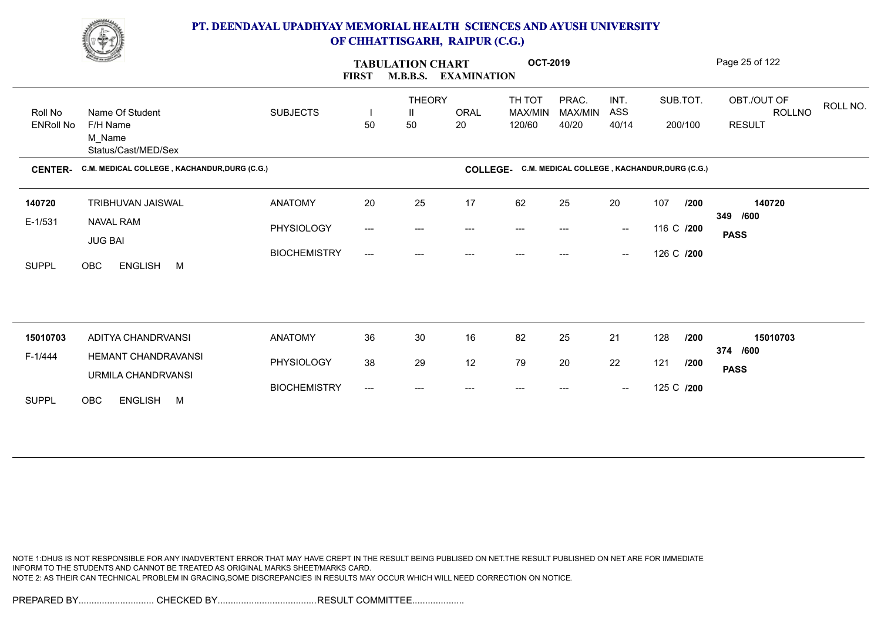

|                             | <u>Common Common Common Common Common Common Common Common Common Common Common Common Common Common Common Commo<br/>Common Common Common Common Common Common Common Common Common Common Common Common Common Common Common Commo</u> |                     | <b>FIRST</b>                        | <b>TABULATION CHART</b><br><b>M.B.B.S.</b> | <b>EXAMINATION</b> | <b>OCT-2019</b>                                       |                           |                                                |            |                     | Page 25 of 122                         |          |
|-----------------------------|------------------------------------------------------------------------------------------------------------------------------------------------------------------------------------------------------------------------------------------|---------------------|-------------------------------------|--------------------------------------------|--------------------|-------------------------------------------------------|---------------------------|------------------------------------------------|------------|---------------------|----------------------------------------|----------|
| Roll No<br><b>ENRoll No</b> | Name Of Student<br>F/H Name<br>M_Name<br>Status/Cast/MED/Sex                                                                                                                                                                             | <b>SUBJECTS</b>     | 50                                  | <b>THEORY</b><br>Ш<br>50                   | <b>ORAL</b><br>20  | TH TOT<br>MAX/MIN<br>120/60                           | PRAC.<br>MAX/MIN<br>40/20 | INT.<br>ASS<br>40/14                           |            | SUB.TOT.<br>200/100 | OBT./OUT OF<br>ROLLNO<br><b>RESULT</b> | ROLL NO. |
| <b>CENTER-</b>              | C.M. MEDICAL COLLEGE, KACHANDUR, DURG (C.G.)                                                                                                                                                                                             |                     |                                     |                                            |                    | COLLEGE- C.M. MEDICAL COLLEGE, KACHANDUR, DURG (C.G.) |                           |                                                |            |                     |                                        |          |
| 140720                      | <b>TRIBHUVAN JAISWAL</b>                                                                                                                                                                                                                 | <b>ANATOMY</b>      | 20                                  | 25                                         | 17                 | 62                                                    | 25                        | 20                                             | 107        | /200                | 140720                                 |          |
| $E-1/531$                   | <b>NAVAL RAM</b><br><b>JUG BAI</b>                                                                                                                                                                                                       | PHYSIOLOGY          | $\hspace{0.05cm}---\hspace{0.05cm}$ | $---$                                      | ---                | ---                                                   |                           | $\hspace{0.1mm}-\hspace{0.1mm}-\hspace{0.1mm}$ | 116 C /200 |                     | /600<br>349<br><b>PASS</b>             |          |
| <b>SUPPL</b>                | <b>OBC</b><br>ENGLISH M                                                                                                                                                                                                                  | <b>BIOCHEMISTRY</b> | $\qquad \qquad -\qquad -$           | ---                                        | ---                | $---$                                                 | ---                       | $\hspace{0.1mm}-\hspace{0.1mm}-\hspace{0.1mm}$ | 126 C /200 |                     |                                        |          |
|                             |                                                                                                                                                                                                                                          |                     |                                     |                                            |                    |                                                       |                           |                                                |            |                     |                                        |          |
| 15010703                    | ADITYA CHANDRVANSI                                                                                                                                                                                                                       | <b>ANATOMY</b>      | 36                                  | 30                                         | 16                 | 82                                                    | 25                        | 21                                             | 128        | /200                | 15010703                               |          |
| F-1/444                     | HEMANT CHANDRAVANSI<br>URMILA CHANDRVANSI                                                                                                                                                                                                | PHYSIOLOGY          | 38                                  | 29                                         | 12                 | 79                                                    | 20                        | 22                                             | 121        | /200                | 374 /600<br><b>PASS</b>                |          |
| <b>SUPPL</b>                | ENGLISH M<br><b>OBC</b>                                                                                                                                                                                                                  | <b>BIOCHEMISTRY</b> | ---                                 | ---                                        |                    |                                                       |                           | $\hspace{0.1mm}-\hspace{0.1mm}-\hspace{0.1mm}$ | 125 C /200 |                     |                                        |          |
|                             |                                                                                                                                                                                                                                          |                     |                                     |                                            |                    |                                                       |                           |                                                |            |                     |                                        |          |

NOTE 1:DHUS IS NOT RESPONSIBLE FOR ANY INADVERTENT ERROR THAT MAY HAVE CREPT IN THE RESULT BEING PUBLISED ON NET.THE RESULT PUBLISHED ON NET ARE FOR IMMEDIATE INFORM TO THE STUDENTS AND CANNOT BE TREATED AS ORIGINAL MARKS SHEET/MARKS CARD. NOTE 2: AS THEIR CAN TECHNICAL PROBLEM IN GRACING,SOME DISCREPANCIES IN RESULTS MAY OCCUR WHICH WILL NEED CORRECTION ON NOTICE.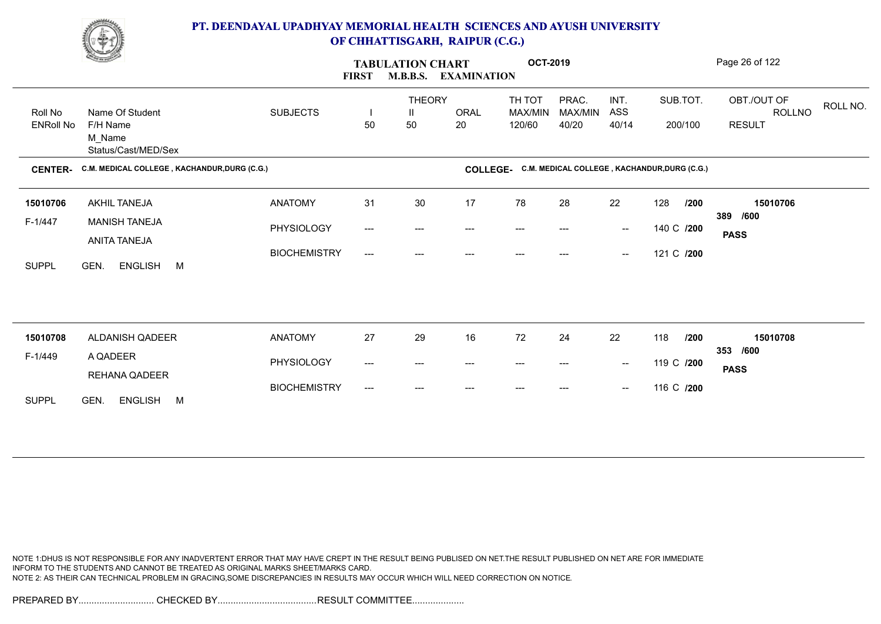

|                  | <u>Change of the South of the South of the South of the South of the South of the South of the South of the South of the South of the South of the South of the South of the South of the South of the South of the South of the</u> |                     | <b>FIRST</b>                        | <b>TABULATION CHART</b><br><b>M.B.B.S.</b> | <b>EXAMINATION</b> | <b>OCT-2019</b>                                       |                  |                                                |            |          | Page 26 of 122                    |
|------------------|--------------------------------------------------------------------------------------------------------------------------------------------------------------------------------------------------------------------------------------|---------------------|-------------------------------------|--------------------------------------------|--------------------|-------------------------------------------------------|------------------|------------------------------------------------|------------|----------|-----------------------------------|
| Roll No          | Name Of Student                                                                                                                                                                                                                      | <b>SUBJECTS</b>     |                                     | <b>THEORY</b><br>Ш                         | <b>ORAL</b>        | TH TOT<br>MAX/MIN                                     | PRAC.<br>MAX/MIN | INT.<br>ASS                                    |            | SUB.TOT. | OBT./OUT OF<br>ROLL NO.<br>ROLLNO |
| <b>ENRoll No</b> | F/H Name<br>M_Name<br>Status/Cast/MED/Sex                                                                                                                                                                                            |                     | 50                                  | 50                                         | 20                 | 120/60                                                | 40/20            | 40/14                                          |            | 200/100  | <b>RESULT</b>                     |
| <b>CENTER-</b>   | C.M. MEDICAL COLLEGE, KACHANDUR, DURG (C.G.)                                                                                                                                                                                         |                     |                                     |                                            |                    | COLLEGE- C.M. MEDICAL COLLEGE, KACHANDUR, DURG (C.G.) |                  |                                                |            |          |                                   |
| 15010706         | AKHIL TANEJA                                                                                                                                                                                                                         | <b>ANATOMY</b>      | 31                                  | 30                                         | 17                 | 78                                                    | 28               | 22                                             | 128        | /200     | 15010706                          |
| F-1/447          | <b>MANISH TANEJA</b>                                                                                                                                                                                                                 | PHYSIOLOGY          | $\qquad \qquad -\qquad -$           | ---                                        |                    |                                                       |                  | $\overline{\phantom{a}}$                       | 140 C /200 |          | 389 /600                          |
|                  | ANITA TANEJA                                                                                                                                                                                                                         | <b>BIOCHEMISTRY</b> | ---                                 | ---                                        |                    |                                                       |                  | $\overline{\phantom{a}}$                       | 121 C /200 |          | <b>PASS</b>                       |
| <b>SUPPL</b>     | GEN.<br>ENGLISH M                                                                                                                                                                                                                    |                     |                                     |                                            |                    |                                                       |                  |                                                |            |          |                                   |
|                  |                                                                                                                                                                                                                                      |                     |                                     |                                            |                    |                                                       |                  |                                                |            |          |                                   |
|                  |                                                                                                                                                                                                                                      |                     |                                     |                                            |                    |                                                       |                  |                                                |            |          |                                   |
| 15010708         | ALDANISH QADEER                                                                                                                                                                                                                      | <b>ANATOMY</b>      | 27                                  | 29                                         | 16                 | 72                                                    | 24               | 22                                             | 118        | /200     | 15010708<br>353 /600              |
| F-1/449          | A QADEER                                                                                                                                                                                                                             | PHYSIOLOGY          | $\hspace{0.05cm}---\hspace{0.05cm}$ | ---                                        | ---                | ---                                                   |                  | $\overline{\phantom{a}}$                       | 119 C /200 |          | <b>PASS</b>                       |
|                  | REHANA QADEER                                                                                                                                                                                                                        | <b>BIOCHEMISTRY</b> | ---                                 |                                            |                    |                                                       |                  | $\hspace{0.1mm}-\hspace{0.1mm}-\hspace{0.1mm}$ | 116 C /200 |          |                                   |
| <b>SUPPL</b>     | ENGLISH M<br>GEN.                                                                                                                                                                                                                    |                     |                                     |                                            |                    |                                                       |                  |                                                |            |          |                                   |

NOTE 1:DHUS IS NOT RESPONSIBLE FOR ANY INADVERTENT ERROR THAT MAY HAVE CREPT IN THE RESULT BEING PUBLISED ON NET.THE RESULT PUBLISHED ON NET ARE FOR IMMEDIATE INFORM TO THE STUDENTS AND CANNOT BE TREATED AS ORIGINAL MARKS SHEET/MARKS CARD. NOTE 2: AS THEIR CAN TECHNICAL PROBLEM IN GRACING,SOME DISCREPANCIES IN RESULTS MAY OCCUR WHICH WILL NEED CORRECTION ON NOTICE.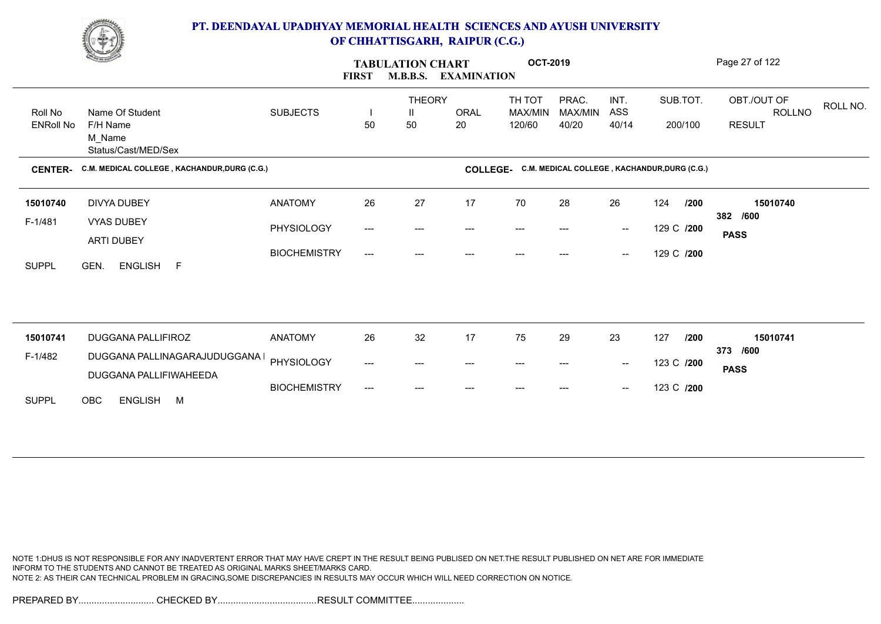

|                             | <b>Contract Contract Contract Contract Contract Contract Contract Contract Contract Contract Contract Contract Contract Contract Contract Contract Contract Contract Contract Contract Contract Contract Contract Contract Contr</b> |                     | <b>FIRST</b>                        | <b>TABULATION CHART</b><br><b>M.B.B.S.</b> | <b>EXAMINATION</b> | <b>OCT-2019</b>                                       |                           |                                                |                     |      | Page 27 of 122                                |          |
|-----------------------------|--------------------------------------------------------------------------------------------------------------------------------------------------------------------------------------------------------------------------------------|---------------------|-------------------------------------|--------------------------------------------|--------------------|-------------------------------------------------------|---------------------------|------------------------------------------------|---------------------|------|-----------------------------------------------|----------|
| Roll No<br><b>ENRoll No</b> | Name Of Student<br>F/H Name<br>M_Name<br>Status/Cast/MED/Sex                                                                                                                                                                         | <b>SUBJECTS</b>     | 50                                  | <b>THEORY</b><br>Ш<br>50                   | <b>ORAL</b><br>20  | TH TOT<br>MAX/MIN<br>120/60                           | PRAC.<br>MAX/MIN<br>40/20 | INT.<br>ASS<br>40/14                           | SUB.TOT.<br>200/100 |      | OBT./OUT OF<br><b>ROLLNO</b><br><b>RESULT</b> | ROLL NO. |
| <b>CENTER-</b>              | C.M. MEDICAL COLLEGE, KACHANDUR, DURG (C.G.)                                                                                                                                                                                         |                     |                                     |                                            |                    | COLLEGE- C.M. MEDICAL COLLEGE, KACHANDUR, DURG (C.G.) |                           |                                                |                     |      |                                               |          |
| 15010740                    | DIVYA DUBEY                                                                                                                                                                                                                          | <b>ANATOMY</b>      | 26                                  | 27                                         | 17                 | 70                                                    | 28                        | 26                                             | 124                 | /200 | 15010740                                      |          |
| F-1/481                     | VYAS DUBEY                                                                                                                                                                                                                           | PHYSIOLOGY          | $\hspace{0.05cm}---\hspace{0.05cm}$ | ---                                        | ---                | ---                                                   | ---                       | $\hspace{0.1mm}-\hspace{0.1mm}-\hspace{0.1mm}$ | 129 C /200          |      | 382 /600<br><b>PASS</b>                       |          |
| <b>SUPPL</b>                | ARTI DUBEY<br><b>ENGLISH</b><br>GEN.<br>F                                                                                                                                                                                            | <b>BIOCHEMISTRY</b> | $\qquad \qquad -\qquad -$           | ---                                        |                    |                                                       |                           | $\hspace{0.1mm}-\hspace{0.1mm}-\hspace{0.1mm}$ | 129 C /200          |      |                                               |          |
|                             |                                                                                                                                                                                                                                      |                     |                                     |                                            |                    |                                                       |                           |                                                |                     |      |                                               |          |
| 15010741                    | <b>DUGGANA PALLIFIROZ</b>                                                                                                                                                                                                            | <b>ANATOMY</b>      | 26                                  | 32                                         | 17                 | 75                                                    | 29                        | 23                                             | 127                 | /200 | 15010741<br>373 /600                          |          |
| F-1/482                     | DUGGANA PALLINAGARAJUDUGGANA I<br>DUGGANA PALLIFIWAHEEDA                                                                                                                                                                             | PHYSIOLOGY          | ---                                 | $---$                                      | ---                | $\hspace{0.05cm} \ldots \hspace{0.05cm}$              | $---$                     | $\sim$                                         | 123 C /200          |      | <b>PASS</b>                                   |          |
| <b>SUPPL</b>                | <b>OBC</b><br>ENGLISH M                                                                                                                                                                                                              | <b>BIOCHEMISTRY</b> | ---                                 | ---                                        |                    |                                                       |                           | $\overline{\phantom{a}}$                       | 123 C /200          |      |                                               |          |

NOTE 1:DHUS IS NOT RESPONSIBLE FOR ANY INADVERTENT ERROR THAT MAY HAVE CREPT IN THE RESULT BEING PUBLISED ON NET.THE RESULT PUBLISHED ON NET ARE FOR IMMEDIATE INFORM TO THE STUDENTS AND CANNOT BE TREATED AS ORIGINAL MARKS SHEET/MARKS CARD. NOTE 2: AS THEIR CAN TECHNICAL PROBLEM IN GRACING,SOME DISCREPANCIES IN RESULTS MAY OCCUR WHICH WILL NEED CORRECTION ON NOTICE.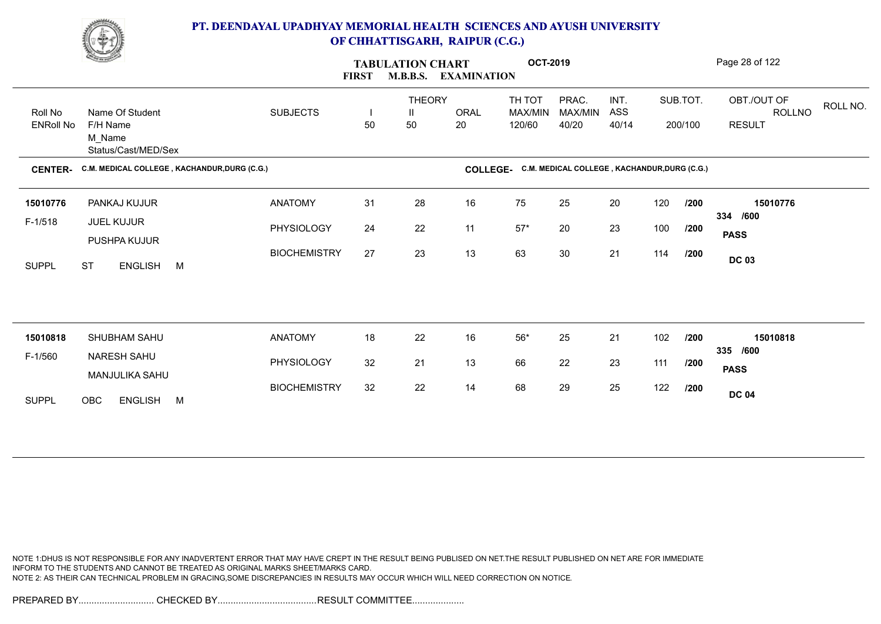

|                             | <b>Change of Congress</b>                                    |                     | <b>FIRST</b> | <b>TABULATION CHART</b>  | M.B.B.S. EXAMINATION | <b>OCT-2019</b>                                       |                           |                      |     |                     | Page 28 of 122                                     |
|-----------------------------|--------------------------------------------------------------|---------------------|--------------|--------------------------|----------------------|-------------------------------------------------------|---------------------------|----------------------|-----|---------------------|----------------------------------------------------|
| Roll No<br><b>ENRoll No</b> | Name Of Student<br>F/H Name<br>M_Name<br>Status/Cast/MED/Sex | <b>SUBJECTS</b>     | H<br>50      | <b>THEORY</b><br>Ш<br>50 | ORAL<br>20           | TH TOT<br>MAX/MIN<br>120/60                           | PRAC.<br>MAX/MIN<br>40/20 | INT.<br>ASS<br>40/14 |     | SUB.TOT.<br>200/100 | OBT./OUT OF<br>ROLL NO.<br>ROLLNO<br><b>RESULT</b> |
| <b>CENTER-</b>              | C.M. MEDICAL COLLEGE, KACHANDUR, DURG (C.G.)                 |                     |              |                          |                      | COLLEGE- C.M. MEDICAL COLLEGE, KACHANDUR, DURG (C.G.) |                           |                      |     |                     |                                                    |
| 15010776                    | PANKAJ KUJUR                                                 | <b>ANATOMY</b>      | 31           | 28                       | 16                   | 75                                                    | 25                        | 20                   | 120 | /200                | 15010776<br>334 /600                               |
| $F-1/518$                   | JUEL KUJUR<br>PUSHPA KUJUR                                   | PHYSIOLOGY          | 24           | 22                       | 11                   | $57*$                                                 | 20                        | 23                   | 100 | /200                | <b>PASS</b>                                        |
| <b>SUPPL</b>                | ENGLISH M<br><b>ST</b>                                       | <b>BIOCHEMISTRY</b> | 27           | 23                       | 13                   | 63                                                    | 30                        | 21                   | 114 | /200                | <b>DC 03</b>                                       |
|                             |                                                              |                     |              |                          |                      |                                                       |                           |                      |     |                     |                                                    |
| 15010818                    | SHUBHAM SAHU                                                 | <b>ANATOMY</b>      | 18           | 22                       | 16                   | $56^{\star}$                                          | 25                        | 21                   | 102 | /200                | 15010818                                           |
| F-1/560                     | NARESH SAHU<br>MANJULIKA SAHU                                | PHYSIOLOGY          | 32           | 21                       | 13                   | 66                                                    | 22                        | 23                   | 111 | /200                | 335 /600<br><b>PASS</b>                            |
| <b>SUPPL</b>                | OBC<br>ENGLISH M                                             | <b>BIOCHEMISTRY</b> | 32           | 22                       | 14                   | 68                                                    | 29                        | 25                   | 122 | /200                | <b>DC 04</b>                                       |

NOTE 1:DHUS IS NOT RESPONSIBLE FOR ANY INADVERTENT ERROR THAT MAY HAVE CREPT IN THE RESULT BEING PUBLISED ON NET.THE RESULT PUBLISHED ON NET ARE FOR IMMEDIATE INFORM TO THE STUDENTS AND CANNOT BE TREATED AS ORIGINAL MARKS SHEET/MARKS CARD. NOTE 2: AS THEIR CAN TECHNICAL PROBLEM IN GRACING,SOME DISCREPANCIES IN RESULTS MAY OCCUR WHICH WILL NEED CORRECTION ON NOTICE.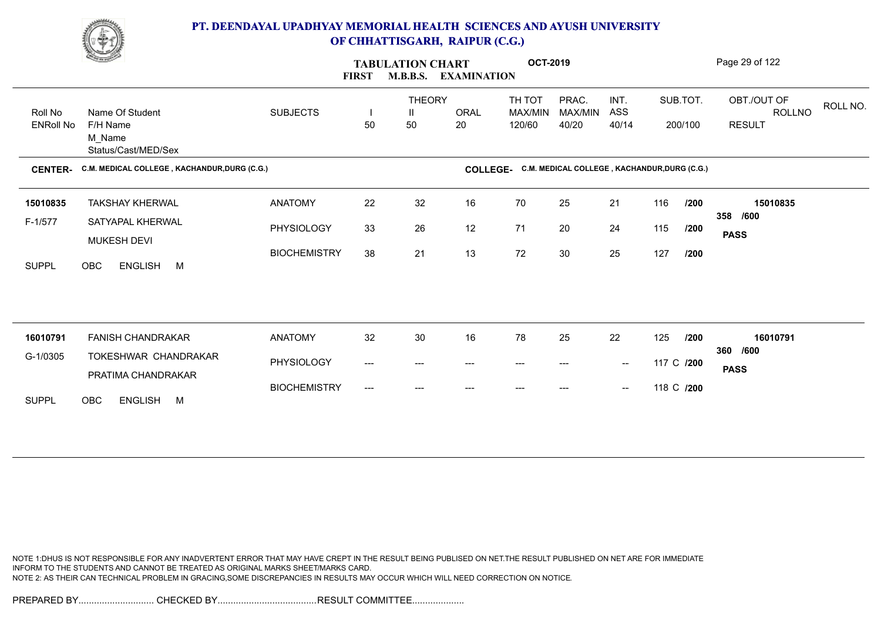

|                      | <u>Change</u>                                    |                     | <b>FIRST</b>              | <b>TABULATION CHART</b><br><b>M.B.B.S.</b> | <b>EXAMINATION</b> | <b>OCT-2019</b>                                       |                  |                                                |            |          | Page 29 of 122                    |
|----------------------|--------------------------------------------------|---------------------|---------------------------|--------------------------------------------|--------------------|-------------------------------------------------------|------------------|------------------------------------------------|------------|----------|-----------------------------------|
| Roll No              | Name Of Student                                  | <b>SUBJECTS</b>     |                           | <b>THEORY</b><br>Ш                         | ORAL               | TH TOT<br>MAX/MIN                                     | PRAC.<br>MAX/MIN | INT.<br>ASS                                    |            | SUB.TOT. | OBT./OUT OF<br>ROLL NO.<br>ROLLNO |
| <b>ENRoll No</b>     | F/H Name<br>M Name<br>Status/Cast/MED/Sex        |                     | 50                        | 50                                         | 20                 | 120/60                                                | 40/20            | 40/14                                          |            | 200/100  | <b>RESULT</b>                     |
| <b>CENTER-</b>       | C.M. MEDICAL COLLEGE, KACHANDUR, DURG (C.G.)     |                     |                           |                                            |                    | COLLEGE- C.M. MEDICAL COLLEGE, KACHANDUR, DURG (C.G.) |                  |                                                |            |          |                                   |
| 15010835             | <b>TAKSHAY KHERWAL</b>                           | <b>ANATOMY</b>      | 22                        | 32                                         | 16                 | 70                                                    | 25               | 21                                             | 116        | /200     | 15010835                          |
| $F-1/577$            | SATYAPAL KHERWAL<br>MUKESH DEVI                  | PHYSIOLOGY          | 33                        | 26                                         | 12                 | 71                                                    | 20               | 24                                             | 115        | /200     | 358 /600<br><b>PASS</b>           |
| <b>SUPPL</b>         | <b>ENGLISH</b><br>OBC<br>M                       | <b>BIOCHEMISTRY</b> | 38                        | 21                                         | 13                 | 72                                                    | 30               | 25                                             | 127        | /200     |                                   |
|                      |                                                  |                     |                           |                                            |                    |                                                       |                  |                                                |            |          |                                   |
|                      |                                                  |                     |                           |                                            |                    |                                                       |                  |                                                |            |          |                                   |
| 16010791<br>G-1/0305 | <b>FANISH CHANDRAKAR</b><br>TOKESHWAR CHANDRAKAR | <b>ANATOMY</b>      | 32                        | 30                                         | 16                 | 78                                                    | 25               | 22                                             | 125        | /200     | 16010791<br>360 /600              |
|                      | PRATIMA CHANDRAKAR                               | <b>PHYSIOLOGY</b>   | $\qquad \qquad -\qquad -$ | ---                                        | ---                | ---                                                   | $---$            | $\hspace{0.1mm}-\hspace{0.1mm}-\hspace{0.1mm}$ | 117 C /200 |          | <b>PASS</b>                       |
| <b>SUPPL</b>         | OBC<br><b>ENGLISH</b><br>M                       | <b>BIOCHEMISTRY</b> | $\qquad \qquad -\qquad -$ | $\qquad \qquad \cdots$                     | ---                | $---$                                                 | $---$            | $\hspace{0.05cm}$                              | 118 C /200 |          |                                   |

NOTE 1:DHUS IS NOT RESPONSIBLE FOR ANY INADVERTENT ERROR THAT MAY HAVE CREPT IN THE RESULT BEING PUBLISED ON NET.THE RESULT PUBLISHED ON NET ARE FOR IMMEDIATE INFORM TO THE STUDENTS AND CANNOT BE TREATED AS ORIGINAL MARKS SHEET/MARKS CARD. NOTE 2: AS THEIR CAN TECHNICAL PROBLEM IN GRACING,SOME DISCREPANCIES IN RESULTS MAY OCCUR WHICH WILL NEED CORRECTION ON NOTICE.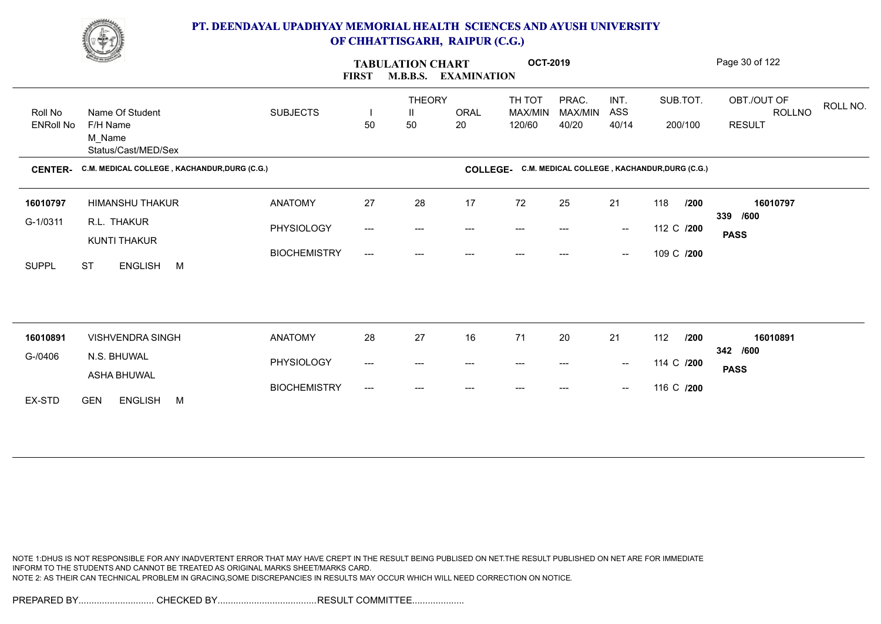

|                  | <b>Change of Congress</b>                    |                     | <b>FIRST</b> | <b>TABULATION CHART</b><br><b>M.B.B.S.</b> | <b>EXAMINATION</b> | <b>OCT-2019</b>                                       |                  |                                                |            |          | Page 30 of 122                    |  |
|------------------|----------------------------------------------|---------------------|--------------|--------------------------------------------|--------------------|-------------------------------------------------------|------------------|------------------------------------------------|------------|----------|-----------------------------------|--|
| Roll No          | Name Of Student                              | <b>SUBJECTS</b>     |              | <b>THEORY</b><br>Ш                         | ORAL               | TH TOT<br>MAX/MIN                                     | PRAC.<br>MAX/MIN | INT.<br>ASS                                    |            | SUB.TOT. | OBT./OUT OF<br>ROLL NO.<br>ROLLNO |  |
| <b>ENRoll No</b> | F/H Name<br>M_Name<br>Status/Cast/MED/Sex    |                     | 50           | 50                                         | 20                 | 120/60                                                | 40/20            | 40/14                                          |            | 200/100  | <b>RESULT</b>                     |  |
| <b>CENTER-</b>   | C.M. MEDICAL COLLEGE, KACHANDUR, DURG (C.G.) |                     |              |                                            |                    | COLLEGE- C.M. MEDICAL COLLEGE, KACHANDUR, DURG (C.G.) |                  |                                                |            |          |                                   |  |
| 16010797         | HIMANSHU THAKUR                              | <b>ANATOMY</b>      | 27           | 28                                         | 17                 | 72                                                    | 25               | 21                                             | 118        | /200     | 16010797                          |  |
| G-1/0311         | R.L. THAKUR<br>KUNTI THAKUR                  | PHYSIOLOGY          | ---          | ---                                        | ---                | $---$                                                 |                  | $\sim$                                         | 112 C /200 |          | 339 /600<br><b>PASS</b>           |  |
| <b>SUPPL</b>     | ENGLISH M<br><b>ST</b>                       | <b>BIOCHEMISTRY</b> | ---          | $---$                                      | ---                | $---$                                                 | ---              | $\hspace{0.1mm}-\hspace{0.1mm}-\hspace{0.1mm}$ | 109 C /200 |          |                                   |  |
|                  |                                              |                     |              |                                            |                    |                                                       |                  |                                                |            |          |                                   |  |
| 16010891         | <b>VISHVENDRA SINGH</b>                      | <b>ANATOMY</b>      | 28           | 27                                         | 16                 | 71                                                    | 20               | 21                                             | 112        | /200     | 16010891                          |  |
| G-/0406          | N.S. BHUWAL                                  | PHYSIOLOGY          | ---          | ---                                        |                    | $---$                                                 |                  | $\hspace{0.1mm}-\hspace{0.1mm}-\hspace{0.1mm}$ | 114 C /200 |          | 342 /600                          |  |
|                  | <b>ASHA BHUWAL</b>                           |                     |              |                                            | ---                |                                                       |                  |                                                |            |          | <b>PASS</b>                       |  |
| EX-STD           | <b>GEN</b><br><b>ENGLISH</b><br>M            | <b>BIOCHEMISTRY</b> | ---          | ---                                        | ---                |                                                       |                  | $\hspace{0.1mm}-\hspace{0.1mm}-\hspace{0.1mm}$ | 116 C /200 |          |                                   |  |

NOTE 1:DHUS IS NOT RESPONSIBLE FOR ANY INADVERTENT ERROR THAT MAY HAVE CREPT IN THE RESULT BEING PUBLISED ON NET.THE RESULT PUBLISHED ON NET ARE FOR IMMEDIATE INFORM TO THE STUDENTS AND CANNOT BE TREATED AS ORIGINAL MARKS SHEET/MARKS CARD. NOTE 2: AS THEIR CAN TECHNICAL PROBLEM IN GRACING,SOME DISCREPANCIES IN RESULTS MAY OCCUR WHICH WILL NEED CORRECTION ON NOTICE.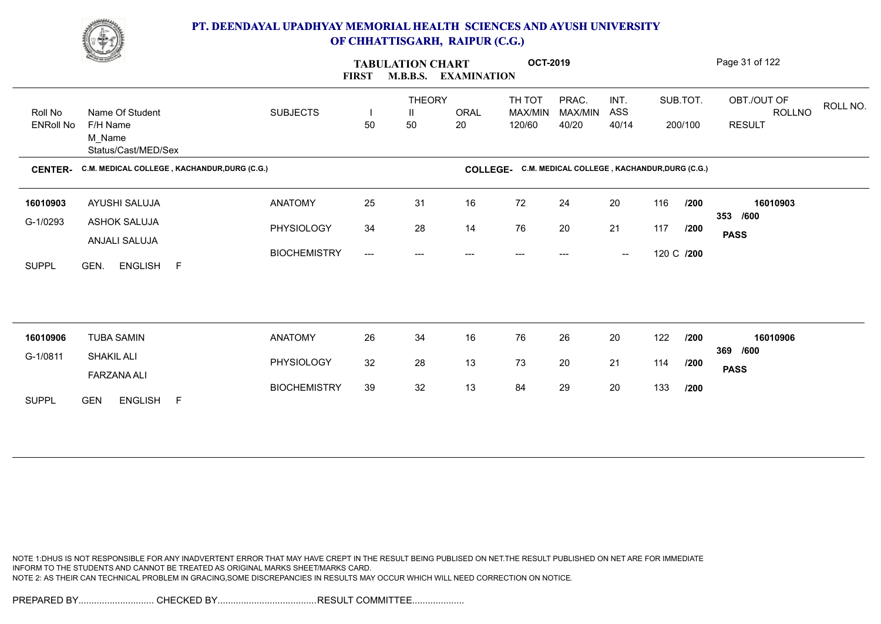

|                             | <b>Change of Congress</b>                                    |                     | <b>FIRST</b>                   | <b>TABULATION CHART</b>  | <b>M.B.B.S. EXAMINATION</b> | <b>OCT-2019</b>                                       |                           |                                                |            |                     | Page 31 of 122                                            |
|-----------------------------|--------------------------------------------------------------|---------------------|--------------------------------|--------------------------|-----------------------------|-------------------------------------------------------|---------------------------|------------------------------------------------|------------|---------------------|-----------------------------------------------------------|
| Roll No<br><b>ENRoll No</b> | Name Of Student<br>F/H Name<br>M Name<br>Status/Cast/MED/Sex | <b>SUBJECTS</b>     | $\overline{\phantom{a}}$<br>50 | <b>THEORY</b><br>Ш<br>50 | <b>ORAL</b><br>20           | TH TOT<br>MAX/MIN<br>120/60                           | PRAC.<br>MAX/MIN<br>40/20 | INT.<br>ASS<br>40/14                           |            | SUB.TOT.<br>200/100 | OBT./OUT OF<br>ROLL NO.<br><b>ROLLNO</b><br><b>RESULT</b> |
| <b>CENTER-</b>              | C.M. MEDICAL COLLEGE, KACHANDUR, DURG (C.G.)                 |                     |                                |                          |                             | COLLEGE. C.M. MEDICAL COLLEGE, KACHANDUR, DURG (C.G.) |                           |                                                |            |                     |                                                           |
| 16010903                    | AYUSHI SALUJA                                                | <b>ANATOMY</b>      | 25                             | 31                       | 16                          | 72                                                    | 24                        | 20                                             | 116        | /200                | 16010903                                                  |
| G-1/0293                    | ASHOK SALUJA<br>ANJALI SALUJA                                | PHYSIOLOGY          | 34                             | 28                       | 14                          | 76                                                    | 20                        | 21                                             | 117        | /200                | 353 /600<br><b>PASS</b>                                   |
| <b>SUPPL</b>                | ENGLISH F<br>GEN.                                            | <b>BIOCHEMISTRY</b> | ---                            | ---                      |                             | ---                                                   | ---                       | $\hspace{0.1mm}-\hspace{0.1mm}-\hspace{0.1mm}$ | 120 C /200 |                     |                                                           |
|                             |                                                              |                     |                                |                          |                             |                                                       |                           |                                                |            |                     |                                                           |
| 16010906                    | <b>TUBA SAMIN</b>                                            | <b>ANATOMY</b>      | 26                             | 34                       | 16                          | 76                                                    | 26                        | 20                                             | 122        | /200                | 16010906<br>369 /600                                      |
| G-1/0811                    | <b>SHAKIL ALI</b><br><b>FARZANA ALI</b>                      | PHYSIOLOGY          | 32                             | 28                       | 13                          | 73                                                    | 20                        | 21                                             | 114        | /200                | <b>PASS</b>                                               |
| <b>SUPPL</b>                | <b>GEN</b><br>ENGLISH F                                      | <b>BIOCHEMISTRY</b> | 39                             | 32                       | 13                          | 84                                                    | 29                        | 20                                             | 133        | /200                |                                                           |

NOTE 1:DHUS IS NOT RESPONSIBLE FOR ANY INADVERTENT ERROR THAT MAY HAVE CREPT IN THE RESULT BEING PUBLISED ON NET.THE RESULT PUBLISHED ON NET ARE FOR IMMEDIATE INFORM TO THE STUDENTS AND CANNOT BE TREATED AS ORIGINAL MARKS SHEET/MARKS CARD. NOTE 2: AS THEIR CAN TECHNICAL PROBLEM IN GRACING,SOME DISCREPANCIES IN RESULTS MAY OCCUR WHICH WILL NEED CORRECTION ON NOTICE.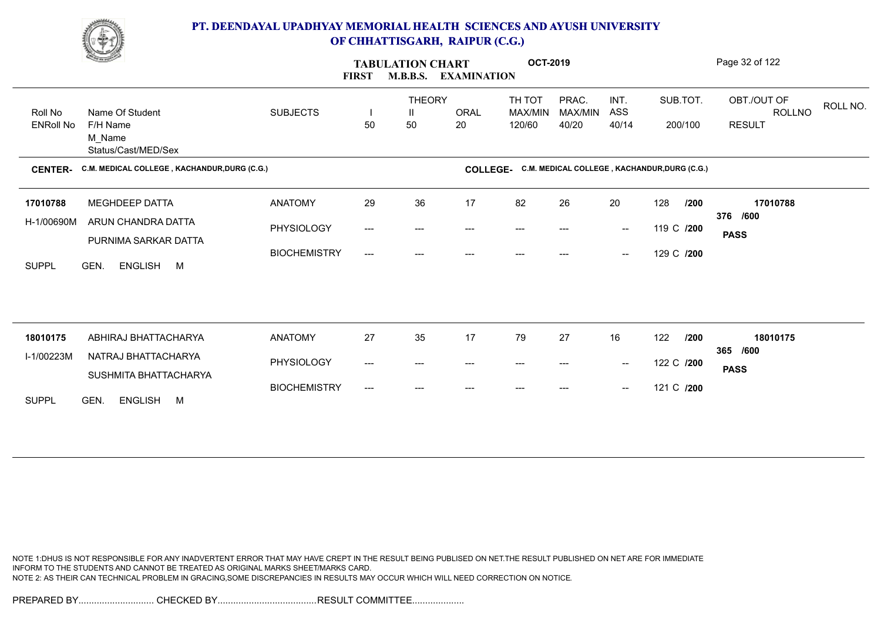

|                             | <u>Change of the South of the South of the South of the South of the South of the South of the South of the South of the South of the South of the South of the South of the South of the South of the South of the South of the</u> |                     | <b>FIRST</b>              | <b>TABULATION CHART</b><br><b>M.B.B.S.</b> | <b>EXAMINATION</b> | <b>OCT-2019</b>                                       |                           |                                                |            |                     | Page 32 of 122                                            |  |
|-----------------------------|--------------------------------------------------------------------------------------------------------------------------------------------------------------------------------------------------------------------------------------|---------------------|---------------------------|--------------------------------------------|--------------------|-------------------------------------------------------|---------------------------|------------------------------------------------|------------|---------------------|-----------------------------------------------------------|--|
| Roll No<br><b>ENRoll No</b> | Name Of Student<br>F/H Name<br>M_Name<br>Status/Cast/MED/Sex                                                                                                                                                                         | <b>SUBJECTS</b>     | 50                        | <b>THEORY</b><br>Ш<br>50                   | <b>ORAL</b><br>20  | TH TOT<br>MAX/MIN<br>120/60                           | PRAC.<br>MAX/MIN<br>40/20 | INT.<br>ASS<br>40/14                           |            | SUB.TOT.<br>200/100 | OBT./OUT OF<br>ROLL NO.<br><b>ROLLNO</b><br><b>RESULT</b> |  |
| <b>CENTER-</b>              | C.M. MEDICAL COLLEGE, KACHANDUR, DURG (C.G.)                                                                                                                                                                                         |                     |                           |                                            |                    | COLLEGE- C.M. MEDICAL COLLEGE, KACHANDUR, DURG (C.G.) |                           |                                                |            |                     |                                                           |  |
| 17010788                    | <b>MEGHDEEP DATTA</b>                                                                                                                                                                                                                | <b>ANATOMY</b>      | 29                        | 36                                         | 17                 | 82                                                    | 26                        | 20                                             | 128        | /200                | 17010788                                                  |  |
| H-1/00690M                  | ARUN CHANDRA DATTA<br>PURNIMA SARKAR DATTA                                                                                                                                                                                           | PHYSIOLOGY          | ---                       | ---                                        | ---                | $---$                                                 | ---                       | $\hspace{0.1mm}-\hspace{0.1mm}-\hspace{0.1mm}$ | 119 C /200 |                     | 376 /600<br><b>PASS</b>                                   |  |
| <b>SUPPL</b>                | GEN.<br>ENGLISH M                                                                                                                                                                                                                    | <b>BIOCHEMISTRY</b> | $\qquad \qquad -\qquad -$ | ---                                        | ---                | $---$                                                 |                           | $\hspace{0.1mm}-\hspace{0.1mm}-\hspace{0.1mm}$ | 129 C /200 |                     |                                                           |  |
|                             |                                                                                                                                                                                                                                      |                     |                           |                                            |                    |                                                       |                           |                                                |            |                     |                                                           |  |
| 18010175                    | ABHIRAJ BHATTACHARYA                                                                                                                                                                                                                 | <b>ANATOMY</b>      | 27                        | 35                                         | 17                 | 79                                                    | 27                        | 16                                             | 122        | /200                | 18010175<br>365 /600                                      |  |
| I-1/00223M                  | NATRAJ BHATTACHARYA<br>SUSHMITA BHATTACHARYA                                                                                                                                                                                         | PHYSIOLOGY          | ---                       | ---                                        | ---                |                                                       |                           | $\hspace{0.1mm}-\hspace{0.1mm}-\hspace{0.1mm}$ | 122 C /200 |                     | <b>PASS</b>                                               |  |
| <b>SUPPL</b>                | GEN.<br>ENGLISH M                                                                                                                                                                                                                    | <b>BIOCHEMISTRY</b> | ---                       | ---                                        | ---                | $---$                                                 |                           | $\hspace{0.1mm}-\hspace{0.1mm}-\hspace{0.1mm}$ | 121 C /200 |                     |                                                           |  |

NOTE 1:DHUS IS NOT RESPONSIBLE FOR ANY INADVERTENT ERROR THAT MAY HAVE CREPT IN THE RESULT BEING PUBLISED ON NET.THE RESULT PUBLISHED ON NET ARE FOR IMMEDIATE INFORM TO THE STUDENTS AND CANNOT BE TREATED AS ORIGINAL MARKS SHEET/MARKS CARD. NOTE 2: AS THEIR CAN TECHNICAL PROBLEM IN GRACING,SOME DISCREPANCIES IN RESULTS MAY OCCUR WHICH WILL NEED CORRECTION ON NOTICE.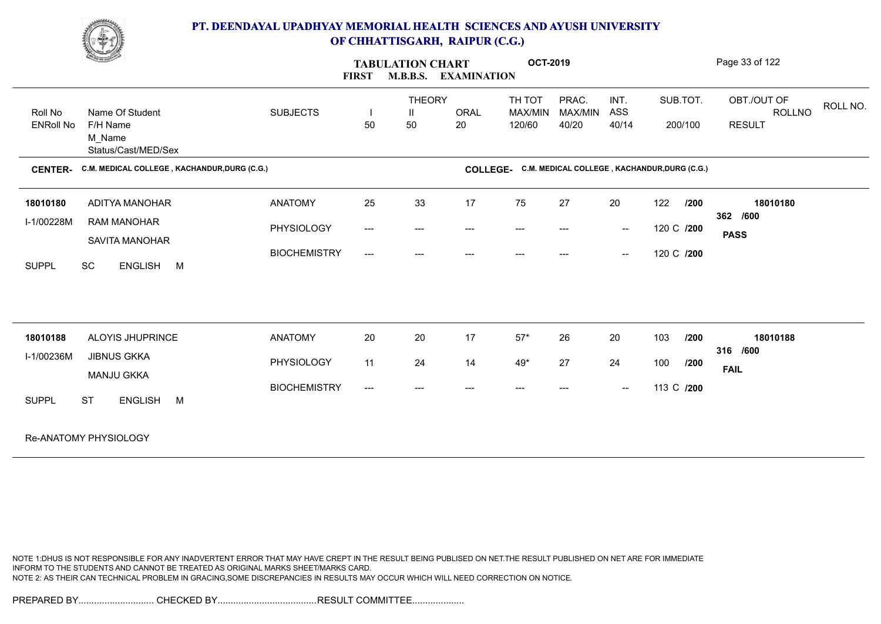

|                             | <b>Change of Congress</b>                                           |                     | <b>FIRST</b>                             | <b>TABULATION CHART</b><br><b>M.B.B.S.</b> | <b>EXAMINATION</b>                  | <b>OCT-2019</b>                                       |                                          |                                                |            |          | Page 33 of 122          |          |
|-----------------------------|---------------------------------------------------------------------|---------------------|------------------------------------------|--------------------------------------------|-------------------------------------|-------------------------------------------------------|------------------------------------------|------------------------------------------------|------------|----------|-------------------------|----------|
|                             |                                                                     |                     |                                          | <b>THEORY</b>                              |                                     | TH TOT                                                | PRAC.                                    | INT.                                           |            | SUB.TOT. | OBT./OUT OF             | ROLL NO. |
| Roll No<br><b>ENRoll No</b> | Name Of Student<br>F/H Name<br>M_Name                               | <b>SUBJECTS</b>     | 50                                       | Ш<br>50                                    | ORAL<br>20                          | MAX/MIN<br>120/60                                     | <b>MAX/MIN</b><br>40/20                  | ASS<br>40/14                                   |            | 200/100  | ROLLNO<br><b>RESULT</b> |          |
| <b>CENTER-</b>              | Status/Cast/MED/Sex<br>C.M. MEDICAL COLLEGE, KACHANDUR, DURG (C.G.) |                     |                                          |                                            |                                     | COLLEGE. C.M. MEDICAL COLLEGE, KACHANDUR, DURG (C.G.) |                                          |                                                |            |          |                         |          |
|                             |                                                                     |                     |                                          |                                            |                                     |                                                       |                                          |                                                |            |          |                         |          |
| 18010180                    | <b>ADITYA MANOHAR</b>                                               | <b>ANATOMY</b>      | 25                                       | 33                                         | 17                                  | 75                                                    | 27                                       | 20                                             | 122        | /200     | 18010180                |          |
| I-1/00228M                  | <b>RAM MANOHAR</b>                                                  | PHYSIOLOGY          | $\hspace{0.05cm} \ldots \hspace{0.05cm}$ | $\qquad \qquad -\qquad -$                  | $\hspace{0.05cm}---\hspace{0.05cm}$ | $\hspace{0.05cm}---\hspace{0.05cm}$                   | $\hspace{0.05cm} \ldots \hspace{0.05cm}$ | $\sim$                                         | 120 C /200 |          | 362 /600<br><b>PASS</b> |          |
| <b>SUPPL</b>                | SAVITA MANOHAR<br>SC<br>ENGLISH M                                   | <b>BIOCHEMISTRY</b> | $\hspace{0.05cm} \ldots \hspace{0.05cm}$ | ---                                        | ---                                 |                                                       |                                          | $\hspace{0.1mm}-\hspace{0.1mm}-\hspace{0.1mm}$ | 120 C /200 |          |                         |          |
|                             |                                                                     |                     |                                          |                                            |                                     |                                                       |                                          |                                                |            |          |                         |          |
|                             |                                                                     |                     |                                          |                                            |                                     |                                                       |                                          |                                                |            |          |                         |          |
| 18010188                    | ALOYIS JHUPRINCE                                                    | <b>ANATOMY</b>      | 20                                       | 20                                         | 17                                  | $57*$                                                 | 26                                       | 20                                             | 103        | /200     | 18010188<br>316 /600    |          |
| I-1/00236M                  | <b>JIBNUS GKKA</b><br><b>MANJU GKKA</b>                             | PHYSIOLOGY          | 11                                       | 24                                         | 14                                  | $49*$                                                 | 27                                       | 24                                             | 100        | /200     | <b>FAIL</b>             |          |
| <b>SUPPL</b>                | <b>ST</b><br>ENGLISH M                                              | <b>BIOCHEMISTRY</b> | $---$                                    | ---                                        | ---                                 | ---                                                   |                                          | $\overline{\phantom{a}}$                       | 113 C /200 |          |                         |          |
|                             | Re-ANATOMY PHYSIOLOGY                                               |                     |                                          |                                            |                                     |                                                       |                                          |                                                |            |          |                         |          |

NOTE 1:DHUS IS NOT RESPONSIBLE FOR ANY INADVERTENT ERROR THAT MAY HAVE CREPT IN THE RESULT BEING PUBLISED ON NET.THE RESULT PUBLISHED ON NET ARE FOR IMMEDIATE INFORM TO THE STUDENTS AND CANNOT BE TREATED AS ORIGINAL MARKS SHEET/MARKS CARD. NOTE 2: AS THEIR CAN TECHNICAL PROBLEM IN GRACING,SOME DISCREPANCIES IN RESULTS MAY OCCUR WHICH WILL NEED CORRECTION ON NOTICE.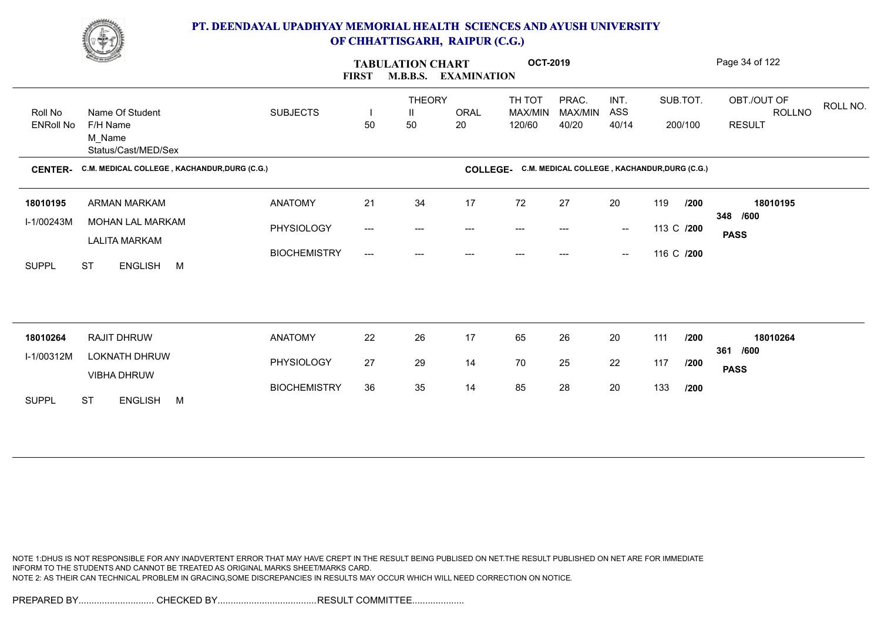

|                  | <b>Change of Congress</b>                    |                     | <b>FIRST</b> | <b>TABULATION CHART</b><br><b>M.B.B.S.</b> | <b>EXAMINATION</b> | <b>OCT-2019</b>                                       |                  |                                                |            |            | Page 34 of 122                           |
|------------------|----------------------------------------------|---------------------|--------------|--------------------------------------------|--------------------|-------------------------------------------------------|------------------|------------------------------------------------|------------|------------|------------------------------------------|
| Roll No          | Name Of Student                              | <b>SUBJECTS</b>     |              | <b>THEORY</b><br>Ш                         | ORAL               | TH TOT<br>MAX/MIN                                     | PRAC.<br>MAX/MIN | INT.<br>ASS                                    |            | SUB.TOT.   | OBT./OUT OF<br>ROLL NO.<br><b>ROLLNO</b> |
| <b>ENRoll No</b> | F/H Name<br>M_Name<br>Status/Cast/MED/Sex    |                     | 50           | 50                                         | 20                 | 120/60                                                | 40/20            | 40/14                                          |            | 200/100    | <b>RESULT</b>                            |
| <b>CENTER-</b>   | C.M. MEDICAL COLLEGE, KACHANDUR, DURG (C.G.) |                     |              |                                            |                    | COLLEGE- C.M. MEDICAL COLLEGE, KACHANDUR, DURG (C.G.) |                  |                                                |            |            |                                          |
| 18010195         | ARMAN MARKAM                                 | <b>ANATOMY</b>      | 21           | 34                                         | 17                 | 72                                                    | 27               | 20                                             | 119        | /200       | 18010195                                 |
| I-1/00243M       | MOHAN LAL MARKAM<br><b>LALITA MARKAM</b>     | PHYSIOLOGY          | ---          | ---                                        | ---                | $---$                                                 |                  | $\sim$                                         |            | 113 C /200 | 348 /600<br><b>PASS</b>                  |
| <b>SUPPL</b>     | <b>ST</b><br>ENGLISH M                       | <b>BIOCHEMISTRY</b> | ---          | $---$                                      | ---                | ---                                                   | $---$            | $\hspace{0.1mm}-\hspace{0.1mm}-\hspace{0.1mm}$ | 116 C /200 |            |                                          |
|                  |                                              |                     |              |                                            |                    |                                                       |                  |                                                |            |            |                                          |
| 18010264         | RAJIT DHRUW                                  | <b>ANATOMY</b>      | 22           | 26                                         | 17                 | 65                                                    | 26               | 20                                             | 111        | /200       | 18010264                                 |
| I-1/00312M       | <b>LOKNATH DHRUW</b>                         | PHYSIOLOGY          | 27           | 29                                         | 14                 | 70                                                    | 25               | 22                                             | 117        | /200       | /600<br>361                              |
|                  | <b>VIBHA DHRUW</b>                           |                     |              | 35                                         |                    | 85                                                    | 28               | 20                                             | 133        |            | <b>PASS</b>                              |
| <b>SUPPL</b>     | <b>ST</b><br>ENGLISH M                       | <b>BIOCHEMISTRY</b> | 36           |                                            | 14                 |                                                       |                  |                                                |            | /200       |                                          |

NOTE 1:DHUS IS NOT RESPONSIBLE FOR ANY INADVERTENT ERROR THAT MAY HAVE CREPT IN THE RESULT BEING PUBLISED ON NET.THE RESULT PUBLISHED ON NET ARE FOR IMMEDIATE INFORM TO THE STUDENTS AND CANNOT BE TREATED AS ORIGINAL MARKS SHEET/MARKS CARD. NOTE 2: AS THEIR CAN TECHNICAL PROBLEM IN GRACING,SOME DISCREPANCIES IN RESULTS MAY OCCUR WHICH WILL NEED CORRECTION ON NOTICE.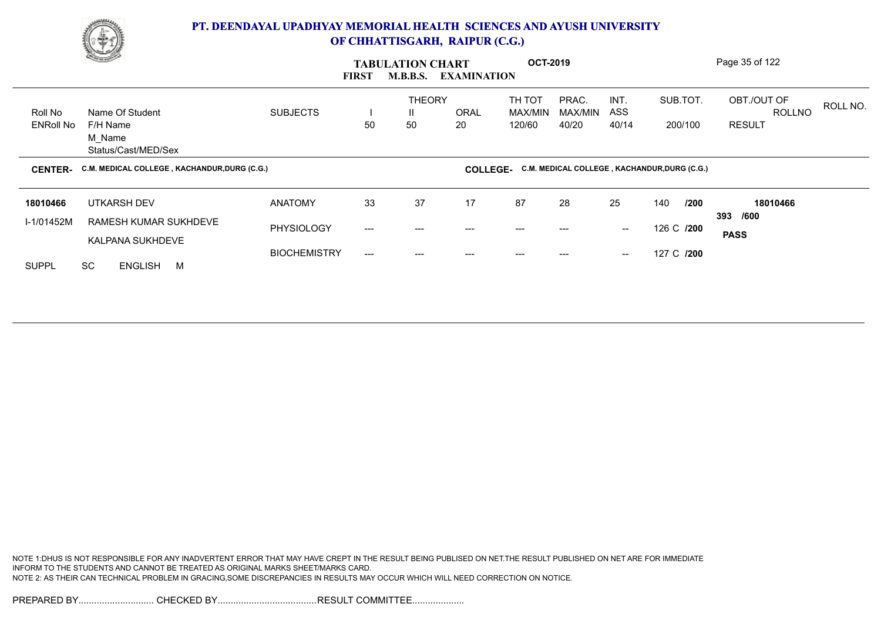

|                             | <b>Comment</b>                                               |                     | <b>FIRST</b>           | <b>TABULATION CHART</b><br><b>M.B.B.S.</b> | <b>EXAMINATION</b> | <b>OCT-2019</b>             |                           |                                        |                                              | Page 35 of 122                                |          |
|-----------------------------|--------------------------------------------------------------|---------------------|------------------------|--------------------------------------------|--------------------|-----------------------------|---------------------------|----------------------------------------|----------------------------------------------|-----------------------------------------------|----------|
| Roll No<br><b>ENRoll No</b> | Name Of Student<br>F/H Name<br>M Name<br>Status/Cast/MED/Sex | <b>SUBJECTS</b>     | 50                     | <b>THEORY</b><br>Ш<br>50                   | <b>ORAL</b><br>20  | TH TOT<br>MAX/MIN<br>120/60 | PRAC.<br>MAX/MIN<br>40/20 | INT.<br>ASS<br>40/14                   | SUB.TOT.<br>200/100                          | OBT./OUT OF<br><b>ROLLNO</b><br><b>RESULT</b> | ROLL NO. |
| <b>CENTER-</b>              | C.M. MEDICAL COLLEGE, KACHANDUR, DURG (C.G.)                 |                     |                        |                                            | <b>COLLEGE-</b>    |                             |                           |                                        | C.M. MEDICAL COLLEGE, KACHANDUR, DURG (C.G.) |                                               |          |
| 18010466                    | <b>UTKARSH DEV</b><br>RAMESH KUMAR SUKHDEVE                  | <b>ANATOMY</b>      | 33                     | 37                                         | 17                 | 87                          | 28                        | 25                                     | 140<br>/200                                  | 18010466<br>393 /600                          |          |
| I-1/01452M                  | KALPANA SUKHDEVE                                             | <b>PHYSIOLOGY</b>   | $\qquad \qquad \cdots$ | ---                                        | ---                |                             |                           | $\sim$                                 | 126 C /200                                   | <b>PASS</b>                                   |          |
| <b>SUPPL</b>                | <b>SC</b><br>ENGLISH M                                       | <b>BIOCHEMISTRY</b> | $---$                  | ---                                        |                    |                             |                           | $\hspace{0.1em} \ldots \hspace{0.1em}$ | 127 C /200                                   |                                               |          |

NOTE 1:DHUS IS NOT RESPONSIBLE FOR ANY INADVERTENT ERROR THAT MAY HAVE CREPT IN THE RESULT BEING PUBLISED ON NET.THE RESULT PUBLISHED ON NET ARE FOR IMMEDIATE INFORM TO THE STUDENTS AND CANNOT BE TREATED AS ORIGINAL MARKS SHEET/MARKS CARD. NOTE 2: AS THEIR CAN TECHNICAL PROBLEM IN GRACING,SOME DISCREPANCIES IN RESULTS MAY OCCUR WHICH WILL NEED CORRECTION ON NOTICE.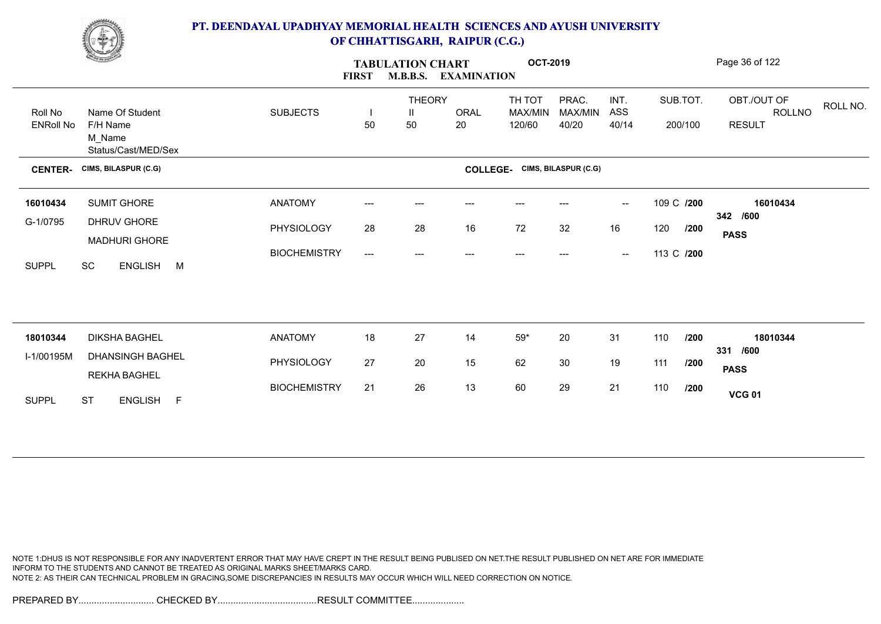

| <b>Change of Congress</b>   |                                               |                     | <b>FIRST</b>              | <b>TABULATION CHART</b>  | M.B.B.S. EXAMINATION | <b>OCT-2019</b>             |                           |                                                |            |                     | Page 36 of 122                                            |
|-----------------------------|-----------------------------------------------|---------------------|---------------------------|--------------------------|----------------------|-----------------------------|---------------------------|------------------------------------------------|------------|---------------------|-----------------------------------------------------------|
| Roll No<br><b>ENRoll No</b> | Name Of Student<br>F/H Name                   | <b>SUBJECTS</b>     | 50                        | <b>THEORY</b><br>Ш<br>50 | <b>ORAL</b><br>20    | TH TOT<br>MAX/MIN<br>120/60 | PRAC.<br>MAX/MIN<br>40/20 | INT.<br>ASS<br>40/14                           |            | SUB.TOT.<br>200/100 | OBT./OUT OF<br>ROLL NO.<br><b>ROLLNO</b><br><b>RESULT</b> |
|                             | M_Name<br>Status/Cast/MED/Sex                 |                     |                           |                          |                      |                             |                           |                                                |            |                     |                                                           |
| <b>CENTER-</b>              | CIMS, BILASPUR (C.G)                          |                     |                           |                          | <b>COLLEGE-</b>      |                             | CIMS, BILASPUR (C.G)      |                                                |            |                     |                                                           |
| 16010434                    | <b>SUMIT GHORE</b>                            | <b>ANATOMY</b>      | ---                       | $---$                    |                      |                             |                           | $\overline{\phantom{a}}$                       | 109 C /200 |                     | 16010434<br>342 /600                                      |
| G-1/0795                    | DHRUV GHORE<br><b>MADHURI GHORE</b>           | PHYSIOLOGY          | 28                        | 28                       | 16                   | 72                          | 32                        | 16                                             | 120        | /200                | <b>PASS</b>                                               |
| <b>SUPPL</b>                | SC<br>ENGLISH M                               | <b>BIOCHEMISTRY</b> | $\qquad \qquad -\qquad -$ | ---                      | $---$                | $---$                       | ---                       | $\hspace{0.1mm}-\hspace{0.1mm}-\hspace{0.1mm}$ | 113 C /200 |                     |                                                           |
|                             |                                               |                     |                           |                          |                      |                             |                           |                                                |            |                     |                                                           |
| 18010344                    | <b>DIKSHA BAGHEL</b>                          | <b>ANATOMY</b>      | 18                        | 27                       | 14                   | $59*$                       | 20                        | 31                                             | 110        | /200                | 18010344                                                  |
| I-1/00195M                  | DHANSINGH BAGHEL                              | PHYSIOLOGY          | 27                        | 20                       | 15                   | 62                          | 30                        | 19                                             | 111        | /200                | 331 /600<br><b>PASS</b>                                   |
| <b>SUPPL</b>                | <b>REKHA BAGHEL</b><br><b>ST</b><br>ENGLISH F | <b>BIOCHEMISTRY</b> | 21                        | 26                       | 13                   | 60                          | 29                        | 21                                             | 110        | /200                | <b>VCG 01</b>                                             |
|                             |                                               |                     |                           |                          |                      |                             |                           |                                                |            |                     |                                                           |

NOTE 1:DHUS IS NOT RESPONSIBLE FOR ANY INADVERTENT ERROR THAT MAY HAVE CREPT IN THE RESULT BEING PUBLISED ON NET.THE RESULT PUBLISHED ON NET ARE FOR IMMEDIATE INFORM TO THE STUDENTS AND CANNOT BE TREATED AS ORIGINAL MARKS SHEET/MARKS CARD. NOTE 2: AS THEIR CAN TECHNICAL PROBLEM IN GRACING,SOME DISCREPANCIES IN RESULTS MAY OCCUR WHICH WILL NEED CORRECTION ON NOTICE.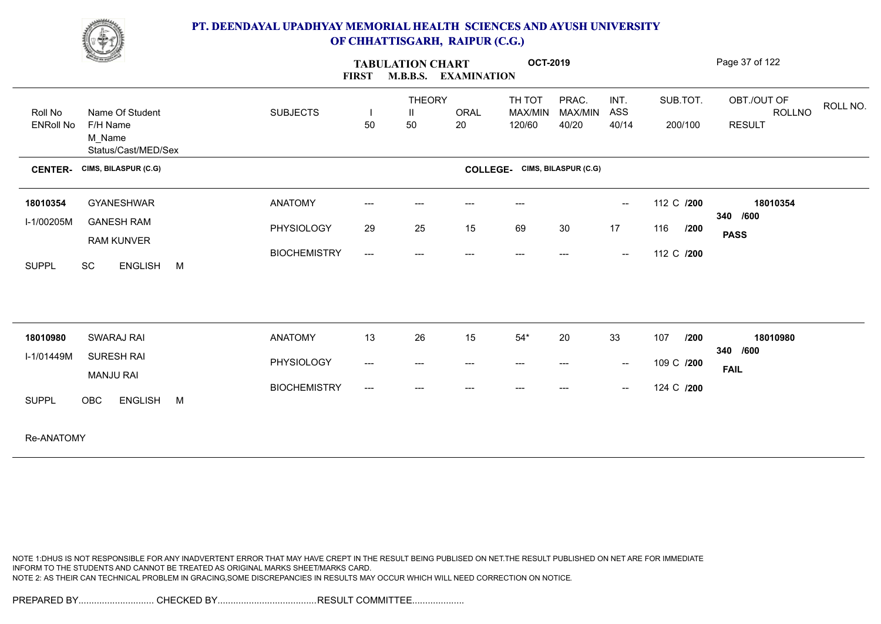

| <u>Company of the Company of the Company of the Company of the Company of the Company of the Company of the Company of the Company of the Company of the Company of the Company of the Company of the Company of the Company of </u> |                                                              |   |                                   | <b>FIRST</b>                   | <b>TABULATION CHART</b><br><b>M.B.B.S.</b> | <b>EXAMINATION</b> | <b>OCT-2019</b>                     |                              |                          |                           | Page 37 of 122                                |          |
|--------------------------------------------------------------------------------------------------------------------------------------------------------------------------------------------------------------------------------------|--------------------------------------------------------------|---|-----------------------------------|--------------------------------|--------------------------------------------|--------------------|-------------------------------------|------------------------------|--------------------------|---------------------------|-----------------------------------------------|----------|
| Roll No<br><b>ENRoll No</b>                                                                                                                                                                                                          | Name Of Student<br>F/H Name<br>M Name<br>Status/Cast/MED/Sex |   | <b>SUBJECTS</b>                   | 50                             | <b>THEORY</b><br>Ш<br>50                   | ORAL<br>20         | TH TOT<br>MAX/MIN<br>120/60         | PRAC.<br>MAX/MIN<br>40/20    | INT.<br>ASS<br>40/14     | SUB.TOT.<br>200/100       | OBT./OUT OF<br><b>ROLLNO</b><br><b>RESULT</b> | ROLL NO. |
| <b>CENTER-</b>                                                                                                                                                                                                                       | CIMS, BILASPUR (C.G)                                         |   |                                   |                                |                                            | <b>COLLEGE-</b>    |                                     | CIMS, BILASPUR (C.G)         |                          |                           |                                               |          |
| 18010354<br>I-1/00205M                                                                                                                                                                                                               | <b>GYANESHWAR</b><br><b>GANESH RAM</b>                       |   | <b>ANATOMY</b>                    | ---                            | $---$                                      | ---                | $\hspace{0.05cm}---\hspace{0.05cm}$ |                              | $\overline{\phantom{a}}$ | 112 C /200                | 18010354<br>340 /600                          |          |
|                                                                                                                                                                                                                                      | RAM KUNVER                                                   |   | PHYSIOLOGY<br><b>BIOCHEMISTRY</b> | 29<br>$\hspace{0.05cm} \ldots$ | 25<br>$---$                                | 15<br>---          | 69<br>$---$                         | 30<br>$\qquad \qquad \cdots$ | 17<br>$\sim$             | /200<br>116<br>112 C /200 | <b>PASS</b>                                   |          |
| <b>SUPPL</b>                                                                                                                                                                                                                         | SC<br>ENGLISH M                                              |   |                                   |                                |                                            |                    |                                     |                              |                          |                           |                                               |          |
| 18010980                                                                                                                                                                                                                             | SWARAJ RAI                                                   |   | ANATOMY                           | 13                             | 26                                         | 15                 | $54^{\star}$                        | 20                           | 33                       | 107<br>/200               | 18010980                                      |          |
| I-1/01449M                                                                                                                                                                                                                           | <b>SURESH RAI</b><br><b>MANJU RAI</b>                        |   | PHYSIOLOGY                        | ---                            | ---                                        | ---                | ---                                 | ---                          | $\sim$                   | 109 C /200                | 340 /600<br><b>FAIL</b>                       |          |
| <b>SUPPL</b>                                                                                                                                                                                                                         | <b>ENGLISH</b><br>OBC                                        | M | <b>BIOCHEMISTRY</b>               | ---                            | ---                                        |                    |                                     |                              | $\sim$                   | 124 C /200                |                                               |          |
|                                                                                                                                                                                                                                      |                                                              |   |                                   |                                |                                            |                    |                                     |                              |                          |                           |                                               |          |

Re-ANATOMY

NOTE 1:DHUS IS NOT RESPONSIBLE FOR ANY INADVERTENT ERROR THAT MAY HAVE CREPT IN THE RESULT BEING PUBLISED ON NET.THE RESULT PUBLISHED ON NET ARE FOR IMMEDIATE INFORM TO THE STUDENTS AND CANNOT BE TREATED AS ORIGINAL MARKS SHEET/MARKS CARD. NOTE 2: AS THEIR CAN TECHNICAL PROBLEM IN GRACING,SOME DISCREPANCIES IN RESULTS MAY OCCUR WHICH WILL NEED CORRECTION ON NOTICE.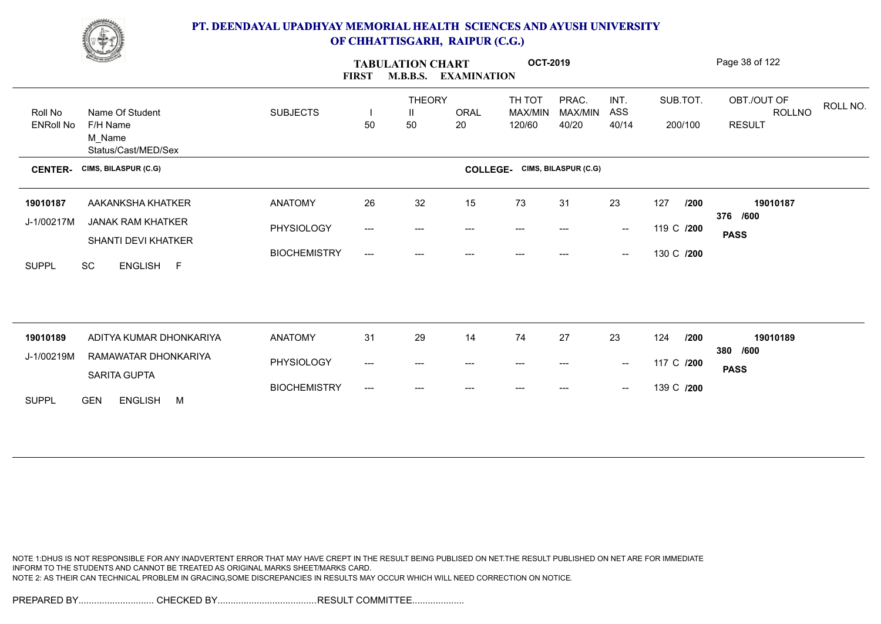

|                             | <b>Contract Contract Contract Contract Contract Contract Contract Contract Contract Contract Contract Contract Contract Contract Contract Contract Contract Contract Contract Contract Contract Contract Contract Contract Contr</b> |                     | <b>FIRST</b>                        | <b>TABULATION CHART</b><br><b>M.B.B.S.</b><br><b>EXAMINATION</b> |                                          |                             | <b>OCT-2019</b>           |                          |                     | Page 38 of 122                                            |
|-----------------------------|--------------------------------------------------------------------------------------------------------------------------------------------------------------------------------------------------------------------------------------|---------------------|-------------------------------------|------------------------------------------------------------------|------------------------------------------|-----------------------------|---------------------------|--------------------------|---------------------|-----------------------------------------------------------|
| Roll No<br><b>ENRoll No</b> | Name Of Student<br>F/H Name<br>M Name<br>Status/Cast/MED/Sex                                                                                                                                                                         | <b>SUBJECTS</b>     | 50                                  | <b>THEORY</b><br>$\mathbf{H}$<br>50                              | ORAL<br>20                               | TH TOT<br>MAX/MIN<br>120/60 | PRAC.<br>MAX/MIN<br>40/20 | INT.<br>ASS<br>40/14     | SUB.TOT.<br>200/100 | OBT./OUT OF<br>ROLL NO.<br><b>ROLLNO</b><br><b>RESULT</b> |
| <b>CENTER-</b>              | CIMS, BILASPUR (C.G)                                                                                                                                                                                                                 |                     |                                     |                                                                  | <b>COLLEGE-</b>                          |                             | CIMS, BILASPUR (C.G)      |                          |                     |                                                           |
| 19010187                    | AAKANKSHA KHATKER                                                                                                                                                                                                                    | <b>ANATOMY</b>      | 26                                  | 32                                                               | 15                                       | 73                          | 31                        | 23                       | 127<br>/200         | 19010187<br>376 /600                                      |
| J-1/00217M                  | <b>JANAK RAM KHATKER</b><br>SHANTI DEVI KHATKER                                                                                                                                                                                      | PHYSIOLOGY          | ---                                 | ---                                                              | $\hspace{0.05cm} \ldots \hspace{0.05cm}$ | ---                         | ---                       | $\sim$                   | 119 C /200          | <b>PASS</b>                                               |
| <b>SUPPL</b>                | SC<br>ENGLISH F                                                                                                                                                                                                                      | <b>BIOCHEMISTRY</b> | $\hspace{0.05cm}---\hspace{0.05cm}$ | ---                                                              | $---$                                    | $---$                       | ---                       | $\overline{\phantom{a}}$ | 130 C /200          |                                                           |
|                             |                                                                                                                                                                                                                                      |                     |                                     |                                                                  |                                          |                             |                           |                          |                     |                                                           |
| 19010189                    | ADITYA KUMAR DHONKARIYA                                                                                                                                                                                                              | <b>ANATOMY</b>      | 31                                  | 29                                                               | 14                                       | 74                          | 27                        | 23                       | 124<br>/200         | 19010189<br>380 /600                                      |
| J-1/00219M                  | RAMAWATAR DHONKARIYA<br>SARITA GUPTA                                                                                                                                                                                                 | PHYSIOLOGY          | $\qquad \qquad -\qquad -$           | ---                                                              | $---$                                    | $---$                       | ---                       | $\overline{\phantom{a}}$ | 117 C /200          | <b>PASS</b>                                               |
| <b>SUPPL</b>                | <b>GEN</b><br><b>ENGLISH</b><br>M                                                                                                                                                                                                    | <b>BIOCHEMISTRY</b> | $\qquad \qquad -\qquad -$           | ---                                                              |                                          |                             |                           | $-\!$                    | 139 C /200          |                                                           |

NOTE 1:DHUS IS NOT RESPONSIBLE FOR ANY INADVERTENT ERROR THAT MAY HAVE CREPT IN THE RESULT BEING PUBLISED ON NET.THE RESULT PUBLISHED ON NET ARE FOR IMMEDIATE INFORM TO THE STUDENTS AND CANNOT BE TREATED AS ORIGINAL MARKS SHEET/MARKS CARD. NOTE 2: AS THEIR CAN TECHNICAL PROBLEM IN GRACING,SOME DISCREPANCIES IN RESULTS MAY OCCUR WHICH WILL NEED CORRECTION ON NOTICE.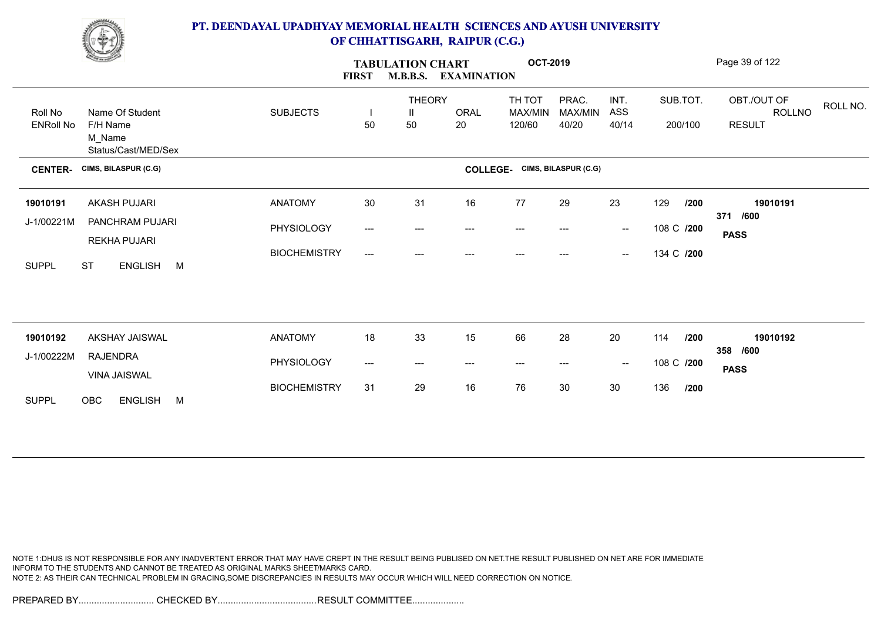

|                             | <b>Contract of the Season States</b>                         |                     | <b>FIRST</b>                        | <b>TABULATION CHART</b><br><b>M.B.B.S.</b><br><b>EXAMINATION</b> |                                          | <b>OCT-2019</b>                   |                           |                          |                     | Page 39 of 122                                     |
|-----------------------------|--------------------------------------------------------------|---------------------|-------------------------------------|------------------------------------------------------------------|------------------------------------------|-----------------------------------|---------------------------|--------------------------|---------------------|----------------------------------------------------|
| Roll No<br><b>ENRoll No</b> | Name Of Student<br>F/H Name<br>M_Name<br>Status/Cast/MED/Sex | <b>SUBJECTS</b>     | 50                                  | <b>THEORY</b><br>$\mathbf{H}$<br>50                              | ORAL<br>20                               | TH TOT<br>MAX/MIN<br>120/60       | PRAC.<br>MAX/MIN<br>40/20 | INT.<br>ASS<br>40/14     | SUB.TOT.<br>200/100 | OBT./OUT OF<br>ROLL NO.<br>ROLLNO<br><b>RESULT</b> |
| <b>CENTER-</b>              | CIMS, BILASPUR (C.G)                                         |                     |                                     |                                                                  | <b>COLLEGE-</b>                          |                                   | CIMS, BILASPUR (C.G)      |                          |                     |                                                    |
| 19010191                    | AKASH PUJARI                                                 | <b>ANATOMY</b>      | 30 <sub>o</sub>                     | 31                                                               | 16                                       | 77                                | 29                        | 23                       | 129<br>/200         | 19010191                                           |
| J-1/00221M                  | PANCHRAM PUJARI                                              | PHYSIOLOGY          | $\qquad \qquad -\qquad -$           | ---                                                              | $---$                                    | $---$                             | $---$                     | $\overline{\phantom{a}}$ | 108 C /200          | 371 /600<br><b>PASS</b>                            |
| <b>SUPPL</b>                | <b>REKHA PUJARI</b><br><b>ST</b><br>ENGLISH M                | <b>BIOCHEMISTRY</b> | $\hspace{0.05cm}---\hspace{0.05cm}$ | $---$                                                            |                                          | ---                               | ---                       | $\overline{\phantom{a}}$ | 134 C /200          |                                                    |
|                             |                                                              |                     |                                     |                                                                  |                                          |                                   |                           |                          |                     |                                                    |
| 19010192                    | AKSHAY JAISWAL                                               | <b>ANATOMY</b>      | 18                                  | 33                                                               | 15                                       | 66                                | 28                        | 20                       | 114<br>/200         | 19010192                                           |
| J-1/00222M                  | <b>RAJENDRA</b><br>VINA JAISWAL                              | PHYSIOLOGY          | ---                                 | $---$                                                            | $\hspace{0.05cm} \ldots \hspace{0.05cm}$ | $\hspace{0.05cm} \dashrightarrow$ | $---$                     | $\sim$                   | 108 C /200          | 358 /600<br><b>PASS</b>                            |
| <b>SUPPL</b>                | OBC<br><b>ENGLISH</b><br>M                                   | <b>BIOCHEMISTRY</b> | 31                                  | 29                                                               | 16                                       | 76                                | 30                        | 30                       | 136<br>/200         |                                                    |

NOTE 1:DHUS IS NOT RESPONSIBLE FOR ANY INADVERTENT ERROR THAT MAY HAVE CREPT IN THE RESULT BEING PUBLISED ON NET.THE RESULT PUBLISHED ON NET ARE FOR IMMEDIATE INFORM TO THE STUDENTS AND CANNOT BE TREATED AS ORIGINAL MARKS SHEET/MARKS CARD. NOTE 2: AS THEIR CAN TECHNICAL PROBLEM IN GRACING,SOME DISCREPANCIES IN RESULTS MAY OCCUR WHICH WILL NEED CORRECTION ON NOTICE.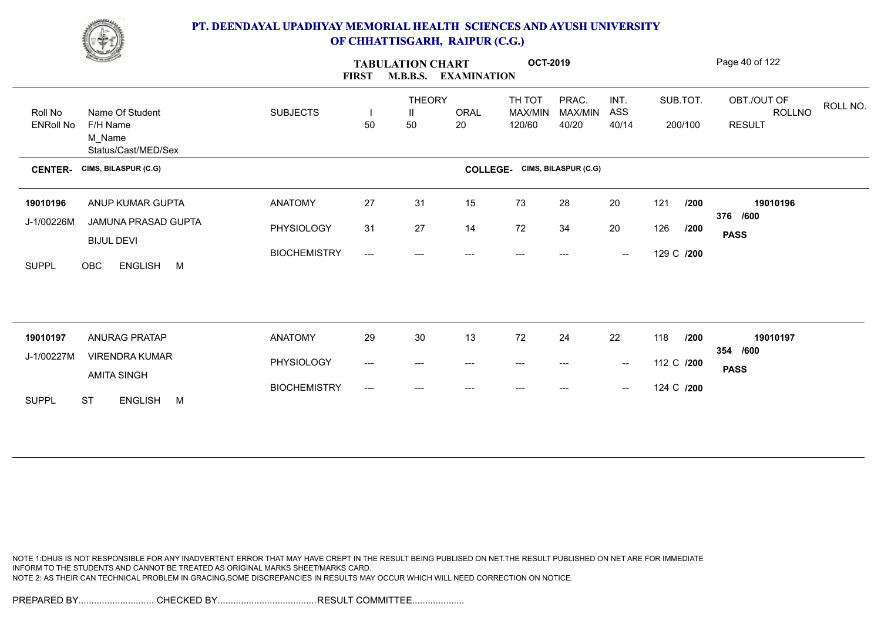

|                             | <u>Change</u>                                                |                     | <b>FIRST</b>                        | <b>M.B.B.S.</b>                     | <b>TABULATION CHART</b><br><b>EXAMINATION</b> |                                      | <b>OCT-2019</b>           |                                                |            |                     | Page 40 of 122                                            |
|-----------------------------|--------------------------------------------------------------|---------------------|-------------------------------------|-------------------------------------|-----------------------------------------------|--------------------------------------|---------------------------|------------------------------------------------|------------|---------------------|-----------------------------------------------------------|
| Roll No<br><b>ENRoll No</b> | Name Of Student<br>F/H Name<br>M_Name<br>Status/Cast/MED/Sex | <b>SUBJECTS</b>     | 50                                  | <b>THEORY</b><br>$\mathbf{H}$<br>50 | ORAL<br>20                                    | TH TOT<br>MAX/MIN<br>120/60          | PRAC.<br>MAX/MIN<br>40/20 | INT.<br>ASS<br>40/14                           |            | SUB.TOT.<br>200/100 | OBT./OUT OF<br>ROLL NO.<br><b>ROLLNO</b><br><b>RESULT</b> |
| <b>CENTER-</b>              | CIMS, BILASPUR (C.G)                                         |                     |                                     |                                     |                                               | <b>COLLEGE-</b> CIMS, BILASPUR (C.G) |                           |                                                |            |                     |                                                           |
| 19010196                    | ANUP KUMAR GUPTA                                             | <b>ANATOMY</b>      | 27                                  | 31                                  | 15                                            | 73                                   | 28                        | 20                                             | 121        | /200                | 19010196                                                  |
| J-1/00226M                  | JAMUNA PRASAD GUPTA<br><b>BIJUL DEVI</b>                     | PHYSIOLOGY          | 31                                  | 27                                  | 14                                            | 72                                   | 34                        | 20                                             | 126        | /200                | 376 /600<br><b>PASS</b>                                   |
| <b>SUPPL</b>                | OBC<br><b>ENGLISH</b><br>M                                   | <b>BIOCHEMISTRY</b> | $\hspace{0.05cm}---\hspace{0.05cm}$ | $---$                               |                                               | ---                                  | ---                       | $\overline{\phantom{a}}$                       | 129 C /200 |                     |                                                           |
|                             |                                                              |                     |                                     |                                     |                                               |                                      |                           |                                                |            |                     |                                                           |
| 19010197                    | <b>ANURAG PRATAP</b>                                         | <b>ANATOMY</b>      | 29                                  | $30\,$                              | 13                                            | 72                                   | 24                        | 22                                             | 118        | /200                | 19010197                                                  |
| J-1/00227M                  | <b>VIRENDRA KUMAR</b><br><b>AMITA SINGH</b>                  | PHYSIOLOGY          | ---                                 | ---                                 | $---$                                         | $---$                                | ---                       | $\overline{\phantom{a}}$                       | 112 C /200 |                     | 354 /600<br><b>PASS</b>                                   |
| <b>SUPPL</b>                | <b>ST</b><br><b>ENGLISH</b><br>M                             | <b>BIOCHEMISTRY</b> | $\hspace{0.05cm}---\hspace{0.05cm}$ | ---                                 |                                               | ---                                  |                           | $\hspace{0.1mm}-\hspace{0.1mm}-\hspace{0.1mm}$ | 124 C /200 |                     |                                                           |
|                             |                                                              |                     |                                     |                                     |                                               |                                      |                           |                                                |            |                     |                                                           |

NOTE 1:DHUS IS NOT RESPONSIBLE FOR ANY INADVERTENT ERROR THAT MAY HAVE CREPT IN THE RESULT BEING PUBLISED ON NET.THE RESULT PUBLISHED ON NET ARE FOR IMMEDIATE INFORM TO THE STUDENTS AND CANNOT BE TREATED AS ORIGINAL MARKS SHEET/MARKS CARD. NOTE 2: AS THEIR CAN TECHNICAL PROBLEM IN GRACING,SOME DISCREPANCIES IN RESULTS MAY OCCUR WHICH WILL NEED CORRECTION ON NOTICE.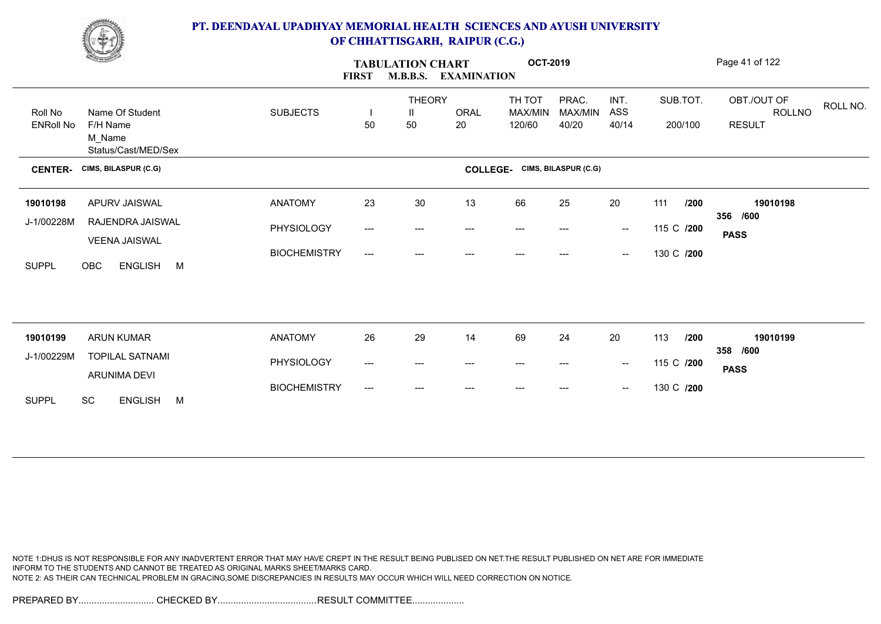

|                  | <u>Common Common</u>                      |                     | <b>TABULATION CHART</b><br>M.B.B.S. EXAMINATION<br><b>FIRST</b> |                    |                                          |                   |                      |                                                |            | Page 41 of 122          |                       |          |
|------------------|-------------------------------------------|---------------------|-----------------------------------------------------------------|--------------------|------------------------------------------|-------------------|----------------------|------------------------------------------------|------------|-------------------------|-----------------------|----------|
| Roll No          | Name Of Student                           | <b>SUBJECTS</b>     |                                                                 | <b>THEORY</b><br>Ш | <b>ORAL</b>                              | TH TOT<br>MAX/MIN | PRAC.<br>MAX/MIN     | INT.<br>ASS                                    | SUB.TOT.   |                         | OBT./OUT OF<br>ROLLNO | ROLL NO. |
| <b>ENRoll No</b> | F/H Name<br>M_Name<br>Status/Cast/MED/Sex |                     | 50                                                              | 50                 | 20                                       | 120/60            | 40/20                | 40/14                                          | 200/100    |                         | <b>RESULT</b>         |          |
| <b>CENTER-</b>   | CIMS, BILASPUR (C.G)                      |                     |                                                                 |                    | <b>COLLEGE-</b>                          |                   | CIMS, BILASPUR (C.G) |                                                |            |                         |                       |          |
| 19010198         | APURV JAISWAL                             | <b>ANATOMY</b>      | 23                                                              | 30                 | 13                                       | 66                | 25                   | 20                                             | 111        | /200                    | 19010198              |          |
| J-1/00228M       | RAJENDRA JAISWAL                          | PHYSIOLOGY          | $\qquad \qquad -\qquad -$                                       | ---                | $---$                                    | $---$             | ---                  | $\sim$                                         | 115 C /200 | 356 /600<br><b>PASS</b> |                       |          |
| <b>SUPPL</b>     | <b>VEENA JAISWAL</b><br>OBC<br>ENGLISH M  | <b>BIOCHEMISTRY</b> | $\hspace{0.05cm}---\hspace{0.05cm}$                             |                    |                                          |                   |                      | $\hspace{0.1mm}-\hspace{0.1mm}-\hspace{0.1mm}$ | 130 C /200 |                         |                       |          |
|                  |                                           |                     |                                                                 |                    |                                          |                   |                      |                                                |            |                         |                       |          |
|                  |                                           |                     |                                                                 |                    |                                          |                   |                      |                                                |            |                         |                       |          |
| 19010199         | <b>ARUN KUMAR</b>                         | <b>ANATOMY</b>      | 26                                                              | 29                 | 14                                       | 69                | 24                   | 20                                             | 113        | /200<br>358 /600        | 19010199              |          |
| J-1/00229M       | <b>TOPILAL SATNAMI</b><br>ARUNIMA DEVI    | PHYSIOLOGY          | $---$                                                           | ---                | $\hspace{0.05cm} \ldots \hspace{0.05cm}$ | $---$             | ---                  | $\sim$                                         | 115 C /200 | <b>PASS</b>             |                       |          |
| <b>SUPPL</b>     | SC<br>ENGLISH M                           | <b>BIOCHEMISTRY</b> | $---$                                                           | ---                |                                          |                   |                      | $\overline{\phantom{a}}$                       | 130 C /200 |                         |                       |          |
|                  |                                           |                     |                                                                 |                    |                                          |                   |                      |                                                |            |                         |                       |          |

NOTE 1:DHUS IS NOT RESPONSIBLE FOR ANY INADVERTENT ERROR THAT MAY HAVE CREPT IN THE RESULT BEING PUBLISED ON NET.THE RESULT PUBLISHED ON NET ARE FOR IMMEDIATE INFORM TO THE STUDENTS AND CANNOT BE TREATED AS ORIGINAL MARKS SHEET/MARKS CARD. NOTE 2: AS THEIR CAN TECHNICAL PROBLEM IN GRACING,SOME DISCREPANCIES IN RESULTS MAY OCCUR WHICH WILL NEED CORRECTION ON NOTICE.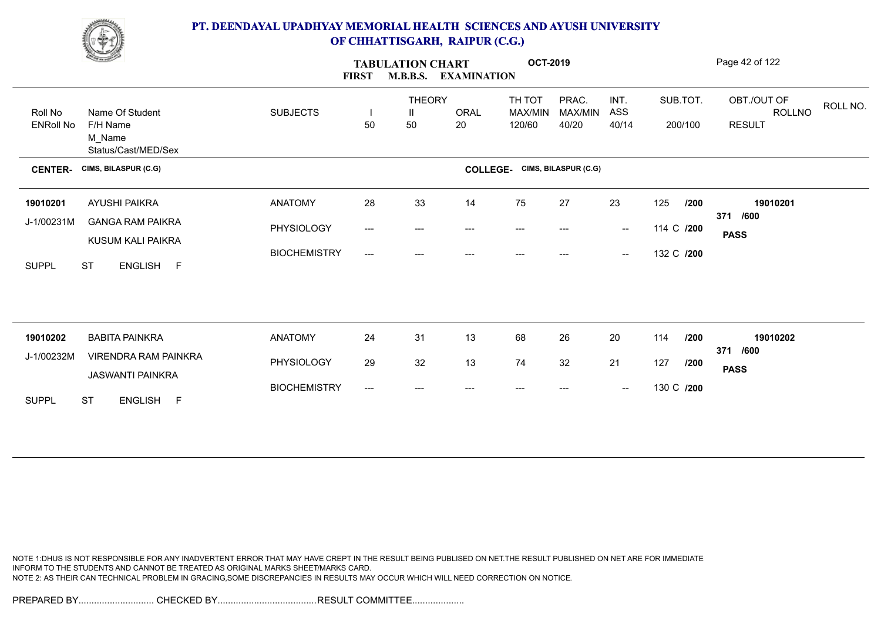

|                             | <b>Change of Contract of Street</b>                          |                     | <b>TABULATION CHART</b><br><b>M.B.B.S.</b><br><b>FIRST</b><br><b>EXAMINATION</b> |                          |            | <b>OCT-2019</b>                      |                           |                                                |            |                     | Page 42 of 122                                     |
|-----------------------------|--------------------------------------------------------------|---------------------|----------------------------------------------------------------------------------|--------------------------|------------|--------------------------------------|---------------------------|------------------------------------------------|------------|---------------------|----------------------------------------------------|
| Roll No<br><b>ENRoll No</b> | Name Of Student<br>F/H Name<br>M_Name<br>Status/Cast/MED/Sex | <b>SUBJECTS</b>     | $\blacksquare$<br>50                                                             | <b>THEORY</b><br>Ш<br>50 | ORAL<br>20 | TH TOT<br>MAX/MIN<br>120/60          | PRAC.<br>MAX/MIN<br>40/20 | INT.<br>ASS<br>40/14                           |            | SUB.TOT.<br>200/100 | OBT./OUT OF<br>ROLL NO.<br>ROLLNO<br><b>RESULT</b> |
| <b>CENTER-</b>              | CIMS, BILASPUR (C.G)                                         |                     |                                                                                  |                          |            | <b>COLLEGE-</b> CIMS, BILASPUR (C.G) |                           |                                                |            |                     |                                                    |
| 19010201                    | AYUSHI PAIKRA                                                | <b>ANATOMY</b>      | 28                                                                               | 33                       | 14         | 75                                   | 27                        | 23                                             | 125        | /200                | 19010201<br>371 /600                               |
| J-1/00231M                  | <b>GANGA RAM PAIKRA</b><br>KUSUM KALI PAIKRA                 | PHYSIOLOGY          | ---                                                                              | ---                      | $---$      | ---                                  |                           | $\overline{\phantom{a}}$                       | 114 C /200 |                     | <b>PASS</b>                                        |
| <b>SUPPL</b>                | <b>ST</b><br>ENGLISH F                                       | <b>BIOCHEMISTRY</b> | ---                                                                              | ---                      | ---        | ---                                  | ---                       | $\hspace{0.1mm}-\hspace{0.1mm}-\hspace{0.1mm}$ | 132 C /200 |                     |                                                    |
|                             |                                                              |                     |                                                                                  |                          |            |                                      |                           |                                                |            |                     |                                                    |
| 19010202                    | <b>BABITA PAINKRA</b>                                        | <b>ANATOMY</b>      | 24                                                                               | 31                       | 13         | 68                                   | 26                        | 20                                             | 114        | 1200                | 19010202                                           |
| J-1/00232M                  | <b>VIRENDRA RAM PAINKRA</b>                                  | PHYSIOLOGY          | 29                                                                               | 32                       | 13         | 74                                   | 32                        | 21                                             | 127        | /200                | /600<br>371                                        |
|                             | <b>JASWANTI PAINKRA</b>                                      |                     |                                                                                  |                          |            |                                      |                           |                                                |            |                     | <b>PASS</b>                                        |
| <b>SUPPL</b>                | <b>ST</b><br>ENGLISH F                                       | <b>BIOCHEMISTRY</b> | ---                                                                              | $---$                    |            |                                      |                           | $\hspace{0.1mm}-\hspace{0.1mm}-\hspace{0.1mm}$ | 130 C /200 |                     |                                                    |

NOTE 1:DHUS IS NOT RESPONSIBLE FOR ANY INADVERTENT ERROR THAT MAY HAVE CREPT IN THE RESULT BEING PUBLISED ON NET.THE RESULT PUBLISHED ON NET ARE FOR IMMEDIATE INFORM TO THE STUDENTS AND CANNOT BE TREATED AS ORIGINAL MARKS SHEET/MARKS CARD. NOTE 2: AS THEIR CAN TECHNICAL PROBLEM IN GRACING,SOME DISCREPANCIES IN RESULTS MAY OCCUR WHICH WILL NEED CORRECTION ON NOTICE.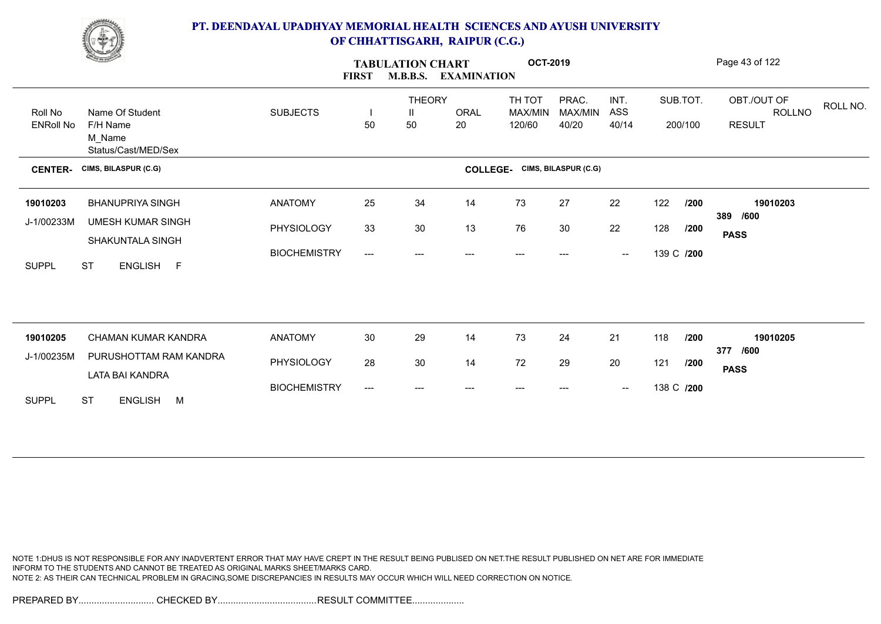

|                  | <b>Change of Congress</b>                    |                     | <b>TABULATION CHART</b><br><b>M.B.B.S.</b><br><b>FIRST</b><br><b>EXAMINATION</b> |                    |                 | <b>OCT-2019</b>          |                      |                                                |            |            | Page 43 of 122                           |
|------------------|----------------------------------------------|---------------------|----------------------------------------------------------------------------------|--------------------|-----------------|--------------------------|----------------------|------------------------------------------------|------------|------------|------------------------------------------|
| Roll No          | Name Of Student                              | <b>SUBJECTS</b>     |                                                                                  | <b>THEORY</b><br>Ш | <b>ORAL</b>     | TH TOT<br><b>MAX/MIN</b> | PRAC.<br>MAX/MIN     | INT.<br>ASS                                    |            | SUB.TOT.   | OBT./OUT OF<br>ROLL NO.<br><b>ROLLNO</b> |
| <b>ENRoll No</b> | F/H Name<br>M_Name<br>Status/Cast/MED/Sex    |                     | 50                                                                               | 50                 | 20              | 120/60                   | 40/20                | 40/14                                          |            | 200/100    | <b>RESULT</b>                            |
| <b>CENTER-</b>   | CIMS, BILASPUR (C.G)                         |                     |                                                                                  |                    | <b>COLLEGE-</b> |                          | CIMS, BILASPUR (C.G) |                                                |            |            |                                          |
| 19010203         | <b>BHANUPRIYA SINGH</b>                      | <b>ANATOMY</b>      | 25                                                                               | 34                 | 14              | 73                       | 27                   | 22                                             | 122        | /200       | 19010203                                 |
| J-1/00233M       | <b>UMESH KUMAR SINGH</b><br>SHAKUNTALA SINGH | PHYSIOLOGY          | 33                                                                               | 30                 | 13              | 76                       | 30                   | 22                                             | 128        | /200       | 389 /600<br><b>PASS</b>                  |
| <b>SUPPL</b>     | <b>ST</b><br>ENGLISH F                       | <b>BIOCHEMISTRY</b> | ---                                                                              | ---                | $---$           | $---$                    | ---                  | $\overline{\phantom{a}}$                       | 139 C /200 |            |                                          |
|                  |                                              |                     |                                                                                  |                    |                 |                          |                      |                                                |            |            |                                          |
| 19010205         | <b>CHAMAN KUMAR KANDRA</b>                   | <b>ANATOMY</b>      | 30 <sub>o</sub>                                                                  | 29                 | 14              | 73                       | 24                   | 21                                             | 118        | /200       | 19010205                                 |
| J-1/00235M       | PURUSHOTTAM RAM KANDRA                       | PHYSIOLOGY          | 28                                                                               | 30                 | 14              | 72                       | 29                   | 20                                             | 121        | /200       | 377 /600<br><b>PASS</b>                  |
|                  | LATA BAI KANDRA                              | <b>BIOCHEMISTRY</b> | $---$                                                                            | ---                |                 |                          |                      | $\hspace{0.1mm}-\hspace{0.1mm}-\hspace{0.1mm}$ |            | 138 C /200 |                                          |
| <b>SUPPL</b>     | <b>ST</b><br>ENGLISH M                       |                     |                                                                                  |                    |                 |                          |                      |                                                |            |            |                                          |

NOTE 1:DHUS IS NOT RESPONSIBLE FOR ANY INADVERTENT ERROR THAT MAY HAVE CREPT IN THE RESULT BEING PUBLISED ON NET.THE RESULT PUBLISHED ON NET ARE FOR IMMEDIATE INFORM TO THE STUDENTS AND CANNOT BE TREATED AS ORIGINAL MARKS SHEET/MARKS CARD. NOTE 2: AS THEIR CAN TECHNICAL PROBLEM IN GRACING,SOME DISCREPANCIES IN RESULTS MAY OCCUR WHICH WILL NEED CORRECTION ON NOTICE.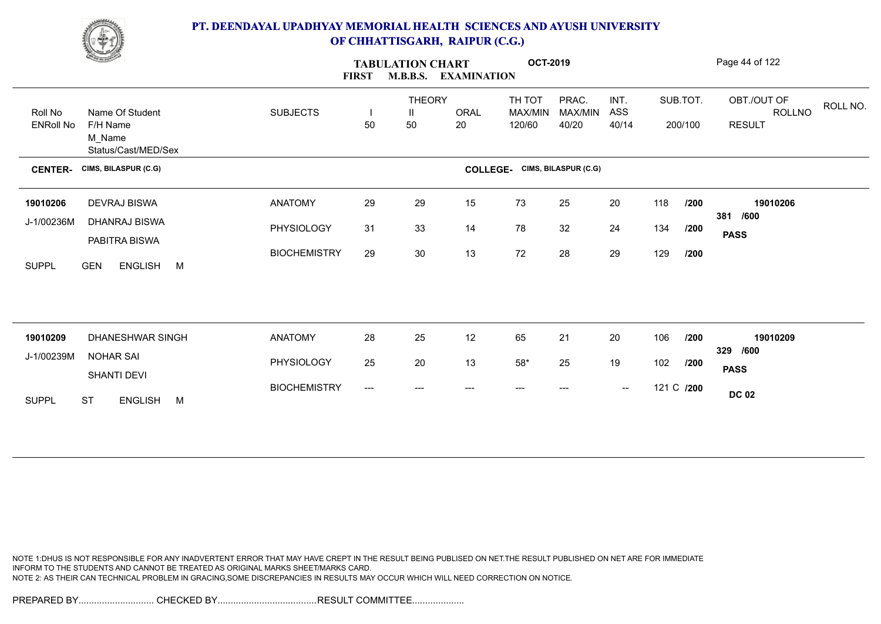

|                             | <b>Change of Congress</b>             | <b>FIRST</b>        |       |                          | <b>TABULATION CHART</b><br><b>M.B.B.S.</b><br><b>EXAMINATION</b> |                             | <b>OCT-2019</b>           |                                                |            |                     | Page 44 of 122                                            |
|-----------------------------|---------------------------------------|---------------------|-------|--------------------------|------------------------------------------------------------------|-----------------------------|---------------------------|------------------------------------------------|------------|---------------------|-----------------------------------------------------------|
| Roll No<br><b>ENRoll No</b> | Name Of Student<br>F/H Name           | <b>SUBJECTS</b>     | 50    | <b>THEORY</b><br>Ш<br>50 | ORAL<br>20                                                       | TH TOT<br>MAX/MIN<br>120/60 | PRAC.<br>MAX/MIN<br>40/20 | INT.<br>ASS<br>40/14                           |            | SUB.TOT.<br>200/100 | OBT./OUT OF<br>ROLL NO.<br><b>ROLLNO</b><br><b>RESULT</b> |
|                             | M_Name<br>Status/Cast/MED/Sex         |                     |       |                          |                                                                  |                             |                           |                                                |            |                     |                                                           |
| <b>CENTER-</b>              | CIMS, BILASPUR (C.G)                  |                     |       |                          | <b>COLLEGE-</b>                                                  |                             | CIMS, BILASPUR (C.G)      |                                                |            |                     |                                                           |
| 19010206                    | DEVRAJ BISWA                          | <b>ANATOMY</b>      | 29    | 29                       | 15                                                               | 73                          | 25                        | 20                                             | 118        | /200                | 19010206<br>381 /600                                      |
| J-1/00236M                  | <b>DHANRAJ BISWA</b><br>PABITRA BISWA | PHYSIOLOGY          | 31    | 33                       | 14                                                               | 78                          | 32                        | 24                                             | 134        | /200                | <b>PASS</b>                                               |
| <b>SUPPL</b>                | <b>GEN</b><br>ENGLISH M               | <b>BIOCHEMISTRY</b> | 29    | 30                       | 13                                                               | 72                          | 28                        | 29                                             | 129        | /200                |                                                           |
|                             |                                       |                     |       |                          |                                                                  |                             |                           |                                                |            |                     |                                                           |
| 19010209                    | <b>DHANESHWAR SINGH</b>               | <b>ANATOMY</b>      | 28    | 25                       | 12                                                               | 65                          | 21                        | 20                                             | 106        | /200                | 19010209<br>329<br>/600                                   |
| J-1/00239M                  | <b>NOHAR SAI</b><br>SHANTI DEVI       | PHYSIOLOGY          | 25    | 20                       | 13                                                               | $58*$                       | 25                        | 19                                             | 102        | /200                | <b>PASS</b>                                               |
| <b>SUPPL</b>                | <b>ST</b><br>ENGLISH M                | <b>BIOCHEMISTRY</b> | $---$ | ---                      |                                                                  |                             |                           | $\hspace{0.1mm}-\hspace{0.1mm}-\hspace{0.1mm}$ | 121 C /200 |                     | <b>DC 02</b>                                              |

NOTE 1:DHUS IS NOT RESPONSIBLE FOR ANY INADVERTENT ERROR THAT MAY HAVE CREPT IN THE RESULT BEING PUBLISED ON NET.THE RESULT PUBLISHED ON NET ARE FOR IMMEDIATE INFORM TO THE STUDENTS AND CANNOT BE TREATED AS ORIGINAL MARKS SHEET/MARKS CARD. NOTE 2: AS THEIR CAN TECHNICAL PROBLEM IN GRACING,SOME DISCREPANCIES IN RESULTS MAY OCCUR WHICH WILL NEED CORRECTION ON NOTICE.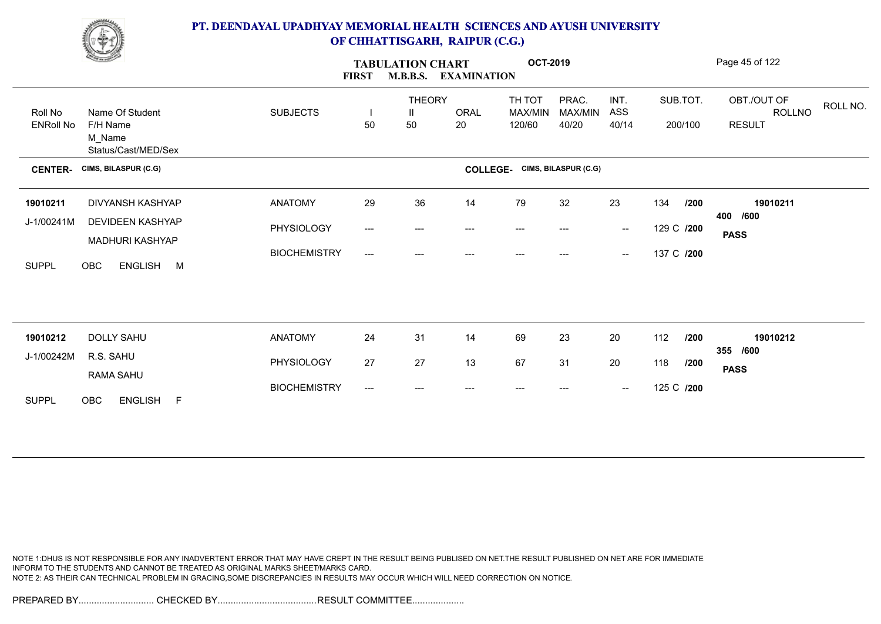

|                  | <b>Change of Congress</b>                  |                     | <b>FIRST</b>             | <b>TABULATION CHART</b><br><b>M.B.B.S. EXAMINATION</b> |       |                                      | <b>OCT-2019</b>  |                                                |            |          | Page 45 of 122                           |
|------------------|--------------------------------------------|---------------------|--------------------------|--------------------------------------------------------|-------|--------------------------------------|------------------|------------------------------------------------|------------|----------|------------------------------------------|
| Roll No          | Name Of Student                            | <b>SUBJECTS</b>     | $\overline{\phantom{a}}$ | <b>THEORY</b><br>Ш                                     | ORAL  | TH TOT<br>MAX/MIN                    | PRAC.<br>MAX/MIN | INT.<br>ASS                                    |            | SUB.TOT. | OBT./OUT OF<br>ROLL NO.<br><b>ROLLNO</b> |
| <b>ENRoll No</b> | F/H Name<br>M_Name<br>Status/Cast/MED/Sex  |                     | 50                       | 50                                                     | 20    | 120/60                               | 40/20            | 40/14                                          |            | 200/100  | <b>RESULT</b>                            |
| <b>CENTER-</b>   | CIMS, BILASPUR (C.G)                       |                     |                          |                                                        |       | <b>COLLEGE-</b> CIMS, BILASPUR (C.G) |                  |                                                |            |          |                                          |
| 19010211         | DIVYANSH KASHYAP                           | <b>ANATOMY</b>      | 29                       | 36                                                     | 14    | 79                                   | 32               | 23                                             | 134        | /200     | 19010211<br>400 /600                     |
| J-1/00241M       | <b>DEVIDEEN KASHYAP</b>                    | PHYSIOLOGY          | ---                      | $---$                                                  | $---$ | $--$                                 | $---$            | $\hspace{0.1mm}-\hspace{0.1mm}-\hspace{0.1mm}$ | 129 C /200 |          | <b>PASS</b>                              |
| <b>SUPPL</b>     | MADHURI KASHYAP<br>ENGLISH M<br><b>OBC</b> | <b>BIOCHEMISTRY</b> | ---                      | ---                                                    | ---   | $---$                                | ---              | $\hspace{0.1mm}-\hspace{0.1mm}-\hspace{0.1mm}$ | 137 C /200 |          |                                          |
|                  |                                            |                     |                          |                                                        |       |                                      |                  |                                                |            |          |                                          |
| 19010212         | <b>DOLLY SAHU</b>                          | <b>ANATOMY</b>      | 24                       | 31                                                     | 14    | 69                                   | 23               | 20                                             | 112        | /200     | 19010212<br>355 /600                     |
| J-1/00242M       | R.S. SAHU<br>RAMA SAHU                     | PHYSIOLOGY          | 27                       | 27                                                     | 13    | 67                                   | 31               | 20                                             | 118        | /200     | <b>PASS</b>                              |
| <b>SUPPL</b>     | ENGLISH F<br>OBC                           | <b>BIOCHEMISTRY</b> | ---                      | ---                                                    |       | $---$                                | ---              | $\hspace{0.1mm}-\hspace{0.1mm}-\hspace{0.1mm}$ | 125 C /200 |          |                                          |

NOTE 1:DHUS IS NOT RESPONSIBLE FOR ANY INADVERTENT ERROR THAT MAY HAVE CREPT IN THE RESULT BEING PUBLISED ON NET.THE RESULT PUBLISHED ON NET ARE FOR IMMEDIATE INFORM TO THE STUDENTS AND CANNOT BE TREATED AS ORIGINAL MARKS SHEET/MARKS CARD. NOTE 2: AS THEIR CAN TECHNICAL PROBLEM IN GRACING,SOME DISCREPANCIES IN RESULTS MAY OCCUR WHICH WILL NEED CORRECTION ON NOTICE.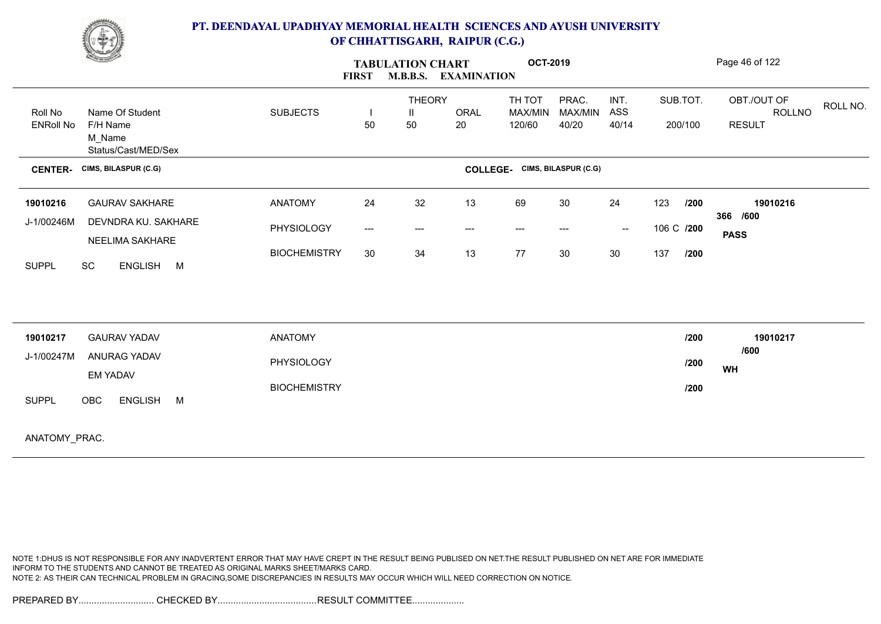

|                             | <u>the Company of the Company of the Company of the Company of the Company of the Company of the Company of the </u> |                     | <b>FIRST</b>                             | <b>TABULATION CHART</b><br><b>M.B.B.S.</b><br><b>EXAMINATION</b> | Page 46 of 122  |                             |                           |                          |            |                     |                                        |          |
|-----------------------------|----------------------------------------------------------------------------------------------------------------------|---------------------|------------------------------------------|------------------------------------------------------------------|-----------------|-----------------------------|---------------------------|--------------------------|------------|---------------------|----------------------------------------|----------|
| Roll No<br><b>ENRoll No</b> | Name Of Student<br>F/H Name<br>M_Name<br>Status/Cast/MED/Sex                                                         | <b>SUBJECTS</b>     | 50                                       | <b>THEORY</b><br>Ш<br>50                                         | ORAL<br>20      | TH TOT<br>MAX/MIN<br>120/60 | PRAC.<br>MAX/MIN<br>40/20 | INT.<br>ASS<br>40/14     |            | SUB.TOT.<br>200/100 | OBT./OUT OF<br>ROLLNO<br><b>RESULT</b> | ROLL NO. |
| <b>CENTER-</b>              | CIMS, BILASPUR (C.G)                                                                                                 |                     |                                          |                                                                  | <b>COLLEGE-</b> |                             | CIMS, BILASPUR (C.G)      |                          |            |                     |                                        |          |
| 19010216                    | <b>GAURAV SAKHARE</b>                                                                                                | <b>ANATOMY</b>      | 24                                       | 32                                                               | 13              | 69                          | 30                        | 24                       | 123        | /200                | 19010216<br>366 /600                   |          |
| J-1/00246M                  | DEVNDRA KU. SAKHARE<br>NEELIMA SAKHARE                                                                               | PHYSIOLOGY          | $\hspace{0.05cm} \ldots \hspace{0.05cm}$ | $---$                                                            | $--$            | $\qquad \qquad \cdots$      | ---                       | $\overline{\phantom{a}}$ | 106 C /200 |                     | <b>PASS</b>                            |          |
| <b>SUPPL</b>                | SC<br>ENGLISH M                                                                                                      | <b>BIOCHEMISTRY</b> | 30                                       | 34                                                               | 13              | 77                          | 30                        | $30\,$                   | 137        | /200                |                                        |          |
|                             |                                                                                                                      |                     |                                          |                                                                  |                 |                             |                           |                          |            |                     |                                        |          |
| 19010217                    | <b>GAURAV YADAV</b>                                                                                                  | <b>ANATOMY</b>      |                                          |                                                                  |                 |                             |                           |                          |            | /200                | 19010217<br>/600                       |          |
| J-1/00247M                  | ANURAG YADAV<br><b>EM YADAV</b>                                                                                      | PHYSIOLOGY          |                                          |                                                                  |                 |                             |                           |                          |            | /200                | WH                                     |          |
| <b>SUPPI</b>                | FNGLISH M<br>OBC.                                                                                                    | <b>BIOCHEMISTRY</b> |                                          |                                                                  |                 |                             |                           |                          |            | /200                |                                        |          |

ANATOMY\_PRAC.

NOTE 1:DHUS IS NOT RESPONSIBLE FOR ANY INADVERTENT ERROR THAT MAY HAVE CREPT IN THE RESULT BEING PUBLISED ON NET.THE RESULT PUBLISHED ON NET ARE FOR IMMEDIATE INFORM TO THE STUDENTS AND CANNOT BE TREATED AS ORIGINAL MARKS SHEET/MARKS CARD. NOTE 2: AS THEIR CAN TECHNICAL PROBLEM IN GRACING,SOME DISCREPANCIES IN RESULTS MAY OCCUR WHICH WILL NEED CORRECTION ON NOTICE.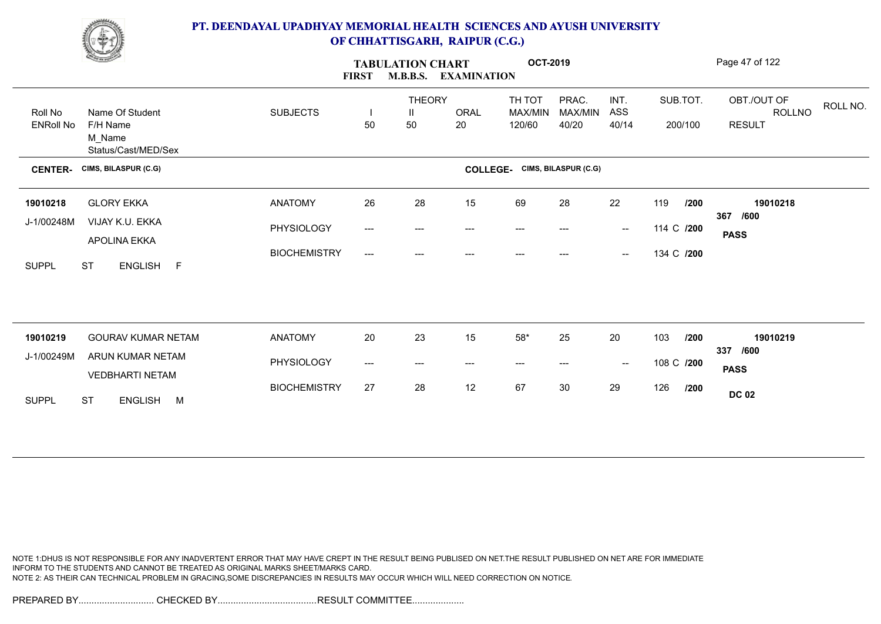

|                             | <u>Change of the South of the South of the South of the South of the South of the South of the South of the South of the South of the South of the South of the South of the South of the South of the South of the South of the</u> | <b>FIRST</b>        | <b>TABULATION CHART</b><br><b>M.B.B.S.</b><br><b>EXAMINATION</b> |                          | <b>OCT-2019</b>   |                                    |                           |                                                |            | Page 47 of 122      |                                                           |
|-----------------------------|--------------------------------------------------------------------------------------------------------------------------------------------------------------------------------------------------------------------------------------|---------------------|------------------------------------------------------------------|--------------------------|-------------------|------------------------------------|---------------------------|------------------------------------------------|------------|---------------------|-----------------------------------------------------------|
| Roll No<br><b>ENRoll No</b> | Name Of Student<br>F/H Name<br>M_Name<br>Status/Cast/MED/Sex                                                                                                                                                                         | <b>SUBJECTS</b>     | 50                                                               | <b>THEORY</b><br>Ш<br>50 | <b>ORAL</b><br>20 | TH TOT<br><b>MAX/MIN</b><br>120/60 | PRAC.<br>MAX/MIN<br>40/20 | INT.<br>ASS<br>40/14                           |            | SUB.TOT.<br>200/100 | OBT./OUT OF<br>ROLL NO.<br><b>ROLLNO</b><br><b>RESULT</b> |
| <b>CENTER-</b>              | CIMS, BILASPUR (C.G)                                                                                                                                                                                                                 |                     |                                                                  |                          | <b>COLLEGE-</b>   |                                    | CIMS, BILASPUR (C.G)      |                                                |            |                     |                                                           |
| 19010218                    | <b>GLORY EKKA</b>                                                                                                                                                                                                                    | <b>ANATOMY</b>      | 26                                                               | 28                       | 15                | 69                                 | 28                        | 22                                             | 119        | /200                | 19010218                                                  |
| J-1/00248M                  | VIJAY K.U. EKKA<br>APOLINA EKKA                                                                                                                                                                                                      | PHYSIOLOGY          | $\qquad \qquad -\qquad -$                                        | ---                      | ---               | $---$                              | ---                       | $\hspace{0.1mm}-\hspace{0.1mm}-\hspace{0.1mm}$ | 114 C /200 |                     | 367<br>/600<br><b>PASS</b>                                |
| <b>SUPPL</b>                | <b>ST</b><br>ENGLISH F                                                                                                                                                                                                               | <b>BIOCHEMISTRY</b> | $\qquad \qquad -\qquad -$                                        | ---                      |                   |                                    |                           | $\hspace{0.1mm}-\hspace{0.1mm}-\hspace{0.1mm}$ | 134 C /200 |                     |                                                           |
|                             |                                                                                                                                                                                                                                      |                     |                                                                  |                          |                   |                                    |                           |                                                |            |                     |                                                           |
| 19010219                    | <b>GOURAV KUMAR NETAM</b>                                                                                                                                                                                                            | <b>ANATOMY</b>      | 20                                                               | 23                       | 15                | $58*$                              | 25                        | 20                                             | 103        | /200                | 19010219<br>337<br>/600                                   |
| J-1/00249M                  | ARUN KUMAR NETAM<br><b>VEDBHARTI NETAM</b>                                                                                                                                                                                           | PHYSIOLOGY          | ---                                                              | ---                      | $---$             | $---$                              | ---                       | $-\!$                                          | 108 C /200 |                     | <b>PASS</b>                                               |
| <b>SUPPL</b>                | <b>ST</b><br>ENGLISH M                                                                                                                                                                                                               | <b>BIOCHEMISTRY</b> | 27                                                               | 28                       | 12                | 67                                 | 30                        | 29                                             | 126        | /200                | <b>DC 02</b>                                              |

NOTE 1:DHUS IS NOT RESPONSIBLE FOR ANY INADVERTENT ERROR THAT MAY HAVE CREPT IN THE RESULT BEING PUBLISED ON NET.THE RESULT PUBLISHED ON NET ARE FOR IMMEDIATE INFORM TO THE STUDENTS AND CANNOT BE TREATED AS ORIGINAL MARKS SHEET/MARKS CARD. NOTE 2: AS THEIR CAN TECHNICAL PROBLEM IN GRACING,SOME DISCREPANCIES IN RESULTS MAY OCCUR WHICH WILL NEED CORRECTION ON NOTICE.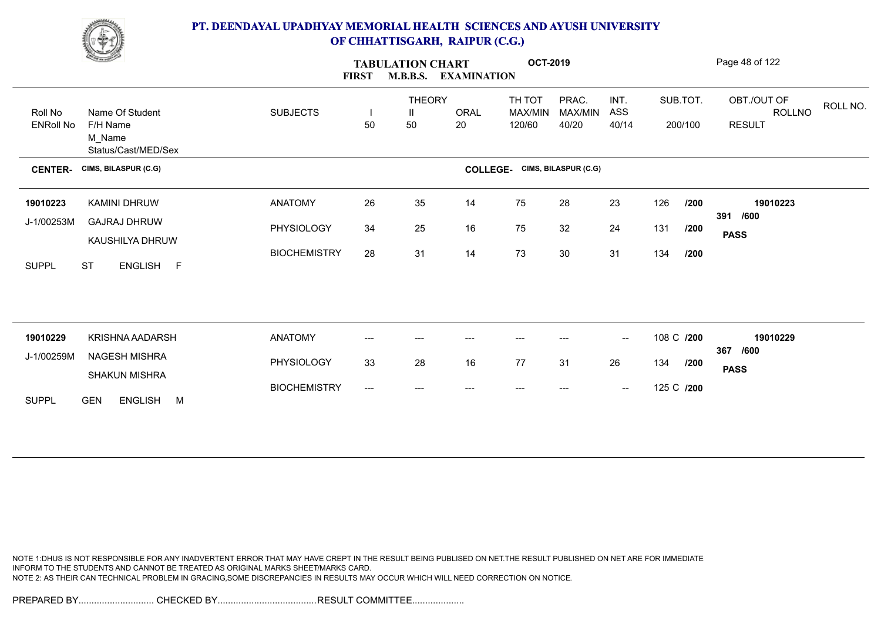

|                             | <b>Change of Congress</b>                                    |                     | <b>TABULATION CHART</b><br>M.B.B.S. EXAMINATION<br><b>FIRST</b> |                          | <b>OCT-2019</b>          |                             |                           |                                                |            | Page 48 of 122      |                                                           |
|-----------------------------|--------------------------------------------------------------|---------------------|-----------------------------------------------------------------|--------------------------|--------------------------|-----------------------------|---------------------------|------------------------------------------------|------------|---------------------|-----------------------------------------------------------|
| Roll No<br><b>ENRoll No</b> | Name Of Student<br>F/H Name<br>M_Name<br>Status/Cast/MED/Sex | <b>SUBJECTS</b>     | 50                                                              | <b>THEORY</b><br>Ш<br>50 | ORAL<br>20               | TH TOT<br>MAX/MIN<br>120/60 | PRAC.<br>MAX/MIN<br>40/20 | INT.<br>ASS<br>40/14                           |            | SUB.TOT.<br>200/100 | OBT./OUT OF<br>ROLL NO.<br><b>ROLLNO</b><br><b>RESULT</b> |
| <b>CENTER-</b>              | CIMS, BILASPUR (C.G)                                         |                     |                                                                 |                          | <b>COLLEGE-</b>          |                             | CIMS, BILASPUR (C.G)      |                                                |            |                     |                                                           |
| 19010223                    | KAMINI DHRUW                                                 | <b>ANATOMY</b>      | 26                                                              | 35                       | 14                       | 75                          | 28                        | 23                                             | 126        | /200                | 19010223                                                  |
| J-1/00253M                  | <b>GAJRAJ DHRUW</b><br>KAUSHILYA DHRUW                       | PHYSIOLOGY          | 34                                                              | 25                       | 16                       | 75                          | 32                        | 24                                             | 131        | /200                | 391 /600<br><b>PASS</b>                                   |
| <b>SUPPL</b>                | <b>ST</b><br>ENGLISH F                                       | <b>BIOCHEMISTRY</b> | 28                                                              | 31                       | 14                       | 73                          | 30                        | 31                                             | 134        | /200                |                                                           |
|                             |                                                              |                     |                                                                 |                          |                          |                             |                           |                                                |            |                     |                                                           |
| 19010229                    | KRISHNA AADARSH                                              | <b>ANATOMY</b>      | ---                                                             | ---                      |                          |                             |                           | $\overline{\phantom{a}}$                       | 108 C /200 |                     | 19010229<br>/600<br>367                                   |
| J-1/00259M                  | NAGESH MISHRA<br><b>SHAKUN MISHRA</b>                        | PHYSIOLOGY          | 33                                                              | 28                       | 16                       | 77                          | 31                        | 26                                             | 134        | /200                | <b>PASS</b>                                               |
| <b>SUPPL</b>                | <b>GEN</b><br><b>ENGLISH</b><br>M                            | <b>BIOCHEMISTRY</b> | ---                                                             | ---                      | $\hspace{0.05cm} \ldots$ | $---$                       | ---                       | $\hspace{0.1mm}-\hspace{0.1mm}-\hspace{0.1mm}$ | 125 C /200 |                     |                                                           |

NOTE 1:DHUS IS NOT RESPONSIBLE FOR ANY INADVERTENT ERROR THAT MAY HAVE CREPT IN THE RESULT BEING PUBLISED ON NET.THE RESULT PUBLISHED ON NET ARE FOR IMMEDIATE INFORM TO THE STUDENTS AND CANNOT BE TREATED AS ORIGINAL MARKS SHEET/MARKS CARD. NOTE 2: AS THEIR CAN TECHNICAL PROBLEM IN GRACING,SOME DISCREPANCIES IN RESULTS MAY OCCUR WHICH WILL NEED CORRECTION ON NOTICE.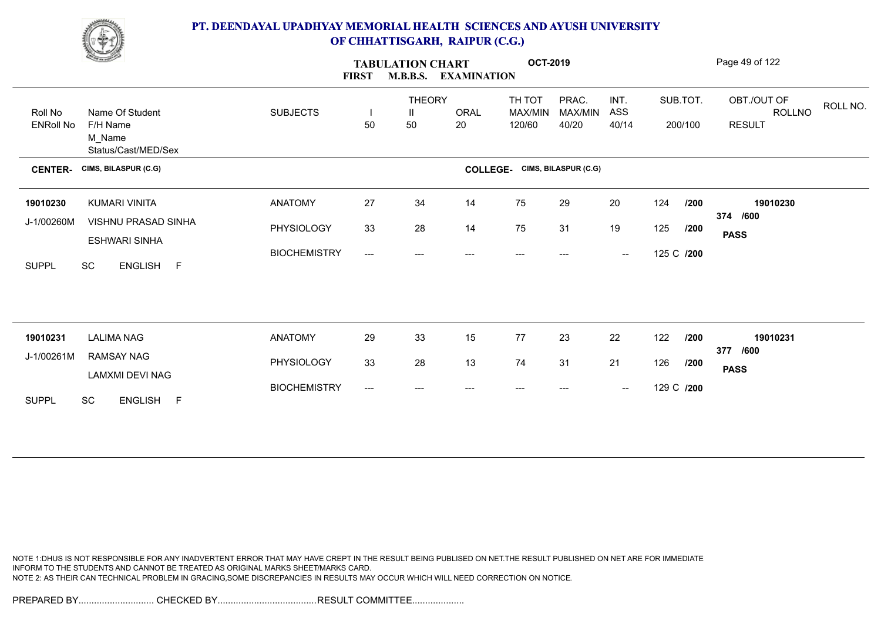

| <b>FIRST</b><br><b>M.B.B.S. EXAMINATION</b>                                                                                                                                                       | Page 49 of 122            |
|---------------------------------------------------------------------------------------------------------------------------------------------------------------------------------------------------|---------------------------|
| PRAC.<br><b>THEORY</b><br>TH TOT<br>INT.<br>SUB.TOT.<br>OBT./OUT OF<br><b>SUBJECTS</b><br><b>ORAL</b><br>MAX/MIN<br>ASS<br>Name Of Student<br>Roll No<br>MAX/MIN<br>Ш<br>$\overline{\phantom{a}}$ | ROLL NO.<br><b>ROLLNO</b> |
| 50<br><b>ENRoll No</b><br>F/H Name<br>50<br>40/20<br>200/100<br><b>RESULT</b><br>20<br>120/60<br>40/14<br>M_Name<br>Status/Cast/MED/Sex                                                           |                           |
| CIMS, BILASPUR (C.G)<br><b>COLLEGE-</b> CIMS, BILASPUR (C.G)<br><b>CENTER-</b>                                                                                                                    |                           |
| 27<br>34<br>75<br>29<br><b>ANATOMY</b><br>14<br>20<br>124<br>/200<br><b>KUMARI VINITA</b><br>19010230                                                                                             | 19010230                  |
| 374 /600<br>J-1/00260M<br>VISHNU PRASAD SINHA<br>PHYSIOLOGY<br>28<br>33<br>14<br>75<br>31<br>19<br>125<br>/200<br><b>PASS</b><br>ESHWARI SINHA                                                    |                           |
| <b>BIOCHEMISTRY</b><br>125 C /200<br>---<br>$\overline{\phantom{a}}$<br>---<br>---<br>---<br>$---$<br>ENGLISH F<br><b>SUPPL</b><br>SC                                                             |                           |
|                                                                                                                                                                                                   |                           |
| 33<br>77<br>29<br>15<br>23<br>22<br>122<br><b>LALIMA NAG</b><br><b>ANATOMY</b><br>/200<br>19010231<br>377 /600                                                                                    | 19010231                  |
| J-1/00261M<br>RAMSAY NAG<br>33<br>28<br>13<br>74<br>31<br>21<br>PHYSIOLOGY<br>126<br>/200<br><b>PASS</b><br>LAMXMI DEVI NAG                                                                       |                           |
| <b>BIOCHEMISTRY</b><br>129 C /200<br>---<br>$\hspace{0.1mm}-\hspace{0.1mm}-\hspace{0.1mm}$<br>---<br><b>SUPPL</b><br><b>SC</b><br>ENGLISH F                                                       |                           |

NOTE 1:DHUS IS NOT RESPONSIBLE FOR ANY INADVERTENT ERROR THAT MAY HAVE CREPT IN THE RESULT BEING PUBLISED ON NET.THE RESULT PUBLISHED ON NET ARE FOR IMMEDIATE INFORM TO THE STUDENTS AND CANNOT BE TREATED AS ORIGINAL MARKS SHEET/MARKS CARD. NOTE 2: AS THEIR CAN TECHNICAL PROBLEM IN GRACING,SOME DISCREPANCIES IN RESULTS MAY OCCUR WHICH WILL NEED CORRECTION ON NOTICE.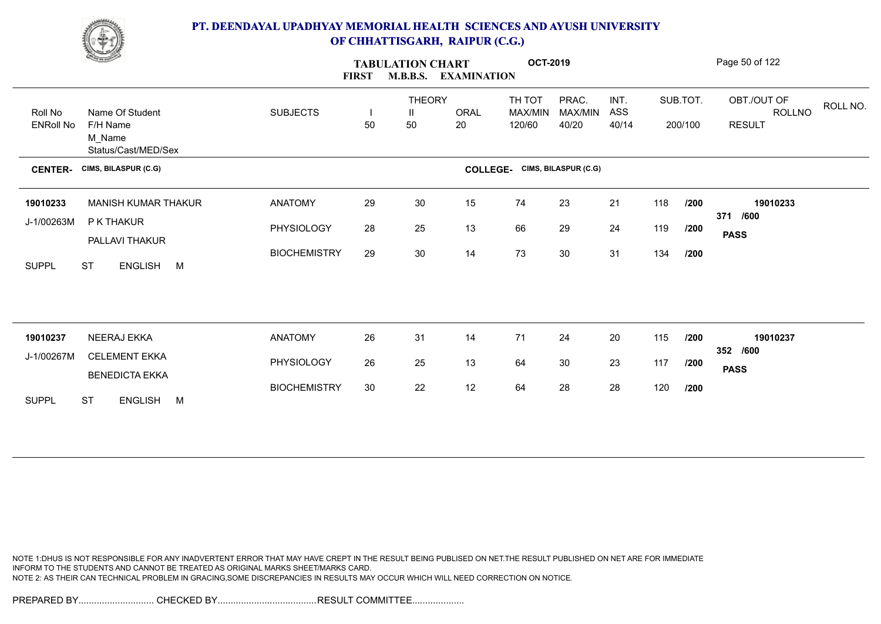

|                             | <b>Comment</b>                                               |                     | <b>FIRST</b> | <b>TABULATION CHART</b><br><b>M.B.B.S.</b> | <b>EXAMINATION</b> | <b>OCT-2019</b>             |                           |                      |     |                     | Page 50 of 122                                            |
|-----------------------------|--------------------------------------------------------------|---------------------|--------------|--------------------------------------------|--------------------|-----------------------------|---------------------------|----------------------|-----|---------------------|-----------------------------------------------------------|
| Roll No<br><b>ENRoll No</b> | Name Of Student<br>F/H Name<br>M_Name<br>Status/Cast/MED/Sex | <b>SUBJECTS</b>     | 50           | <b>THEORY</b><br>Ш<br>50                   | <b>ORAL</b><br>20  | TH TOT<br>MAX/MIN<br>120/60 | PRAC.<br>MAX/MIN<br>40/20 | INT.<br>ASS<br>40/14 |     | SUB.TOT.<br>200/100 | OBT./OUT OF<br>ROLL NO.<br><b>ROLLNO</b><br><b>RESULT</b> |
| <b>CENTER-</b>              | CIMS, BILASPUR (C.G)                                         |                     |              |                                            | <b>COLLEGE-</b>    |                             | CIMS, BILASPUR (C.G)      |                      |     |                     |                                                           |
| 19010233                    | <b>MANISH KUMAR THAKUR</b>                                   | <b>ANATOMY</b>      | 29           | 30                                         | 15                 | 74                          | 23                        | 21                   | 118 | /200                | 19010233<br>371 /600                                      |
| J-1/00263M                  | P K THAKUR<br>PALLAVI THAKUR                                 | PHYSIOLOGY          | 28           | 25                                         | 13                 | 66                          | 29                        | 24                   | 119 | /200                | <b>PASS</b>                                               |
| <b>SUPPL</b>                | <b>ST</b><br>ENGLISH M                                       | <b>BIOCHEMISTRY</b> | 29           | 30                                         | 14                 | 73                          | 30                        | 31                   | 134 | /200                |                                                           |
|                             |                                                              |                     |              |                                            |                    |                             |                           |                      |     |                     |                                                           |
| 19010237                    | NEERAJ EKKA                                                  | <b>ANATOMY</b>      | 26           | 31                                         | 14                 | 71                          | 24                        | 20                   | 115 | /200                | 19010237<br>352 /600                                      |
| J-1/00267M                  | <b>CELEMENT EKKA</b><br><b>BENEDICTA EKKA</b>                | PHYSIOLOGY          | 26           | 25                                         | 13                 | 64                          | 30                        | 23                   | 117 | /200                | <b>PASS</b>                                               |
| <b>SUPPL</b>                | <b>ST</b><br>ENGLISH M                                       | <b>BIOCHEMISTRY</b> | 30           | 22                                         | 12                 | 64                          | 28                        | 28                   | 120 | /200                |                                                           |

NOTE 1:DHUS IS NOT RESPONSIBLE FOR ANY INADVERTENT ERROR THAT MAY HAVE CREPT IN THE RESULT BEING PUBLISED ON NET.THE RESULT PUBLISHED ON NET ARE FOR IMMEDIATE INFORM TO THE STUDENTS AND CANNOT BE TREATED AS ORIGINAL MARKS SHEET/MARKS CARD. NOTE 2: AS THEIR CAN TECHNICAL PROBLEM IN GRACING,SOME DISCREPANCIES IN RESULTS MAY OCCUR WHICH WILL NEED CORRECTION ON NOTICE.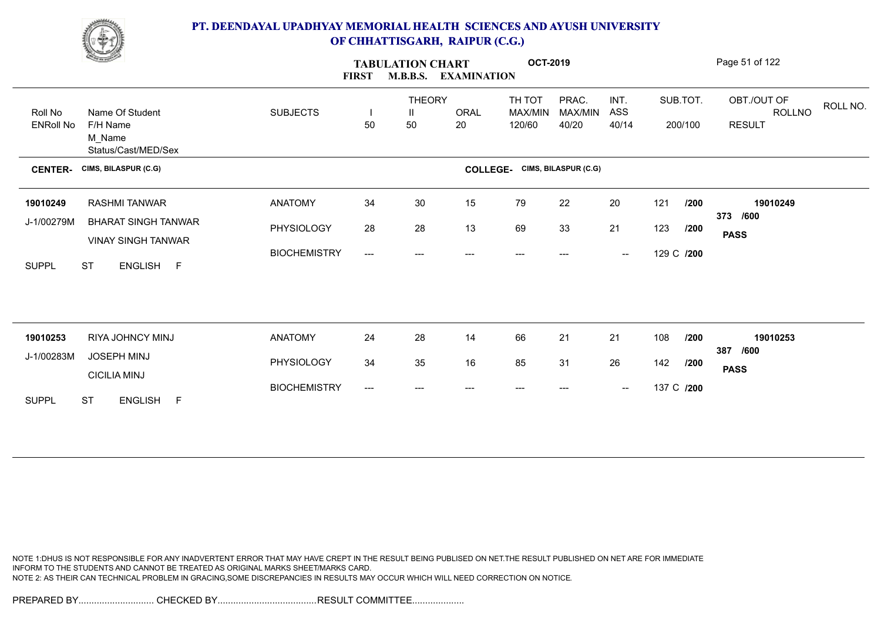

|                  | <b>Change of Congress</b>                               |                     | <b>FIRST</b>             | <b>TABULATION CHART</b> | <b>M.B.B.S. EXAMINATION</b> | <b>OCT-2019</b>                      |                  |                                                |     |            | Page 51 of 122                           |
|------------------|---------------------------------------------------------|---------------------|--------------------------|-------------------------|-----------------------------|--------------------------------------|------------------|------------------------------------------------|-----|------------|------------------------------------------|
| Roll No          | Name Of Student                                         | <b>SUBJECTS</b>     | $\overline{\phantom{a}}$ | <b>THEORY</b><br>Ш      | <b>ORAL</b>                 | TH TOT<br>MAX/MIN                    | PRAC.<br>MAX/MIN | INT.<br>ASS                                    |     | SUB.TOT.   | OBT./OUT OF<br>ROLL NO.<br><b>ROLLNO</b> |
| <b>ENRoll No</b> | F/H Name<br>M_Name<br>Status/Cast/MED/Sex               |                     | 50                       | 50                      | 20                          | 120/60                               | 40/20            | 40/14                                          |     | 200/100    | <b>RESULT</b>                            |
| <b>CENTER-</b>   | CIMS, BILASPUR (C.G)                                    |                     |                          |                         |                             | <b>COLLEGE-</b> CIMS, BILASPUR (C.G) |                  |                                                |     |            |                                          |
| 19010249         | RASHMI TANWAR                                           | <b>ANATOMY</b>      | 34                       | 30                      | 15                          | 79                                   | 22               | 20                                             | 121 | /200       | 19010249                                 |
| J-1/00279M       | <b>BHARAT SINGH TANWAR</b><br><b>VINAY SINGH TANWAR</b> | PHYSIOLOGY          | 28                       | 28                      | 13                          | 69                                   | 33               | 21                                             | 123 | /200       | 373 /600<br><b>PASS</b>                  |
| <b>SUPPL</b>     | <b>ST</b><br>ENGLISH F                                  | <b>BIOCHEMISTRY</b> | ---                      | ---                     | $---$                       | ---                                  | ---              | $\overline{\phantom{a}}$                       |     | 129 C /200 |                                          |
|                  |                                                         |                     |                          |                         |                             |                                      |                  |                                                |     |            |                                          |
| 19010253         | RIYA JOHNCY MINJ                                        | <b>ANATOMY</b>      | 24                       | 28                      | 14                          | 66                                   | 21               | 21                                             | 108 | /200       | 19010253<br>387 /600                     |
| J-1/00283M       | JOSEPH MINJ<br><b>CICILIA MINJ</b>                      | PHYSIOLOGY          | 34                       | 35                      | 16                          | 85                                   | 31               | 26                                             | 142 | /200       | <b>PASS</b>                              |
| <b>SUPPL</b>     | <b>ST</b><br>ENGLISH F                                  | <b>BIOCHEMISTRY</b> | ---                      | ---                     |                             |                                      |                  | $\hspace{0.1mm}-\hspace{0.1mm}-\hspace{0.1mm}$ |     | 137 C /200 |                                          |

NOTE 1:DHUS IS NOT RESPONSIBLE FOR ANY INADVERTENT ERROR THAT MAY HAVE CREPT IN THE RESULT BEING PUBLISED ON NET.THE RESULT PUBLISHED ON NET ARE FOR IMMEDIATE INFORM TO THE STUDENTS AND CANNOT BE TREATED AS ORIGINAL MARKS SHEET/MARKS CARD. NOTE 2: AS THEIR CAN TECHNICAL PROBLEM IN GRACING,SOME DISCREPANCIES IN RESULTS MAY OCCUR WHICH WILL NEED CORRECTION ON NOTICE.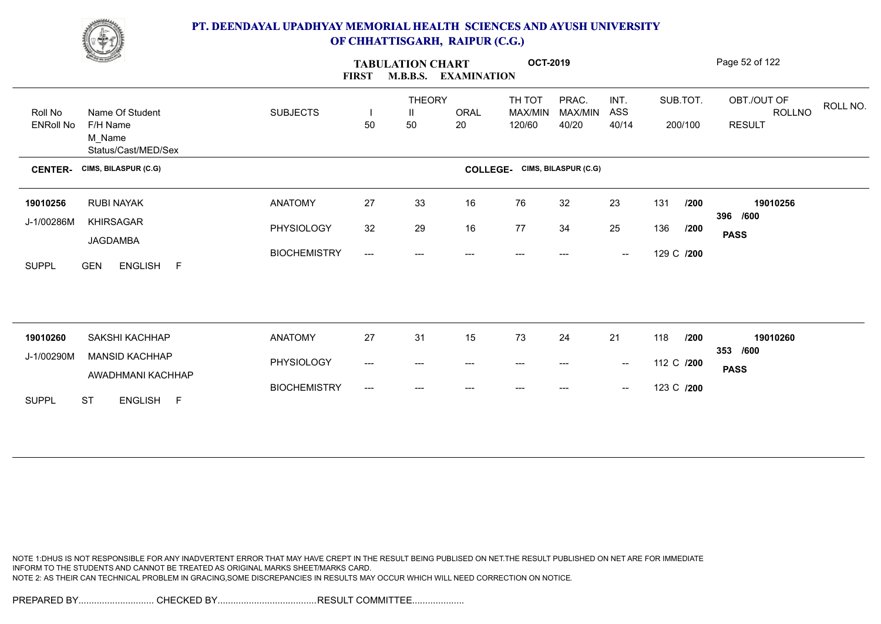

|                  | <b>Change of Contract of Contract of Contract of Contract of Contract of Contract of Contract of Contract of Contract of Contract of Contract of Contract of Contract of Contract of Contract of Contract of Contract of Contrac</b> |                     | <b>FIRST</b>                             | <b>TABULATION CHART</b><br><b>M.B.B.S.</b> | <b>EXAMINATION</b> | <b>OCT-2019</b>   |                      |                                                |            |          | Page 52 of 122                           |
|------------------|--------------------------------------------------------------------------------------------------------------------------------------------------------------------------------------------------------------------------------------|---------------------|------------------------------------------|--------------------------------------------|--------------------|-------------------|----------------------|------------------------------------------------|------------|----------|------------------------------------------|
| Roll No          | Name Of Student                                                                                                                                                                                                                      | <b>SUBJECTS</b>     | $\mathbf{I}$                             | <b>THEORY</b><br>$\mathbf{H}$              | ORAL               | TH TOT<br>MAX/MIN | PRAC.<br>MAX/MIN     | INT.<br>ASS                                    |            | SUB.TOT. | OBT./OUT OF<br>ROLL NO.<br><b>ROLLNO</b> |
| <b>ENRoll No</b> | F/H Name<br>M Name<br>Status/Cast/MED/Sex                                                                                                                                                                                            |                     | 50                                       | 50                                         | 20                 | 120/60            | 40/20                | 40/14                                          |            | 200/100  | <b>RESULT</b>                            |
| <b>CENTER-</b>   | CIMS, BILASPUR (C.G)                                                                                                                                                                                                                 |                     |                                          |                                            | <b>COLLEGE-</b>    |                   | CIMS, BILASPUR (C.G) |                                                |            |          |                                          |
| 19010256         | <b>RUBI NAYAK</b>                                                                                                                                                                                                                    | <b>ANATOMY</b>      | 27                                       | 33                                         | 16                 | 76                | 32                   | 23                                             | 131        | /200     | 19010256                                 |
| J-1/00286M       | KHIRSAGAR<br>JAGDAMBA                                                                                                                                                                                                                | PHYSIOLOGY          | 32                                       | 29                                         | 16                 | 77                | 34                   | 25                                             | 136        | /200     | 396 /600<br><b>PASS</b>                  |
| <b>SUPPL</b>     | <b>GEN</b><br>ENGLISH F                                                                                                                                                                                                              | <b>BIOCHEMISTRY</b> | $\hspace{0.05cm}---\hspace{0.05cm}$      | $---$                                      | $--$               | $---$             | ---                  | $\hspace{0.1mm}-\hspace{0.1mm}-\hspace{0.1mm}$ | 129 C /200 |          |                                          |
|                  |                                                                                                                                                                                                                                      |                     |                                          |                                            |                    |                   |                      |                                                |            |          |                                          |
| 19010260         | SAKSHI KACHHAP                                                                                                                                                                                                                       | <b>ANATOMY</b>      | 27                                       | 31                                         | 15                 | 73                | 24                   | 21                                             | 118        | /200     | 19010260<br>353 /600                     |
| J-1/00290M       | <b>MANSID KACHHAP</b><br>AWADHMANI KACHHAP                                                                                                                                                                                           | PHYSIOLOGY          | $\hspace{0.05cm}---\hspace{0.05cm}$      | $---$                                      | ---                | $---$             | ---                  | $\overline{\phantom{a}}$                       | 112 C /200 |          | <b>PASS</b>                              |
| <b>SUPPL</b>     | <b>ST</b><br>ENGLISH F                                                                                                                                                                                                               | <b>BIOCHEMISTRY</b> | $\hspace{0.05cm} \ldots \hspace{0.05cm}$ | $---$                                      |                    |                   | ---                  | $\hspace{0.1mm}-\hspace{0.1mm}-\hspace{0.1mm}$ | 123 C /200 |          |                                          |

NOTE 1:DHUS IS NOT RESPONSIBLE FOR ANY INADVERTENT ERROR THAT MAY HAVE CREPT IN THE RESULT BEING PUBLISED ON NET.THE RESULT PUBLISHED ON NET ARE FOR IMMEDIATE INFORM TO THE STUDENTS AND CANNOT BE TREATED AS ORIGINAL MARKS SHEET/MARKS CARD. NOTE 2: AS THEIR CAN TECHNICAL PROBLEM IN GRACING,SOME DISCREPANCIES IN RESULTS MAY OCCUR WHICH WILL NEED CORRECTION ON NOTICE.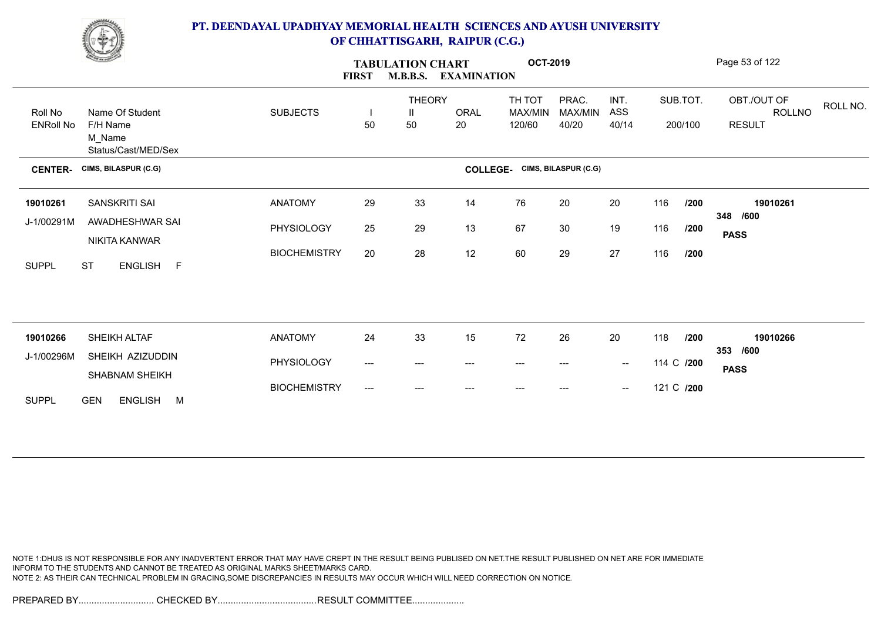

|                             | <b>Change of Contract of Contract of Contract of Contract of Contract of Contract of Contract of Contract of Contract of Contract of Contract of Contract of Contract of Contract of Contract of Contract of Contract of Contrac</b> |                     | <b>FIRST</b>                   | <b>TABULATION CHART</b>  | <b>M.B.B.S. EXAMINATION</b> | <b>OCT-2019</b>             |                           |                                                |     |                     | Page 53 of 122                                            |
|-----------------------------|--------------------------------------------------------------------------------------------------------------------------------------------------------------------------------------------------------------------------------------|---------------------|--------------------------------|--------------------------|-----------------------------|-----------------------------|---------------------------|------------------------------------------------|-----|---------------------|-----------------------------------------------------------|
| Roll No<br><b>ENRoll No</b> | Name Of Student<br>F/H Name                                                                                                                                                                                                          | <b>SUBJECTS</b>     | $\overline{\phantom{a}}$<br>50 | <b>THEORY</b><br>Ш<br>50 | ORAL<br>20                  | TH TOT<br>MAX/MIN<br>120/60 | PRAC.<br>MAX/MIN<br>40/20 | INT.<br>ASS<br>40/14                           |     | SUB.TOT.<br>200/100 | OBT./OUT OF<br>ROLL NO.<br><b>ROLLNO</b><br><b>RESULT</b> |
|                             | M_Name<br>Status/Cast/MED/Sex                                                                                                                                                                                                        |                     |                                |                          |                             |                             |                           |                                                |     |                     |                                                           |
| <b>CENTER-</b>              | CIMS, BILASPUR (C.G)                                                                                                                                                                                                                 |                     |                                |                          | <b>COLLEGE-</b>             |                             | CIMS, BILASPUR (C.G)      |                                                |     |                     |                                                           |
| 19010261                    | SANSKRITI SAI                                                                                                                                                                                                                        | <b>ANATOMY</b>      | 29                             | 33                       | 14                          | 76                          | 20                        | 20                                             | 116 | /200                | 19010261                                                  |
| J-1/00291M                  | AWADHESHWAR SAI<br>NIKITA KANWAR                                                                                                                                                                                                     | PHYSIOLOGY          | 25                             | 29                       | 13                          | 67                          | 30                        | 19                                             | 116 | /200                | 348 /600<br><b>PASS</b>                                   |
| <b>SUPPL</b>                | ENGLISH F<br><b>ST</b>                                                                                                                                                                                                               | <b>BIOCHEMISTRY</b> | 20                             | 28                       | 12                          | 60                          | 29                        | 27                                             | 116 | /200                |                                                           |
|                             |                                                                                                                                                                                                                                      |                     |                                |                          |                             |                             |                           |                                                |     |                     |                                                           |
| 19010266                    | SHEIKH ALTAF                                                                                                                                                                                                                         | <b>ANATOMY</b>      | 24                             | 33                       | 15                          | 72                          | 26                        | 20                                             | 118 | /200                | 19010266                                                  |
| J-1/00296M                  | SHEIKH AZIZUDDIN                                                                                                                                                                                                                     |                     |                                |                          |                             |                             |                           |                                                |     |                     | 353 /600                                                  |
|                             | SHABNAM SHEIKH                                                                                                                                                                                                                       | PHYSIOLOGY          | ---                            | ---                      | ---                         | ---                         | ---                       | $\sim$                                         |     | 114 C /200          | <b>PASS</b>                                               |
| <b>SUPPL</b>                | ENGLISH M<br><b>GEN</b>                                                                                                                                                                                                              | <b>BIOCHEMISTRY</b> | ---                            | ---                      | ---                         |                             | ---                       | $\hspace{0.1mm}-\hspace{0.1mm}-\hspace{0.1mm}$ |     | 121 C /200          |                                                           |

NOTE 1:DHUS IS NOT RESPONSIBLE FOR ANY INADVERTENT ERROR THAT MAY HAVE CREPT IN THE RESULT BEING PUBLISED ON NET.THE RESULT PUBLISHED ON NET ARE FOR IMMEDIATE INFORM TO THE STUDENTS AND CANNOT BE TREATED AS ORIGINAL MARKS SHEET/MARKS CARD. NOTE 2: AS THEIR CAN TECHNICAL PROBLEM IN GRACING,SOME DISCREPANCIES IN RESULTS MAY OCCUR WHICH WILL NEED CORRECTION ON NOTICE.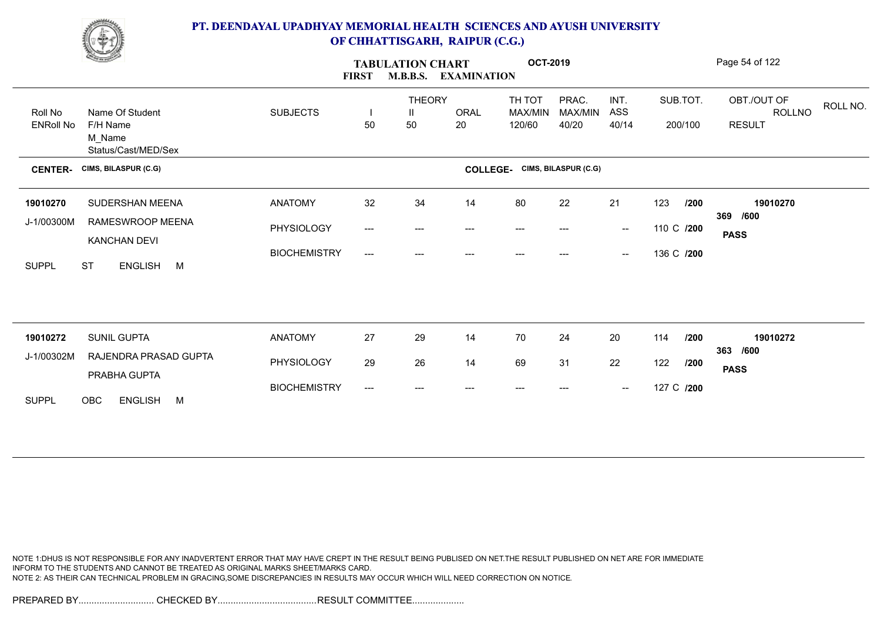

|                             | <u>Change</u>                                                |                     | <b>FIRST</b>              | <b>TABULATION CHART</b><br><b>M.B.B.S.</b> | <b>EXAMINATION</b> | <b>OCT-2019</b>                    |                           |                                                |            |                     | Page 54 of 122                                            |
|-----------------------------|--------------------------------------------------------------|---------------------|---------------------------|--------------------------------------------|--------------------|------------------------------------|---------------------------|------------------------------------------------|------------|---------------------|-----------------------------------------------------------|
| Roll No<br><b>ENRoll No</b> | Name Of Student<br>F/H Name<br>M Name<br>Status/Cast/MED/Sex | <b>SUBJECTS</b>     | 50                        | <b>THEORY</b><br>$\mathbf{H}$<br>50        | <b>ORAL</b><br>20  | TH TOT<br><b>MAX/MIN</b><br>120/60 | PRAC.<br>MAX/MIN<br>40/20 | INT.<br>ASS<br>40/14                           |            | SUB.TOT.<br>200/100 | OBT./OUT OF<br>ROLL NO.<br><b>ROLLNO</b><br><b>RESULT</b> |
| <b>CENTER-</b>              | CIMS, BILASPUR (C.G)                                         |                     |                           |                                            | <b>COLLEGE-</b>    |                                    | CIMS, BILASPUR (C.G)      |                                                |            |                     |                                                           |
| 19010270                    | SUDERSHAN MEENA                                              | <b>ANATOMY</b>      | 32                        | 34                                         | 14                 | 80                                 | 22                        | 21                                             | 123        | /200                | 19010270<br>369<br>/600                                   |
| J-1/00300M                  | RAMESWROOP MEENA<br>KANCHAN DEVI                             | PHYSIOLOGY          | $\qquad \qquad - -$       | ---                                        | $---$              | $---$                              | ---                       | $\overline{\phantom{a}}$                       | 110 C /200 |                     | <b>PASS</b>                                               |
| <b>SUPPL</b>                | <b>ST</b><br><b>ENGLISH</b><br>M                             | <b>BIOCHEMISTRY</b> | $\qquad \qquad -\qquad -$ |                                            |                    |                                    |                           | $\hspace{0.05cm}$                              | 136 C /200 |                     |                                                           |
|                             |                                                              |                     |                           |                                            |                    |                                    |                           |                                                |            |                     |                                                           |
| 19010272                    | <b>SUNIL GUPTA</b>                                           | <b>ANATOMY</b>      | 27                        | 29                                         | 14                 | 70                                 | 24                        | 20                                             | 114        | /200                | 19010272<br>363 /600                                      |
| J-1/00302M                  | RAJENDRA PRASAD GUPTA<br>PRABHA GUPTA                        | PHYSIOLOGY          | 29                        | 26                                         | 14                 | 69                                 | 31                        | 22                                             | 122        | /200                | <b>PASS</b>                                               |
| <b>SUPPL</b>                | OBC<br><b>ENGLISH</b><br>M                                   | <b>BIOCHEMISTRY</b> | $\overline{\phantom{a}}$  | ---                                        | $---$              | $---$                              | ---                       | $\hspace{0.1mm}-\hspace{0.1mm}-\hspace{0.1mm}$ | 127 C /200 |                     |                                                           |

NOTE 1:DHUS IS NOT RESPONSIBLE FOR ANY INADVERTENT ERROR THAT MAY HAVE CREPT IN THE RESULT BEING PUBLISED ON NET.THE RESULT PUBLISHED ON NET ARE FOR IMMEDIATE INFORM TO THE STUDENTS AND CANNOT BE TREATED AS ORIGINAL MARKS SHEET/MARKS CARD. NOTE 2: AS THEIR CAN TECHNICAL PROBLEM IN GRACING,SOME DISCREPANCIES IN RESULTS MAY OCCUR WHICH WILL NEED CORRECTION ON NOTICE.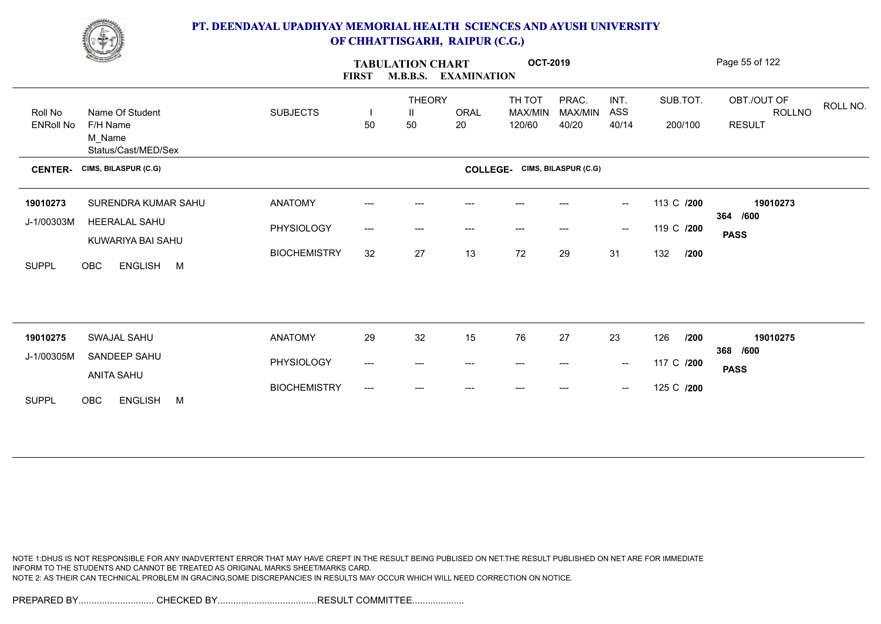

|                  | <b>Change of Congress</b>     |                     | <b>FIRST</b>              | <b>TABULATION CHART</b>                  | M.B.B.S. EXAMINATION   | <b>OCT-2019</b>                      |                  |                                                |             | Page 55 of 122                           |
|------------------|-------------------------------|---------------------|---------------------------|------------------------------------------|------------------------|--------------------------------------|------------------|------------------------------------------------|-------------|------------------------------------------|
| Roll No          | Name Of Student               | <b>SUBJECTS</b>     |                           | <b>THEORY</b><br>$\mathbf{H}$            | <b>ORAL</b>            | TH TOT<br>MAX/MIN                    | PRAC.<br>MAX/MIN | INT.<br>ASS                                    | SUB.TOT.    | OBT./OUT OF<br>ROLL NO.<br><b>ROLLNO</b> |
| <b>ENRoll No</b> | F/H Name                      |                     | 50                        | 50                                       | 20                     | 120/60                               | 40/20            | 40/14                                          | 200/100     | <b>RESULT</b>                            |
|                  | M_Name<br>Status/Cast/MED/Sex |                     |                           |                                          |                        |                                      |                  |                                                |             |                                          |
| <b>CENTER-</b>   | CIMS, BILASPUR (C.G)          |                     |                           |                                          |                        | <b>COLLEGE-</b> CIMS, BILASPUR (C.G) |                  |                                                |             |                                          |
| 19010273         | SURENDRA KUMAR SAHU           | <b>ANATOMY</b>      | ---                       |                                          |                        |                                      |                  | $\overline{\phantom{a}}$                       | 113 C /200  | 19010273                                 |
| J-1/00303M       | HEERALAL SAHU                 | PHYSIOLOGY          | $---$                     | ---                                      | ---                    | $---$                                |                  | $\hspace{0.1mm}-\hspace{0.1mm}-\hspace{0.1mm}$ | 119 C /200  | 364 /600                                 |
|                  | KUWARIYA BAI SAHU             |                     |                           |                                          |                        |                                      |                  |                                                |             | <b>PASS</b>                              |
| <b>SUPPL</b>     | <b>OBC</b><br>ENGLISH M       | <b>BIOCHEMISTRY</b> | 32                        | 27                                       | 13                     | 72                                   | 29               | 31                                             | 132<br>/200 |                                          |
|                  |                               |                     |                           |                                          |                        |                                      |                  |                                                |             |                                          |
|                  |                               |                     |                           |                                          |                        |                                      |                  |                                                |             |                                          |
| 19010275         | SWAJAL SAHU                   | <b>ANATOMY</b>      | 29                        | 32                                       | 15                     | 76                                   | 27               | 23                                             | 126<br>/200 | 19010275                                 |
| J-1/00305M       | SANDEEP SAHU                  | PHYSIOLOGY          | ---                       | $\hspace{0.05cm} \ldots \hspace{0.05cm}$ | $\qquad \qquad \cdots$ | $---$                                | $---$            | $\sim$                                         | 117 C /200  | 368 /600                                 |
|                  | ANITA SAHU                    |                     |                           |                                          |                        |                                      |                  |                                                |             | <b>PASS</b>                              |
| <b>SUPPL</b>     | OBC<br><b>ENGLISH</b><br>M    | <b>BIOCHEMISTRY</b> | $\qquad \qquad -\qquad -$ | $---$                                    |                        |                                      |                  | $\overline{\phantom{a}}$                       | 125 C /200  |                                          |

NOTE 1:DHUS IS NOT RESPONSIBLE FOR ANY INADVERTENT ERROR THAT MAY HAVE CREPT IN THE RESULT BEING PUBLISED ON NET.THE RESULT PUBLISHED ON NET ARE FOR IMMEDIATE INFORM TO THE STUDENTS AND CANNOT BE TREATED AS ORIGINAL MARKS SHEET/MARKS CARD. NOTE 2: AS THEIR CAN TECHNICAL PROBLEM IN GRACING,SOME DISCREPANCIES IN RESULTS MAY OCCUR WHICH WILL NEED CORRECTION ON NOTICE.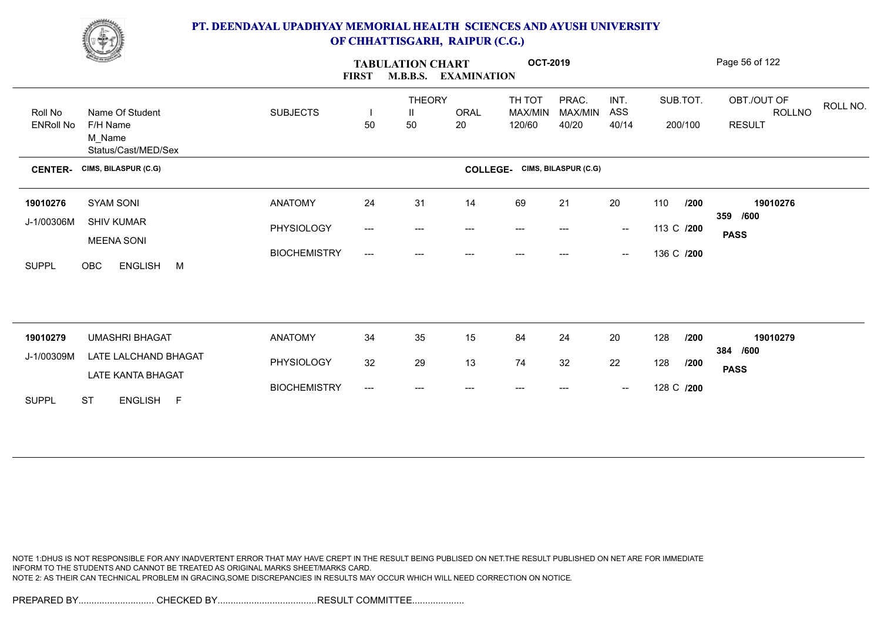

|                        | <u>Construction</u>                           |                     | <b>FIRST</b>              | <b>TABULATION CHART</b><br><b>M.B.B.S.</b> | <b>EXAMINATION</b>     | <b>OCT-2019</b>                      |                  |                          |            |          | Page 56 of 122                    |
|------------------------|-----------------------------------------------|---------------------|---------------------------|--------------------------------------------|------------------------|--------------------------------------|------------------|--------------------------|------------|----------|-----------------------------------|
| Roll No                | Name Of Student                               | <b>SUBJECTS</b>     |                           | <b>THEORY</b><br>$\mathbf{H}$              | <b>ORAL</b>            | TH TOT<br><b>MAX/MIN</b>             | PRAC.<br>MAX/MIN | INT.<br>ASS              |            | SUB.TOT. | OBT./OUT OF<br>ROLL NO.<br>ROLLNO |
| <b>ENRoll No</b>       | F/H Name<br>M_Name<br>Status/Cast/MED/Sex     |                     | 50                        | 50                                         | 20                     | 120/60                               | 40/20            | 40/14                    |            | 200/100  | <b>RESULT</b>                     |
| <b>CENTER-</b>         | CIMS, BILASPUR (C.G)                          |                     |                           |                                            |                        | <b>COLLEGE-</b> CIMS, BILASPUR (C.G) |                  |                          |            |          |                                   |
| 19010276               | SYAM SONI                                     | <b>ANATOMY</b>      | 24                        | 31                                         | 14                     | 69                                   | 21               | 20                       | 110        | /200     | 19010276                          |
| J-1/00306M             | <b>SHIV KUMAR</b><br><b>MEENA SONI</b>        | PHYSIOLOGY          | $\qquad \qquad -\qquad -$ | ---                                        | $\qquad \qquad \cdots$ | $---$                                | ---              | $\overline{\phantom{a}}$ | 113 C /200 |          | 359 /600<br><b>PASS</b>           |
| <b>SUPPL</b>           | OBC<br><b>ENGLISH</b><br>M                    | <b>BIOCHEMISTRY</b> | $---$                     | $---$                                      |                        |                                      |                  | $\overline{\phantom{a}}$ | 136 C /200 |          |                                   |
|                        |                                               |                     |                           |                                            |                        |                                      |                  |                          |            |          |                                   |
|                        |                                               |                     |                           |                                            |                        |                                      |                  |                          |            |          |                                   |
| 19010279<br>J-1/00309M | <b>UMASHRI BHAGAT</b><br>LATE LALCHAND BHAGAT | <b>ANATOMY</b>      | 34                        | 35                                         | 15                     | 84                                   | 24               | 20                       | 128        | /200     | 19010279<br>384 /600              |
|                        | LATE KANTA BHAGAT                             | PHYSIOLOGY          | 32                        | 29                                         | 13                     | 74                                   | 32               | 22                       | 128        | /200     | <b>PASS</b>                       |
| <b>SUPPL</b>           | <b>ST</b><br>ENGLISH F                        | <b>BIOCHEMISTRY</b> | $\overline{\phantom{a}}$  | ---                                        | $---$                  | $---$                                | ---              | $\overline{\phantom{a}}$ | 128 C /200 |          |                                   |

NOTE 1:DHUS IS NOT RESPONSIBLE FOR ANY INADVERTENT ERROR THAT MAY HAVE CREPT IN THE RESULT BEING PUBLISED ON NET.THE RESULT PUBLISHED ON NET ARE FOR IMMEDIATE INFORM TO THE STUDENTS AND CANNOT BE TREATED AS ORIGINAL MARKS SHEET/MARKS CARD. NOTE 2: AS THEIR CAN TECHNICAL PROBLEM IN GRACING,SOME DISCREPANCIES IN RESULTS MAY OCCUR WHICH WILL NEED CORRECTION ON NOTICE.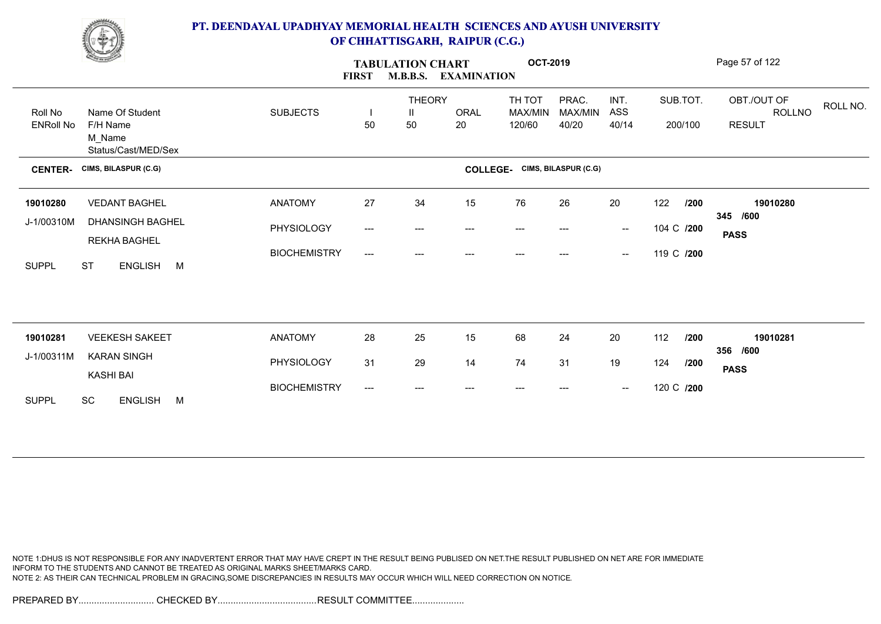

|                             | <u>Construction</u>                                          |                     | <b>FIRST</b>              | <b>TABULATION CHART</b><br><b>M.B.B.S.</b> | <b>EXAMINATION</b> | <b>OCT-2019</b>                      |                           |                                                |                     |      | Page 57 of 122                                |          |
|-----------------------------|--------------------------------------------------------------|---------------------|---------------------------|--------------------------------------------|--------------------|--------------------------------------|---------------------------|------------------------------------------------|---------------------|------|-----------------------------------------------|----------|
| Roll No<br><b>ENRoll No</b> | Name Of Student<br>F/H Name<br>M_Name<br>Status/Cast/MED/Sex | <b>SUBJECTS</b>     | -1<br>50                  | <b>THEORY</b><br>$\mathbf{H}$<br>50        | ORAL<br>20         | TH TOT<br><b>MAX/MIN</b><br>120/60   | PRAC.<br>MAX/MIN<br>40/20 | INT.<br>ASS<br>40/14                           | SUB.TOT.<br>200/100 |      | OBT./OUT OF<br><b>ROLLNO</b><br><b>RESULT</b> | ROLL NO. |
| <b>CENTER-</b>              | CIMS, BILASPUR (C.G)                                         |                     |                           |                                            |                    | <b>COLLEGE-</b> CIMS, BILASPUR (C.G) |                           |                                                |                     |      |                                               |          |
| 19010280                    | <b>VEDANT BAGHEL</b>                                         | <b>ANATOMY</b>      | 27                        | 34                                         | 15                 | 76                                   | 26                        | 20                                             | 122                 | /200 | 19010280                                      |          |
| J-1/00310M                  | <b>DHANSINGH BAGHEL</b><br>REKHA BAGHEL                      | PHYSIOLOGY          | $\qquad \qquad -\qquad -$ | ---                                        | $---$              | $---$                                | ---                       | $\sim$                                         | 104 C /200          |      | 345 /600<br><b>PASS</b>                       |          |
| <b>SUPPL</b>                | <b>ST</b><br>ENGLISH M                                       | <b>BIOCHEMISTRY</b> | ---                       | $---$                                      | $---$              | $---$                                | ---                       | $\overline{\phantom{a}}$                       | 119 C /200          |      |                                               |          |
|                             |                                                              |                     |                           |                                            |                    |                                      |                           |                                                |                     |      |                                               |          |
| 19010281                    | <b>VEEKESH SAKEET</b>                                        | <b>ANATOMY</b>      | 28                        | 25                                         | 15                 | 68                                   | 24                        | 20                                             | 112                 | /200 | 19010281<br>356 /600                          |          |
| J-1/00311M                  | <b>KARAN SINGH</b><br><b>KASHI BAI</b>                       | PHYSIOLOGY          | 31                        | 29                                         | 14                 | 74                                   | 31                        | 19                                             | 124                 | /200 | <b>PASS</b>                                   |          |
| <b>SUPPL</b>                | SC<br><b>ENGLISH</b><br>M                                    | <b>BIOCHEMISTRY</b> | $\qquad \qquad -\qquad -$ | ---                                        |                    | $---$                                |                           | $\hspace{0.1mm}-\hspace{0.1mm}-\hspace{0.1mm}$ | 120 C /200          |      |                                               |          |

NOTE 1:DHUS IS NOT RESPONSIBLE FOR ANY INADVERTENT ERROR THAT MAY HAVE CREPT IN THE RESULT BEING PUBLISED ON NET.THE RESULT PUBLISHED ON NET ARE FOR IMMEDIATE INFORM TO THE STUDENTS AND CANNOT BE TREATED AS ORIGINAL MARKS SHEET/MARKS CARD. NOTE 2: AS THEIR CAN TECHNICAL PROBLEM IN GRACING,SOME DISCREPANCIES IN RESULTS MAY OCCUR WHICH WILL NEED CORRECTION ON NOTICE.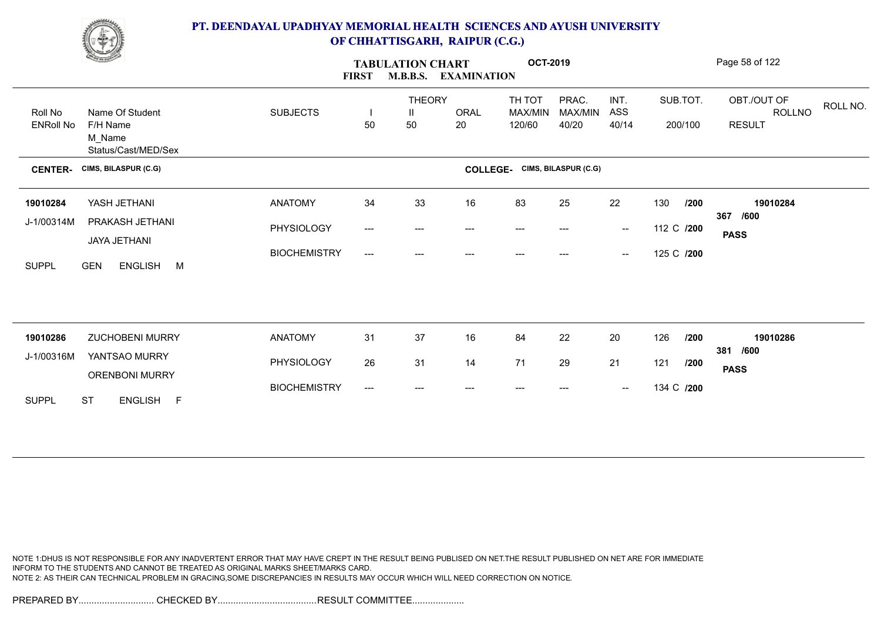

|                  | <b>Change of Contract of Contract of Contract of Contract of Contract of Contract of Contract of Contract of Contract of Contract of Contract of Contract of Contract of Contract of Contract of Contract of Contract of Contrac</b> |                     | <b>FIRST</b>             | <b>TABULATION CHART</b> | <b>M.B.B.S. EXAMINATION</b> | <b>OCT-2019</b>                      |         |                                                |            |          | Page 58 of 122          |
|------------------|--------------------------------------------------------------------------------------------------------------------------------------------------------------------------------------------------------------------------------------|---------------------|--------------------------|-------------------------|-----------------------------|--------------------------------------|---------|------------------------------------------------|------------|----------|-------------------------|
|                  |                                                                                                                                                                                                                                      |                     |                          | <b>THEORY</b>           |                             | TH TOT                               | PRAC.   | INT.                                           |            | SUB.TOT. | OBT./OUT OF<br>ROLL NO. |
| Roll No          | Name Of Student                                                                                                                                                                                                                      | <b>SUBJECTS</b>     | $\overline{\phantom{a}}$ | Ш                       | <b>ORAL</b>                 | MAX/MIN                              | MAX/MIN | ASS                                            |            |          | <b>ROLLNO</b>           |
| <b>ENRoll No</b> | F/H Name<br>M_Name<br>Status/Cast/MED/Sex                                                                                                                                                                                            |                     | 50                       | 50                      | 20                          | 120/60                               | 40/20   | 40/14                                          |            | 200/100  | <b>RESULT</b>           |
| <b>CENTER-</b>   | CIMS, BILASPUR (C.G)                                                                                                                                                                                                                 |                     |                          |                         |                             | <b>COLLEGE-</b> CIMS, BILASPUR (C.G) |         |                                                |            |          |                         |
| 19010284         | YASH JETHANI                                                                                                                                                                                                                         | <b>ANATOMY</b>      | 34                       | 33                      | 16                          | 83                                   | 25      | 22                                             | 130        | /200     | 19010284                |
| J-1/00314M       | PRAKASH JETHANI                                                                                                                                                                                                                      | PHYSIOLOGY          |                          |                         |                             |                                      |         |                                                | 112 C /200 |          | 367 /600                |
|                  | JAYA JETHANI                                                                                                                                                                                                                         |                     | ---                      | ---                     |                             |                                      |         | $\overline{\phantom{a}}$                       |            |          | <b>PASS</b>             |
|                  |                                                                                                                                                                                                                                      | <b>BIOCHEMISTRY</b> | ---                      | ---                     | ---                         | ---                                  | ---     | $\hspace{0.1mm}-\hspace{0.1mm}-\hspace{0.1mm}$ | 125 C /200 |          |                         |
| <b>SUPPL</b>     | <b>GEN</b><br>ENGLISH M                                                                                                                                                                                                              |                     |                          |                         |                             |                                      |         |                                                |            |          |                         |
|                  |                                                                                                                                                                                                                                      |                     |                          |                         |                             |                                      |         |                                                |            |          |                         |
|                  |                                                                                                                                                                                                                                      |                     |                          |                         |                             |                                      |         |                                                |            |          |                         |
| 19010286         | <b>ZUCHOBENI MURRY</b>                                                                                                                                                                                                               | <b>ANATOMY</b>      | 31                       | 37                      | 16                          | 84                                   | 22      | 20                                             | 126        | /200     | 19010286                |
| J-1/00316M       | YANTSAO MURRY                                                                                                                                                                                                                        | PHYSIOLOGY          | 26                       | 31                      | 14                          | 71                                   | 29      | 21                                             | 121        | /200     | 381 /600                |
|                  | <b>ORENBONI MURRY</b>                                                                                                                                                                                                                |                     |                          |                         |                             |                                      |         |                                                |            |          | <b>PASS</b>             |
|                  |                                                                                                                                                                                                                                      | <b>BIOCHEMISTRY</b> | ---                      | ---                     |                             |                                      |         | $\hspace{0.1mm}-\hspace{0.1mm}-\hspace{0.1mm}$ | 134 C /200 |          |                         |
| <b>SUPPL</b>     | <b>ST</b><br>ENGLISH F                                                                                                                                                                                                               |                     |                          |                         |                             |                                      |         |                                                |            |          |                         |

NOTE 1:DHUS IS NOT RESPONSIBLE FOR ANY INADVERTENT ERROR THAT MAY HAVE CREPT IN THE RESULT BEING PUBLISED ON NET.THE RESULT PUBLISHED ON NET ARE FOR IMMEDIATE INFORM TO THE STUDENTS AND CANNOT BE TREATED AS ORIGINAL MARKS SHEET/MARKS CARD. NOTE 2: AS THEIR CAN TECHNICAL PROBLEM IN GRACING,SOME DISCREPANCIES IN RESULTS MAY OCCUR WHICH WILL NEED CORRECTION ON NOTICE.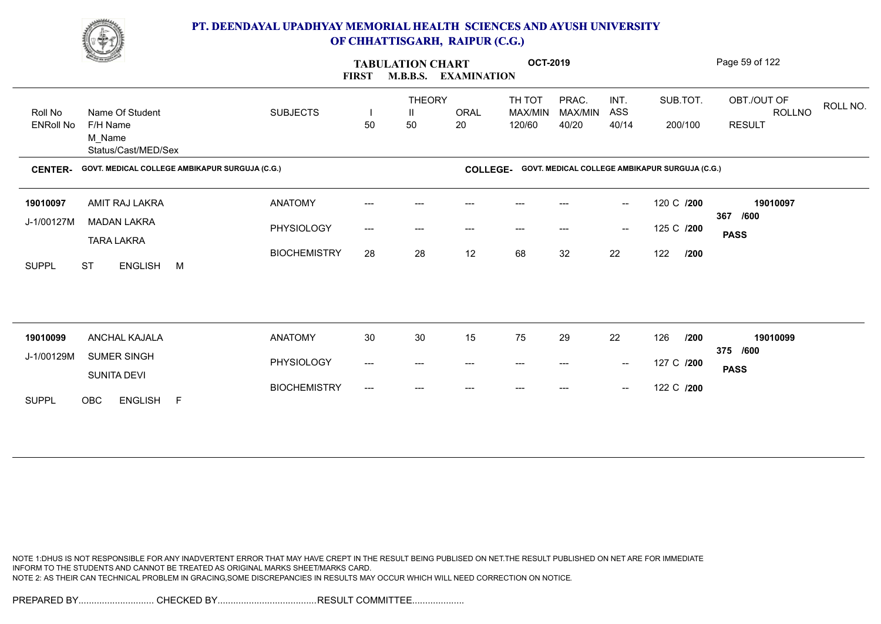

|                             | <b>Comment</b>                                 |                     | <b>FIRST</b> | <b>TABULATION CHART</b><br><b>M.B.B.S.</b> | <b>EXAMINATION</b> | <b>OCT-2019</b>             |                           |                                                |                                                | Page 59 of 122                                            |  |
|-----------------------------|------------------------------------------------|---------------------|--------------|--------------------------------------------|--------------------|-----------------------------|---------------------------|------------------------------------------------|------------------------------------------------|-----------------------------------------------------------|--|
| Roll No<br><b>ENRoll No</b> | Name Of Student<br>F/H Name                    | <b>SUBJECTS</b>     | 50           | <b>THEORY</b><br>Ш<br>50                   | ORAL<br>20         | TH TOT<br>MAX/MIN<br>120/60 | PRAC.<br>MAX/MIN<br>40/20 | INT.<br>ASS<br>40/14                           | SUB.TOT.<br>200/100                            | OBT./OUT OF<br>ROLL NO.<br><b>ROLLNO</b><br><b>RESULT</b> |  |
|                             | M Name<br>Status/Cast/MED/Sex                  |                     |              |                                            |                    |                             |                           |                                                |                                                |                                                           |  |
| <b>CENTER-</b>              | GOVT. MEDICAL COLLEGE AMBIKAPUR SURGUJA (C.G.) |                     |              |                                            | <b>COLLEGE-</b>    |                             |                           |                                                | GOVT. MEDICAL COLLEGE AMBIKAPUR SURGUJA (C.G.) |                                                           |  |
| 19010097                    | AMIT RAJ LAKRA                                 | <b>ANATOMY</b>      | ---          | ---                                        | $---$              | $---$                       | $---$                     | $\hspace{0.1mm}-\hspace{0.1mm}-\hspace{0.1mm}$ | 120 C /200                                     | 19010097<br>367<br>/600                                   |  |
| J-1/00127M                  | <b>MADAN LAKRA</b><br><b>TARA LAKRA</b>        | PHYSIOLOGY          | ---          | ---                                        | ---                | $---$                       |                           | $\hspace{0.1mm}-\hspace{0.1mm}-\hspace{0.1mm}$ | 125 C /200                                     | <b>PASS</b>                                               |  |
| <b>SUPPL</b>                | <b>ST</b><br>ENGLISH M                         | <b>BIOCHEMISTRY</b> | 28           | 28                                         | 12                 | 68                          | 32                        | 22                                             | 122<br>/200                                    |                                                           |  |
|                             |                                                |                     |              |                                            |                    |                             |                           |                                                |                                                |                                                           |  |
| 19010099                    | ANCHAL KAJALA                                  | <b>ANATOMY</b>      | $30\,$       | $30\,$                                     | 15                 | 75                          | 29                        | 22                                             | 126<br>/200                                    | 19010099                                                  |  |
| J-1/00129M                  | SUMER SINGH                                    | PHYSIOLOGY          | ---          | ---                                        | ---                | $---$                       | ---                       | $\hspace{0.1mm}-\hspace{0.1mm}-\hspace{0.1mm}$ | 127 C /200                                     | 375 /600                                                  |  |
|                             | SUNITA DEVI                                    | <b>BIOCHEMISTRY</b> |              |                                            |                    |                             |                           |                                                | 122 C /200                                     | <b>PASS</b>                                               |  |
| <b>SUPPL</b>                | OBC<br>ENGLISH F                               |                     | ---          | $---$                                      |                    |                             | ---                       | $\hspace{0.1mm}-\hspace{0.1mm}-\hspace{0.1mm}$ |                                                |                                                           |  |

NOTE 1:DHUS IS NOT RESPONSIBLE FOR ANY INADVERTENT ERROR THAT MAY HAVE CREPT IN THE RESULT BEING PUBLISED ON NET.THE RESULT PUBLISHED ON NET ARE FOR IMMEDIATE INFORM TO THE STUDENTS AND CANNOT BE TREATED AS ORIGINAL MARKS SHEET/MARKS CARD. NOTE 2: AS THEIR CAN TECHNICAL PROBLEM IN GRACING,SOME DISCREPANCIES IN RESULTS MAY OCCUR WHICH WILL NEED CORRECTION ON NOTICE.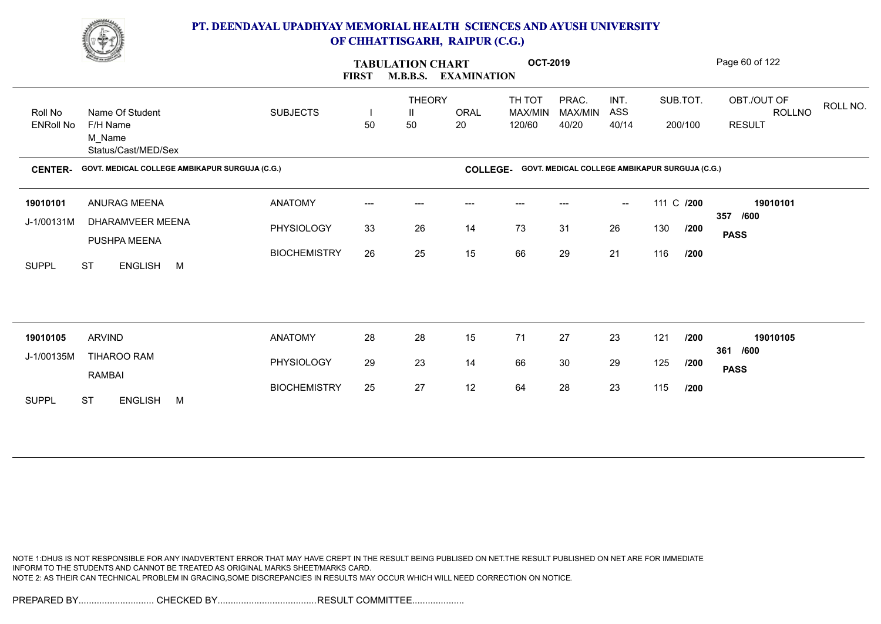

|                  | <b>Construction</b>                            |                     | <b>FIRST</b>             | <b>TABULATION CHART</b><br><b>M.B.B.S.</b> | <b>EXAMINATION</b> | <b>OCT-2019</b>   |                                                |                          |            |         | Page 60 of 122                    |
|------------------|------------------------------------------------|---------------------|--------------------------|--------------------------------------------|--------------------|-------------------|------------------------------------------------|--------------------------|------------|---------|-----------------------------------|
| Roll No          | Name Of Student                                | <b>SUBJECTS</b>     | $\overline{\phantom{a}}$ | <b>THEORY</b><br>Ш                         | <b>ORAL</b>        | TH TOT<br>MAX/MIN | PRAC.<br>MAX/MIN                               | INT.<br>ASS              | SUB.TOT.   |         | OBT./OUT OF<br>ROLL NO.<br>ROLLNO |
| <b>ENRoll No</b> | F/H Name<br>M_Name<br>Status/Cast/MED/Sex      |                     | 50                       | 50                                         | 20                 | 120/60            | 40/20                                          | 40/14                    |            | 200/100 | <b>RESULT</b>                     |
| <b>CENTER-</b>   | GOVT. MEDICAL COLLEGE AMBIKAPUR SURGUJA (C.G.) |                     |                          |                                            | <b>COLLEGE-</b>    |                   | GOVT. MEDICAL COLLEGE AMBIKAPUR SURGUJA (C.G.) |                          |            |         |                                   |
| 19010101         | <b>ANURAG MEENA</b>                            | <b>ANATOMY</b>      | ---                      | $---$                                      |                    |                   |                                                | $\overline{\phantom{a}}$ | 111 C /200 |         | 19010101                          |
| J-1/00131M       | DHARAMVEER MEENA<br>PUSHPA MEENA               | PHYSIOLOGY          | 33                       | 26                                         | 14                 | 73                | 31                                             | 26                       | 130        | /200    | /600<br>357<br><b>PASS</b>        |
| <b>SUPPL</b>     | <b>ST</b><br>ENGLISH M                         | <b>BIOCHEMISTRY</b> | 26                       | 25                                         | 15                 | 66                | 29                                             | 21                       | 116        | /200    |                                   |
|                  |                                                |                     |                          |                                            |                    |                   |                                                |                          |            |         |                                   |
|                  |                                                |                     |                          |                                            |                    |                   |                                                |                          |            |         |                                   |
| 19010105         | <b>ARVIND</b>                                  | <b>ANATOMY</b>      | 28                       | 28                                         | 15                 | 71                | 27                                             | 23                       | 121        | /200    | 19010105<br>/600<br>361           |
| J-1/00135M       | <b>TIHAROO RAM</b><br>RAMBAI                   | PHYSIOLOGY          | 29                       | 23                                         | 14                 | 66                | 30                                             | 29                       | 125        | /200    | <b>PASS</b>                       |
| <b>SUPPL</b>     | <b>ST</b><br><b>ENGLISH</b><br>M               | <b>BIOCHEMISTRY</b> | 25                       | 27                                         | 12                 | 64                | 28                                             | 23                       | 115        | /200    |                                   |

NOTE 1:DHUS IS NOT RESPONSIBLE FOR ANY INADVERTENT ERROR THAT MAY HAVE CREPT IN THE RESULT BEING PUBLISED ON NET.THE RESULT PUBLISHED ON NET ARE FOR IMMEDIATE INFORM TO THE STUDENTS AND CANNOT BE TREATED AS ORIGINAL MARKS SHEET/MARKS CARD. NOTE 2: AS THEIR CAN TECHNICAL PROBLEM IN GRACING,SOME DISCREPANCIES IN RESULTS MAY OCCUR WHICH WILL NEED CORRECTION ON NOTICE.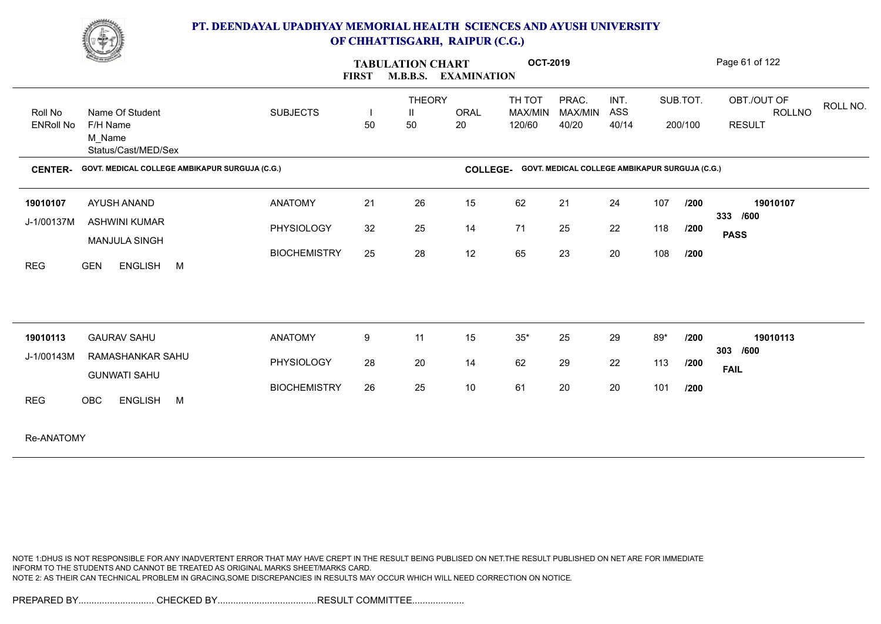

|                             | <b>Contract of the Contract of the Contract of the Contract of the Contract of the Contract of the Contract of The Contract of The Contract of The Contract of The Contract of The Contract of The Contract of The Contract of T</b> |                     | <b>FIRST</b>                   | <b>TABULATION CHART</b>  | <b>M.B.B.S. EXAMINATION</b> | <b>OCT-2019</b>             |                                                |                      |     |                     | Page 61 of 122                                |          |
|-----------------------------|--------------------------------------------------------------------------------------------------------------------------------------------------------------------------------------------------------------------------------------|---------------------|--------------------------------|--------------------------|-----------------------------|-----------------------------|------------------------------------------------|----------------------|-----|---------------------|-----------------------------------------------|----------|
| Roll No<br><b>ENRoll No</b> | Name Of Student<br>F/H Name<br>M Name<br>Status/Cast/MED/Sex                                                                                                                                                                         | <b>SUBJECTS</b>     | $\overline{\phantom{a}}$<br>50 | <b>THEORY</b><br>H<br>50 | <b>ORAL</b><br>20           | TH TOT<br>MAX/MIN<br>120/60 | PRAC.<br>MAX/MIN<br>40/20                      | INT.<br>ASS<br>40/14 |     | SUB.TOT.<br>200/100 | OBT./OUT OF<br><b>ROLLNO</b><br><b>RESULT</b> | ROLL NO. |
| <b>CENTER-</b>              | GOVT. MEDICAL COLLEGE AMBIKAPUR SURGUJA (C.G.)                                                                                                                                                                                       |                     |                                |                          | <b>COLLEGE-</b>             |                             | GOVT. MEDICAL COLLEGE AMBIKAPUR SURGUJA (C.G.) |                      |     |                     |                                               |          |
| 19010107                    | AYUSH ANAND                                                                                                                                                                                                                          | <b>ANATOMY</b>      | 21                             | 26                       | 15                          | 62                          | 21                                             | 24                   | 107 | /200                | 19010107                                      |          |
| J-1/00137M                  | <b>ASHWINI KUMAR</b>                                                                                                                                                                                                                 | <b>PHYSIOLOGY</b>   | 32                             | 25                       | 14                          | 71                          | 25                                             | 22                   | 118 | /200                | 333 /600<br><b>PASS</b>                       |          |
| <b>REG</b>                  | <b>MANJULA SINGH</b><br><b>GEN</b><br>ENGLISH M                                                                                                                                                                                      | <b>BIOCHEMISTRY</b> | 25                             | 28                       | 12                          | 65                          | 23                                             | 20                   | 108 | /200                |                                               |          |
|                             |                                                                                                                                                                                                                                      |                     |                                |                          |                             |                             |                                                |                      |     |                     |                                               |          |
| 19010113                    | <b>GAURAV SAHU</b>                                                                                                                                                                                                                   | <b>ANATOMY</b>      | 9                              | 11                       | 15                          | $35*$                       | 25                                             | 29                   | 89* | /200                | 19010113<br>303 /600                          |          |
| J-1/00143M                  | RAMASHANKAR SAHU<br><b>GUNWATI SAHU</b>                                                                                                                                                                                              | <b>PHYSIOLOGY</b>   | 28                             | 20                       | 14                          | 62                          | 29                                             | 22                   | 113 | /200                | <b>FAIL</b>                                   |          |
| <b>REG</b>                  | OBC<br>ENGLISH M                                                                                                                                                                                                                     | <b>BIOCHEMISTRY</b> | 26                             | 25                       | 10                          | 61                          | 20                                             | 20                   | 101 | /200                |                                               |          |
| Re-ANATOMY                  |                                                                                                                                                                                                                                      |                     |                                |                          |                             |                             |                                                |                      |     |                     |                                               |          |

NOTE 1:DHUS IS NOT RESPONSIBLE FOR ANY INADVERTENT ERROR THAT MAY HAVE CREPT IN THE RESULT BEING PUBLISED ON NET.THE RESULT PUBLISHED ON NET ARE FOR IMMEDIATE INFORM TO THE STUDENTS AND CANNOT BE TREATED AS ORIGINAL MARKS SHEET/MARKS CARD. NOTE 2: AS THEIR CAN TECHNICAL PROBLEM IN GRACING,SOME DISCREPANCIES IN RESULTS MAY OCCUR WHICH WILL NEED CORRECTION ON NOTICE.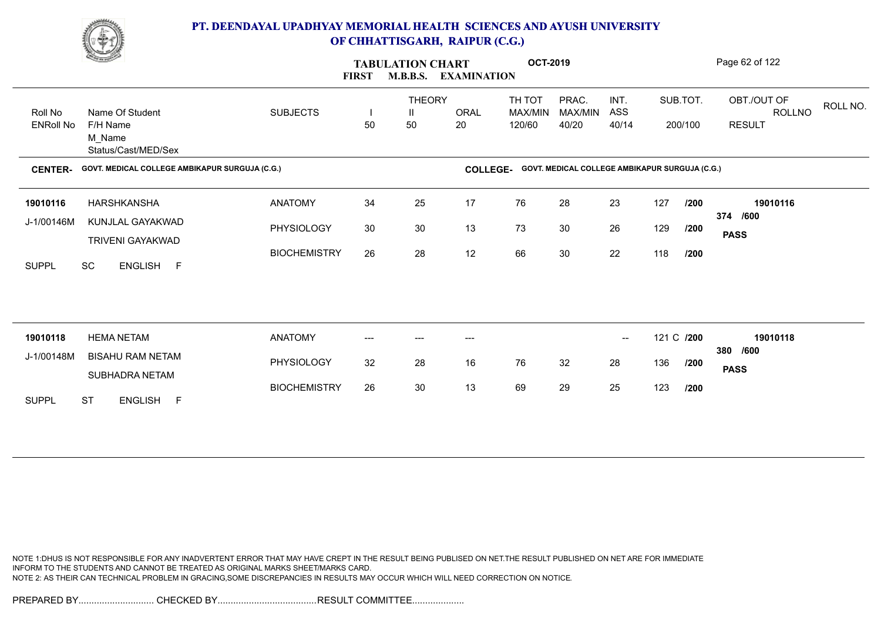

|                             | <u>Comment of the Sea</u>                                    |                     | <b>FIRST</b> | <b>TABULATION CHART</b><br><b>M.B.B.S.</b> | <b>EXAMINATION</b> | <b>OCT-2019</b>             |                                                |                          |            |                     | Page 62 of 122                                            |
|-----------------------------|--------------------------------------------------------------|---------------------|--------------|--------------------------------------------|--------------------|-----------------------------|------------------------------------------------|--------------------------|------------|---------------------|-----------------------------------------------------------|
| Roll No<br><b>ENRoll No</b> | Name Of Student<br>F/H Name<br>M Name<br>Status/Cast/MED/Sex | <b>SUBJECTS</b>     | 50           | <b>THEORY</b><br>Ш<br>50                   | <b>ORAL</b><br>20  | TH TOT<br>MAX/MIN<br>120/60 | PRAC.<br>MAX/MIN<br>40/20                      | INT.<br>ASS<br>40/14     |            | SUB.TOT.<br>200/100 | OBT./OUT OF<br>ROLL NO.<br><b>ROLLNO</b><br><b>RESULT</b> |
| <b>CENTER-</b>              | GOVT. MEDICAL COLLEGE AMBIKAPUR SURGUJA (C.G.)               |                     |              |                                            | <b>COLLEGE-</b>    |                             | GOVT. MEDICAL COLLEGE AMBIKAPUR SURGUJA (C.G.) |                          |            |                     |                                                           |
| 19010116                    | HARSHKANSHA                                                  | <b>ANATOMY</b>      | 34           | 25                                         | 17                 | 76                          | 28                                             | 23                       | 127        | /200                | 19010116                                                  |
| J-1/00146M                  | KUNJLAL GAYAKWAD<br><b>TRIVENI GAYAKWAD</b>                  | PHYSIOLOGY          | 30           | 30                                         | 13                 | 73                          | 30                                             | 26                       | 129        | /200                | 374 /600<br><b>PASS</b>                                   |
| <b>SUPPL</b>                | SC<br>ENGLISH F                                              | <b>BIOCHEMISTRY</b> | 26           | 28                                         | 12                 | 66                          | 30                                             | 22                       | 118        | /200                |                                                           |
|                             |                                                              |                     |              |                                            |                    |                             |                                                |                          |            |                     |                                                           |
| 19010118                    | <b>HEMA NETAM</b>                                            | <b>ANATOMY</b>      | $---$        | ---                                        | $---$              |                             |                                                | $\overline{\phantom{a}}$ | 121 C /200 |                     | 19010118<br>380 /600                                      |
| J-1/00148M                  | <b>BISAHU RAM NETAM</b><br>SUBHADRA NETAM                    | PHYSIOLOGY          | 32           | 28                                         | 16                 | 76                          | 32                                             | 28                       | 136        | /200                | <b>PASS</b>                                               |
| <b>SUPPL</b>                | <b>ST</b><br>ENGLISH F                                       | <b>BIOCHEMISTRY</b> | 26           | 30                                         | 13                 | 69                          | 29                                             | 25                       | 123        | /200                |                                                           |

NOTE 1:DHUS IS NOT RESPONSIBLE FOR ANY INADVERTENT ERROR THAT MAY HAVE CREPT IN THE RESULT BEING PUBLISED ON NET.THE RESULT PUBLISHED ON NET ARE FOR IMMEDIATE INFORM TO THE STUDENTS AND CANNOT BE TREATED AS ORIGINAL MARKS SHEET/MARKS CARD. NOTE 2: AS THEIR CAN TECHNICAL PROBLEM IN GRACING,SOME DISCREPANCIES IN RESULTS MAY OCCUR WHICH WILL NEED CORRECTION ON NOTICE.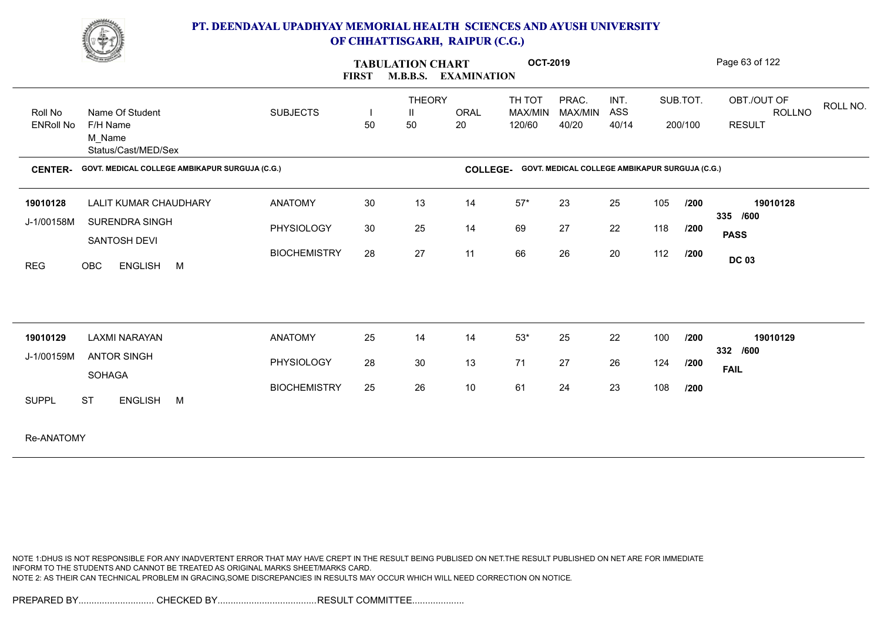

|                  | <u>Change</u>                                  |                     | <b>TABULATION CHART</b><br><b>M.B.B.S.</b><br><b>EXAMINATION</b><br><b>FIRST</b> |                    |                 | <b>OCT-2019</b>   |                                                |             |     |          | Page 63 of 122               |          |
|------------------|------------------------------------------------|---------------------|----------------------------------------------------------------------------------|--------------------|-----------------|-------------------|------------------------------------------------|-------------|-----|----------|------------------------------|----------|
| Roll No          | Name Of Student                                | <b>SUBJECTS</b>     | $\overline{\phantom{a}}$                                                         | <b>THEORY</b><br>Ш | ORAL            | TH TOT<br>MAX/MIN | PRAC.<br>MAX/MIN                               | INT.<br>ASS |     | SUB.TOT. | OBT./OUT OF<br><b>ROLLNO</b> | ROLL NO. |
| <b>ENRoll No</b> | F/H Name<br>M_Name<br>Status/Cast/MED/Sex      |                     | 50                                                                               | 50                 | 20              | 120/60            | 40/20                                          | 40/14       |     | 200/100  | <b>RESULT</b>                |          |
| <b>CENTER-</b>   | GOVT. MEDICAL COLLEGE AMBIKAPUR SURGUJA (C.G.) |                     |                                                                                  |                    | <b>COLLEGE-</b> |                   | GOVT. MEDICAL COLLEGE AMBIKAPUR SURGUJA (C.G.) |             |     |          |                              |          |
| 19010128         | <b>LALIT KUMAR CHAUDHARY</b>                   | <b>ANATOMY</b>      | 30                                                                               | 13                 | 14              | $57*$             | 23                                             | 25          | 105 | /200     | 19010128                     |          |
| J-1/00158M       | <b>SURENDRA SINGH</b>                          | PHYSIOLOGY          | 30                                                                               | 25                 | 14              | 69                | 27                                             | 22          | 118 | /200     | 335 /600                     |          |
|                  | SANTOSH DEVI                                   |                     |                                                                                  |                    |                 |                   |                                                |             |     |          | <b>PASS</b>                  |          |
| <b>REG</b>       | OBC<br>ENGLISH M                               | <b>BIOCHEMISTRY</b> | 28                                                                               | 27                 | 11              | 66                | 26                                             | 20          | 112 | /200     | <b>DC 03</b>                 |          |
|                  |                                                |                     |                                                                                  |                    |                 |                   |                                                |             |     |          |                              |          |
| 19010129         | <b>LAXMI NARAYAN</b>                           | <b>ANATOMY</b>      | 25                                                                               | 14                 | 14              | $53^{\star}$      | 25                                             | 22          | 100 | /200     | 19010129                     |          |
| J-1/00159M       | <b>ANTOR SINGH</b>                             | PHYSIOLOGY          | 28                                                                               | 30                 | 13              | 71                | 27                                             | 26          | 124 | /200     | 332 /600                     |          |
|                  | SOHAGA                                         |                     |                                                                                  |                    |                 |                   |                                                |             |     |          | <b>FAIL</b>                  |          |
| <b>SUPPL</b>     | <b>ST</b><br><b>ENGLISH</b><br>M               | <b>BIOCHEMISTRY</b> | 25                                                                               | 26                 | 10              | 61                | 24                                             | 23          | 108 | /200     |                              |          |
| Re-ANATOMY       |                                                |                     |                                                                                  |                    |                 |                   |                                                |             |     |          |                              |          |

NOTE 1:DHUS IS NOT RESPONSIBLE FOR ANY INADVERTENT ERROR THAT MAY HAVE CREPT IN THE RESULT BEING PUBLISED ON NET.THE RESULT PUBLISHED ON NET ARE FOR IMMEDIATE INFORM TO THE STUDENTS AND CANNOT BE TREATED AS ORIGINAL MARKS SHEET/MARKS CARD. NOTE 2: AS THEIR CAN TECHNICAL PROBLEM IN GRACING,SOME DISCREPANCIES IN RESULTS MAY OCCUR WHICH WILL NEED CORRECTION ON NOTICE.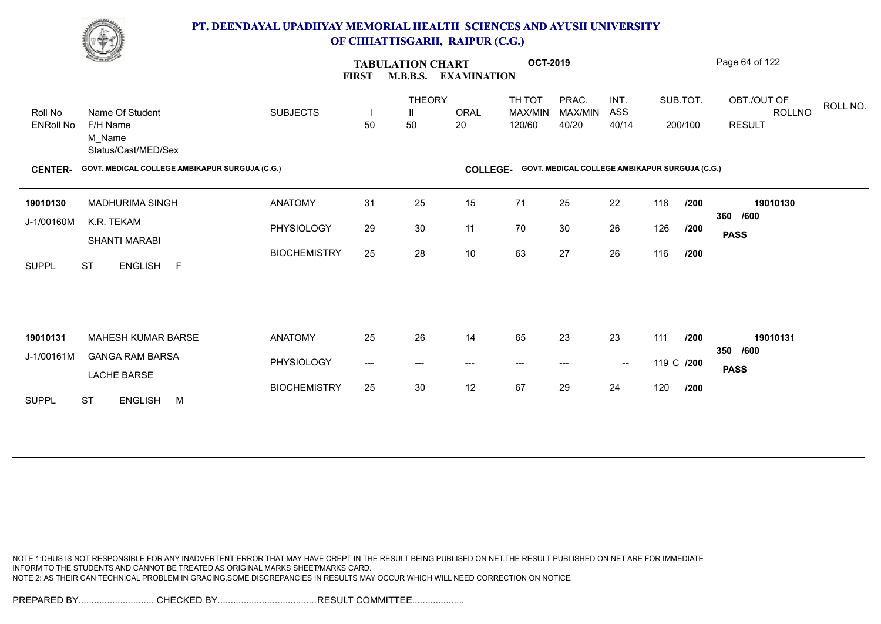

|                             | <b>Change of Congress</b>                                    |                     | <b>FIRST</b> | <b>TABULATION CHART</b><br><b>M.B.B.S.</b> | <b>EXAMINATION</b> | <b>OCT-2019</b>             |                                                |                      |            |                     | Page 64 of 122                                     |
|-----------------------------|--------------------------------------------------------------|---------------------|--------------|--------------------------------------------|--------------------|-----------------------------|------------------------------------------------|----------------------|------------|---------------------|----------------------------------------------------|
| Roll No<br><b>ENRoll No</b> | Name Of Student<br>F/H Name<br>M_Name<br>Status/Cast/MED/Sex | <b>SUBJECTS</b>     | 50           | <b>THEORY</b><br>Ш<br>50                   | <b>ORAL</b><br>20  | TH TOT<br>MAX/MIN<br>120/60 | PRAC.<br>MAX/MIN<br>40/20                      | INT.<br>ASS<br>40/14 |            | SUB.TOT.<br>200/100 | OBT./OUT OF<br>ROLL NO.<br>ROLLNO<br><b>RESULT</b> |
| <b>CENTER-</b>              | GOVT. MEDICAL COLLEGE AMBIKAPUR SURGUJA (C.G.)               |                     |              |                                            | <b>COLLEGE-</b>    |                             | GOVT. MEDICAL COLLEGE AMBIKAPUR SURGUJA (C.G.) |                      |            |                     |                                                    |
| 19010130                    | MADHURIMA SINGH                                              | <b>ANATOMY</b>      | 31           | 25                                         | 15                 | 71                          | 25                                             | 22                   | 118        | /200                | 19010130                                           |
| J-1/00160M                  | K.R. TEKAM<br><b>SHANTI MARABI</b>                           | PHYSIOLOGY          | 29           | 30                                         | 11                 | 70                          | 30                                             | 26                   | 126        | /200                | 360 /600<br><b>PASS</b>                            |
| <b>SUPPL</b>                | ENGLISH F<br><b>ST</b>                                       | <b>BIOCHEMISTRY</b> | 25           | 28                                         | 10                 | 63                          | 27                                             | 26                   | 116        | /200                |                                                    |
|                             |                                                              |                     |              |                                            |                    |                             |                                                |                      |            |                     |                                                    |
| 19010131                    | MAHESH KUMAR BARSE                                           | <b>ANATOMY</b>      | 25           | 26                                         | 14                 | 65                          | 23                                             | 23                   | 111        | /200                | 19010131<br>350 /600                               |
| J-1/00161M                  | <b>GANGA RAM BARSA</b><br><b>LACHE BARSE</b>                 | PHYSIOLOGY          | ---          | ---                                        | $---$              | ---                         | ---                                            | $\sim$               | 119 C /200 |                     | <b>PASS</b>                                        |
| <b>SUPPL</b>                | <b>ST</b><br>ENGLISH M                                       | <b>BIOCHEMISTRY</b> | 25           | 30                                         | 12                 | 67                          | 29                                             | 24                   | 120        | /200                |                                                    |

NOTE 1:DHUS IS NOT RESPONSIBLE FOR ANY INADVERTENT ERROR THAT MAY HAVE CREPT IN THE RESULT BEING PUBLISED ON NET.THE RESULT PUBLISHED ON NET ARE FOR IMMEDIATE INFORM TO THE STUDENTS AND CANNOT BE TREATED AS ORIGINAL MARKS SHEET/MARKS CARD. NOTE 2: AS THEIR CAN TECHNICAL PROBLEM IN GRACING,SOME DISCREPANCIES IN RESULTS MAY OCCUR WHICH WILL NEED CORRECTION ON NOTICE.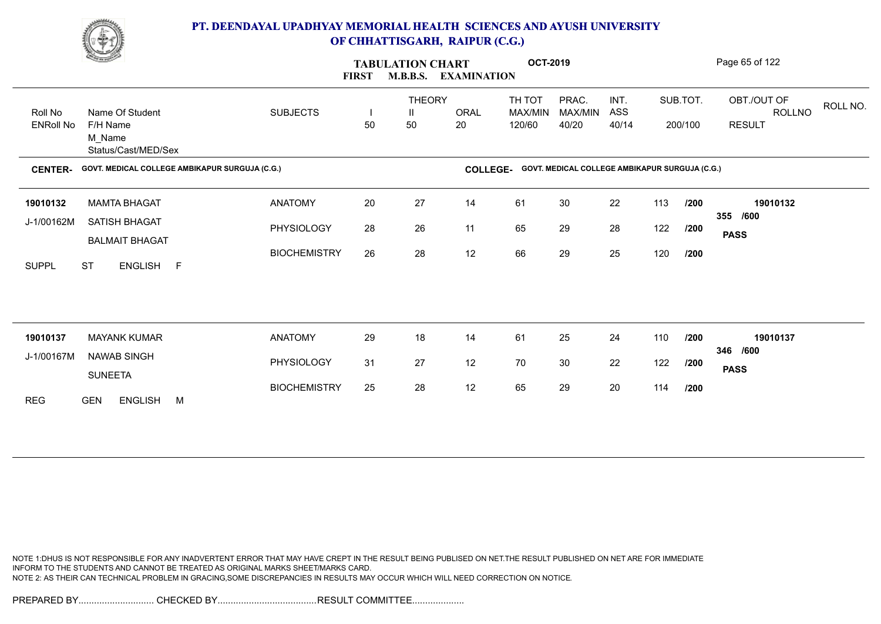

|                  | <u>Comment of the Sea</u>                      |                     | <b>FIRST</b> | <b>TABULATION CHART</b><br><b>M.B.B.S.</b> | <b>EXAMINATION</b> | <b>OCT-2019</b>   |                                                |             |     |          | Page 65 of 122                           |
|------------------|------------------------------------------------|---------------------|--------------|--------------------------------------------|--------------------|-------------------|------------------------------------------------|-------------|-----|----------|------------------------------------------|
| Roll No          | Name Of Student                                | <b>SUBJECTS</b>     |              | <b>THEORY</b><br>Ш                         | ORAL               | TH TOT<br>MAX/MIN | PRAC.<br>MAX/MIN                               | INT.<br>ASS |     | SUB.TOT. | OBT./OUT OF<br>ROLL NO.<br><b>ROLLNO</b> |
| <b>ENRoll No</b> | F/H Name<br>M Name<br>Status/Cast/MED/Sex      |                     | 50           | 50                                         | 20                 | 120/60            | 40/20                                          | 40/14       |     | 200/100  | <b>RESULT</b>                            |
| <b>CENTER-</b>   | GOVT. MEDICAL COLLEGE AMBIKAPUR SURGUJA (C.G.) |                     |              |                                            | <b>COLLEGE-</b>    |                   | GOVT. MEDICAL COLLEGE AMBIKAPUR SURGUJA (C.G.) |             |     |          |                                          |
| 19010132         | <b>MAMTA BHAGAT</b>                            | <b>ANATOMY</b>      | 20           | 27                                         | 14                 | 61                | 30                                             | 22          | 113 | /200     | 19010132                                 |
| J-1/00162M       | SATISH BHAGAT<br><b>BALMAIT BHAGAT</b>         | PHYSIOLOGY          | 28           | 26                                         | 11                 | 65                | 29                                             | 28          | 122 | /200     | 355 /600<br><b>PASS</b>                  |
| <b>SUPPL</b>     | <b>ST</b><br>ENGLISH F                         | <b>BIOCHEMISTRY</b> | 26           | 28                                         | 12                 | 66                | 29                                             | 25          | 120 | /200     |                                          |
|                  |                                                |                     |              |                                            |                    |                   |                                                |             |     |          |                                          |
| 19010137         | <b>MAYANK KUMAR</b>                            | <b>ANATOMY</b>      | 29           | 18                                         | 14                 | 61                | 25                                             | 24          | 110 | /200     | 19010137<br>346 /600                     |
| J-1/00167M       | NAWAB SINGH<br><b>SUNEETA</b>                  | PHYSIOLOGY          | 31           | 27                                         | 12                 | 70                | 30                                             | 22          | 122 | /200     | <b>PASS</b>                              |
| REG              | <b>ENGLISH</b><br><b>GEN</b><br>M              | <b>BIOCHEMISTRY</b> | 25           | 28                                         | 12                 | 65                | 29                                             | 20          | 114 | /200     |                                          |

NOTE 1:DHUS IS NOT RESPONSIBLE FOR ANY INADVERTENT ERROR THAT MAY HAVE CREPT IN THE RESULT BEING PUBLISED ON NET.THE RESULT PUBLISHED ON NET ARE FOR IMMEDIATE INFORM TO THE STUDENTS AND CANNOT BE TREATED AS ORIGINAL MARKS SHEET/MARKS CARD. NOTE 2: AS THEIR CAN TECHNICAL PROBLEM IN GRACING,SOME DISCREPANCIES IN RESULTS MAY OCCUR WHICH WILL NEED CORRECTION ON NOTICE.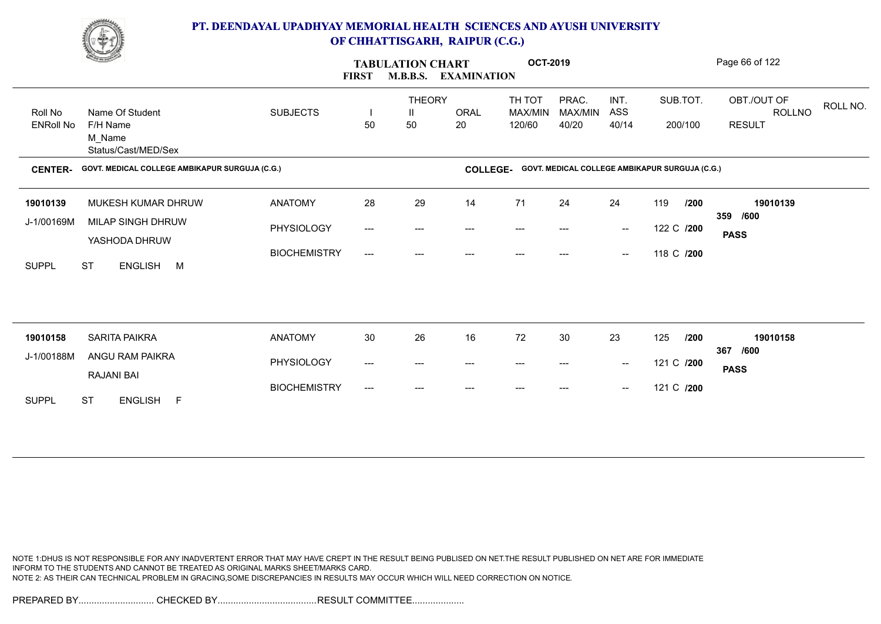

|                             | <u>Change</u>                                                |                     | <b>TABULATION CHART</b><br><b>FIRST</b><br><b>M.B.B.S.</b><br><b>EXAMINATION</b> |                                     |                   | <b>OCT-2019</b>                          |                                                |                                                |            |         | Page 66 of 122                                            |
|-----------------------------|--------------------------------------------------------------|---------------------|----------------------------------------------------------------------------------|-------------------------------------|-------------------|------------------------------------------|------------------------------------------------|------------------------------------------------|------------|---------|-----------------------------------------------------------|
| Roll No<br><b>ENRoll No</b> | Name Of Student<br>F/H Name<br>M Name<br>Status/Cast/MED/Sex | <b>SUBJECTS</b>     | H<br>50                                                                          | <b>THEORY</b><br>$\mathbf{H}$<br>50 | <b>ORAL</b><br>20 | TH TOT<br>MAX/MIN<br>120/60              | PRAC.<br>MAX/MIN<br>40/20                      | INT.<br>ASS<br>40/14                           | SUB.TOT.   | 200/100 | OBT./OUT OF<br>ROLL NO.<br><b>ROLLNO</b><br><b>RESULT</b> |
| <b>CENTER-</b>              | GOVT. MEDICAL COLLEGE AMBIKAPUR SURGUJA (C.G.)               |                     |                                                                                  |                                     | <b>COLLEGE-</b>   |                                          | GOVT. MEDICAL COLLEGE AMBIKAPUR SURGUJA (C.G.) |                                                |            |         |                                                           |
| 19010139                    | MUKESH KUMAR DHRUW                                           | <b>ANATOMY</b>      | 28                                                                               | 29                                  | 14                | 71                                       | 24                                             | 24                                             | 119        | /200    | 19010139                                                  |
| J-1/00169M                  | MILAP SINGH DHRUW<br>YASHODA DHRUW                           | PHYSIOLOGY          | $\qquad \qquad - -$                                                              | $---$                               | $---$             | $--$                                     | ---                                            | $\overline{\phantom{a}}$                       | 122 C /200 |         | 359<br>/600<br><b>PASS</b>                                |
| <b>SUPPL</b>                | <b>ST</b><br><b>ENGLISH</b><br>M                             | <b>BIOCHEMISTRY</b> | $---$                                                                            | $---$                               |                   |                                          |                                                | $\hspace{0.1mm}-\hspace{0.1mm}-\hspace{0.1mm}$ | 118 C /200 |         |                                                           |
|                             |                                                              |                     |                                                                                  |                                     |                   |                                          |                                                |                                                |            |         |                                                           |
| 19010158                    | <b>SARITA PAIKRA</b>                                         | <b>ANATOMY</b>      | 30                                                                               | 26                                  | 16                | 72                                       | 30                                             | 23                                             | 125        | /200    | 19010158<br>367<br>/600                                   |
| J-1/00188M                  | ANGU RAM PAIKRA<br><b>RAJANI BAI</b>                         | PHYSIOLOGY          | ---                                                                              | $---$                               | $---$             | $\hspace{0.05cm} \ldots \hspace{0.05cm}$ | $---$                                          | $\sim$                                         | 121 C /200 |         | <b>PASS</b>                                               |
| <b>SUPPL</b>                | <b>ST</b><br>ENGLISH F                                       | <b>BIOCHEMISTRY</b> | ---                                                                              | $---$                               | ---               | ---                                      | ---                                            | $\hspace{0.1mm}-\hspace{0.1mm}-\hspace{0.1mm}$ | 121 C /200 |         |                                                           |

NOTE 1:DHUS IS NOT RESPONSIBLE FOR ANY INADVERTENT ERROR THAT MAY HAVE CREPT IN THE RESULT BEING PUBLISED ON NET.THE RESULT PUBLISHED ON NET ARE FOR IMMEDIATE INFORM TO THE STUDENTS AND CANNOT BE TREATED AS ORIGINAL MARKS SHEET/MARKS CARD. NOTE 2: AS THEIR CAN TECHNICAL PROBLEM IN GRACING,SOME DISCREPANCIES IN RESULTS MAY OCCUR WHICH WILL NEED CORRECTION ON NOTICE.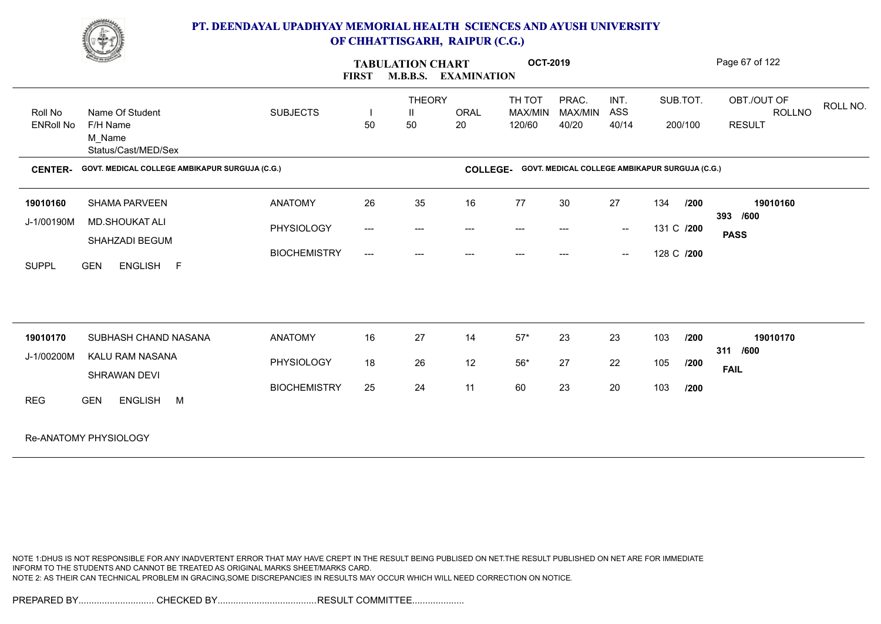

|                             | <b>Comment of the Comment of the Comment of the Comment of the Comment of The Comment of The Comment of The Comment of The Comment of The Comment of The Comment of The Comment of The Comment of The Comment of The Comment of </b> |                     | <b>FIRST</b> | <b>TABULATION CHART</b><br><b>M.B.B.S.</b> | <b>EXAMINATION</b> | <b>OCT-2019</b>             |                                                |                      |            |                     | Page 67 of 122                                |          |
|-----------------------------|--------------------------------------------------------------------------------------------------------------------------------------------------------------------------------------------------------------------------------------|---------------------|--------------|--------------------------------------------|--------------------|-----------------------------|------------------------------------------------|----------------------|------------|---------------------|-----------------------------------------------|----------|
| Roll No<br><b>ENRoll No</b> | Name Of Student<br>F/H Name<br>M_Name<br>Status/Cast/MED/Sex                                                                                                                                                                         | <b>SUBJECTS</b>     | 50           | <b>THEORY</b><br>Ш<br>50                   | ORAL<br>20         | TH TOT<br>MAX/MIN<br>120/60 | PRAC.<br>MAX/MIN<br>40/20                      | INT.<br>ASS<br>40/14 |            | SUB.TOT.<br>200/100 | OBT./OUT OF<br><b>ROLLNO</b><br><b>RESULT</b> | ROLL NO. |
| <b>CENTER-</b>              | GOVT. MEDICAL COLLEGE AMBIKAPUR SURGUJA (C.G.)                                                                                                                                                                                       |                     |              |                                            | <b>COLLEGE-</b>    |                             | GOVT. MEDICAL COLLEGE AMBIKAPUR SURGUJA (C.G.) |                      |            |                     |                                               |          |
| 19010160                    | <b>SHAMA PARVEEN</b>                                                                                                                                                                                                                 | <b>ANATOMY</b>      | 26           | 35                                         | 16                 | 77                          | 30                                             | 27                   | 134        | /200                | 19010160                                      |          |
| J-1/00190M                  | MD.SHOUKAT ALI<br>SHAHZADI BEGUM                                                                                                                                                                                                     | PHYSIOLOGY          | $---$        | $---$                                      | ---                | $---$                       | $---$                                          | $\sim$               | 131 C /200 |                     | 393 /600<br><b>PASS</b>                       |          |
| <b>SUPPL</b>                | <b>GEN</b><br>ENGLISH F                                                                                                                                                                                                              | <b>BIOCHEMISTRY</b> | $---$        | ---                                        | $---$              | ---                         | $---$                                          | $\hspace{0.05cm}$    | 128 C /200 |                     |                                               |          |
|                             |                                                                                                                                                                                                                                      |                     |              |                                            |                    |                             |                                                |                      |            |                     |                                               |          |
| 19010170                    | SUBHASH CHAND NASANA                                                                                                                                                                                                                 | <b>ANATOMY</b>      | 16           | 27                                         | 14                 | $57^{\star}$                | 23                                             | 23                   | 103        | /200                | 19010170                                      |          |
| J-1/00200M                  | KALU RAM NASANA<br>SHRAWAN DEVI                                                                                                                                                                                                      | PHYSIOLOGY          | 18           | 26                                         | 12                 | $56^{\ast}$                 | 27                                             | 22                   | 105        | /200                | 311 /600<br><b>FAIL</b>                       |          |
| <b>REG</b>                  | <b>GEN</b><br>ENGLISH M                                                                                                                                                                                                              | <b>BIOCHEMISTRY</b> | 25           | 24                                         | 11                 | 60                          | 23                                             | 20                   | 103        | /200                |                                               |          |
|                             | Re-ANATOMY PHYSIOLOGY                                                                                                                                                                                                                |                     |              |                                            |                    |                             |                                                |                      |            |                     |                                               |          |

NOTE 1:DHUS IS NOT RESPONSIBLE FOR ANY INADVERTENT ERROR THAT MAY HAVE CREPT IN THE RESULT BEING PUBLISED ON NET.THE RESULT PUBLISHED ON NET ARE FOR IMMEDIATE INFORM TO THE STUDENTS AND CANNOT BE TREATED AS ORIGINAL MARKS SHEET/MARKS CARD. NOTE 2: AS THEIR CAN TECHNICAL PROBLEM IN GRACING,SOME DISCREPANCIES IN RESULTS MAY OCCUR WHICH WILL NEED CORRECTION ON NOTICE.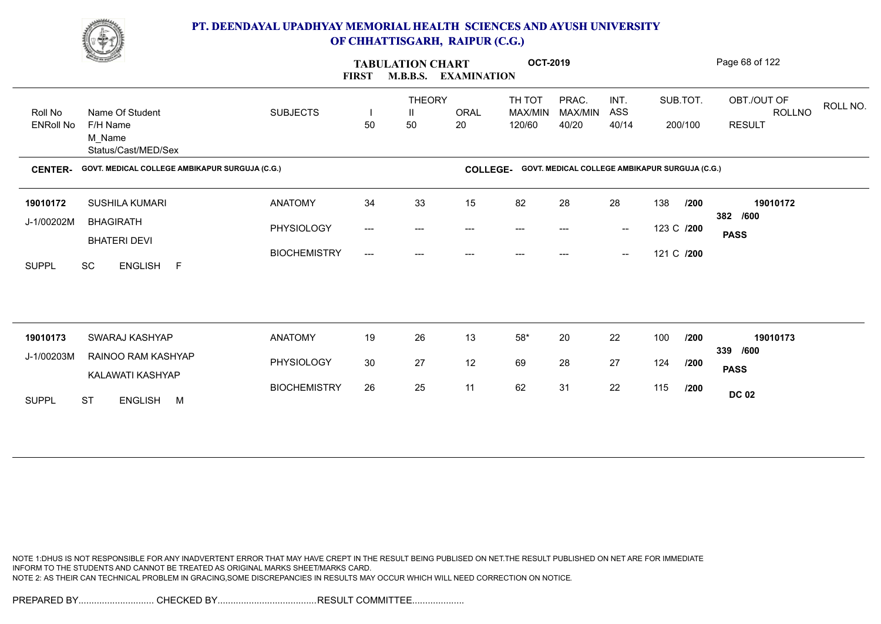

|                             | <u>Change</u>                                                |                     | <b>FIRST</b> | <b>TABULATION CHART</b>  | <b>M.B.B.S. EXAMINATION</b> | <b>OCT-2019</b>             |                                                |                                                |            |                     | Page 68 of 122                                            |
|-----------------------------|--------------------------------------------------------------|---------------------|--------------|--------------------------|-----------------------------|-----------------------------|------------------------------------------------|------------------------------------------------|------------|---------------------|-----------------------------------------------------------|
| Roll No<br><b>ENRoll No</b> | Name Of Student<br>F/H Name<br>M_Name<br>Status/Cast/MED/Sex | <b>SUBJECTS</b>     | H<br>50      | <b>THEORY</b><br>Ш<br>50 | ORAL<br>20                  | TH TOT<br>MAX/MIN<br>120/60 | PRAC.<br>MAX/MIN<br>40/20                      | INT.<br>ASS<br>40/14                           |            | SUB.TOT.<br>200/100 | OBT./OUT OF<br>ROLL NO.<br><b>ROLLNO</b><br><b>RESULT</b> |
| <b>CENTER-</b>              | GOVT. MEDICAL COLLEGE AMBIKAPUR SURGUJA (C.G.)               |                     |              |                          | <b>COLLEGE-</b>             |                             | GOVT. MEDICAL COLLEGE AMBIKAPUR SURGUJA (C.G.) |                                                |            |                     |                                                           |
| 19010172                    | SUSHILA KUMARI                                               | <b>ANATOMY</b>      | 34           | 33                       | 15                          | 82                          | 28                                             | 28                                             | 138        | /200                | 19010172                                                  |
| J-1/00202M                  | <b>BHAGIRATH</b><br><b>BHATERI DEVI</b>                      | PHYSIOLOGY          | ---          | ---                      |                             |                             |                                                | $\hspace{0.1mm}-\hspace{0.1mm}-\hspace{0.1mm}$ | 123 C /200 |                     | 382 /600<br><b>PASS</b>                                   |
| <b>SUPPL</b>                | ENGLISH F<br><b>SC</b>                                       | <b>BIOCHEMISTRY</b> | ---          | $---$                    |                             | ---                         | ---                                            | $\hspace{0.1mm}-\hspace{0.1mm}-\hspace{0.1mm}$ | 121 C /200 |                     |                                                           |
|                             |                                                              |                     |              |                          |                             |                             |                                                |                                                |            |                     |                                                           |
| 19010173                    | <b>SWARAJ KASHYAP</b>                                        | <b>ANATOMY</b>      | 19           | 26                       | 13                          | $58^{\ast}$                 | 20                                             | 22                                             | 100        | /200                | 19010173<br>339 /600                                      |
| J-1/00203M                  | RAINOO RAM KASHYAP<br>KALAWATI KASHYAP                       | PHYSIOLOGY          | $30\,$       | 27                       | 12                          | 69                          | 28                                             | 27                                             | 124        | /200                | <b>PASS</b>                                               |
| <b>SUPPL</b>                | <b>ST</b><br>ENGLISH M                                       | <b>BIOCHEMISTRY</b> | 26           | 25                       | 11                          | 62                          | 31                                             | 22                                             | 115        | /200                | <b>DC 02</b>                                              |

NOTE 1:DHUS IS NOT RESPONSIBLE FOR ANY INADVERTENT ERROR THAT MAY HAVE CREPT IN THE RESULT BEING PUBLISED ON NET.THE RESULT PUBLISHED ON NET ARE FOR IMMEDIATE INFORM TO THE STUDENTS AND CANNOT BE TREATED AS ORIGINAL MARKS SHEET/MARKS CARD. NOTE 2: AS THEIR CAN TECHNICAL PROBLEM IN GRACING,SOME DISCREPANCIES IN RESULTS MAY OCCUR WHICH WILL NEED CORRECTION ON NOTICE.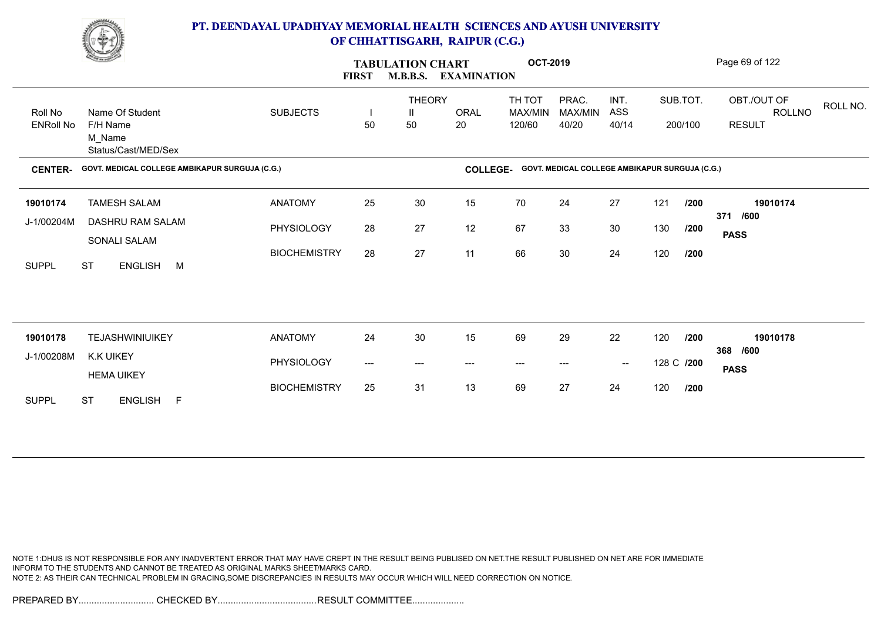

|                             | <b>Change of Congress</b>                                    |                     | <b>FIRST</b>                   | <b>TABULATION CHART</b><br><b>M.B.B.S.</b> | <b>EXAMINATION</b> | <b>OCT-2019</b>             |                                                |                                                |            |                     | Page 69 of 122                                            |
|-----------------------------|--------------------------------------------------------------|---------------------|--------------------------------|--------------------------------------------|--------------------|-----------------------------|------------------------------------------------|------------------------------------------------|------------|---------------------|-----------------------------------------------------------|
| Roll No<br><b>ENRoll No</b> | Name Of Student<br>F/H Name<br>M Name<br>Status/Cast/MED/Sex | <b>SUBJECTS</b>     | $\overline{\phantom{a}}$<br>50 | <b>THEORY</b><br>Ш<br>50                   | <b>ORAL</b><br>20  | TH TOT<br>MAX/MIN<br>120/60 | PRAC.<br>MAX/MIN<br>40/20                      | INT.<br>ASS<br>40/14                           |            | SUB.TOT.<br>200/100 | OBT./OUT OF<br>ROLL NO.<br><b>ROLLNO</b><br><b>RESULT</b> |
| <b>CENTER-</b>              | GOVT. MEDICAL COLLEGE AMBIKAPUR SURGUJA (C.G.)               |                     |                                |                                            | <b>COLLEGE-</b>    |                             | GOVT. MEDICAL COLLEGE AMBIKAPUR SURGUJA (C.G.) |                                                |            |                     |                                                           |
| 19010174                    | <b>TAMESH SALAM</b>                                          | <b>ANATOMY</b>      | 25                             | 30                                         | 15                 | 70                          | 24                                             | 27                                             | 121        | /200                | 19010174                                                  |
| J-1/00204M                  | DASHRU RAM SALAM<br>SONALI SALAM                             | PHYSIOLOGY          | 28                             | 27                                         | 12                 | 67                          | 33                                             | 30                                             | 130        | /200                | 371 /600<br><b>PASS</b>                                   |
| <b>SUPPL</b>                | <b>ST</b><br>ENGLISH M                                       | <b>BIOCHEMISTRY</b> | 28                             | 27                                         | 11                 | 66                          | 30                                             | 24                                             | 120        | /200                |                                                           |
|                             |                                                              |                     |                                |                                            |                    |                             |                                                |                                                |            |                     |                                                           |
| 19010178                    | <b>TEJASHWINIUIKEY</b>                                       | <b>ANATOMY</b>      | 24                             | 30                                         | 15                 | 69                          | 29                                             | 22                                             | 120        | /200                | 19010178<br>368 /600                                      |
| J-1/00208M                  | <b>K.K UIKEY</b><br><b>HEMA UIKEY</b>                        | PHYSIOLOGY          | ---                            | $\hspace{0.05cm} \ldots \hspace{0.05cm}$   | $---$              | $\hspace{0.05cm} \ldots$    | ---                                            | $\hspace{0.1mm}-\hspace{0.1mm}-\hspace{0.1mm}$ | 128 C /200 |                     | <b>PASS</b>                                               |
| <b>SUPPL</b>                | <b>ST</b><br>ENGLISH F                                       | <b>BIOCHEMISTRY</b> | 25                             | 31                                         | 13                 | 69                          | 27                                             | 24                                             | 120        | /200                |                                                           |

NOTE 1:DHUS IS NOT RESPONSIBLE FOR ANY INADVERTENT ERROR THAT MAY HAVE CREPT IN THE RESULT BEING PUBLISED ON NET.THE RESULT PUBLISHED ON NET ARE FOR IMMEDIATE INFORM TO THE STUDENTS AND CANNOT BE TREATED AS ORIGINAL MARKS SHEET/MARKS CARD. NOTE 2: AS THEIR CAN TECHNICAL PROBLEM IN GRACING,SOME DISCREPANCIES IN RESULTS MAY OCCUR WHICH WILL NEED CORRECTION ON NOTICE.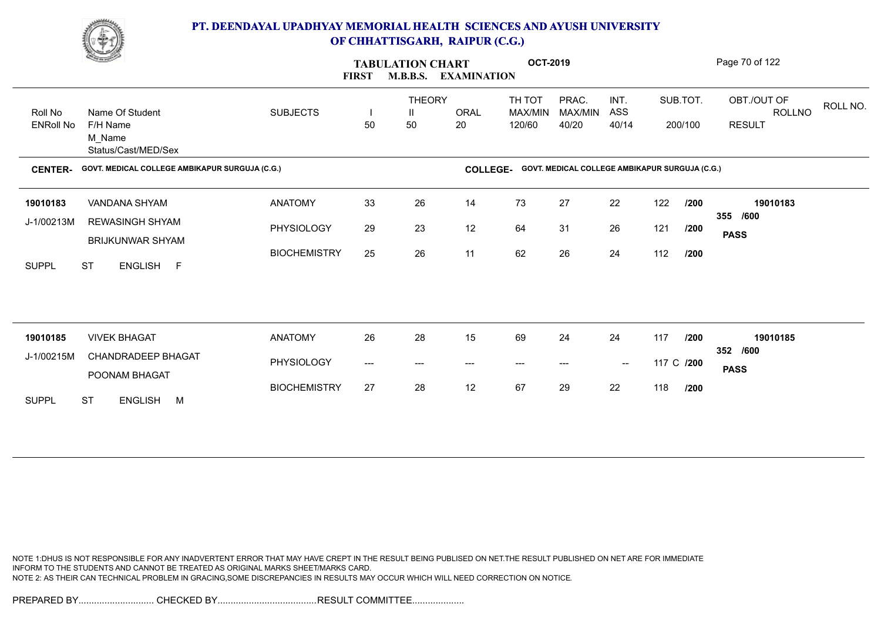

|                             | <b>Change of Congress</b>                                    |                     | <b>TABULATION CHART</b><br><b>M.B.B.S.</b><br><b>EXAMINATION</b><br><b>FIRST</b> |                                          |                   | <b>OCT-2019</b>             |                                                |                      |            |                     | Page 70 of 122                                     |
|-----------------------------|--------------------------------------------------------------|---------------------|----------------------------------------------------------------------------------|------------------------------------------|-------------------|-----------------------------|------------------------------------------------|----------------------|------------|---------------------|----------------------------------------------------|
| Roll No<br><b>ENRoll No</b> | Name Of Student<br>F/H Name<br>M Name<br>Status/Cast/MED/Sex | <b>SUBJECTS</b>     | 50                                                                               | <b>THEORY</b><br>Ш<br>50                 | <b>ORAL</b><br>20 | TH TOT<br>MAX/MIN<br>120/60 | PRAC.<br>MAX/MIN<br>40/20                      | INT.<br>ASS<br>40/14 |            | SUB.TOT.<br>200/100 | OBT./OUT OF<br>ROLL NO.<br>ROLLNO<br><b>RESULT</b> |
| <b>CENTER-</b>              | GOVT. MEDICAL COLLEGE AMBIKAPUR SURGUJA (C.G.)               |                     |                                                                                  |                                          | <b>COLLEGE-</b>   |                             | GOVT. MEDICAL COLLEGE AMBIKAPUR SURGUJA (C.G.) |                      |            |                     |                                                    |
| 19010183                    | VANDANA SHYAM                                                | <b>ANATOMY</b>      | 33                                                                               | 26                                       | 14                | 73                          | 27                                             | 22                   | 122        | /200                | 19010183<br>355 /600                               |
| J-1/00213M                  | <b>REWASINGH SHYAM</b><br><b>BRIJKUNWAR SHYAM</b>            | PHYSIOLOGY          | 29                                                                               | 23                                       | 12                | 64                          | 31                                             | 26                   | 121        | /200                | <b>PASS</b>                                        |
| <b>SUPPL</b>                | <b>ST</b><br>ENGLISH F                                       | <b>BIOCHEMISTRY</b> | 25                                                                               | 26                                       | 11                | 62                          | 26                                             | 24                   | 112        | /200                |                                                    |
|                             |                                                              |                     |                                                                                  |                                          |                   |                             |                                                |                      |            |                     |                                                    |
| 19010185                    | <b>VIVEK BHAGAT</b>                                          | <b>ANATOMY</b>      | 26                                                                               | 28                                       | 15                | 69                          | 24                                             | 24                   | 117        | /200                | 19010185<br>352 /600                               |
| J-1/00215M                  | <b>CHANDRADEEP BHAGAT</b><br>POONAM BHAGAT                   | PHYSIOLOGY          | ---                                                                              | $\hspace{0.05cm} \ldots \hspace{0.05cm}$ | $---$             | $\hspace{0.05cm} \ldots$    | ---                                            | $\sim$               | 117 C /200 |                     | <b>PASS</b>                                        |
| <b>SUPPL</b>                | <b>ST</b><br>ENGLISH M                                       | <b>BIOCHEMISTRY</b> | 27                                                                               | 28                                       | 12                | 67                          | 29                                             | 22                   | 118        | /200                |                                                    |

NOTE 1:DHUS IS NOT RESPONSIBLE FOR ANY INADVERTENT ERROR THAT MAY HAVE CREPT IN THE RESULT BEING PUBLISED ON NET.THE RESULT PUBLISHED ON NET ARE FOR IMMEDIATE INFORM TO THE STUDENTS AND CANNOT BE TREATED AS ORIGINAL MARKS SHEET/MARKS CARD. NOTE 2: AS THEIR CAN TECHNICAL PROBLEM IN GRACING,SOME DISCREPANCIES IN RESULTS MAY OCCUR WHICH WILL NEED CORRECTION ON NOTICE.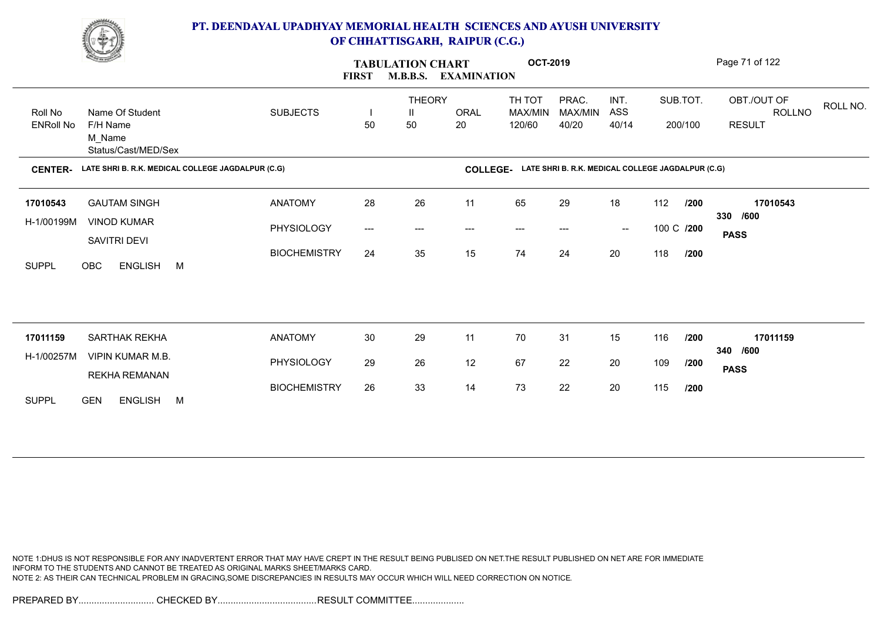

|                             | <b>Change of Congress</b>                                    |                     | <b>FIRST</b> | <b>TABULATION CHART</b><br><b>M.B.B.S.</b> | <b>EXAMINATION</b> | <b>OCT-2019</b>             |                                                   |                                                |            |                     | Page 71 of 122                                            |
|-----------------------------|--------------------------------------------------------------|---------------------|--------------|--------------------------------------------|--------------------|-----------------------------|---------------------------------------------------|------------------------------------------------|------------|---------------------|-----------------------------------------------------------|
| Roll No<br><b>ENRoll No</b> | Name Of Student<br>F/H Name<br>M_Name<br>Status/Cast/MED/Sex | <b>SUBJECTS</b>     | 50           | <b>THEORY</b><br>Ш<br>50                   | ORAL<br>20         | TH TOT<br>MAX/MIN<br>120/60 | PRAC.<br>MAX/MIN<br>40/20                         | INT.<br>ASS<br>40/14                           |            | SUB.TOT.<br>200/100 | OBT./OUT OF<br>ROLL NO.<br><b>ROLLNO</b><br><b>RESULT</b> |
| <b>CENTER-</b>              | LATE SHRI B. R.K. MEDICAL COLLEGE JAGDALPUR (C.G)            |                     |              |                                            | <b>COLLEGE-</b>    |                             | LATE SHRI B. R.K. MEDICAL COLLEGE JAGDALPUR (C.G) |                                                |            |                     |                                                           |
| 17010543                    | <b>GAUTAM SINGH</b>                                          | <b>ANATOMY</b>      | 28           | 26                                         | 11                 | 65                          | 29                                                | 18                                             | 112        | /200                | 17010543                                                  |
| H-1/00199M                  | <b>VINOD KUMAR</b><br>SAVITRI DEVI                           | PHYSIOLOGY          | ---          | $---$                                      | ---                | $--$                        | $---$                                             | $\hspace{0.1mm}-\hspace{0.1mm}-\hspace{0.1mm}$ | 100 C /200 |                     | 330 /600<br><b>PASS</b>                                   |
| <b>SUPPL</b>                | ENGLISH M<br>OBC                                             | <b>BIOCHEMISTRY</b> | 24           | 35                                         | 15                 | 74                          | 24                                                | 20                                             | 118        | /200                |                                                           |
|                             |                                                              |                     |              |                                            |                    |                             |                                                   |                                                |            |                     |                                                           |
| 17011159                    | SARTHAK REKHA                                                | <b>ANATOMY</b>      | 30           | 29                                         | 11                 | 70                          | 31                                                | 15                                             | 116        | /200                | 17011159                                                  |
| H-1/00257M                  | <b>VIPIN KUMAR M.B.</b><br>REKHA REMANAN                     | PHYSIOLOGY          | 29           | 26                                         | 12                 | 67                          | 22                                                | 20                                             | 109        | /200                | 340 /600<br><b>PASS</b>                                   |
| <b>SUPPL</b>                | <b>GEN</b><br>ENGLISH M                                      | <b>BIOCHEMISTRY</b> | 26           | 33                                         | 14                 | 73                          | 22                                                | 20                                             | 115        | /200                |                                                           |

NOTE 1:DHUS IS NOT RESPONSIBLE FOR ANY INADVERTENT ERROR THAT MAY HAVE CREPT IN THE RESULT BEING PUBLISED ON NET.THE RESULT PUBLISHED ON NET ARE FOR IMMEDIATE INFORM TO THE STUDENTS AND CANNOT BE TREATED AS ORIGINAL MARKS SHEET/MARKS CARD. NOTE 2: AS THEIR CAN TECHNICAL PROBLEM IN GRACING,SOME DISCREPANCIES IN RESULTS MAY OCCUR WHICH WILL NEED CORRECTION ON NOTICE.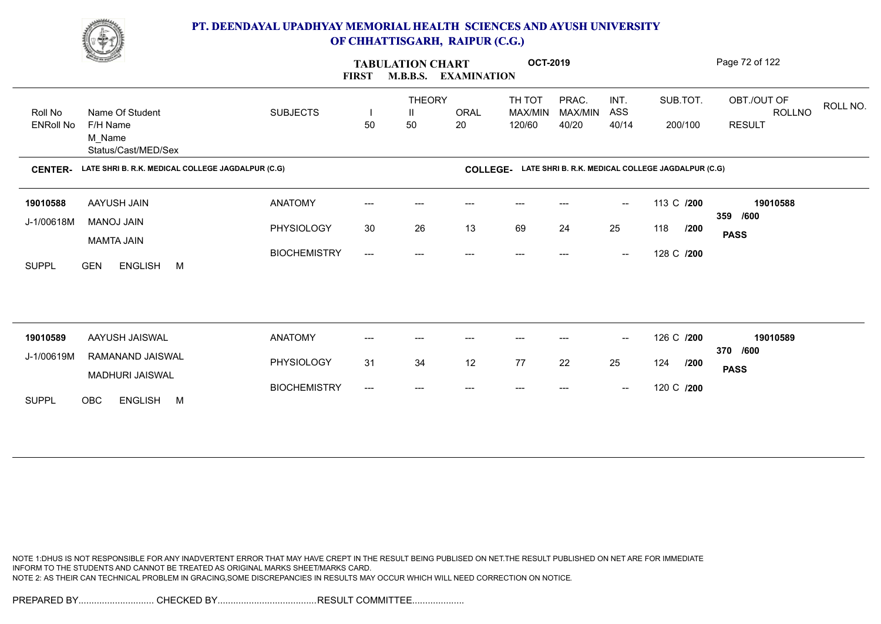

|                  | <b>Change of Congress</b>                         |                     | <b>FIRST</b>              | <b>TABULATION CHART</b><br><b>M.B.B.S.</b> | <b>OCT-2019</b><br><b>EXAMINATION</b> |                                                            |                  |                                                | Page 72 of 122 |                                          |
|------------------|---------------------------------------------------|---------------------|---------------------------|--------------------------------------------|---------------------------------------|------------------------------------------------------------|------------------|------------------------------------------------|----------------|------------------------------------------|
| Roll No          | Name Of Student                                   | <b>SUBJECTS</b>     |                           | <b>THEORY</b><br>Ш                         | <b>ORAL</b>                           | TH TOT<br>MAX/MIN                                          | PRAC.<br>MAX/MIN | INT.<br>ASS                                    | SUB.TOT.       | OBT./OUT OF<br>ROLL NO.<br><b>ROLLNO</b> |
| <b>ENRoll No</b> | F/H Name<br>M_Name<br>Status/Cast/MED/Sex         |                     | 50                        | 50                                         | 20                                    | 120/60                                                     | 40/20            | 40/14                                          | 200/100        | <b>RESULT</b>                            |
| <b>CENTER-</b>   | LATE SHRI B. R.K. MEDICAL COLLEGE JAGDALPUR (C.G) |                     |                           |                                            |                                       | COLLEGE- LATE SHRI B. R.K. MEDICAL COLLEGE JAGDALPUR (C.G) |                  |                                                |                |                                          |
| 19010588         | AAYUSH JAIN                                       | <b>ANATOMY</b>      | $\qquad \qquad -\qquad$   | ---                                        | ---                                   | $---$                                                      | $---$            | $\sim$                                         | 113 C /200     | 19010588                                 |
| J-1/00618M       | MANOJ JAIN<br>MAMTA JAIN                          | PHYSIOLOGY          | 30                        | 26                                         | 13                                    | 69                                                         | 24               | 25                                             | 118<br>/200    | 359 /600<br><b>PASS</b>                  |
| <b>SUPPL</b>     | ENGLISH M<br><b>GEN</b>                           | <b>BIOCHEMISTRY</b> | $\qquad \qquad -\qquad -$ | ---                                        |                                       |                                                            |                  | $\hspace{0.1mm}-\hspace{0.1mm}-\hspace{0.1mm}$ | 128 C /200     |                                          |
|                  |                                                   |                     |                           |                                            |                                       |                                                            |                  |                                                |                |                                          |
| 19010589         | AAYUSH JAISWAL                                    | <b>ANATOMY</b>      | ---                       | ---                                        |                                       | ---                                                        |                  | $\overline{\phantom{a}}$                       | 126 C /200     | 19010589<br>370 /600                     |
| J-1/00619M       | RAMANAND JAISWAL<br><b>MADHURI JAISWAL</b>        | PHYSIOLOGY          | 31                        | 34                                         | 12                                    | 77                                                         | 22               | 25                                             | 124<br>/200    | <b>PASS</b>                              |
| <b>SUPPL</b>     | OBC<br>ENGLISH M                                  | <b>BIOCHEMISTRY</b> | $---$                     | $---$                                      | $---$                                 | $---$                                                      | ---              | $\hspace{0.1mm}-\hspace{0.1mm}-\hspace{0.1mm}$ | 120 C /200     |                                          |

NOTE 1:DHUS IS NOT RESPONSIBLE FOR ANY INADVERTENT ERROR THAT MAY HAVE CREPT IN THE RESULT BEING PUBLISED ON NET.THE RESULT PUBLISHED ON NET ARE FOR IMMEDIATE INFORM TO THE STUDENTS AND CANNOT BE TREATED AS ORIGINAL MARKS SHEET/MARKS CARD. NOTE 2: AS THEIR CAN TECHNICAL PROBLEM IN GRACING,SOME DISCREPANCIES IN RESULTS MAY OCCUR WHICH WILL NEED CORRECTION ON NOTICE.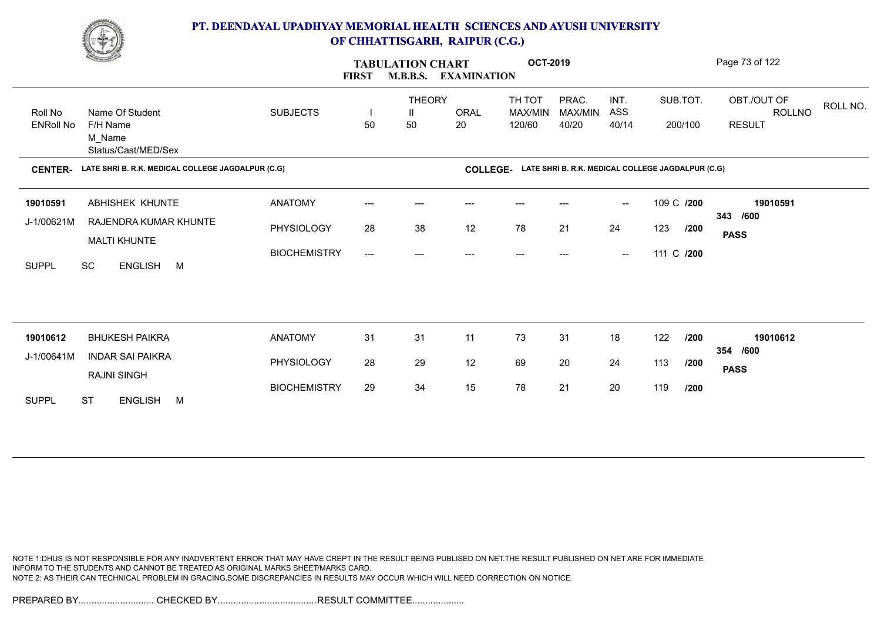

|                  | <b>Comment of the Comment of the Comment of the Comment of the Comment of The Comment of The Comment of The Comment of The Comment of The Comment of The Comment of The Comment of The Comment of The Comment of The Comment of </b> |                     | <b>FIRST</b>              | <b>TABULATION CHART</b><br><b>M.B.B.S.</b> | <b>EXAMINATION</b> | <b>OCT-2019</b>                                            |                  |                                                |            |          | Page 73 of 122                           |
|------------------|--------------------------------------------------------------------------------------------------------------------------------------------------------------------------------------------------------------------------------------|---------------------|---------------------------|--------------------------------------------|--------------------|------------------------------------------------------------|------------------|------------------------------------------------|------------|----------|------------------------------------------|
| Roll No          | Name Of Student                                                                                                                                                                                                                      | <b>SUBJECTS</b>     |                           | <b>THEORY</b><br>Ш                         | <b>ORAL</b>        | TH TOT<br>MAX/MIN                                          | PRAC.<br>MAX/MIN | INT.<br>ASS                                    |            | SUB.TOT. | OBT./OUT OF<br>ROLL NO.<br><b>ROLLNO</b> |
| <b>ENRoll No</b> | F/H Name<br>M_Name<br>Status/Cast/MED/Sex                                                                                                                                                                                            |                     | 50                        | 50                                         | 20                 | 120/60                                                     | 40/20            | 40/14                                          |            | 200/100  | <b>RESULT</b>                            |
| <b>CENTER-</b>   | LATE SHRI B. R.K. MEDICAL COLLEGE JAGDALPUR (C.G)                                                                                                                                                                                    |                     |                           |                                            |                    | COLLEGE- LATE SHRI B. R.K. MEDICAL COLLEGE JAGDALPUR (C.G) |                  |                                                |            |          |                                          |
| 19010591         | ABHISHEK KHUNTE                                                                                                                                                                                                                      | <b>ANATOMY</b>      | ---                       | ---                                        |                    |                                                            |                  | $\hspace{0.1mm}-\hspace{0.1mm}-\hspace{0.1mm}$ | 109 C /200 |          | 19010591                                 |
| J-1/00621M       | RAJENDRA KUMAR KHUNTE<br><b>MALTI KHUNTE</b>                                                                                                                                                                                         | PHYSIOLOGY          | 28                        | 38                                         | 12                 | 78                                                         | 21               | 24                                             | 123        | /200     | 343 /600<br><b>PASS</b>                  |
| <b>SUPPL</b>     | SC<br>ENGLISH M                                                                                                                                                                                                                      | <b>BIOCHEMISTRY</b> | $\qquad \qquad -\qquad -$ | ---                                        | ---                | ---                                                        |                  | $\overline{\phantom{a}}$                       | 111 C /200 |          |                                          |
|                  |                                                                                                                                                                                                                                      |                     |                           |                                            |                    |                                                            |                  |                                                |            |          |                                          |
| 19010612         | <b>BHUKESH PAIKRA</b>                                                                                                                                                                                                                | <b>ANATOMY</b>      | 31                        | 31                                         | 11                 | 73                                                         | 31               | 18                                             | 122        | /200     | 19010612                                 |
| J-1/00641M       | <b>INDAR SAI PAIKRA</b>                                                                                                                                                                                                              |                     |                           |                                            |                    |                                                            |                  |                                                |            |          | 354 /600                                 |
|                  | <b>RAJNI SINGH</b>                                                                                                                                                                                                                   | PHYSIOLOGY          | 28                        | 29                                         | 12                 | 69                                                         | 20               | 24                                             | 113        | /200     | <b>PASS</b>                              |
| <b>SUPPL</b>     | <b>ST</b><br><b>ENGLISH</b><br>M                                                                                                                                                                                                     | <b>BIOCHEMISTRY</b> | 29                        | 34                                         | 15                 | 78                                                         | 21               | 20                                             | 119        | /200     |                                          |

NOTE 1:DHUS IS NOT RESPONSIBLE FOR ANY INADVERTENT ERROR THAT MAY HAVE CREPT IN THE RESULT BEING PUBLISED ON NET.THE RESULT PUBLISHED ON NET ARE FOR IMMEDIATE INFORM TO THE STUDENTS AND CANNOT BE TREATED AS ORIGINAL MARKS SHEET/MARKS CARD. NOTE 2: AS THEIR CAN TECHNICAL PROBLEM IN GRACING,SOME DISCREPANCIES IN RESULTS MAY OCCUR WHICH WILL NEED CORRECTION ON NOTICE.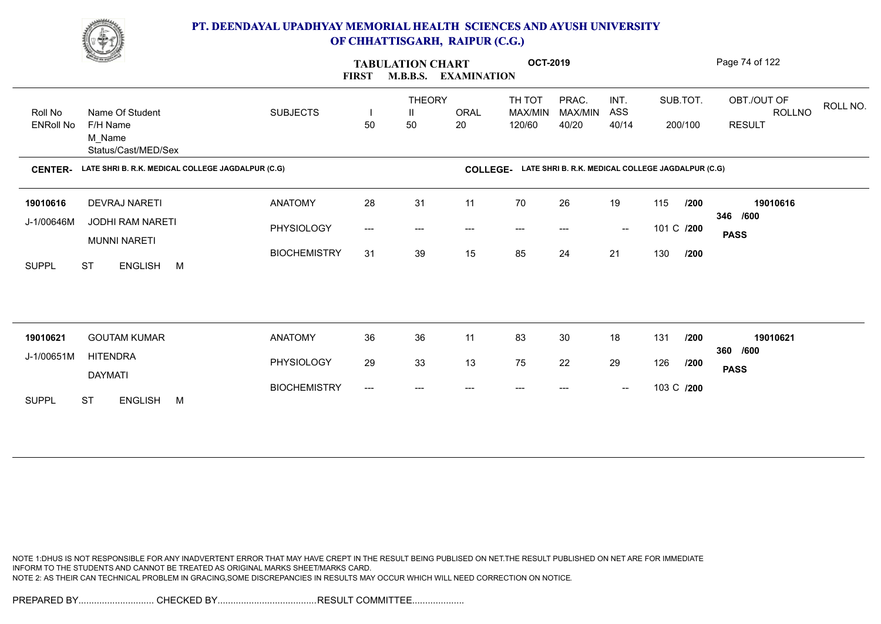

|                  | <b>Change of Congress</b>                          |                     | <b>FIRST</b>                        | <b>TABULATION CHART</b><br><b>M.B.B.S.</b> | <b>EXAMINATION</b> | <b>OCT-2019</b>                                            |                        |                                                |            |          | Page 74 of 122                    |
|------------------|----------------------------------------------------|---------------------|-------------------------------------|--------------------------------------------|--------------------|------------------------------------------------------------|------------------------|------------------------------------------------|------------|----------|-----------------------------------|
| Roll No          | Name Of Student                                    | <b>SUBJECTS</b>     |                                     | <b>THEORY</b><br>Ш                         | ORAL               | TH TOT<br>MAX/MIN                                          | PRAC.<br>MAX/MIN       | INT.<br>ASS                                    |            | SUB.TOT. | OBT./OUT OF<br>ROLL NO.<br>ROLLNO |
| <b>ENRoll No</b> | F/H Name<br>M_Name<br>Status/Cast/MED/Sex          |                     | 50                                  | 50                                         | 20                 | 120/60                                                     | 40/20                  | 40/14                                          |            | 200/100  | <b>RESULT</b>                     |
| <b>CENTER-</b>   | LATE SHRI B. R.K. MEDICAL COLLEGE JAGDALPUR (C.G)  |                     |                                     |                                            |                    | COLLEGE- LATE SHRI B. R.K. MEDICAL COLLEGE JAGDALPUR (C.G) |                        |                                                |            |          |                                   |
| 19010616         | <b>DEVRAJ NARETI</b>                               | <b>ANATOMY</b>      | 28                                  | 31                                         | 11                 | 70                                                         | 26                     | 19                                             | 115        | /200     | 19010616                          |
| J-1/00646M       | <b>JODHI RAM NARETI</b>                            | PHYSIOLOGY          | $\hspace{0.05cm}---\hspace{0.05cm}$ | $---$                                      | ---                | $\qquad \qquad \cdots$                                     | $\qquad \qquad \cdots$ | $\hspace{0.1mm}-\hspace{0.1mm}-\hspace{0.1mm}$ | 101 C /200 |          | 346 /600<br><b>PASS</b>           |
| <b>SUPPL</b>     | <b>MUNNI NARETI</b><br><b>ST</b><br>ENGLISH M      | <b>BIOCHEMISTRY</b> | 31                                  | 39                                         | 15                 | 85                                                         | 24                     | 21                                             | 130        | /200     |                                   |
|                  |                                                    |                     |                                     |                                            |                    |                                                            |                        |                                                |            |          |                                   |
|                  |                                                    |                     |                                     |                                            |                    |                                                            |                        |                                                |            |          |                                   |
| 19010621         | <b>GOUTAM KUMAR</b>                                | <b>ANATOMY</b>      | 36                                  | 36                                         | 11                 | 83                                                         | 30                     | 18                                             | 131        | /200     | 19010621<br>360 /600              |
| J-1/00651M       | <b>HITENDRA</b>                                    | PHYSIOLOGY          | 29                                  | 33                                         | 13                 | 75                                                         | 22                     | 29                                             | 126        | /200     | <b>PASS</b>                       |
| <b>SUPPL</b>     | <b>DAYMATI</b><br><b>ST</b><br><b>ENGLISH</b><br>M | <b>BIOCHEMISTRY</b> | $\hspace{0.05cm} \ldots$            | ---                                        |                    | $---$                                                      |                        | $\hspace{0.1mm}-\hspace{0.1mm}-\hspace{0.1mm}$ | 103 C /200 |          |                                   |
|                  |                                                    |                     |                                     |                                            |                    |                                                            |                        |                                                |            |          |                                   |

NOTE 1:DHUS IS NOT RESPONSIBLE FOR ANY INADVERTENT ERROR THAT MAY HAVE CREPT IN THE RESULT BEING PUBLISED ON NET.THE RESULT PUBLISHED ON NET ARE FOR IMMEDIATE INFORM TO THE STUDENTS AND CANNOT BE TREATED AS ORIGINAL MARKS SHEET/MARKS CARD. NOTE 2: AS THEIR CAN TECHNICAL PROBLEM IN GRACING,SOME DISCREPANCIES IN RESULTS MAY OCCUR WHICH WILL NEED CORRECTION ON NOTICE.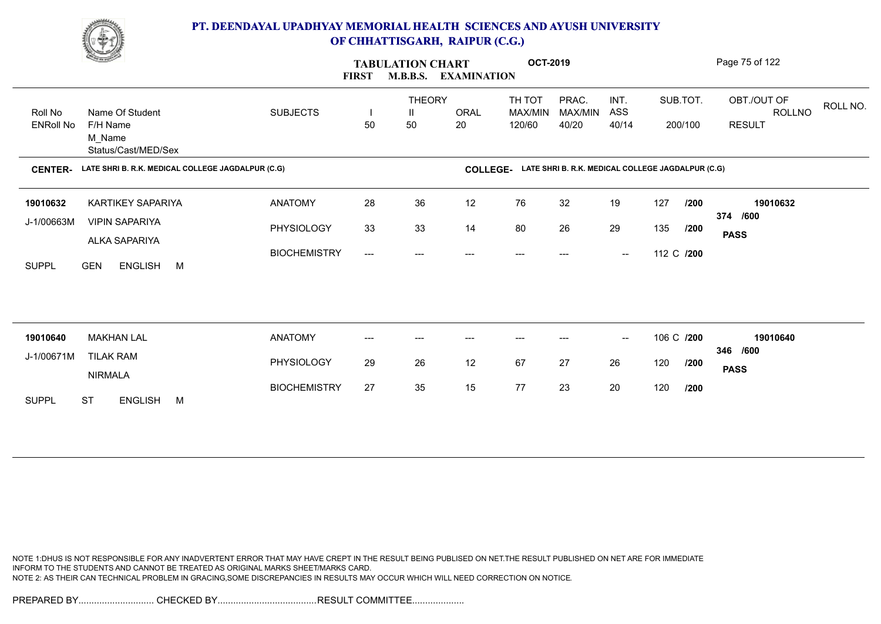

|                  | <b>Change of Congress</b>                         |                     | <b>FIRST</b> | <b>TABULATION CHART</b> | <b>M.B.B.S. EXAMINATION</b> | <b>OCT-2019</b>   |                                                   |                                                |            |          | Page 75 of 122                    |
|------------------|---------------------------------------------------|---------------------|--------------|-------------------------|-----------------------------|-------------------|---------------------------------------------------|------------------------------------------------|------------|----------|-----------------------------------|
| Roll No          | Name Of Student                                   | <b>SUBJECTS</b>     | H            | <b>THEORY</b><br>Ш      | ORAL                        | TH TOT<br>MAX/MIN | PRAC.<br>MAX/MIN                                  | INT.<br>ASS                                    |            | SUB.TOT. | OBT./OUT OF<br>ROLL NO.<br>ROLLNO |
| <b>ENRoll No</b> | F/H Name<br>M_Name<br>Status/Cast/MED/Sex         |                     | 50           | 50                      | 20                          | 120/60            | 40/20                                             | 40/14                                          |            | 200/100  | <b>RESULT</b>                     |
| <b>CENTER-</b>   | LATE SHRI B. R.K. MEDICAL COLLEGE JAGDALPUR (C.G) |                     |              |                         | <b>COLLEGE-</b>             |                   | LATE SHRI B. R.K. MEDICAL COLLEGE JAGDALPUR (C.G) |                                                |            |          |                                   |
| 19010632         | KARTIKEY SAPARIYA                                 | <b>ANATOMY</b>      | 28           | 36                      | 12                          | 76                | 32                                                | 19                                             | 127        | /200     | 19010632                          |
| J-1/00663M       | <b>VIPIN SAPARIYA</b><br>ALKA SAPARIYA            | PHYSIOLOGY          | 33           | 33                      | 14                          | 80                | 26                                                | 29                                             | 135        | /200     | 374 /600<br><b>PASS</b>           |
| <b>SUPPL</b>     | <b>GEN</b><br>ENGLISH M                           | <b>BIOCHEMISTRY</b> | ---          | $\qquad \qquad \cdots$  | $---$                       | $---$             | ---                                               | $\hspace{0.1mm}-\hspace{0.1mm}-\hspace{0.1mm}$ | 112 C /200 |          |                                   |
|                  |                                                   |                     |              |                         |                             |                   |                                                   |                                                |            |          |                                   |
| 19010640         | <b>MAKHAN LAL</b>                                 | <b>ANATOMY</b>      | ---          | ---                     | $---$                       | $---$             | $---$                                             | $\sim$                                         | 106 C /200 |          | 19010640                          |
| J-1/00671M       | <b>TILAK RAM</b><br><b>NIRMALA</b>                | PHYSIOLOGY          | 29           | 26                      | 12                          | 67                | 27                                                | 26                                             | 120        | /200     | 346 /600<br><b>PASS</b>           |
| <b>SUPPL</b>     | <b>ST</b><br><b>ENGLISH</b><br>M                  | <b>BIOCHEMISTRY</b> | 27           | 35                      | 15                          | 77                | 23                                                | 20                                             | 120        | /200     |                                   |
|                  |                                                   |                     |              |                         |                             |                   |                                                   |                                                |            |          |                                   |

NOTE 1:DHUS IS NOT RESPONSIBLE FOR ANY INADVERTENT ERROR THAT MAY HAVE CREPT IN THE RESULT BEING PUBLISED ON NET.THE RESULT PUBLISHED ON NET ARE FOR IMMEDIATE INFORM TO THE STUDENTS AND CANNOT BE TREATED AS ORIGINAL MARKS SHEET/MARKS CARD. NOTE 2: AS THEIR CAN TECHNICAL PROBLEM IN GRACING,SOME DISCREPANCIES IN RESULTS MAY OCCUR WHICH WILL NEED CORRECTION ON NOTICE.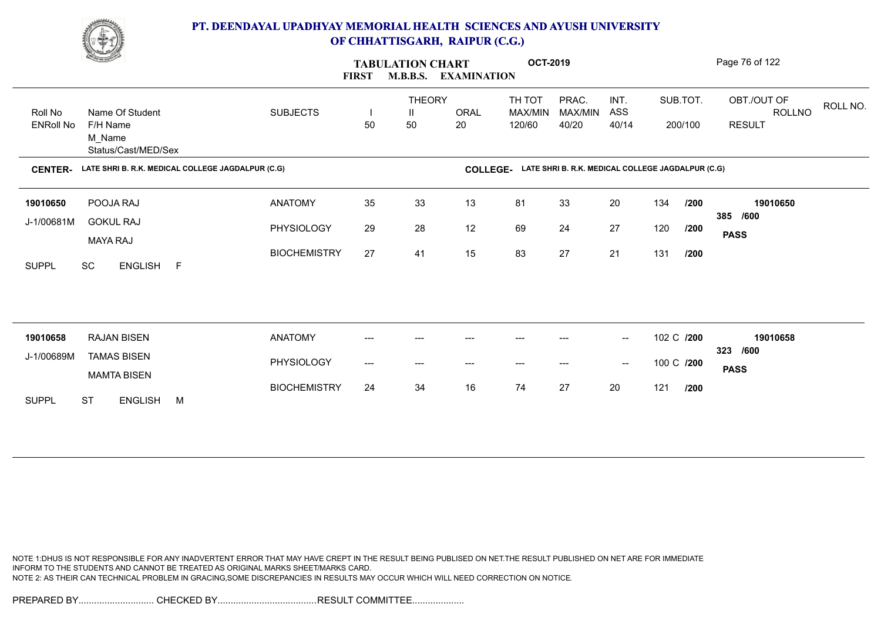

|                  | <b>Change of Congress</b>                         |                     | <b>FIRST</b> | <b>TABULATION CHART</b><br><b>M.B.B.S.</b> | <b>EXAMINATION</b> | <b>OCT-2019</b>                                            |                  |                                                |            |      | Page 76 of 122                           |
|------------------|---------------------------------------------------|---------------------|--------------|--------------------------------------------|--------------------|------------------------------------------------------------|------------------|------------------------------------------------|------------|------|------------------------------------------|
| Roll No          | Name Of Student                                   | <b>SUBJECTS</b>     |              | <b>THEORY</b><br>$\mathbf{H}$              | <b>ORAL</b>        | TH TOT<br>MAX/MIN                                          | PRAC.<br>MAX/MIN | INT.<br>ASS                                    | SUB.TOT.   |      | OBT./OUT OF<br>ROLL NO.<br><b>ROLLNO</b> |
| <b>ENRoll No</b> | F/H Name<br>M_Name<br>Status/Cast/MED/Sex         |                     | 50           | 50                                         | 20                 | 120/60                                                     | 40/20            | 40/14                                          | 200/100    |      | <b>RESULT</b>                            |
| <b>CENTER-</b>   | LATE SHRI B. R.K. MEDICAL COLLEGE JAGDALPUR (C.G) |                     |              |                                            |                    | COLLEGE- LATE SHRI B. R.K. MEDICAL COLLEGE JAGDALPUR (C.G) |                  |                                                |            |      |                                          |
| 19010650         | POOJA RAJ                                         | <b>ANATOMY</b>      | 35           | 33                                         | 13                 | 81                                                         | 33               | 20                                             | 134        | /200 | 19010650                                 |
| J-1/00681M       | <b>GOKUL RAJ</b><br><b>MAYA RAJ</b>               | PHYSIOLOGY          | 29           | 28                                         | 12                 | 69                                                         | 24               | 27                                             | 120        | /200 | 385 /600<br><b>PASS</b>                  |
| <b>SUPPL</b>     | SC<br>ENGLISH F                                   | <b>BIOCHEMISTRY</b> | 27           | 41                                         | 15                 | 83                                                         | 27               | 21                                             | 131        | /200 |                                          |
|                  |                                                   |                     |              |                                            |                    |                                                            |                  |                                                |            |      |                                          |
| 19010658         | <b>RAJAN BISEN</b>                                | <b>ANATOMY</b>      | ---          | ---                                        | ---                | $---$                                                      | ---              | $\overline{\phantom{a}}$                       | 102 C /200 |      | 19010658<br>323 /600                     |
| J-1/00689M       | <b>TAMAS BISEN</b><br><b>MAMTA BISEN</b>          | PHYSIOLOGY          | ---          | ---                                        | ---                | ---                                                        |                  | $\hspace{0.1mm}-\hspace{0.1mm}-\hspace{0.1mm}$ | 100 C /200 |      | <b>PASS</b>                              |
| <b>SUPPL</b>     | <b>ST</b><br><b>ENGLISH</b><br>M                  | <b>BIOCHEMISTRY</b> | 24           | 34                                         | 16                 | 74                                                         | 27               | 20                                             | 121        | /200 |                                          |

NOTE 1:DHUS IS NOT RESPONSIBLE FOR ANY INADVERTENT ERROR THAT MAY HAVE CREPT IN THE RESULT BEING PUBLISED ON NET.THE RESULT PUBLISHED ON NET ARE FOR IMMEDIATE INFORM TO THE STUDENTS AND CANNOT BE TREATED AS ORIGINAL MARKS SHEET/MARKS CARD. NOTE 2: AS THEIR CAN TECHNICAL PROBLEM IN GRACING,SOME DISCREPANCIES IN RESULTS MAY OCCUR WHICH WILL NEED CORRECTION ON NOTICE.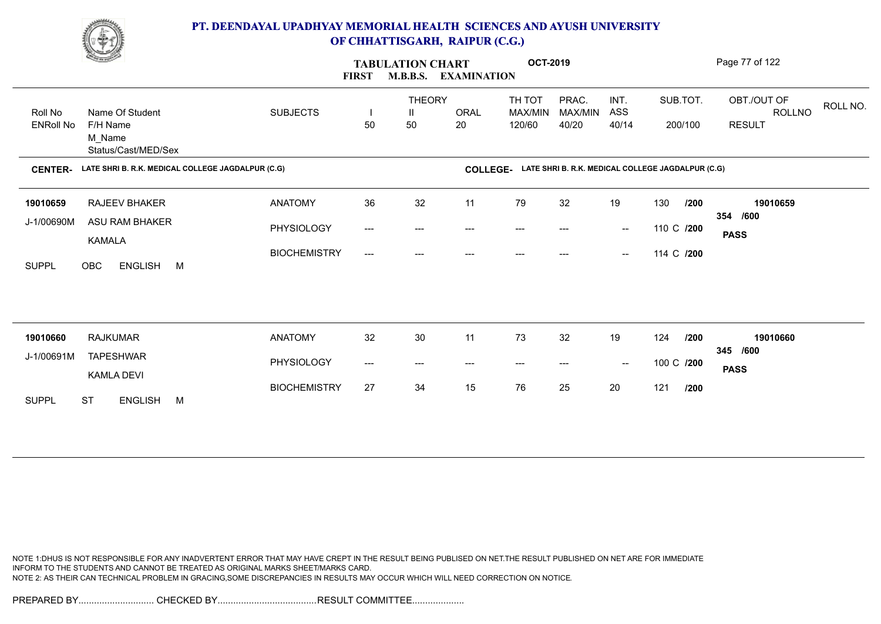

|                             | <u>Change</u>                                                |                     | <b>FIRST</b> | <b>TABULATION CHART</b><br><b>M.B.B.S.</b> | <b>EXAMINATION</b> | <b>OCT-2019</b>                                            |                           |                                                |            |                     | Page 77 of 122                                            |
|-----------------------------|--------------------------------------------------------------|---------------------|--------------|--------------------------------------------|--------------------|------------------------------------------------------------|---------------------------|------------------------------------------------|------------|---------------------|-----------------------------------------------------------|
| Roll No<br><b>ENRoll No</b> | Name Of Student<br>F/H Name<br>M_Name<br>Status/Cast/MED/Sex | <b>SUBJECTS</b>     | H<br>50      | <b>THEORY</b><br>Ш<br>50                   | ORAL<br>20         | TH TOT<br>MAX/MIN<br>120/60                                | PRAC.<br>MAX/MIN<br>40/20 | INT.<br>ASS<br>40/14                           |            | SUB.TOT.<br>200/100 | OBT./OUT OF<br>ROLL NO.<br><b>ROLLNO</b><br><b>RESULT</b> |
| <b>CENTER-</b>              | LATE SHRI B. R.K. MEDICAL COLLEGE JAGDALPUR (C.G)            |                     |              |                                            |                    | COLLEGE- LATE SHRI B. R.K. MEDICAL COLLEGE JAGDALPUR (C.G) |                           |                                                |            |                     |                                                           |
| 19010659                    | RAJEEV BHAKER                                                | <b>ANATOMY</b>      | 36           | 32                                         | 11                 | 79                                                         | 32                        | 19                                             | 130        | /200                | 19010659                                                  |
| J-1/00690M                  | <b>ASU RAM BHAKER</b>                                        | PHYSIOLOGY          | ---          | ---                                        | ---                | ---                                                        |                           | $\overline{\phantom{a}}$                       | 110 C /200 |                     | 354 /600<br><b>PASS</b>                                   |
| <b>SUPPL</b>                | <b>KAMALA</b><br>ENGLISH M<br><b>OBC</b>                     | <b>BIOCHEMISTRY</b> | ---          | $---$                                      | ---                | ---                                                        | ---                       | $\hspace{0.1mm}-\hspace{0.1mm}-\hspace{0.1mm}$ | 114 C /200 |                     |                                                           |
|                             |                                                              |                     |              |                                            |                    |                                                            |                           |                                                |            |                     |                                                           |
| 19010660                    | <b>RAJKUMAR</b>                                              | <b>ANATOMY</b>      | 32           | 30                                         | 11                 | 73                                                         | 32                        | 19                                             | 124        | /200                | 19010660<br>345 /600                                      |
| J-1/00691M                  | <b>TAPESHWAR</b><br><b>KAMLA DEVI</b>                        | PHYSIOLOGY          | ---          | $---$                                      | $---$              | $---$                                                      | $---$                     | $\hspace{0.1mm}-\hspace{0.1mm}-\hspace{0.1mm}$ | 100 C /200 |                     | <b>PASS</b>                                               |
| <b>SUPPL</b>                | <b>ST</b><br><b>ENGLISH</b><br>M                             | <b>BIOCHEMISTRY</b> | 27           | 34                                         | 15                 | 76                                                         | 25                        | 20                                             | 121        | /200                |                                                           |

NOTE 1:DHUS IS NOT RESPONSIBLE FOR ANY INADVERTENT ERROR THAT MAY HAVE CREPT IN THE RESULT BEING PUBLISED ON NET.THE RESULT PUBLISHED ON NET ARE FOR IMMEDIATE INFORM TO THE STUDENTS AND CANNOT BE TREATED AS ORIGINAL MARKS SHEET/MARKS CARD. NOTE 2: AS THEIR CAN TECHNICAL PROBLEM IN GRACING,SOME DISCREPANCIES IN RESULTS MAY OCCUR WHICH WILL NEED CORRECTION ON NOTICE.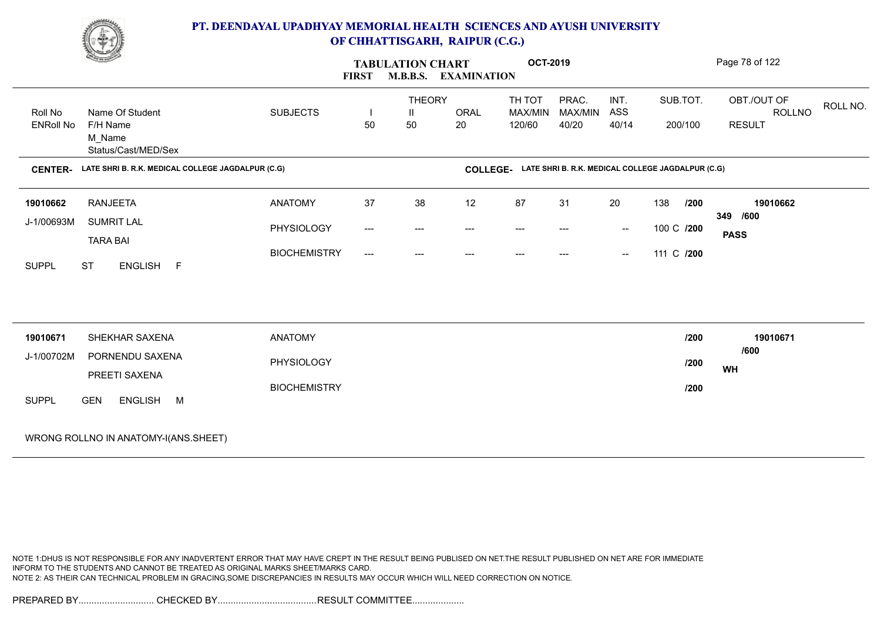

|                             | <u>e yn</u>                                                  |                     | <b>FIRST</b>        | <b>TABULATION CHART</b> | <b>M.B.B.S. EXAMINATION</b> | <b>OCT-2019</b>   |                  |                          |                                                            | Page 78 of 122          |
|-----------------------------|--------------------------------------------------------------|---------------------|---------------------|-------------------------|-----------------------------|-------------------|------------------|--------------------------|------------------------------------------------------------|-------------------------|
|                             |                                                              |                     |                     | <b>THEORY</b>           |                             | TH TOT            | PRAC.            | INT.                     | SUB.TOT.                                                   | OBT./OUT OF<br>ROLL NO. |
| Roll No<br><b>ENRoll No</b> | Name Of Student<br>F/H Name<br>M Name<br>Status/Cast/MED/Sex | <b>SUBJECTS</b>     | 50                  | Ш<br>50                 | ORAL<br>20                  | MAX/MIN<br>120/60 | MAX/MIN<br>40/20 | ASS<br>40/14             | 200/100                                                    | ROLLNO<br><b>RESULT</b> |
| <b>CENTER-</b>              | LATE SHRI B. R.K. MEDICAL COLLEGE JAGDALPUR (C.G)            |                     |                     |                         |                             |                   |                  |                          | COLLEGE- LATE SHRI B. R.K. MEDICAL COLLEGE JAGDALPUR (C.G) |                         |
| 19010662                    | <b>RANJEETA</b>                                              | <b>ANATOMY</b>      | 37                  | 38                      | 12                          | 87                | 31               | 20                       | 138<br>/200                                                | 19010662                |
| J-1/00693M                  | <b>SUMRIT LAL</b><br><b>TARA BAI</b>                         | PHYSIOLOGY          | $\qquad \qquad - -$ | ---                     | $---$                       | $---$             | $---$            | $\hspace{0.05cm}$        | 100 C /200                                                 | 349 /600<br><b>PASS</b> |
| <b>SUPPL</b>                | <b>ST</b><br>ENGLISH F                                       | <b>BIOCHEMISTRY</b> | $\qquad \qquad - -$ | $---$                   | $---$                       | $---$             | $---$            | $\overline{\phantom{a}}$ | 111 C /200                                                 |                         |
| 19010671                    | SHEKHAR SAXENA                                               | <b>ANATOMY</b>      |                     |                         |                             |                   |                  |                          | /200                                                       | 19010671                |
| J-1/00702M                  | PORNENDU SAXENA<br>PREETI SAXENA                             | PHYSIOLOGY          |                     |                         |                             |                   |                  |                          | /200                                                       | /600<br>WH              |
| <b>SUPPL</b>                | ENGLISH M<br><b>GEN</b>                                      | <b>BIOCHEMISTRY</b> |                     |                         |                             |                   |                  |                          | 1200                                                       |                         |
|                             | WRONG ROLLNO IN ANATOMY-I(ANS.SHEET)                         |                     |                     |                         |                             |                   |                  |                          |                                                            |                         |

NOTE 1:DHUS IS NOT RESPONSIBLE FOR ANY INADVERTENT ERROR THAT MAY HAVE CREPT IN THE RESULT BEING PUBLISED ON NET.THE RESULT PUBLISHED ON NET ARE FOR IMMEDIATE INFORM TO THE STUDENTS AND CANNOT BE TREATED AS ORIGINAL MARKS SHEET/MARKS CARD. NOTE 2: AS THEIR CAN TECHNICAL PROBLEM IN GRACING,SOME DISCREPANCIES IN RESULTS MAY OCCUR WHICH WILL NEED CORRECTION ON NOTICE.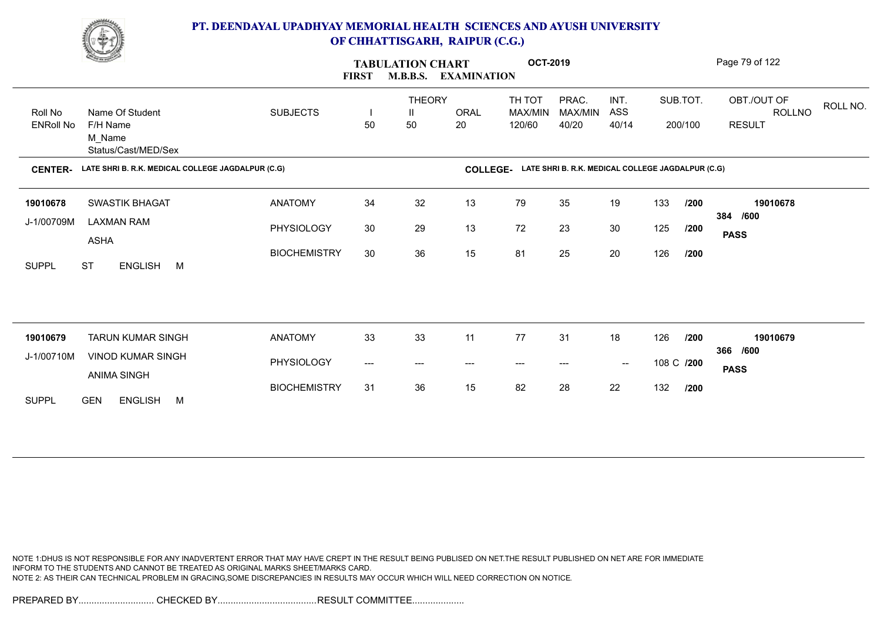

|                             | <b>Change of Congress</b>                                    |                     | <b>FIRST</b> | <b>TABULATION CHART</b>  | <b>M.B.B.S. EXAMINATION</b> | <b>OCT-2019</b>                                            |                           |                                                |            |                     | Page 79 of 122                                            |
|-----------------------------|--------------------------------------------------------------|---------------------|--------------|--------------------------|-----------------------------|------------------------------------------------------------|---------------------------|------------------------------------------------|------------|---------------------|-----------------------------------------------------------|
| Roll No<br><b>ENRoll No</b> | Name Of Student<br>F/H Name<br>M Name<br>Status/Cast/MED/Sex | <b>SUBJECTS</b>     | H<br>50      | <b>THEORY</b><br>Ш<br>50 | <b>ORAL</b><br>20           | TH TOT<br>MAX/MIN<br>120/60                                | PRAC.<br>MAX/MIN<br>40/20 | INT.<br>ASS<br>40/14                           |            | SUB.TOT.<br>200/100 | OBT./OUT OF<br>ROLL NO.<br><b>ROLLNO</b><br><b>RESULT</b> |
| <b>CENTER-</b>              | LATE SHRI B. R.K. MEDICAL COLLEGE JAGDALPUR (C.G)            |                     |              |                          |                             | COLLEGE- LATE SHRI B. R.K. MEDICAL COLLEGE JAGDALPUR (C.G) |                           |                                                |            |                     |                                                           |
| 19010678                    | <b>SWASTIK BHAGAT</b>                                        | <b>ANATOMY</b>      | 34           | 32                       | 13                          | 79                                                         | 35                        | 19                                             | 133        | /200                | 19010678                                                  |
| J-1/00709M                  | <b>LAXMAN RAM</b><br><b>ASHA</b>                             | PHYSIOLOGY          | 30           | 29                       | 13                          | 72                                                         | 23                        | 30                                             | 125        | /200                | 384 /600<br><b>PASS</b>                                   |
| <b>SUPPL</b>                | <b>ST</b><br>ENGLISH M                                       | <b>BIOCHEMISTRY</b> | 30           | 36                       | 15                          | 81                                                         | 25                        | 20                                             | 126        | /200                |                                                           |
|                             |                                                              |                     |              |                          |                             |                                                            |                           |                                                |            |                     |                                                           |
| 19010679                    | <b>TARUN KUMAR SINGH</b>                                     | <b>ANATOMY</b>      | 33           | 33                       | 11                          | 77                                                         | 31                        | 18                                             | 126        | 1200                | 19010679<br>366 /600                                      |
| J-1/00710M                  | <b>VINOD KUMAR SINGH</b><br><b>ANIMA SINGH</b>               | PHYSIOLOGY          | ---          | $\qquad \qquad \cdots$   | $---$                       | $---$                                                      | ---                       | $\hspace{0.1mm}-\hspace{0.1mm}-\hspace{0.1mm}$ | 108 C /200 |                     | <b>PASS</b>                                               |
| <b>SUPPL</b>                | ENGLISH M<br><b>GEN</b>                                      | <b>BIOCHEMISTRY</b> | 31           | 36                       | 15                          | 82                                                         | 28                        | 22                                             | 132        | /200                |                                                           |

NOTE 1:DHUS IS NOT RESPONSIBLE FOR ANY INADVERTENT ERROR THAT MAY HAVE CREPT IN THE RESULT BEING PUBLISED ON NET.THE RESULT PUBLISHED ON NET ARE FOR IMMEDIATE INFORM TO THE STUDENTS AND CANNOT BE TREATED AS ORIGINAL MARKS SHEET/MARKS CARD. NOTE 2: AS THEIR CAN TECHNICAL PROBLEM IN GRACING,SOME DISCREPANCIES IN RESULTS MAY OCCUR WHICH WILL NEED CORRECTION ON NOTICE.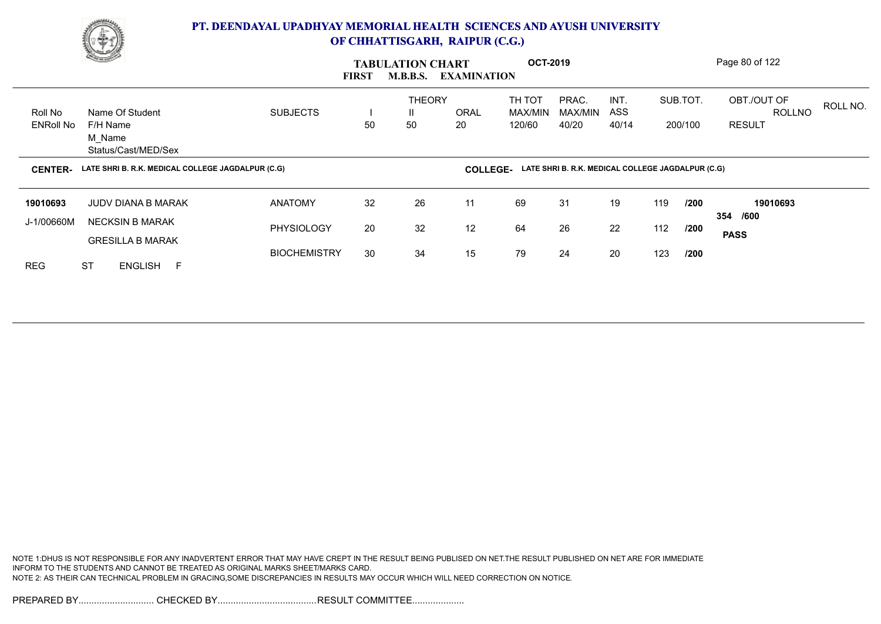

|                             | <b>Charles Company</b>                                       |                              | <b>FIRST</b> | <b>TABULATION CHART</b><br><b>M.B.B.S.</b> | <b>EXAMINATION</b> | <b>OCT-2019</b>             |                                                   |                      |                     |              | Page 80 of 122                                |          |
|-----------------------------|--------------------------------------------------------------|------------------------------|--------------|--------------------------------------------|--------------------|-----------------------------|---------------------------------------------------|----------------------|---------------------|--------------|-----------------------------------------------|----------|
| Roll No<br><b>ENRoll No</b> | Name Of Student<br>F/H Name<br>M Name<br>Status/Cast/MED/Sex | <b>SUBJECTS</b>              | 50           | <b>THEORY</b><br>$\mathbf{H}$<br>50        | <b>ORAL</b><br>20  | TH TOT<br>MAX/MIN<br>120/60 | PRAC.<br>MAX/MIN<br>40/20                         | INT.<br>ASS<br>40/14 | SUB.TOT.<br>200/100 |              | OBT./OUT OF<br><b>ROLLNO</b><br><b>RESULT</b> | ROLL NO. |
| <b>CENTER-</b>              | LATE SHRI B. R.K. MEDICAL COLLEGE JAGDALPUR (C.G)            |                              |              |                                            | <b>COLLEGE-</b>    |                             | LATE SHRI B. R.K. MEDICAL COLLEGE JAGDALPUR (C.G) |                      |                     |              |                                               |          |
| 19010693<br>J-1/00660M      | <b>JUDV DIANA B MARAK</b><br><b>NECKSIN B MARAK</b>          | <b>ANATOMY</b><br>PHYSIOLOGY | 32<br>20     | 26<br>32                                   | 11<br>12           | 69<br>64                    | 31<br>26                                          | 19<br>22             | 119<br>112          | /200<br>/200 | 19010693<br>/600<br>354                       |          |
|                             |                                                              |                              |              |                                            |                    |                             |                                                   |                      |                     |              | <b>PASS</b>                                   |          |

NOTE 1:DHUS IS NOT RESPONSIBLE FOR ANY INADVERTENT ERROR THAT MAY HAVE CREPT IN THE RESULT BEING PUBLISED ON NET.THE RESULT PUBLISHED ON NET ARE FOR IMMEDIATE INFORM TO THE STUDENTS AND CANNOT BE TREATED AS ORIGINAL MARKS SHEET/MARKS CARD. NOTE 2: AS THEIR CAN TECHNICAL PROBLEM IN GRACING,SOME DISCREPANCIES IN RESULTS MAY OCCUR WHICH WILL NEED CORRECTION ON NOTICE.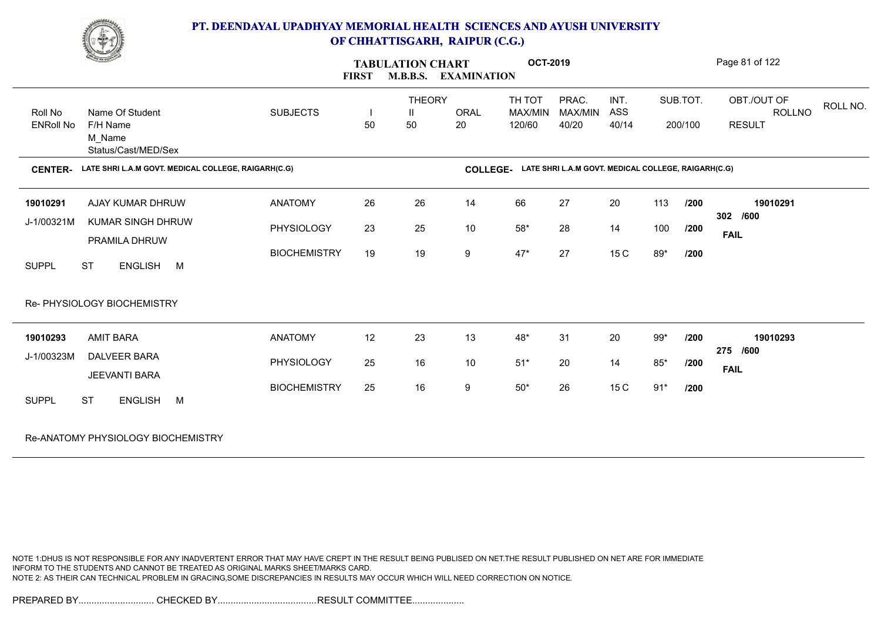

|                  | <u>Comment</u>                                      | <b>FIRST</b>        |    | <b>TABULATION CHART</b><br><b>M.B.B.S.</b> | <b>EXAMINATION</b> | <b>OCT-2019</b> |                                                     |            |       |          | Page 81 of 122 |          |
|------------------|-----------------------------------------------------|---------------------|----|--------------------------------------------|--------------------|-----------------|-----------------------------------------------------|------------|-------|----------|----------------|----------|
|                  |                                                     |                     |    | <b>THEORY</b>                              |                    | TH TOT          | PRAC.                                               | INT.       |       | SUB.TOT. | OBT./OUT OF    | ROLL NO. |
| Roll No          | Name Of Student                                     | <b>SUBJECTS</b>     |    | H.                                         | <b>ORAL</b>        | MAX/MIN         | MAX/MIN                                             | <b>ASS</b> |       |          | ROLLNO         |          |
| <b>ENRoll No</b> | F/H Name<br>M Name<br>Status/Cast/MED/Sex           |                     | 50 | 50                                         | 20                 | 120/60          | 40/20                                               | 40/14      |       | 200/100  | <b>RESULT</b>  |          |
| <b>CENTER-</b>   | LATE SHRI L.A.M GOVT. MEDICAL COLLEGE, RAIGARH(C.G) |                     |    |                                            | <b>COLLEGE-</b>    |                 | LATE SHRI L.A.M GOVT. MEDICAL COLLEGE, RAIGARH(C.G) |            |       |          |                |          |
| 19010291         | AJAY KUMAR DHRUW                                    | <b>ANATOMY</b>      | 26 | 26                                         | 14                 | 66              | 27                                                  | 20         | 113   | /200     | 19010291       |          |
| J-1/00321M       | <b>KUMAR SINGH DHRUW</b>                            | PHYSIOLOGY          | 23 | 25                                         | 10                 | $58^{\ast}$     | 28                                                  | 14         | 100   | /200     | 302 /600       |          |
|                  | PRAMILA DHRUW                                       |                     |    |                                            |                    |                 |                                                     |            |       |          | <b>FAIL</b>    |          |
|                  |                                                     | <b>BIOCHEMISTRY</b> | 19 | 19                                         | 9                  | $47*$           | 27                                                  | 15 C       | 89*   | /200     |                |          |
| <b>SUPPL</b>     | <b>ST</b><br>ENGLISH M                              |                     |    |                                            |                    |                 |                                                     |            |       |          |                |          |
|                  | Re- PHYSIOLOGY BIOCHEMISTRY                         |                     |    |                                            |                    |                 |                                                     |            |       |          |                |          |
| 19010293         | <b>AMIT BARA</b>                                    | <b>ANATOMY</b>      | 12 | 23                                         | 13                 | $48*$           | 31                                                  | 20         | $99*$ | /200     | 19010293       |          |
| J-1/00323M       | <b>DALVEER BARA</b>                                 | PHYSIOLOGY          | 25 | 16                                         | 10                 | $51*$           | 20                                                  | 14         | $85*$ | /200     | 275 /600       |          |
|                  | JEEVANTI BARA                                       |                     |    |                                            |                    |                 |                                                     |            |       |          | <b>FAIL</b>    |          |
|                  |                                                     | <b>BIOCHEMISTRY</b> | 25 | 16                                         | 9                  | $50^{\star}$    | 26                                                  | 15 C       | $91*$ | /200     |                |          |
| <b>SUPPL</b>     | <b>ST</b><br>ENGLISH M                              |                     |    |                                            |                    |                 |                                                     |            |       |          |                |          |
|                  | Re-ANATOMY PHYSIOLOGY BIOCHEMISTRY                  |                     |    |                                            |                    |                 |                                                     |            |       |          |                |          |

NOTE 1:DHUS IS NOT RESPONSIBLE FOR ANY INADVERTENT ERROR THAT MAY HAVE CREPT IN THE RESULT BEING PUBLISED ON NET.THE RESULT PUBLISHED ON NET ARE FOR IMMEDIATE INFORM TO THE STUDENTS AND CANNOT BE TREATED AS ORIGINAL MARKS SHEET/MARKS CARD. NOTE 2: AS THEIR CAN TECHNICAL PROBLEM IN GRACING,SOME DISCREPANCIES IN RESULTS MAY OCCUR WHICH WILL NEED CORRECTION ON NOTICE.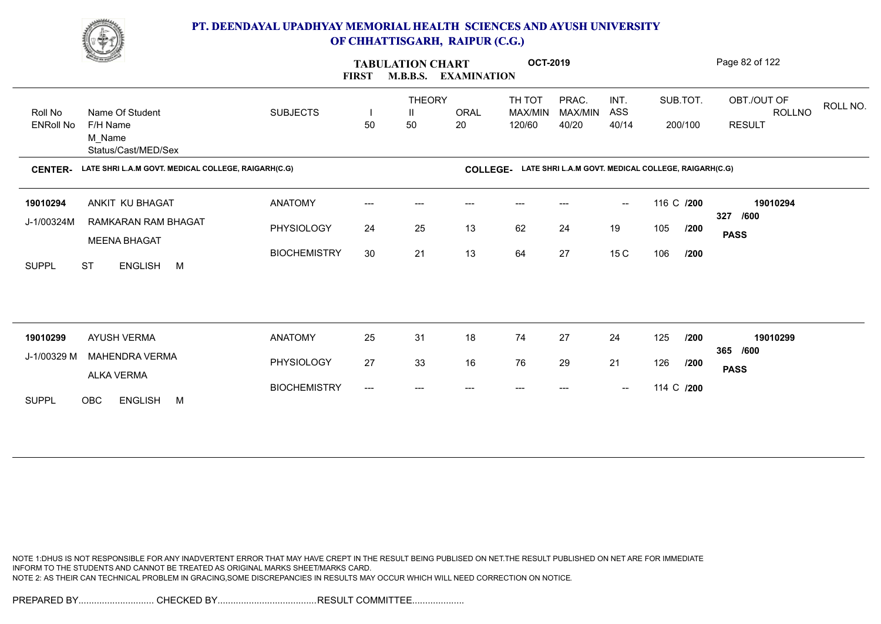

|                  | <b>Comment</b>                                      |                     | <b>FIRST</b>                        | <b>TABULATION CHART</b><br><b>M.B.B.S.</b> | <b>EXAMINATION</b> | <b>OCT-2019</b>                                              |                  |                                                |            |         | Page 82 of 122                           |
|------------------|-----------------------------------------------------|---------------------|-------------------------------------|--------------------------------------------|--------------------|--------------------------------------------------------------|------------------|------------------------------------------------|------------|---------|------------------------------------------|
| Roll No          | Name Of Student                                     | <b>SUBJECTS</b>     |                                     | <b>THEORY</b><br>Ш                         | ORAL               | TH TOT<br>MAX/MIN                                            | PRAC.<br>MAX/MIN | INT.<br>ASS                                    | SUB.TOT.   |         | OBT./OUT OF<br>ROLL NO.<br><b>ROLLNO</b> |
| <b>ENRoll No</b> | F/H Name<br>M Name<br>Status/Cast/MED/Sex           |                     | 50                                  | 50                                         | 20                 | 120/60                                                       | 40/20            | 40/14                                          |            | 200/100 | <b>RESULT</b>                            |
| <b>CENTER-</b>   | LATE SHRI L.A.M GOVT. MEDICAL COLLEGE, RAIGARH(C.G) |                     |                                     |                                            |                    | COLLEGE- LATE SHRI L.A.M GOVT. MEDICAL COLLEGE, RAIGARH(C.G) |                  |                                                |            |         |                                          |
| 19010294         | ANKIT KU BHAGAT                                     | <b>ANATOMY</b>      | ---                                 | ---                                        | $---$              | $---$                                                        |                  | $\sim$                                         | 116 C /200 |         | 19010294                                 |
| J-1/00324M       | RAMKARAN RAM BHAGAT<br><b>MEENA BHAGAT</b>          | PHYSIOLOGY          | 24                                  | 25                                         | 13                 | 62                                                           | 24               | 19                                             | 105        | /200    | /600<br>327<br><b>PASS</b>               |
| <b>SUPPL</b>     | <b>ST</b><br>ENGLISH M                              | <b>BIOCHEMISTRY</b> | 30                                  | 21                                         | 13                 | 64                                                           | 27               | 15 C                                           | 106        | /200    |                                          |
|                  |                                                     |                     |                                     |                                            |                    |                                                              |                  |                                                |            |         |                                          |
| 19010299         | AYUSH VERMA                                         | <b>ANATOMY</b>      | 25                                  | 31                                         | 18                 | 74                                                           | 27               | 24                                             | 125        | /200    | 19010299                                 |
| J-1/00329 M      | <b>MAHENDRA VERMA</b>                               | PHYSIOLOGY          | 27                                  | 33                                         | 16                 | 76                                                           | 29               | 21                                             | 126        | /200    | 365 /600                                 |
|                  | <b>ALKA VERMA</b>                                   | <b>BIOCHEMISTRY</b> | $\hspace{0.05cm}---\hspace{0.05cm}$ | $---$                                      | $---$              | $---$                                                        | $---$            | $\hspace{0.1mm}-\hspace{0.1mm}-\hspace{0.1mm}$ | 114 C /200 |         | <b>PASS</b>                              |
| <b>SUPPL</b>     | OBC<br><b>ENGLISH</b><br><b>M</b>                   |                     |                                     |                                            |                    |                                                              |                  |                                                |            |         |                                          |

NOTE 1:DHUS IS NOT RESPONSIBLE FOR ANY INADVERTENT ERROR THAT MAY HAVE CREPT IN THE RESULT BEING PUBLISED ON NET.THE RESULT PUBLISHED ON NET ARE FOR IMMEDIATE INFORM TO THE STUDENTS AND CANNOT BE TREATED AS ORIGINAL MARKS SHEET/MARKS CARD. NOTE 2: AS THEIR CAN TECHNICAL PROBLEM IN GRACING,SOME DISCREPANCIES IN RESULTS MAY OCCUR WHICH WILL NEED CORRECTION ON NOTICE.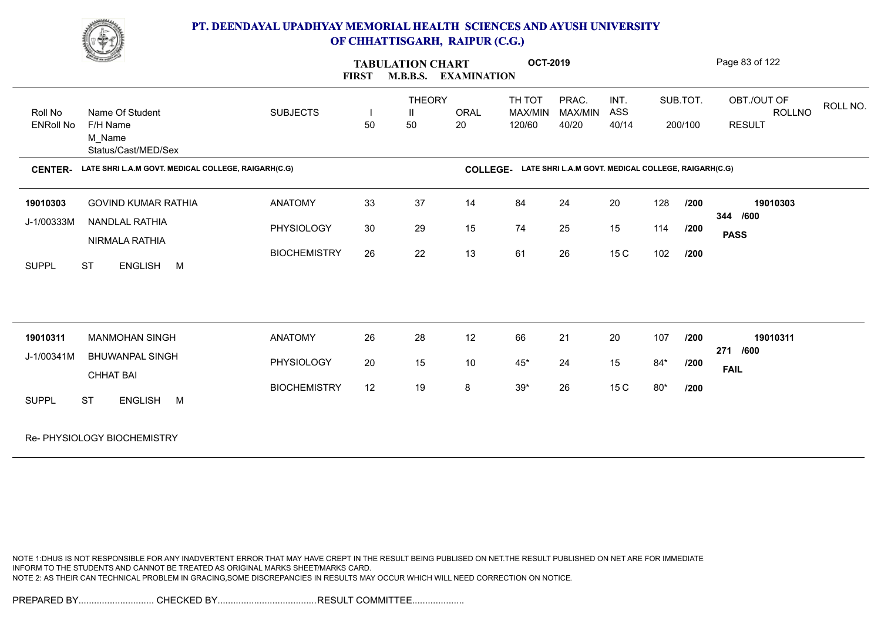

|                             | <b>Comment of the Comment of the Comment of the Comment of the Comment of The Comment of The Comment of The Comment of The Comment of The Comment of The Comment of The Comment of The Comment of The Comment of The Comment of </b> |                     | <b>TABULATION CHART</b><br><b>M.B.B.S.</b><br><b>EXAMINATION</b><br><b>FIRST</b> |                                     |                 |                             | <b>OCT-2019</b>                                     |                      |       |                     | Page 83 of 122                                |          |
|-----------------------------|--------------------------------------------------------------------------------------------------------------------------------------------------------------------------------------------------------------------------------------|---------------------|----------------------------------------------------------------------------------|-------------------------------------|-----------------|-----------------------------|-----------------------------------------------------|----------------------|-------|---------------------|-----------------------------------------------|----------|
| Roll No<br><b>ENRoll No</b> | Name Of Student<br>F/H Name<br>M Name<br>Status/Cast/MED/Sex                                                                                                                                                                         | <b>SUBJECTS</b>     | 50                                                                               | <b>THEORY</b><br>$\mathsf{I}$<br>50 | ORAL<br>20      | TH TOT<br>MAX/MIN<br>120/60 | PRAC.<br>MAX/MIN<br>40/20                           | INT.<br>ASS<br>40/14 |       | SUB.TOT.<br>200/100 | OBT./OUT OF<br><b>ROLLNO</b><br><b>RESULT</b> | ROLL NO. |
| <b>CENTER-</b>              | LATE SHRI L.A.M GOVT. MEDICAL COLLEGE, RAIGARH(C.G)                                                                                                                                                                                  |                     |                                                                                  |                                     | <b>COLLEGE-</b> |                             | LATE SHRI L.A.M GOVT. MEDICAL COLLEGE, RAIGARH(C.G) |                      |       |                     |                                               |          |
| 19010303                    | <b>GOVIND KUMAR RATHIA</b>                                                                                                                                                                                                           | <b>ANATOMY</b>      | 33                                                                               | 37                                  | 14              | 84                          | 24                                                  | 20                   | 128   | 1200                | 19010303                                      |          |
| J-1/00333M                  | NANDLAL RATHIA<br>NIRMALA RATHIA                                                                                                                                                                                                     | PHYSIOLOGY          | 30                                                                               | 29                                  | 15              | 74                          | 25                                                  | 15                   | 114   | /200                | 344 /600<br><b>PASS</b>                       |          |
| <b>SUPPL</b>                | ENGLISH M<br><b>ST</b>                                                                                                                                                                                                               | <b>BIOCHEMISTRY</b> | 26                                                                               | 22                                  | 13              | 61                          | 26                                                  | 15 C                 | 102   | /200                |                                               |          |
|                             |                                                                                                                                                                                                                                      |                     |                                                                                  |                                     |                 |                             |                                                     |                      |       |                     |                                               |          |
| 19010311                    | <b>MANMOHAN SINGH</b>                                                                                                                                                                                                                | <b>ANATOMY</b>      | 26                                                                               | 28                                  | 12              | 66                          | 21                                                  | 20                   | 107   | /200                | 19010311<br>271 /600                          |          |
| J-1/00341M                  | <b>BHUWANPAL SINGH</b><br><b>CHHAT BAI</b>                                                                                                                                                                                           | PHYSIOLOGY          | 20                                                                               | 15                                  | 10              | $45*$                       | 24                                                  | 15                   | $84*$ | /200                | <b>FAIL</b>                                   |          |
| <b>SUPPL</b>                | <b>ST</b><br>ENGLISH M                                                                                                                                                                                                               | <b>BIOCHEMISTRY</b> | 12                                                                               | 19                                  | 8               | $39^{\star}$                | 26                                                  | 15 C                 | $80*$ | /200                |                                               |          |
|                             | Re- PHYSIOLOGY BIOCHEMISTRY                                                                                                                                                                                                          |                     |                                                                                  |                                     |                 |                             |                                                     |                      |       |                     |                                               |          |

NOTE 1:DHUS IS NOT RESPONSIBLE FOR ANY INADVERTENT ERROR THAT MAY HAVE CREPT IN THE RESULT BEING PUBLISED ON NET.THE RESULT PUBLISHED ON NET ARE FOR IMMEDIATE INFORM TO THE STUDENTS AND CANNOT BE TREATED AS ORIGINAL MARKS SHEET/MARKS CARD. NOTE 2: AS THEIR CAN TECHNICAL PROBLEM IN GRACING,SOME DISCREPANCIES IN RESULTS MAY OCCUR WHICH WILL NEED CORRECTION ON NOTICE.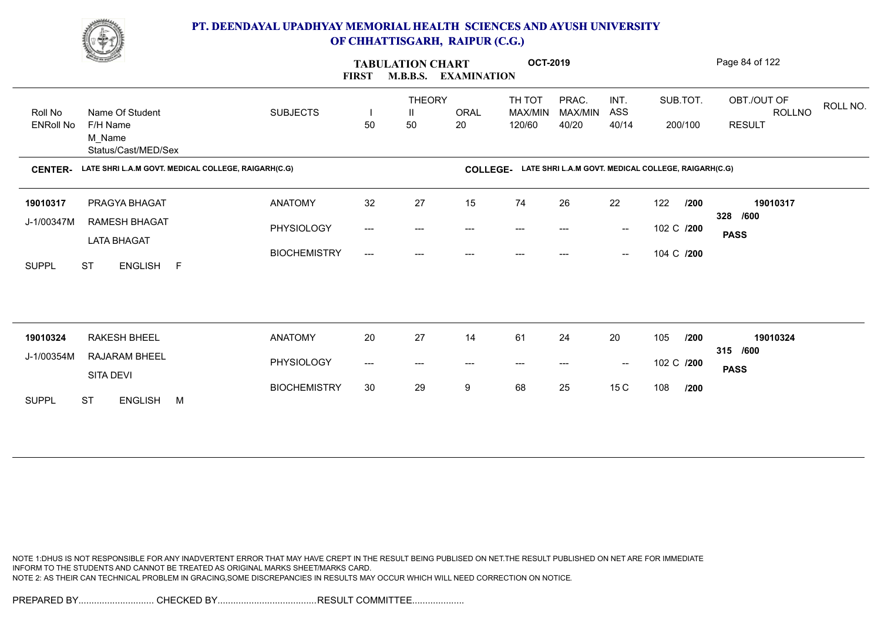

|                  | <b>Change of Congress</b>                           |                     | <b>FIRST</b> | <b>TABULATION CHART</b> | <b>M.B.B.S. EXAMINATION</b> | <b>OCT-2019</b>   |                                                     |                                                |     |            | Page 84 of 122                    |
|------------------|-----------------------------------------------------|---------------------|--------------|-------------------------|-----------------------------|-------------------|-----------------------------------------------------|------------------------------------------------|-----|------------|-----------------------------------|
| Roll No          | Name Of Student                                     | <b>SUBJECTS</b>     | H            | <b>THEORY</b><br>Ш      | <b>ORAL</b>                 | TH TOT<br>MAX/MIN | PRAC.<br>MAX/MIN                                    | INT.<br>ASS                                    |     | SUB.TOT.   | OBT./OUT OF<br>ROLL NO.<br>ROLLNO |
| <b>ENRoll No</b> | F/H Name<br>M_Name<br>Status/Cast/MED/Sex           |                     | 50           | 50                      | 20                          | 120/60            | 40/20                                               | 40/14                                          |     | 200/100    | <b>RESULT</b>                     |
| <b>CENTER-</b>   | LATE SHRI L.A.M GOVT. MEDICAL COLLEGE, RAIGARH(C.G) |                     |              |                         | <b>COLLEGE-</b>             |                   | LATE SHRI L.A.M GOVT. MEDICAL COLLEGE, RAIGARH(C.G) |                                                |     |            |                                   |
| 19010317         | PRAGYA BHAGAT                                       | <b>ANATOMY</b>      | 32           | 27                      | 15                          | 74                | 26                                                  | 22                                             | 122 | /200       | 19010317                          |
| J-1/00347M       | RAMESH BHAGAT                                       | PHYSIOLOGY          | ---          | ---                     |                             |                   |                                                     | $\hspace{0.1mm}-\hspace{0.1mm}-\hspace{0.1mm}$ |     | 102 C /200 | 328 /600<br><b>PASS</b>           |
| <b>SUPPL</b>     | <b>LATA BHAGAT</b><br><b>ST</b><br>ENGLISH F        | <b>BIOCHEMISTRY</b> | ---          | ---                     | ---                         | ---               | ---                                                 | $\hspace{0.1mm}-\hspace{0.1mm}-\hspace{0.1mm}$ |     | 104 C /200 |                                   |
|                  |                                                     |                     |              |                         |                             |                   |                                                     |                                                |     |            |                                   |
| 19010324         | RAKESH BHEEL                                        | <b>ANATOMY</b>      | 20           | 27                      | 14                          | 61                | 24                                                  | 20                                             | 105 | /200       | 19010324                          |
| J-1/00354M       | RAJARAM BHEEL                                       |                     |              |                         |                             |                   |                                                     |                                                |     |            | 315 /600                          |
|                  | SITA DEVI                                           | PHYSIOLOGY          | ---          | ---                     | $---$                       | ---               |                                                     | $\hspace{0.1mm}-\hspace{0.1mm}-\hspace{0.1mm}$ |     | 102 C /200 | <b>PASS</b>                       |
| <b>SUPPL</b>     | <b>ST</b><br>ENGLISH M                              | <b>BIOCHEMISTRY</b> | 30           | 29                      | 9                           | 68                | 25                                                  | 15 <sub>C</sub>                                | 108 | /200       |                                   |

NOTE 1:DHUS IS NOT RESPONSIBLE FOR ANY INADVERTENT ERROR THAT MAY HAVE CREPT IN THE RESULT BEING PUBLISED ON NET.THE RESULT PUBLISHED ON NET ARE FOR IMMEDIATE INFORM TO THE STUDENTS AND CANNOT BE TREATED AS ORIGINAL MARKS SHEET/MARKS CARD. NOTE 2: AS THEIR CAN TECHNICAL PROBLEM IN GRACING,SOME DISCREPANCIES IN RESULTS MAY OCCUR WHICH WILL NEED CORRECTION ON NOTICE.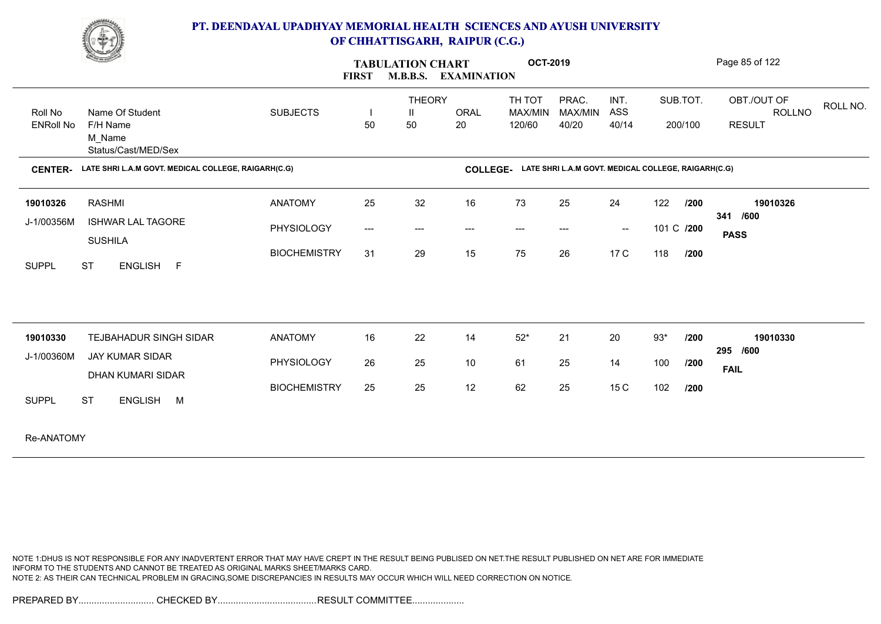

|                             | <b>Comment of the Comment of the Comment of the Comment of the Comment of The Comment of The Comment of The Comment of The Comment of The Comment of The Comment of The Comment of The Comment of The Comment of The Comment of </b> |                     | <b>FIRST</b>        | <b>TABULATION CHART</b><br><b>M.B.B.S.</b> | <b>EXAMINATION</b>                  | <b>OCT-2019</b>             |                                                     |                      |            |                     | Page 85 of 122                                |          |
|-----------------------------|--------------------------------------------------------------------------------------------------------------------------------------------------------------------------------------------------------------------------------------|---------------------|---------------------|--------------------------------------------|-------------------------------------|-----------------------------|-----------------------------------------------------|----------------------|------------|---------------------|-----------------------------------------------|----------|
| Roll No<br><b>ENRoll No</b> | Name Of Student<br>F/H Name<br>M_Name<br>Status/Cast/MED/Sex                                                                                                                                                                         | <b>SUBJECTS</b>     | 50                  | <b>THEORY</b><br>Ш<br>50                   | <b>ORAL</b><br>20                   | TH TOT<br>MAX/MIN<br>120/60 | PRAC.<br><b>MAX/MIN</b><br>40/20                    | INT.<br>ASS<br>40/14 |            | SUB.TOT.<br>200/100 | OBT./OUT OF<br><b>ROLLNO</b><br><b>RESULT</b> | ROLL NO. |
| <b>CENTER-</b>              | LATE SHRI L.A.M GOVT. MEDICAL COLLEGE, RAIGARH(C.G)                                                                                                                                                                                  |                     |                     |                                            | <b>COLLEGE-</b>                     |                             | LATE SHRI L.A.M GOVT. MEDICAL COLLEGE, RAIGARH(C.G) |                      |            |                     |                                               |          |
| 19010326                    | <b>RASHMI</b>                                                                                                                                                                                                                        | <b>ANATOMY</b>      | 25                  | 32                                         | 16                                  | 73                          | 25                                                  | 24                   | 122        | /200                | 19010326<br>/600<br>341                       |          |
| J-1/00356M                  | <b>ISHWAR LAL TAGORE</b><br><b>SUSHILA</b>                                                                                                                                                                                           | PHYSIOLOGY          | $\qquad \qquad - -$ | ---                                        | $\hspace{0.05cm}---\hspace{0.05cm}$ | $\qquad \qquad \cdots$      | $---$                                               | $\sim$               | 101 C /200 |                     | <b>PASS</b>                                   |          |
| <b>SUPPL</b>                | <b>ST</b><br>ENGLISH F                                                                                                                                                                                                               | <b>BIOCHEMISTRY</b> | 31                  | 29                                         | 15                                  | 75                          | 26                                                  | 17 C                 | 118        | 1200                |                                               |          |
| 19010330                    | <b>TEJBAHADUR SINGH SIDAR</b>                                                                                                                                                                                                        | <b>ANATOMY</b>      | 16                  | 22                                         | 14                                  | $52*$                       | 21                                                  | 20                   | $93*$      | /200                | 19010330                                      |          |
| J-1/00360M                  | <b>JAY KUMAR SIDAR</b>                                                                                                                                                                                                               | PHYSIOLOGY          | 26                  | 25                                         | 10                                  | 61                          | 25                                                  | 14                   | 100        | /200                | 295 /600                                      |          |
|                             | <b>DHAN KUMARI SIDAR</b>                                                                                                                                                                                                             | <b>BIOCHEMISTRY</b> | 25                  | 25                                         | 12                                  | 62                          | 25                                                  | 15 C                 | 102        | /200                | <b>FAIL</b>                                   |          |
| <b>SUPPL</b>                | <b>ST</b><br>ENGLISH M                                                                                                                                                                                                               |                     |                     |                                            |                                     |                             |                                                     |                      |            |                     |                                               |          |
| Re-ANATOMY                  |                                                                                                                                                                                                                                      |                     |                     |                                            |                                     |                             |                                                     |                      |            |                     |                                               |          |

NOTE 1:DHUS IS NOT RESPONSIBLE FOR ANY INADVERTENT ERROR THAT MAY HAVE CREPT IN THE RESULT BEING PUBLISED ON NET.THE RESULT PUBLISHED ON NET ARE FOR IMMEDIATE INFORM TO THE STUDENTS AND CANNOT BE TREATED AS ORIGINAL MARKS SHEET/MARKS CARD. NOTE 2: AS THEIR CAN TECHNICAL PROBLEM IN GRACING,SOME DISCREPANCIES IN RESULTS MAY OCCUR WHICH WILL NEED CORRECTION ON NOTICE.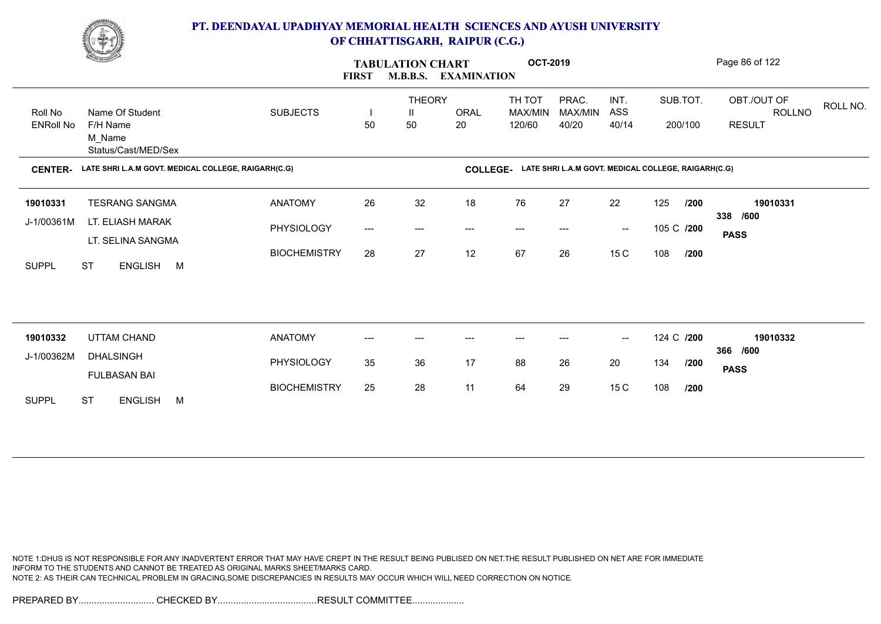

|                             | <b>Change of Congress</b>                           |                     | <b>FIRST</b> | <b>TABULATION CHART</b><br><b>M.B.B.S.</b><br><b>EXAMINATION</b> |                 | <b>OCT-2019</b>             |                                                     | Page 86 of 122                                 |            |                     |                                                           |
|-----------------------------|-----------------------------------------------------|---------------------|--------------|------------------------------------------------------------------|-----------------|-----------------------------|-----------------------------------------------------|------------------------------------------------|------------|---------------------|-----------------------------------------------------------|
| Roll No<br><b>ENRoll No</b> | Name Of Student<br>F/H Name                         | <b>SUBJECTS</b>     | H<br>50      | <b>THEORY</b><br>Ш<br>50                                         | ORAL<br>20      | TH TOT<br>MAX/MIN<br>120/60 | PRAC.<br>MAX/MIN<br>40/20                           | INT.<br>ASS<br>40/14                           |            | SUB.TOT.<br>200/100 | OBT./OUT OF<br>ROLL NO.<br><b>ROLLNO</b><br><b>RESULT</b> |
|                             | M_Name<br>Status/Cast/MED/Sex                       |                     |              |                                                                  |                 |                             |                                                     |                                                |            |                     |                                                           |
| <b>CENTER-</b>              | LATE SHRI L.A.M GOVT. MEDICAL COLLEGE, RAIGARH(C.G) |                     |              |                                                                  | <b>COLLEGE-</b> |                             | LATE SHRI L.A.M GOVT. MEDICAL COLLEGE, RAIGARH(C.G) |                                                |            |                     |                                                           |
| 19010331                    | <b>TESRANG SANGMA</b>                               | <b>ANATOMY</b>      | 26           | 32                                                               | 18              | 76                          | 27                                                  | 22                                             | 125        | /200                | 19010331                                                  |
| J-1/00361M                  | LT. ELIASH MARAK<br>LT. SELINA SANGMA               | PHYSIOLOGY          | ---          | ---                                                              | $---$           | ---                         | ---                                                 | $\overline{\phantom{a}}$                       | 105 C /200 |                     | 338 /600<br><b>PASS</b>                                   |
| <b>SUPPL</b>                | <b>ST</b><br>ENGLISH M                              | <b>BIOCHEMISTRY</b> | 28           | 27                                                               | 12              | 67                          | 26                                                  | 15 C                                           | 108        | /200                |                                                           |
|                             |                                                     |                     |              |                                                                  |                 |                             |                                                     |                                                |            |                     |                                                           |
| 19010332                    | <b>UTTAM CHAND</b>                                  | <b>ANATOMY</b>      | ---          | ---                                                              | ---             | ---                         |                                                     | $\hspace{0.1mm}-\hspace{0.1mm}-\hspace{0.1mm}$ | 124 C /200 |                     | 19010332                                                  |
| J-1/00362M                  | <b>DHALSINGH</b>                                    | PHYSIOLOGY          | 35           | 36                                                               | 17              | 88                          | 26                                                  | 20                                             | 134        | /200                | 366 /600<br><b>PASS</b>                                   |
|                             | <b>FULBASAN BAI</b>                                 | <b>BIOCHEMISTRY</b> | 25           | 28                                                               | 11              | 64                          | 29                                                  | 15 C                                           | 108        | /200                |                                                           |
| <b>SUPPL</b>                | <b>ST</b><br><b>ENGLISH</b><br>M                    |                     |              |                                                                  |                 |                             |                                                     |                                                |            |                     |                                                           |

NOTE 1:DHUS IS NOT RESPONSIBLE FOR ANY INADVERTENT ERROR THAT MAY HAVE CREPT IN THE RESULT BEING PUBLISED ON NET.THE RESULT PUBLISHED ON NET ARE FOR IMMEDIATE INFORM TO THE STUDENTS AND CANNOT BE TREATED AS ORIGINAL MARKS SHEET/MARKS CARD. NOTE 2: AS THEIR CAN TECHNICAL PROBLEM IN GRACING,SOME DISCREPANCIES IN RESULTS MAY OCCUR WHICH WILL NEED CORRECTION ON NOTICE.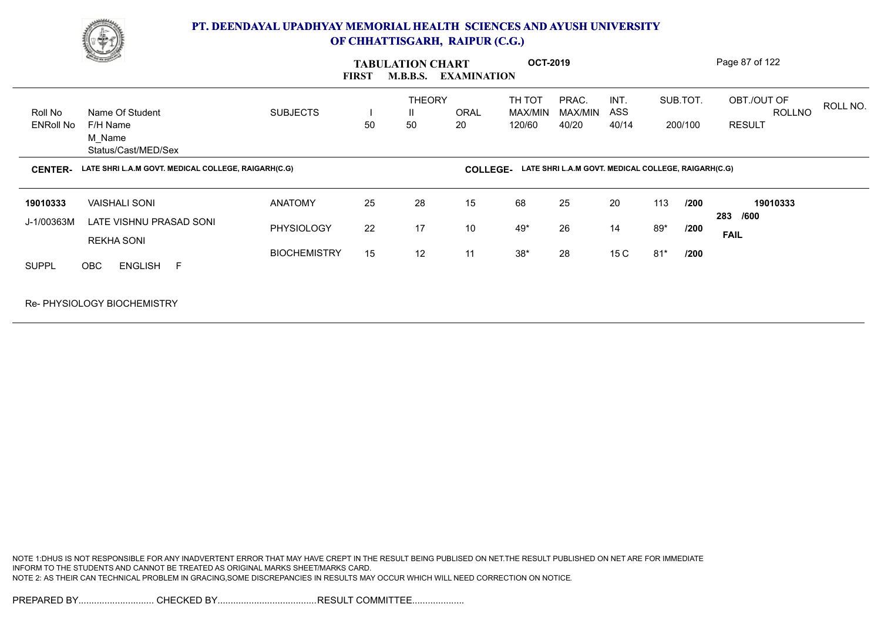

|                             | <b>Charles Company</b>                                               |                                     | <b>FIRST</b> | <b>TABULATION CHART</b><br><b>M.B.B.S.</b> | <b>EXAMINATION</b> | <b>OCT-2019</b>             |                                                     |                      |              |                     | Page 87 of 122                                |          |
|-----------------------------|----------------------------------------------------------------------|-------------------------------------|--------------|--------------------------------------------|--------------------|-----------------------------|-----------------------------------------------------|----------------------|--------------|---------------------|-----------------------------------------------|----------|
| Roll No<br><b>ENRoll No</b> | Name Of Student<br>F/H Name<br>M_Name<br>Status/Cast/MED/Sex         | <b>SUBJECTS</b>                     | 50           | <b>THEORY</b><br>Ш.<br>50                  | ORAL<br>20         | TH TOT<br>MAX/MIN<br>120/60 | PRAC.<br>MAX/MIN<br>40/20                           | INT.<br>ASS<br>40/14 |              | SUB.TOT.<br>200/100 | OBT./OUT OF<br><b>ROLLNO</b><br><b>RESULT</b> | ROLL NO. |
| <b>CENTER-</b>              | LATE SHRI L.A.M GOVT. MEDICAL COLLEGE, RAIGARH(C.G)                  |                                     |              |                                            | <b>COLLEGE-</b>    |                             | LATE SHRI L.A.M GOVT. MEDICAL COLLEGE, RAIGARH(C.G) |                      |              |                     |                                               |          |
| 19010333<br>J-1/00363M      | <b>VAISHALI SONI</b><br>LATE VISHNU PRASAD SONI<br><b>REKHA SONI</b> | <b>ANATOMY</b><br><b>PHYSIOLOGY</b> | 25<br>22     | 28<br>17                                   | 15<br>10           | 68<br>49*                   | 25<br>26                                            | 20<br>14             | 113<br>$89*$ | /200<br>/200        | 19010333<br>283 /600<br><b>FAIL</b>           |          |
| <b>SUPPL</b>                | <b>OBC</b><br>ENGLISH F                                              | <b>BIOCHEMISTRY</b>                 | 15           | 12                                         | 11                 | $38^{\star}$                | 28                                                  | 15 C                 | $81*$        | /200                |                                               |          |
|                             | <b>Re-PHYSIOLOGY BIOCHEMISTRY</b>                                    |                                     |              |                                            |                    |                             |                                                     |                      |              |                     |                                               |          |

NOTE 1:DHUS IS NOT RESPONSIBLE FOR ANY INADVERTENT ERROR THAT MAY HAVE CREPT IN THE RESULT BEING PUBLISED ON NET.THE RESULT PUBLISHED ON NET ARE FOR IMMEDIATE INFORM TO THE STUDENTS AND CANNOT BE TREATED AS ORIGINAL MARKS SHEET/MARKS CARD. NOTE 2: AS THEIR CAN TECHNICAL PROBLEM IN GRACING,SOME DISCREPANCIES IN RESULTS MAY OCCUR WHICH WILL NEED CORRECTION ON NOTICE.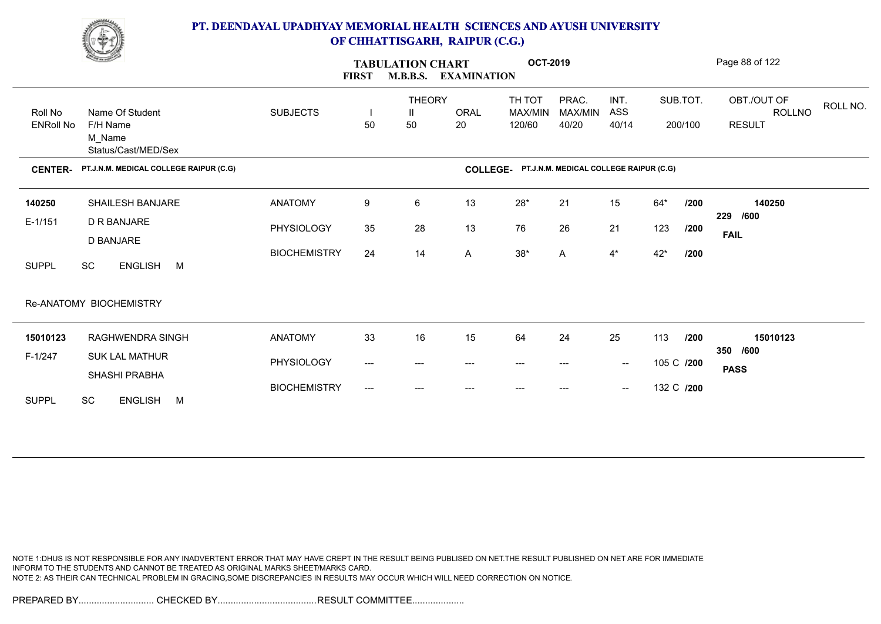

|                             | <u>Change</u>                                                |                     | <b>TABULATION CHART</b><br><b>FIRST</b><br><b>M.B.B.S.</b><br><b>EXAMINATION</b> |                          |                   |                             | <b>OCT-2019</b>                        |                                                |            | Page 88 of 122      |                                                    |  |  |  |
|-----------------------------|--------------------------------------------------------------|---------------------|----------------------------------------------------------------------------------|--------------------------|-------------------|-----------------------------|----------------------------------------|------------------------------------------------|------------|---------------------|----------------------------------------------------|--|--|--|
| Roll No<br><b>ENRoll No</b> | Name Of Student<br>F/H Name<br>M_Name<br>Status/Cast/MED/Sex | <b>SUBJECTS</b>     | 50                                                                               | <b>THEORY</b><br>Ш<br>50 | <b>ORAL</b><br>20 | TH TOT<br>MAX/MIN<br>120/60 | PRAC.<br>MAX/MIN<br>40/20              | INT.<br>ASS<br>40/14                           |            | SUB.TOT.<br>200/100 | OBT./OUT OF<br>ROLL NO.<br>ROLLNO<br><b>RESULT</b> |  |  |  |
| <b>CENTER-</b>              | PT.J.N.M. MEDICAL COLLEGE RAIPUR (C.G)                       |                     |                                                                                  |                          | <b>COLLEGE-</b>   |                             | PT.J.N.M. MEDICAL COLLEGE RAIPUR (C.G) |                                                |            |                     |                                                    |  |  |  |
| 140250                      | SHAILESH BANJARE                                             | <b>ANATOMY</b>      | 9                                                                                | 6                        | 13                | $28^{\star}$                | 21                                     | 15                                             | $64*$      | /200                | 140250                                             |  |  |  |
| $E-1/151$                   | D R BANJARE<br>D BANJARE                                     | PHYSIOLOGY          | 35                                                                               | 28                       | 13                | 76                          | 26                                     | 21                                             | 123        | /200                | 229<br>/600<br><b>FAIL</b>                         |  |  |  |
| <b>SUPPL</b>                | ENGLISH M<br>SC                                              | <b>BIOCHEMISTRY</b> | 24                                                                               | 14                       | A                 | $38^{\star}$                | A                                      | $4^*$                                          | $42*$      | /200                |                                                    |  |  |  |
|                             | Re-ANATOMY BIOCHEMISTRY                                      |                     |                                                                                  |                          |                   |                             |                                        |                                                |            |                     |                                                    |  |  |  |
| 15010123                    | RAGHWENDRA SINGH                                             | <b>ANATOMY</b>      | 33                                                                               | 16                       | 15                | 64                          | 24                                     | 25                                             | 113        | /200                | 15010123<br>350 /600                               |  |  |  |
| F-1/247                     | <b>SUK LAL MATHUR</b><br>SHASHI PRABHA                       | PHYSIOLOGY          | $\qquad \qquad \text{---}$                                                       | $---$                    | ---               | $--$                        | $---$                                  | $\sim$                                         | 105 C /200 |                     | <b>PASS</b>                                        |  |  |  |
| <b>SUPPL</b>                | <b>SC</b><br><b>ENGLISH</b><br>M                             | <b>BIOCHEMISTRY</b> | $---$                                                                            | ---                      | $---$             | ---                         | $---$                                  | $\hspace{0.1mm}-\hspace{0.1mm}-\hspace{0.1mm}$ | 132 C /200 |                     |                                                    |  |  |  |

NOTE 1:DHUS IS NOT RESPONSIBLE FOR ANY INADVERTENT ERROR THAT MAY HAVE CREPT IN THE RESULT BEING PUBLISED ON NET.THE RESULT PUBLISHED ON NET ARE FOR IMMEDIATE INFORM TO THE STUDENTS AND CANNOT BE TREATED AS ORIGINAL MARKS SHEET/MARKS CARD. NOTE 2: AS THEIR CAN TECHNICAL PROBLEM IN GRACING,SOME DISCREPANCIES IN RESULTS MAY OCCUR WHICH WILL NEED CORRECTION ON NOTICE.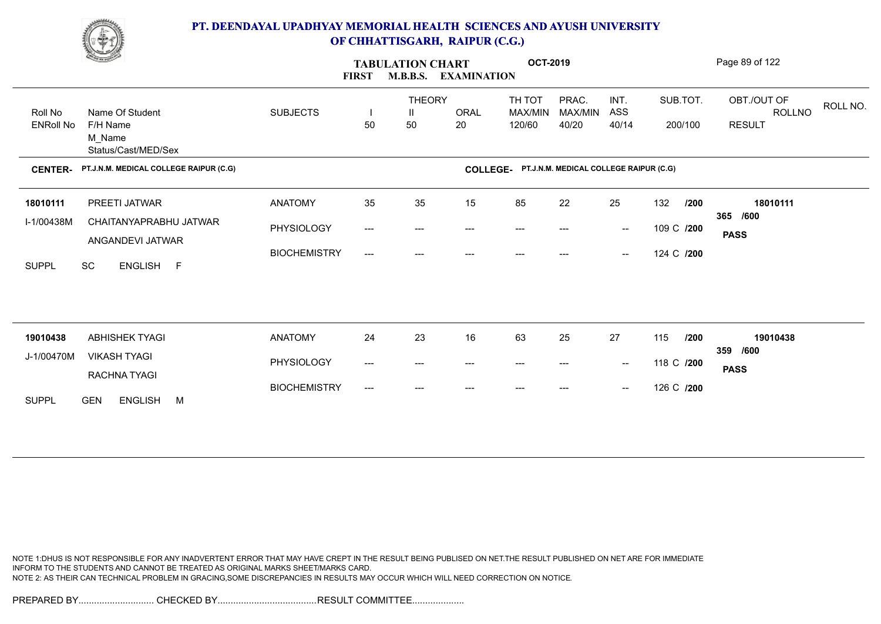

|                             | <b>Contraction</b>                                           |                     | <b>TABULATION CHART</b><br><b>FIRST</b> |                          |                        | <b>OCT-2019</b><br><b>EXAMINATION</b>           |                           |                                                | Page 89 of 122      |                                                           |  |  |
|-----------------------------|--------------------------------------------------------------|---------------------|-----------------------------------------|--------------------------|------------------------|-------------------------------------------------|---------------------------|------------------------------------------------|---------------------|-----------------------------------------------------------|--|--|
| Roll No<br><b>ENRoll No</b> | Name Of Student<br>F/H Name<br>M Name<br>Status/Cast/MED/Sex | <b>SUBJECTS</b>     | H<br>50                                 | <b>THEORY</b><br>Ш<br>50 | <b>ORAL</b><br>20      | TH TOT<br>MAX/MIN<br>120/60                     | PRAC.<br>MAX/MIN<br>40/20 | INT.<br>ASS<br>40/14                           | SUB.TOT.<br>200/100 | OBT./OUT OF<br>ROLL NO.<br><b>ROLLNO</b><br><b>RESULT</b> |  |  |
| <b>CENTER-</b>              | PT.J.N.M. MEDICAL COLLEGE RAIPUR (C.G)                       |                     |                                         |                          |                        | COLLEGE- PT.J.N.M. MEDICAL COLLEGE RAIPUR (C.G) |                           |                                                |                     |                                                           |  |  |
| 18010111                    | PREETI JATWAR                                                | <b>ANATOMY</b>      | 35                                      | 35                       | 15                     | 85                                              | 22                        | 25                                             | 132<br>/200         | 18010111<br>365 /600                                      |  |  |
| I-1/00438M                  | CHAITANYAPRABHU JATWAR<br>ANGANDEVI JATWAR                   | PHYSIOLOGY          | ---                                     | $---$                    | $\qquad \qquad \cdots$ | $---$                                           | ---                       | $\hspace{0.1mm}-\hspace{0.1mm}-\hspace{0.1mm}$ | 109 C /200          | <b>PASS</b>                                               |  |  |
| <b>SUPPL</b>                | <b>SC</b><br>ENGLISH F                                       | <b>BIOCHEMISTRY</b> | $---$                                   | $---$                    | ---                    | $---$                                           | ---                       | $\hspace{0.1mm}-\hspace{0.1mm}-\hspace{0.1mm}$ | 124 C /200          |                                                           |  |  |
|                             |                                                              |                     |                                         |                          |                        |                                                 |                           |                                                |                     |                                                           |  |  |
|                             |                                                              |                     |                                         |                          |                        |                                                 |                           |                                                |                     |                                                           |  |  |
| 19010438<br>J-1/00470M      | <b>ABHISHEK TYAGI</b><br><b>VIKASH TYAGI</b>                 | <b>ANATOMY</b>      | 24                                      | 23                       | 16                     | 63                                              | 25                        | 27                                             | 115<br>/200         | 19010438<br>359 /600                                      |  |  |
|                             | RACHNA TYAGI                                                 | PHYSIOLOGY          | ---                                     | ---                      | $---$                  | $---$                                           | ---                       | $\hspace{0.1mm}-\hspace{0.1mm}-\hspace{0.1mm}$ | 118 C /200          | <b>PASS</b>                                               |  |  |
| <b>SUPPL</b>                | <b>ENGLISH</b><br><b>GEN</b><br>M                            | <b>BIOCHEMISTRY</b> | ---                                     | ---                      |                        |                                                 | ---                       | $\hspace{0.1mm}-\hspace{0.1mm}-\hspace{0.1mm}$ | 126 C /200          |                                                           |  |  |

NOTE 1:DHUS IS NOT RESPONSIBLE FOR ANY INADVERTENT ERROR THAT MAY HAVE CREPT IN THE RESULT BEING PUBLISED ON NET.THE RESULT PUBLISHED ON NET ARE FOR IMMEDIATE INFORM TO THE STUDENTS AND CANNOT BE TREATED AS ORIGINAL MARKS SHEET/MARKS CARD. NOTE 2: AS THEIR CAN TECHNICAL PROBLEM IN GRACING,SOME DISCREPANCIES IN RESULTS MAY OCCUR WHICH WILL NEED CORRECTION ON NOTICE.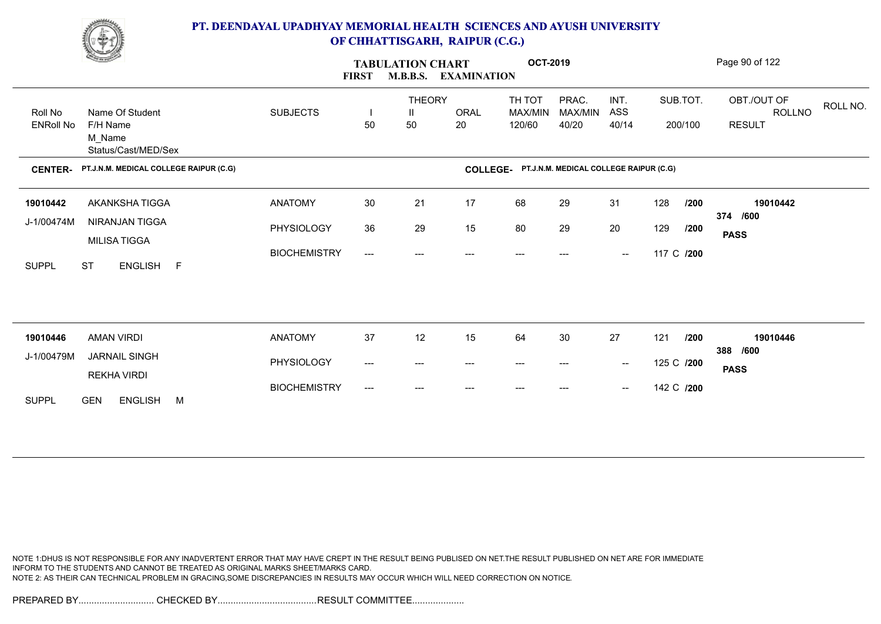

| <b>Change of Contract of Street</b> |                                                              |                     | <b>FIRST</b> | <b>TABULATION CHART</b><br><b>M.B.B.S.</b><br><b>EXAMINATION</b> |                   |                                                 | <b>OCT-2019</b>           |                                                |            | Page 90 of 122      |                                                    |  |  |  |
|-------------------------------------|--------------------------------------------------------------|---------------------|--------------|------------------------------------------------------------------|-------------------|-------------------------------------------------|---------------------------|------------------------------------------------|------------|---------------------|----------------------------------------------------|--|--|--|
| Roll No<br><b>ENRoll No</b>         | Name Of Student<br>F/H Name<br>M_Name<br>Status/Cast/MED/Sex | <b>SUBJECTS</b>     | H<br>50      | <b>THEORY</b><br>$\mathbf{H}$<br>50                              | <b>ORAL</b><br>20 | TH TOT<br>MAX/MIN<br>120/60                     | PRAC.<br>MAX/MIN<br>40/20 | INT.<br>ASS<br>40/14                           |            | SUB.TOT.<br>200/100 | OBT./OUT OF<br>ROLL NO.<br>ROLLNO<br><b>RESULT</b> |  |  |  |
| <b>CENTER-</b>                      | PT.J.N.M. MEDICAL COLLEGE RAIPUR (C.G)                       |                     |              |                                                                  |                   | COLLEGE- PT.J.N.M. MEDICAL COLLEGE RAIPUR (C.G) |                           |                                                |            |                     |                                                    |  |  |  |
| 19010442                            | AKANKSHA TIGGA                                               | <b>ANATOMY</b>      | 30           | 21                                                               | 17                | 68                                              | 29                        | 31                                             | 128        | /200                | 19010442                                           |  |  |  |
| J-1/00474M                          | NIRANJAN TIGGA<br>MILISA TIGGA                               | PHYSIOLOGY          | 36           | 29                                                               | 15                | 80                                              | 29                        | 20                                             | 129        | /200                | 374 /600<br><b>PASS</b>                            |  |  |  |
| <b>SUPPL</b>                        | <b>ST</b><br>ENGLISH F                                       | <b>BIOCHEMISTRY</b> | $---$        | $---$                                                            |                   | ---                                             |                           | $\hspace{0.1mm}-\hspace{0.1mm}-\hspace{0.1mm}$ | 117 C /200 |                     |                                                    |  |  |  |
|                                     |                                                              |                     |              |                                                                  |                   |                                                 |                           |                                                |            |                     |                                                    |  |  |  |
|                                     |                                                              |                     |              |                                                                  |                   |                                                 |                           |                                                |            |                     |                                                    |  |  |  |
| 19010446                            | <b>AMAN VIRDI</b>                                            | <b>ANATOMY</b>      | 37           | 12                                                               | 15                | 64                                              | 30                        | 27                                             | 121        | /200                | 19010446<br>388 /600                               |  |  |  |
| J-1/00479M                          | <b>JARNAIL SINGH</b><br>REKHA VIRDI                          | PHYSIOLOGY          | ---          | $\qquad \qquad \cdots$                                           | $---$             | $\hspace{0.05cm} \ldots$                        | ---                       | $\sim$                                         | 125 C /200 |                     | <b>PASS</b>                                        |  |  |  |
| <b>SUPPL</b>                        | <b>ENGLISH</b><br><b>GEN</b><br>M                            | <b>BIOCHEMISTRY</b> | $---$        | ---                                                              | ---               | $---$                                           | ---                       | $\hspace{0.1mm}-\hspace{0.1mm}-\hspace{0.1mm}$ | 142 C /200 |                     |                                                    |  |  |  |

NOTE 1:DHUS IS NOT RESPONSIBLE FOR ANY INADVERTENT ERROR THAT MAY HAVE CREPT IN THE RESULT BEING PUBLISED ON NET.THE RESULT PUBLISHED ON NET ARE FOR IMMEDIATE INFORM TO THE STUDENTS AND CANNOT BE TREATED AS ORIGINAL MARKS SHEET/MARKS CARD. NOTE 2: AS THEIR CAN TECHNICAL PROBLEM IN GRACING,SOME DISCREPANCIES IN RESULTS MAY OCCUR WHICH WILL NEED CORRECTION ON NOTICE.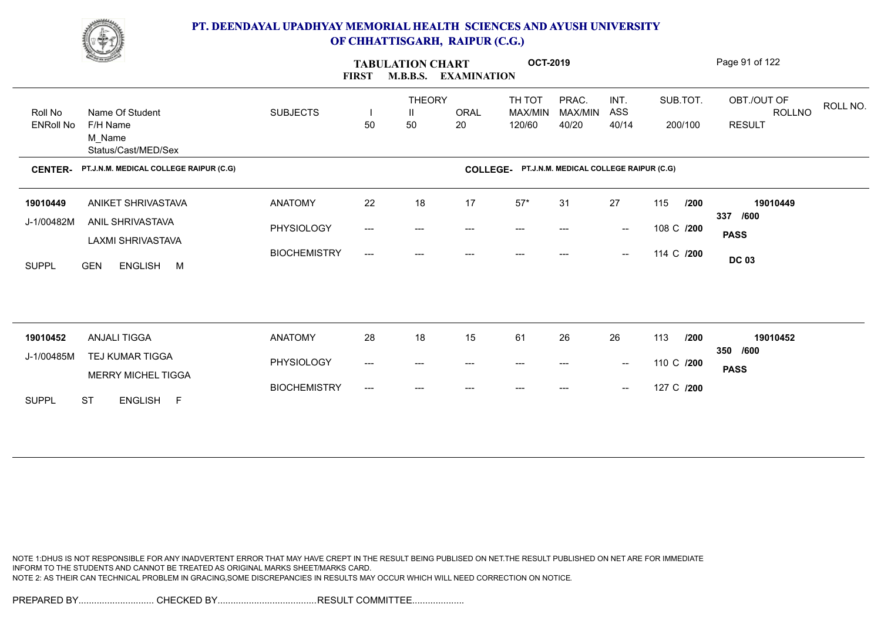

|                             | <u>Change</u>                                                |                     | <b>FIRST</b>                        | <b>TABULATION CHART</b><br><b>M.B.B.S.</b><br><b>EXAMINATION</b> |                   |                             | <b>OCT-2019</b>                        | Page 91 of 122                                 |                     |                                                    |  |  |
|-----------------------------|--------------------------------------------------------------|---------------------|-------------------------------------|------------------------------------------------------------------|-------------------|-----------------------------|----------------------------------------|------------------------------------------------|---------------------|----------------------------------------------------|--|--|
| Roll No<br><b>ENRoll No</b> | Name Of Student<br>F/H Name<br>M_Name<br>Status/Cast/MED/Sex | <b>SUBJECTS</b>     | 50                                  | <b>THEORY</b><br>Ш<br>50                                         | <b>ORAL</b><br>20 | TH TOT<br>MAX/MIN<br>120/60 | PRAC.<br>MAX/MIN<br>40/20              | INT.<br>ASS<br>40/14                           | SUB.TOT.<br>200/100 | OBT./OUT OF<br>ROLL NO.<br>ROLLNO<br><b>RESULT</b> |  |  |
| <b>CENTER-</b>              | PT.J.N.M. MEDICAL COLLEGE RAIPUR (C.G)                       |                     |                                     |                                                                  | <b>COLLEGE-</b>   |                             | PT.J.N.M. MEDICAL COLLEGE RAIPUR (C.G) |                                                |                     |                                                    |  |  |
| 19010449                    | ANIKET SHRIVASTAVA                                           | <b>ANATOMY</b>      | 22                                  | 18                                                               | 17                | $57*$                       | 31                                     | 27                                             | 115<br>/200         | 19010449                                           |  |  |
| J-1/00482M                  | ANIL SHRIVASTAVA                                             | PHYSIOLOGY          | $\hspace{0.05cm}---\hspace{0.05cm}$ | ---                                                              | ---               | $---$                       |                                        | $\hspace{0.1mm}-\hspace{0.1mm}-\hspace{0.1mm}$ | 108 C /200          | /600<br>337<br><b>PASS</b>                         |  |  |
| <b>SUPPL</b>                | LAXMI SHRIVASTAVA<br><b>GEN</b><br>ENGLISH M                 | <b>BIOCHEMISTRY</b> | ---                                 | ---                                                              | ---               | $---$                       | ---                                    | $\hspace{0.1mm}-\hspace{0.1mm}-\hspace{0.1mm}$ | 114 C /200          | <b>DC 03</b>                                       |  |  |
|                             |                                                              |                     |                                     |                                                                  |                   |                             |                                        |                                                |                     |                                                    |  |  |
| 19010452                    | <b>ANJALI TIGGA</b>                                          | <b>ANATOMY</b>      | 28                                  | 18                                                               | 15                | 61                          | 26                                     | 26                                             | 113<br>/200         | 19010452                                           |  |  |
| J-1/00485M                  | TEJ KUMAR TIGGA                                              | PHYSIOLOGY          | $\hspace{0.05cm}---\hspace{0.05cm}$ | $---$                                                            | ---               | $---$                       | $---$                                  | $\sim$                                         | 110 C /200          | 350 /600<br><b>PASS</b>                            |  |  |
| <b>SUPPL</b>                | MERRY MICHEL TIGGA<br><b>ST</b><br>ENGLISH F                 | <b>BIOCHEMISTRY</b> | $---$                               | ---                                                              |                   |                             |                                        | $\hspace{0.1mm}-\hspace{0.1mm}-\hspace{0.1mm}$ | 127 C /200          |                                                    |  |  |

NOTE 1:DHUS IS NOT RESPONSIBLE FOR ANY INADVERTENT ERROR THAT MAY HAVE CREPT IN THE RESULT BEING PUBLISED ON NET.THE RESULT PUBLISHED ON NET ARE FOR IMMEDIATE INFORM TO THE STUDENTS AND CANNOT BE TREATED AS ORIGINAL MARKS SHEET/MARKS CARD. NOTE 2: AS THEIR CAN TECHNICAL PROBLEM IN GRACING,SOME DISCREPANCIES IN RESULTS MAY OCCUR WHICH WILL NEED CORRECTION ON NOTICE.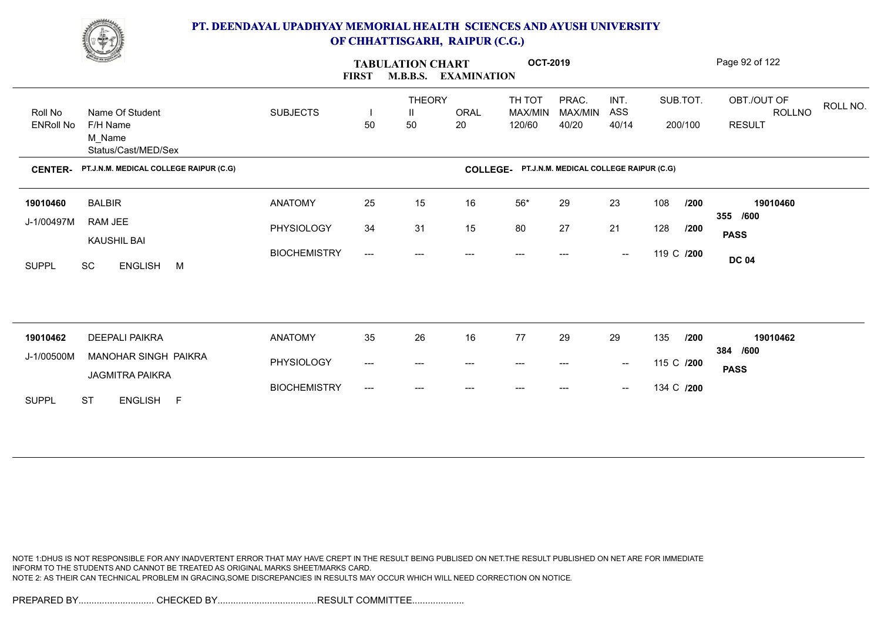

|                             | <u>Change</u>                                                |                     | <b>TABULATION CHART</b><br><b>M.B.B.S.</b><br><b>FIRST</b><br><b>EXAMINATION</b> |                                     | <b>OCT-2019</b>   |                                                 |                           |                                                |            | Page 92 of 122      |                                                           |
|-----------------------------|--------------------------------------------------------------|---------------------|----------------------------------------------------------------------------------|-------------------------------------|-------------------|-------------------------------------------------|---------------------------|------------------------------------------------|------------|---------------------|-----------------------------------------------------------|
| Roll No<br><b>ENRoll No</b> | Name Of Student<br>F/H Name<br>M Name<br>Status/Cast/MED/Sex | <b>SUBJECTS</b>     | 50                                                                               | <b>THEORY</b><br>$\mathbf{I}$<br>50 | <b>ORAL</b><br>20 | TH TOT<br>MAX/MIN<br>120/60                     | PRAC.<br>MAX/MIN<br>40/20 | INT.<br>ASS<br>40/14                           |            | SUB.TOT.<br>200/100 | OBT./OUT OF<br>ROLL NO.<br><b>ROLLNO</b><br><b>RESULT</b> |
| <b>CENTER-</b>              | PT.J.N.M. MEDICAL COLLEGE RAIPUR (C.G)                       |                     |                                                                                  |                                     |                   | COLLEGE- PT.J.N.M. MEDICAL COLLEGE RAIPUR (C.G) |                           |                                                |            |                     |                                                           |
| 19010460                    | <b>BALBIR</b>                                                | <b>ANATOMY</b>      | 25                                                                               | 15                                  | 16                | $56*$                                           | 29                        | 23                                             | 108        | /200                | 19010460                                                  |
| J-1/00497M                  | RAM JEE<br><b>KAUSHIL BAI</b>                                | PHYSIOLOGY          | 34                                                                               | 31                                  | 15                | 80                                              | 27                        | 21                                             | 128        | /200                | 355 /600<br><b>PASS</b>                                   |
| <b>SUPPL</b>                | SC<br>ENGLISH M                                              | <b>BIOCHEMISTRY</b> | $\qquad \qquad -\qquad -$                                                        | ---                                 |                   |                                                 |                           | $\hspace{0.1mm}-\hspace{0.1mm}-\hspace{0.1mm}$ | 119 C /200 |                     | <b>DC 04</b>                                              |
|                             |                                                              |                     |                                                                                  |                                     |                   |                                                 |                           |                                                |            |                     |                                                           |
| 19010462                    | <b>DEEPALI PAIKRA</b>                                        | <b>ANATOMY</b>      | 35                                                                               | 26                                  | 16                | 77                                              | 29                        | 29                                             | 135        | /200                | 19010462<br>384 /600                                      |
| J-1/00500M                  | <b>MANOHAR SINGH PAIKRA</b><br><b>JAGMITRA PAIKRA</b>        | PHYSIOLOGY          | ---                                                                              | ---                                 | ---               | $---$                                           | ---                       | $\hspace{0.1mm}-\hspace{0.1mm}-\hspace{0.1mm}$ | 115 C /200 |                     | <b>PASS</b>                                               |
| <b>SUPPL</b>                | <b>ST</b><br>ENGLISH F                                       | <b>BIOCHEMISTRY</b> | ---                                                                              | ---                                 | $---$             | $---$                                           | $---$                     | $\hspace{0.1mm}-\hspace{0.1mm}-\hspace{0.1mm}$ | 134 C /200 |                     |                                                           |

NOTE 1:DHUS IS NOT RESPONSIBLE FOR ANY INADVERTENT ERROR THAT MAY HAVE CREPT IN THE RESULT BEING PUBLISED ON NET.THE RESULT PUBLISHED ON NET ARE FOR IMMEDIATE INFORM TO THE STUDENTS AND CANNOT BE TREATED AS ORIGINAL MARKS SHEET/MARKS CARD. NOTE 2: AS THEIR CAN TECHNICAL PROBLEM IN GRACING,SOME DISCREPANCIES IN RESULTS MAY OCCUR WHICH WILL NEED CORRECTION ON NOTICE.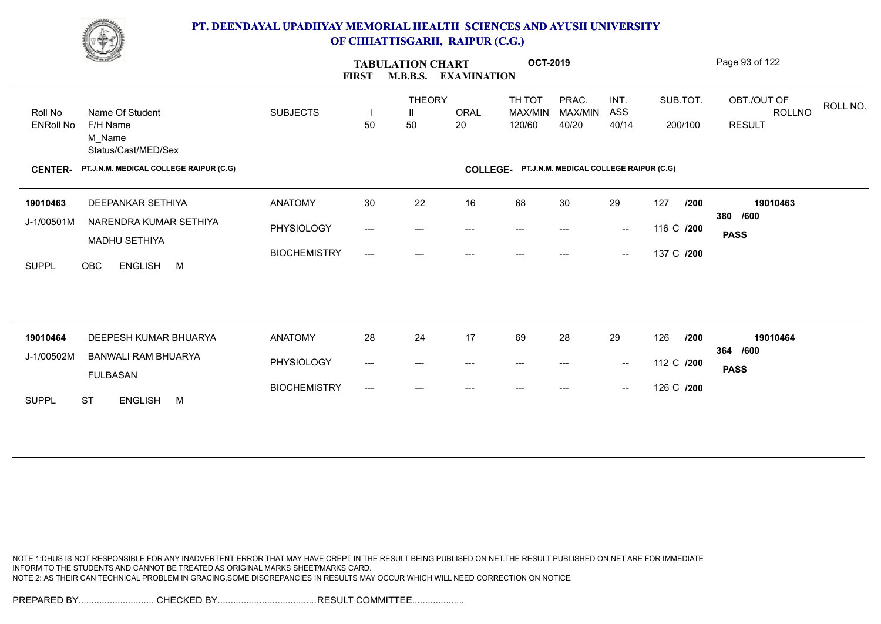

| <b>Contraction</b>          |                                                              |                     | <b>FIRST</b> | <b>TABULATION CHART</b><br><b>M.B.B.S.</b><br><b>EXAMINATION</b> |                   |                                                 | <b>OCT-2019</b>           | Page 93 of 122                                 |                     |                                                           |  |
|-----------------------------|--------------------------------------------------------------|---------------------|--------------|------------------------------------------------------------------|-------------------|-------------------------------------------------|---------------------------|------------------------------------------------|---------------------|-----------------------------------------------------------|--|
| Roll No<br><b>ENRoll No</b> | Name Of Student<br>F/H Name<br>M_Name<br>Status/Cast/MED/Sex | <b>SUBJECTS</b>     | H<br>50      | <b>THEORY</b><br>$\mathbf{H}$<br>50                              | <b>ORAL</b><br>20 | TH TOT<br>MAX/MIN<br>120/60                     | PRAC.<br>MAX/MIN<br>40/20 | INT.<br>ASS<br>40/14                           | SUB.TOT.<br>200/100 | OBT./OUT OF<br>ROLL NO.<br><b>ROLLNO</b><br><b>RESULT</b> |  |
| <b>CENTER-</b>              | PT.J.N.M. MEDICAL COLLEGE RAIPUR (C.G)                       |                     |              |                                                                  |                   | COLLEGE- PT.J.N.M. MEDICAL COLLEGE RAIPUR (C.G) |                           |                                                |                     |                                                           |  |
| 19010463                    | DEEPANKAR SETHIYA                                            | <b>ANATOMY</b>      | 30           | 22                                                               | 16                | 68                                              | 30                        | 29                                             | 127<br>/200         | 19010463                                                  |  |
| J-1/00501M                  | NARENDRA KUMAR SETHIYA<br>MADHU SETHIYA                      | PHYSIOLOGY          | ---          | $---$                                                            | $---$             | $---$                                           | $---$                     | $\hspace{0.1mm}-\hspace{0.1mm}-\hspace{0.1mm}$ | 116 C /200          | 380 /600<br><b>PASS</b>                                   |  |
| <b>SUPPL</b>                | <b>OBC</b><br>ENGLISH M                                      | <b>BIOCHEMISTRY</b> | ---          | ---                                                              | ---               | $---$                                           | ---                       | $\overline{\phantom{a}}$                       | 137 C /200          |                                                           |  |
|                             |                                                              |                     |              |                                                                  |                   |                                                 |                           |                                                |                     |                                                           |  |
|                             |                                                              |                     |              |                                                                  |                   |                                                 |                           |                                                |                     |                                                           |  |
| 19010464                    | DEEPESH KUMAR BHUARYA                                        | <b>ANATOMY</b>      | 28           | 24                                                               | 17                | 69                                              | 28                        | 29                                             | 126<br>/200         | 19010464<br>364<br>/600                                   |  |
| J-1/00502M                  | <b>BANWALI RAM BHUARYA</b><br><b>FULBASAN</b>                | PHYSIOLOGY          | ---          | $---$                                                            | $---$             | $---$                                           | ---                       | $\hspace{0.1mm}-\hspace{0.1mm}-\hspace{0.1mm}$ | 112 C /200          | <b>PASS</b>                                               |  |
| <b>SUPPL</b>                | <b>ST</b><br><b>ENGLISH</b><br>M                             | <b>BIOCHEMISTRY</b> | ---          | ---                                                              | ---               | $---$                                           | ---                       | $\hspace{0.1mm}-\hspace{0.1mm}-\hspace{0.1mm}$ | 126 C /200          |                                                           |  |

NOTE 1:DHUS IS NOT RESPONSIBLE FOR ANY INADVERTENT ERROR THAT MAY HAVE CREPT IN THE RESULT BEING PUBLISED ON NET.THE RESULT PUBLISHED ON NET ARE FOR IMMEDIATE INFORM TO THE STUDENTS AND CANNOT BE TREATED AS ORIGINAL MARKS SHEET/MARKS CARD. NOTE 2: AS THEIR CAN TECHNICAL PROBLEM IN GRACING,SOME DISCREPANCIES IN RESULTS MAY OCCUR WHICH WILL NEED CORRECTION ON NOTICE.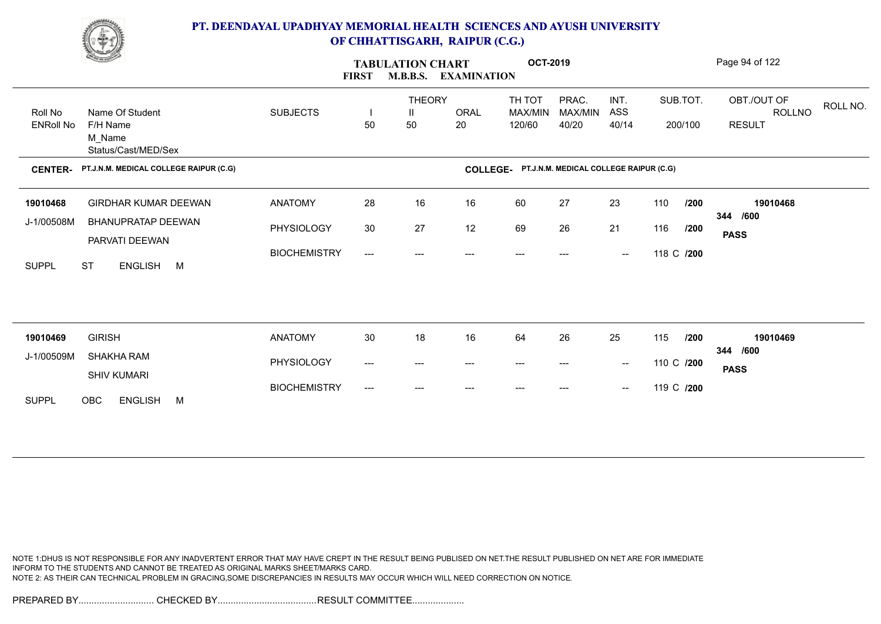

| <u>Change</u>               |                                                              |                     | <b>TABULATION CHART</b><br><b>FIRST</b><br><b>M.B.B.S.</b><br><b>EXAMINATION</b> |                          |                   |                                                 | <b>OCT-2019</b>           |                                                |            | Page 94 of 122      |                                                           |  |
|-----------------------------|--------------------------------------------------------------|---------------------|----------------------------------------------------------------------------------|--------------------------|-------------------|-------------------------------------------------|---------------------------|------------------------------------------------|------------|---------------------|-----------------------------------------------------------|--|
| Roll No<br><b>ENRoll No</b> | Name Of Student<br>F/H Name<br>M_Name<br>Status/Cast/MED/Sex | <b>SUBJECTS</b>     | H<br>50                                                                          | <b>THEORY</b><br>Ш<br>50 | <b>ORAL</b><br>20 | TH TOT<br>MAX/MIN<br>120/60                     | PRAC.<br>MAX/MIN<br>40/20 | INT.<br>ASS<br>40/14                           |            | SUB.TOT.<br>200/100 | OBT./OUT OF<br>ROLL NO.<br><b>ROLLNO</b><br><b>RESULT</b> |  |
| <b>CENTER-</b>              | PT.J.N.M. MEDICAL COLLEGE RAIPUR (C.G)                       |                     |                                                                                  |                          |                   | COLLEGE- PT.J.N.M. MEDICAL COLLEGE RAIPUR (C.G) |                           |                                                |            |                     |                                                           |  |
| 19010468                    | <b>GIRDHAR KUMAR DEEWAN</b>                                  | <b>ANATOMY</b>      | 28                                                                               | 16                       | 16                | 60                                              | 27                        | 23                                             | 110        | /200                | 19010468                                                  |  |
| J-1/00508M                  | <b>BHANUPRATAP DEEWAN</b><br>PARVATI DEEWAN                  | PHYSIOLOGY          | $30\,$                                                                           | 27                       | 12                | 69                                              | 26                        | 21                                             | 116        | /200                | 344<br>/600<br><b>PASS</b>                                |  |
| <b>SUPPL</b>                | <b>ST</b><br>ENGLISH M                                       | <b>BIOCHEMISTRY</b> | ---                                                                              | $---$                    |                   | $---$                                           | ---                       | $\overline{\phantom{a}}$                       | 118 C /200 |                     |                                                           |  |
|                             |                                                              |                     |                                                                                  |                          |                   |                                                 |                           |                                                |            |                     |                                                           |  |
|                             |                                                              |                     |                                                                                  |                          |                   |                                                 |                           |                                                |            |                     |                                                           |  |
| 19010469<br>J-1/00509M      | <b>GIRISH</b><br>SHAKHA RAM                                  | <b>ANATOMY</b>      | 30                                                                               | 18                       | 16                | 64                                              | 26                        | 25                                             | 115        | /200                | 19010469<br>/600<br>344                                   |  |
|                             | <b>SHIV KUMARI</b>                                           | PHYSIOLOGY          | ---                                                                              | $---$                    | $---$             | $---$                                           | ---                       | $\sim$                                         | 110 C /200 |                     | <b>PASS</b>                                               |  |
| <b>SUPPL</b>                | OBC<br><b>ENGLISH</b><br>M                                   | <b>BIOCHEMISTRY</b> | ---                                                                              | ---                      |                   |                                                 | ---                       | $\hspace{0.1mm}-\hspace{0.1mm}-\hspace{0.1mm}$ | 119 C /200 |                     |                                                           |  |

NOTE 1:DHUS IS NOT RESPONSIBLE FOR ANY INADVERTENT ERROR THAT MAY HAVE CREPT IN THE RESULT BEING PUBLISED ON NET.THE RESULT PUBLISHED ON NET ARE FOR IMMEDIATE INFORM TO THE STUDENTS AND CANNOT BE TREATED AS ORIGINAL MARKS SHEET/MARKS CARD. NOTE 2: AS THEIR CAN TECHNICAL PROBLEM IN GRACING,SOME DISCREPANCIES IN RESULTS MAY OCCUR WHICH WILL NEED CORRECTION ON NOTICE.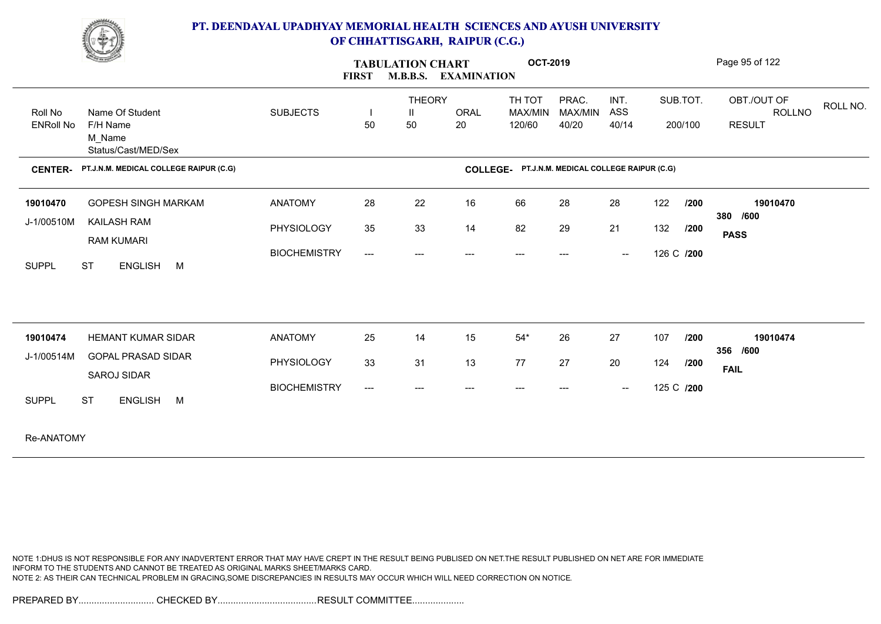

| <b>Comment of the Comment of the Comment of the Comment of the Comment of The Comment of The Comment of The Comment of The Comment of The Comment of The Comment of The Comment of The Comment of The Comment of The Comment of </b> | <b>OCT-2019</b><br><b>TABULATION CHART</b><br><b>M.B.B.S. EXAMINATION</b><br><b>FIRST</b> |                                     |                    |             |                                                 |                  |                                                | Page 95 of 122 |          |                              |          |  |
|--------------------------------------------------------------------------------------------------------------------------------------------------------------------------------------------------------------------------------------|-------------------------------------------------------------------------------------------|-------------------------------------|--------------------|-------------|-------------------------------------------------|------------------|------------------------------------------------|----------------|----------|------------------------------|----------|--|
| Name Of Student<br>Roll No                                                                                                                                                                                                           | <b>SUBJECTS</b>                                                                           |                                     | <b>THEORY</b><br>Ш | <b>ORAL</b> | TH TOT<br>MAX/MIN                               | PRAC.<br>MAX/MIN | INT.<br>ASS                                    |                | SUB.TOT. | OBT./OUT OF<br><b>ROLLNO</b> | ROLL NO. |  |
| <b>ENRoll No</b><br>F/H Name<br>M_Name<br>Status/Cast/MED/Sex                                                                                                                                                                        |                                                                                           | 50                                  | 50                 | 20          | 120/60                                          | 40/20            | 40/14                                          |                | 200/100  | <b>RESULT</b>                |          |  |
| PT.J.N.M. MEDICAL COLLEGE RAIPUR (C.G)<br><b>CENTER-</b>                                                                                                                                                                             |                                                                                           |                                     |                    |             | COLLEGE- PT.J.N.M. MEDICAL COLLEGE RAIPUR (C.G) |                  |                                                |                |          |                              |          |  |
| <b>GOPESH SINGH MARKAM</b><br>19010470                                                                                                                                                                                               | <b>ANATOMY</b>                                                                            | 28                                  | 22                 | 16          | 66                                              | 28               | 28                                             | 122            | 1200     | 19010470                     |          |  |
| KAILASH RAM<br>J-1/00510M                                                                                                                                                                                                            | PHYSIOLOGY                                                                                | 35                                  | 33                 | 14          | 82                                              | 29               | 21                                             | 132            | /200     | 380 /600                     |          |  |
| <b>RAM KUMARI</b>                                                                                                                                                                                                                    |                                                                                           |                                     |                    |             |                                                 |                  |                                                |                |          | <b>PASS</b>                  |          |  |
| <b>ST</b><br>ENGLISH M<br><b>SUPPL</b>                                                                                                                                                                                               | <b>BIOCHEMISTRY</b>                                                                       | $\hspace{0.05cm}---\hspace{0.05cm}$ | $---$              | ---         | $---$                                           | $---$            | $\sim$                                         | 126 C /200     |          |                              |          |  |
|                                                                                                                                                                                                                                      |                                                                                           |                                     |                    |             |                                                 |                  |                                                |                |          |                              |          |  |
| <b>HEMANT KUMAR SIDAR</b><br>19010474                                                                                                                                                                                                | <b>ANATOMY</b>                                                                            | 25                                  | 14                 | 15          | $54*$                                           | 26               | 27                                             | 107            | 1200     | 19010474<br>356 /600         |          |  |
| <b>GOPAL PRASAD SIDAR</b><br>J-1/00514M                                                                                                                                                                                              | PHYSIOLOGY                                                                                | 33                                  | 31                 | 13          | 77                                              | 27               | 20                                             | 124            | /200     | <b>FAIL</b>                  |          |  |
| SAROJ SIDAR                                                                                                                                                                                                                          | <b>BIOCHEMISTRY</b>                                                                       | $\hspace{0.05cm}---\hspace{0.05cm}$ | $---$              | ---         | $---$                                           | $---$            | $\hspace{0.1mm}-\hspace{0.1mm}-\hspace{0.1mm}$ | 125 C /200     |          |                              |          |  |
| <b>SUPPL</b><br><b>ST</b><br>ENGLISH M                                                                                                                                                                                               |                                                                                           |                                     |                    |             |                                                 |                  |                                                |                |          |                              |          |  |
| Re-ANATOMY                                                                                                                                                                                                                           |                                                                                           |                                     |                    |             |                                                 |                  |                                                |                |          |                              |          |  |

NOTE 1:DHUS IS NOT RESPONSIBLE FOR ANY INADVERTENT ERROR THAT MAY HAVE CREPT IN THE RESULT BEING PUBLISED ON NET.THE RESULT PUBLISHED ON NET ARE FOR IMMEDIATE INFORM TO THE STUDENTS AND CANNOT BE TREATED AS ORIGINAL MARKS SHEET/MARKS CARD. NOTE 2: AS THEIR CAN TECHNICAL PROBLEM IN GRACING,SOME DISCREPANCIES IN RESULTS MAY OCCUR WHICH WILL NEED CORRECTION ON NOTICE.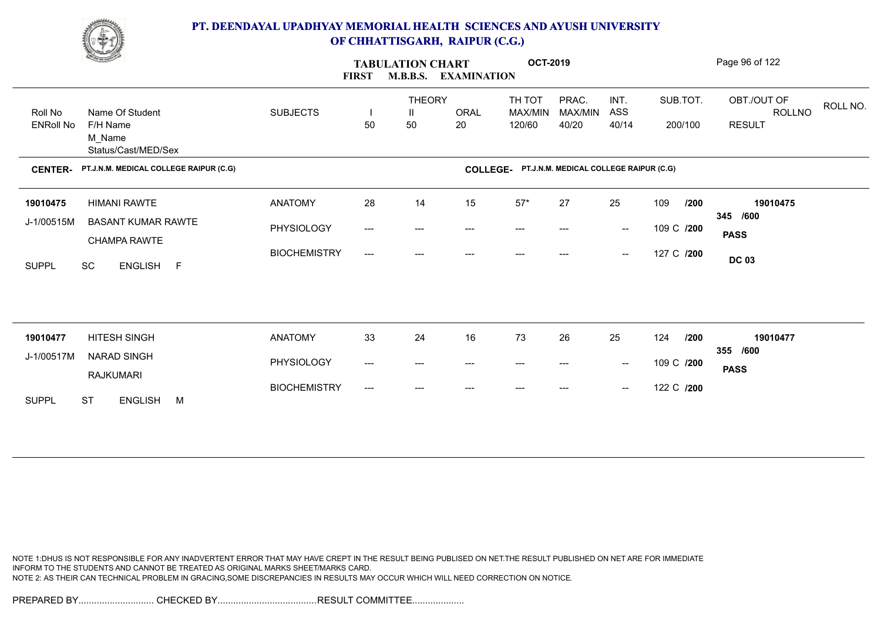

| <b>Change of Congress</b> |                                           |                     | <b>TABULATION CHART</b><br><b>M.B.B.S. EXAMINATION</b><br><b>FIRST</b> |                    |             | <b>OCT-2019</b>                                 |                  | Page 96 of 122                                 |             |                                          |  |  |
|---------------------------|-------------------------------------------|---------------------|------------------------------------------------------------------------|--------------------|-------------|-------------------------------------------------|------------------|------------------------------------------------|-------------|------------------------------------------|--|--|
| Roll No                   | Name Of Student                           | <b>SUBJECTS</b>     | H                                                                      | <b>THEORY</b><br>Ш | <b>ORAL</b> | TH TOT<br>MAX/MIN                               | PRAC.<br>MAX/MIN | INT.<br>ASS                                    | SUB.TOT.    | OBT./OUT OF<br>ROLL NO.<br><b>ROLLNO</b> |  |  |
| <b>ENRoll No</b>          | F/H Name<br>M_Name<br>Status/Cast/MED/Sex |                     | 50                                                                     | 50                 | 20          | 120/60                                          | 40/20            | 40/14                                          | 200/100     | <b>RESULT</b>                            |  |  |
| <b>CENTER-</b>            | PT.J.N.M. MEDICAL COLLEGE RAIPUR (C.G)    |                     |                                                                        |                    |             | COLLEGE- PT.J.N.M. MEDICAL COLLEGE RAIPUR (C.G) |                  |                                                |             |                                          |  |  |
| 19010475                  | <b>HIMANI RAWTE</b>                       | <b>ANATOMY</b>      | 28                                                                     | 14                 | 15          | $57^{\star}$                                    | 27               | 25                                             | 109<br>/200 | 19010475                                 |  |  |
| J-1/00515M                | <b>BASANT KUMAR RAWTE</b><br>CHAMPA RAWTE | PHYSIOLOGY          | ---                                                                    | ---                |             |                                                 |                  | $\hspace{0.1mm}-\hspace{0.1mm}-\hspace{0.1mm}$ | 109 C /200  | 345 /600<br><b>PASS</b>                  |  |  |
| <b>SUPPL</b>              | SC<br>ENGLISH F                           | <b>BIOCHEMISTRY</b> | ---                                                                    | ---                | ---         | $---$                                           | ---              | $\hspace{0.1mm}-\hspace{0.1mm}-\hspace{0.1mm}$ | 127 C /200  | <b>DC 03</b>                             |  |  |
|                           |                                           |                     |                                                                        |                    |             |                                                 |                  |                                                |             |                                          |  |  |
|                           |                                           |                     |                                                                        |                    |             |                                                 |                  |                                                |             |                                          |  |  |
| 19010477                  | HITESH SINGH                              | <b>ANATOMY</b>      | 33                                                                     | 24                 | 16          | 73                                              | 26               | 25                                             | 124<br>/200 | 19010477<br>355 /600                     |  |  |
| J-1/00517M                | NARAD SINGH<br><b>RAJKUMARI</b>           | PHYSIOLOGY          | ---                                                                    | ---                | ---         | ---                                             | ---              | $\hspace{0.1mm}-\hspace{0.1mm}-\hspace{0.1mm}$ | 109 C /200  | <b>PASS</b>                              |  |  |
| <b>SUPPL</b>              | <b>ST</b><br><b>ENGLISH</b><br>M          | <b>BIOCHEMISTRY</b> | ---                                                                    | ---                |             |                                                 |                  | $\hspace{0.1mm}-\hspace{0.1mm}-\hspace{0.1mm}$ | 122 C /200  |                                          |  |  |

NOTE 1:DHUS IS NOT RESPONSIBLE FOR ANY INADVERTENT ERROR THAT MAY HAVE CREPT IN THE RESULT BEING PUBLISED ON NET.THE RESULT PUBLISHED ON NET ARE FOR IMMEDIATE INFORM TO THE STUDENTS AND CANNOT BE TREATED AS ORIGINAL MARKS SHEET/MARKS CARD. NOTE 2: AS THEIR CAN TECHNICAL PROBLEM IN GRACING,SOME DISCREPANCIES IN RESULTS MAY OCCUR WHICH WILL NEED CORRECTION ON NOTICE.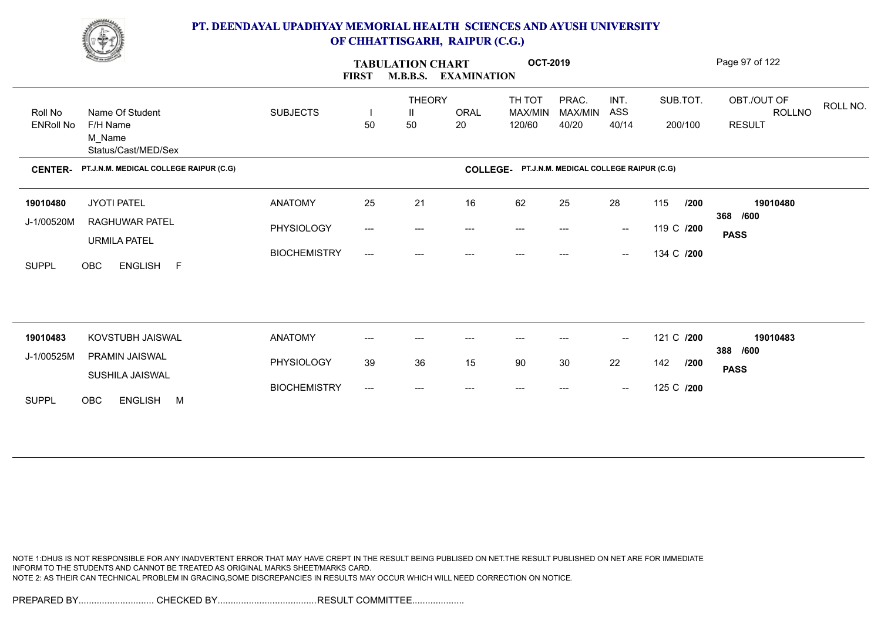

|                  | <u>Change</u>                             |                     | <b>FIRST</b>                        | <b>TABULATION CHART</b><br><b>M.B.B.S.</b> | <b>EXAMINATION</b> | <b>OCT-2019</b>                                 |                  |                                                |            |      | Page 97 of 122               |          |
|------------------|-------------------------------------------|---------------------|-------------------------------------|--------------------------------------------|--------------------|-------------------------------------------------|------------------|------------------------------------------------|------------|------|------------------------------|----------|
| Roll No          | Name Of Student                           | <b>SUBJECTS</b>     |                                     | <b>THEORY</b><br>Ш                         | ORAL               | TH TOT<br><b>MAX/MIN</b>                        | PRAC.<br>MAX/MIN | INT.<br>ASS                                    | SUB.TOT.   |      | OBT./OUT OF<br><b>ROLLNO</b> | ROLL NO. |
| <b>ENRoll No</b> | F/H Name<br>M_Name<br>Status/Cast/MED/Sex |                     | 50                                  | 50                                         | 20                 | 120/60                                          | 40/20            | 40/14                                          | 200/100    |      | <b>RESULT</b>                |          |
| <b>CENTER-</b>   | PT.J.N.M. MEDICAL COLLEGE RAIPUR (C.G)    |                     |                                     |                                            |                    | COLLEGE- PT.J.N.M. MEDICAL COLLEGE RAIPUR (C.G) |                  |                                                |            |      |                              |          |
| 19010480         | <b>JYOTI PATEL</b>                        | <b>ANATOMY</b>      | 25                                  | 21                                         | 16                 | 62                                              | 25               | 28                                             | 115        | /200 | 19010480                     |          |
| J-1/00520M       | RAGHUWAR PATEL                            | PHYSIOLOGY          | $---$                               | ---                                        | ---                | $---$                                           |                  | $\overline{\phantom{a}}$                       | 119 C /200 |      | 368 /600<br><b>PASS</b>      |          |
| <b>SUPPL</b>     | <b>URMILA PATEL</b><br>OBC<br>ENGLISH F   | <b>BIOCHEMISTRY</b> | $\hspace{0.05cm}---\hspace{0.05cm}$ | ---                                        | ---                | ---                                             | ---              | $\hspace{0.05cm}$                              | 134 C /200 |      |                              |          |
|                  |                                           |                     |                                     |                                            |                    |                                                 |                  |                                                |            |      |                              |          |
|                  |                                           |                     |                                     |                                            |                    |                                                 |                  |                                                |            |      |                              |          |
| 19010483         | KOVSTUBH JAISWAL                          | <b>ANATOMY</b>      | ---                                 | ---                                        |                    | $---$                                           | ---              | $\overline{\phantom{a}}$                       | 121 C /200 |      | 19010483<br>388 /600         |          |
| J-1/00525M       | PRAMIN JAISWAL<br>SUSHILA JAISWAL         | PHYSIOLOGY          | 39                                  | 36                                         | 15                 | 90                                              | 30               | 22                                             | 142        | /200 | <b>PASS</b>                  |          |
| <b>SUPPL</b>     | ENGLISH M<br>OBC                          | <b>BIOCHEMISTRY</b> | $---$                               | $---$                                      |                    |                                                 |                  | $\hspace{0.1mm}-\hspace{0.1mm}-\hspace{0.1mm}$ | 125 C /200 |      |                              |          |
|                  |                                           |                     |                                     |                                            |                    |                                                 |                  |                                                |            |      |                              |          |

NOTE 1:DHUS IS NOT RESPONSIBLE FOR ANY INADVERTENT ERROR THAT MAY HAVE CREPT IN THE RESULT BEING PUBLISED ON NET.THE RESULT PUBLISHED ON NET ARE FOR IMMEDIATE INFORM TO THE STUDENTS AND CANNOT BE TREATED AS ORIGINAL MARKS SHEET/MARKS CARD. NOTE 2: AS THEIR CAN TECHNICAL PROBLEM IN GRACING,SOME DISCREPANCIES IN RESULTS MAY OCCUR WHICH WILL NEED CORRECTION ON NOTICE.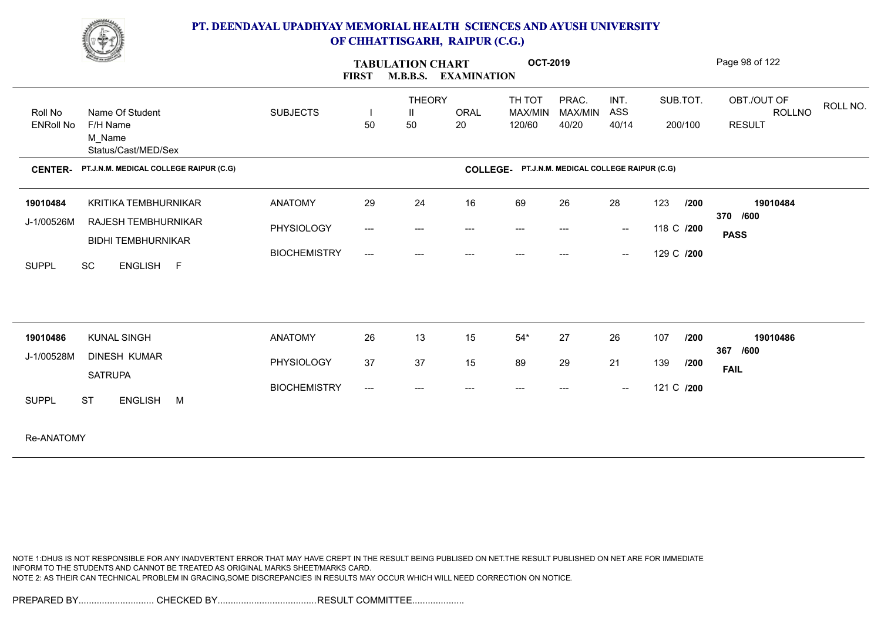

| <b>Comment of the Comment of the Comment of the Comment of the Comment of The Comment of The Comment of The Comment of The Comment of The Comment of The Comment of The Comment of The Comment of The Comment of The Comment of </b> | <b>OCT-2019</b><br><b>TABULATION CHART</b><br><b>FIRST</b><br><b>M.B.B.S. EXAMINATION</b> |                                     |               |             |                                                 |         |                                                |             | Page 98 of 122          |          |
|--------------------------------------------------------------------------------------------------------------------------------------------------------------------------------------------------------------------------------------|-------------------------------------------------------------------------------------------|-------------------------------------|---------------|-------------|-------------------------------------------------|---------|------------------------------------------------|-------------|-------------------------|----------|
|                                                                                                                                                                                                                                      |                                                                                           |                                     | <b>THEORY</b> |             | TH TOT                                          | PRAC.   | INT.                                           | SUB.TOT.    | OBT./OUT OF             | ROLL NO. |
| Name Of Student<br>Roll No                                                                                                                                                                                                           | <b>SUBJECTS</b>                                                                           | -1                                  | H.            | <b>ORAL</b> | MAX/MIN                                         | MAX/MIN | ASS                                            |             | ROLLNO                  |          |
| <b>ENRoll No</b><br>F/H Name<br>M_Name<br>Status/Cast/MED/Sex                                                                                                                                                                        |                                                                                           | 50                                  | 50            | 20          | 120/60                                          | 40/20   | 40/14                                          | 200/100     | <b>RESULT</b>           |          |
| PT.J.N.M. MEDICAL COLLEGE RAIPUR (C.G)<br><b>CENTER-</b>                                                                                                                                                                             |                                                                                           |                                     |               |             | COLLEGE- PT.J.N.M. MEDICAL COLLEGE RAIPUR (C.G) |         |                                                |             |                         |          |
| KRITIKA TEMBHURNIKAR<br>19010484                                                                                                                                                                                                     | <b>ANATOMY</b>                                                                            | 29                                  | 24            | 16          | 69                                              | 26      | 28                                             | 123<br>/200 | 19010484                |          |
| J-1/00526M<br><b>RAJESH TEMBHURNIKAR</b>                                                                                                                                                                                             | PHYSIOLOGY                                                                                | $\hspace{0.05cm}---\hspace{0.05cm}$ | $---$         | ---         | $---$                                           | $---$   | $\sim$                                         | 118 C /200  | 370 /600                |          |
| <b>BIDHI TEMBHURNIKAR</b>                                                                                                                                                                                                            |                                                                                           |                                     |               |             |                                                 |         |                                                |             | <b>PASS</b>             |          |
| SC<br>ENGLISH F<br><b>SUPPL</b>                                                                                                                                                                                                      | <b>BIOCHEMISTRY</b>                                                                       | $\hspace{0.05cm} \ldots$            | ---           | ---         | $---$                                           |         | $\hspace{0.1mm}-\hspace{0.1mm}-\hspace{0.1mm}$ | 129 C /200  |                         |          |
|                                                                                                                                                                                                                                      |                                                                                           |                                     |               |             |                                                 |         |                                                |             |                         |          |
| <b>KUNAL SINGH</b><br>19010486                                                                                                                                                                                                       | <b>ANATOMY</b>                                                                            | 26                                  | 13            | 15          | $54*$                                           | 27      | 26                                             | 107<br>/200 | 19010486<br>367<br>/600 |          |
| J-1/00528M<br><b>DINESH KUMAR</b>                                                                                                                                                                                                    | PHYSIOLOGY                                                                                | 37                                  | 37            | 15          | 89                                              | 29      | 21                                             | 139<br>1200 | <b>FAIL</b>             |          |
| <b>SATRUPA</b>                                                                                                                                                                                                                       |                                                                                           |                                     |               |             |                                                 |         |                                                |             |                         |          |
| ENGLISH M<br><b>SUPPL</b><br><b>ST</b>                                                                                                                                                                                               | <b>BIOCHEMISTRY</b>                                                                       | $\hspace{0.05cm}---\hspace{0.05cm}$ | ---           | ---         | $---$                                           |         | $\hspace{0.1mm}-\hspace{0.1mm}-\hspace{0.1mm}$ | 121 C /200  |                         |          |
| $D = \Lambda N I \Lambda T \Lambda N I$                                                                                                                                                                                              |                                                                                           |                                     |               |             |                                                 |         |                                                |             |                         |          |

Re-ANATOMY

NOTE 1:DHUS IS NOT RESPONSIBLE FOR ANY INADVERTENT ERROR THAT MAY HAVE CREPT IN THE RESULT BEING PUBLISED ON NET.THE RESULT PUBLISHED ON NET ARE FOR IMMEDIATE INFORM TO THE STUDENTS AND CANNOT BE TREATED AS ORIGINAL MARKS SHEET/MARKS CARD. NOTE 2: AS THEIR CAN TECHNICAL PROBLEM IN GRACING,SOME DISCREPANCIES IN RESULTS MAY OCCUR WHICH WILL NEED CORRECTION ON NOTICE.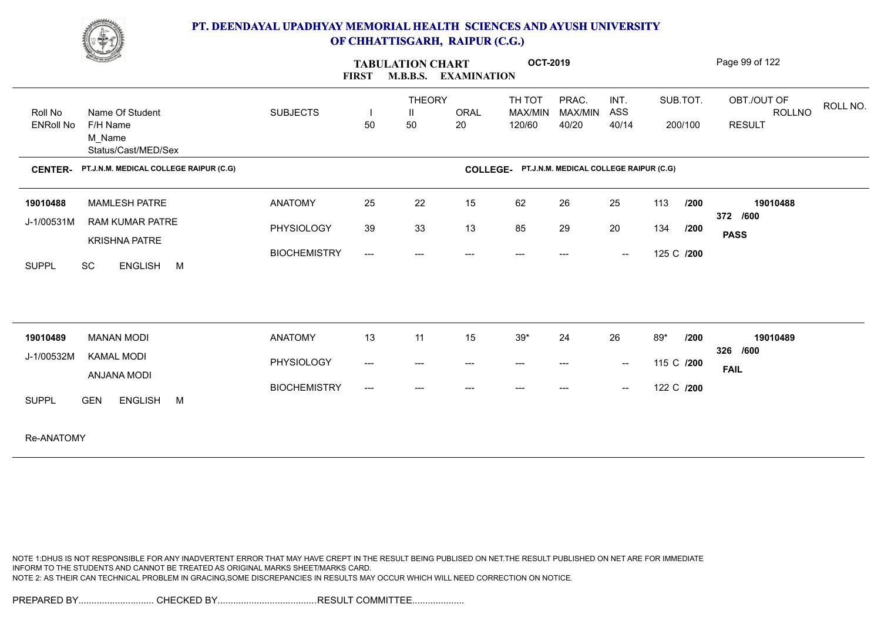

| <u>Change of the Contract of the Contract of the Contract of the Contract of the Contract of the Contract of the Contract of the Contract of The Contract of The Contract of The Contract of The Contract of The Contract of The</u> |                                        |                     | <b>FIRST</b>                             | <b>TABULATION CHART</b><br><b>M.B.B.S.</b> | <b>EXAMINATION</b>                  | <b>OCT-2019</b>                     |                                        |                                                |            |                     | Page 99 of 122                                |          |
|--------------------------------------------------------------------------------------------------------------------------------------------------------------------------------------------------------------------------------------|----------------------------------------|---------------------|------------------------------------------|--------------------------------------------|-------------------------------------|-------------------------------------|----------------------------------------|------------------------------------------------|------------|---------------------|-----------------------------------------------|----------|
| Name Of Student<br>Roll No<br><b>ENRoll No</b><br>F/H Name<br>M Name                                                                                                                                                                 | Status/Cast/MED/Sex                    | <b>SUBJECTS</b>     | 50                                       | <b>THEORY</b><br>Ш<br>50                   | <b>ORAL</b><br>20                   | TH TOT<br>MAX/MIN<br>120/60         | PRAC.<br>MAX/MIN<br>40/20              | INT.<br>ASS<br>40/14                           |            | SUB.TOT.<br>200/100 | OBT./OUT OF<br><b>ROLLNO</b><br><b>RESULT</b> | ROLL NO. |
| <b>CENTER-</b>                                                                                                                                                                                                                       | PT.J.N.M. MEDICAL COLLEGE RAIPUR (C.G) |                     |                                          |                                            | <b>COLLEGE-</b>                     |                                     | PT.J.N.M. MEDICAL COLLEGE RAIPUR (C.G) |                                                |            |                     |                                               |          |
| <b>MAMLESH PATRE</b><br>19010488                                                                                                                                                                                                     |                                        | <b>ANATOMY</b>      | 25                                       | 22                                         | 15                                  | 62                                  | 26                                     | 25                                             | 113        | /200                | 19010488<br>372 /600                          |          |
| J-1/00531M<br><b>KRISHNA PATRE</b>                                                                                                                                                                                                   | <b>RAM KUMAR PATRE</b>                 | PHYSIOLOGY          | 39                                       | 33                                         | 13                                  | 85                                  | 29                                     | 20                                             | 134        | /200                | <b>PASS</b>                                   |          |
| <b>SC</b><br><b>SUPPL</b>                                                                                                                                                                                                            | ENGLISH M                              | <b>BIOCHEMISTRY</b> | $\qquad \qquad -\qquad -$                | ---                                        | $---$                               | $---$                               | $---$                                  | $\hspace{0.1mm}-\hspace{0.1mm}-\hspace{0.1mm}$ | 125 C /200 |                     |                                               |          |
| 19010489<br><b>MANAN MODI</b>                                                                                                                                                                                                        |                                        | <b>ANATOMY</b>      | 13                                       | 11                                         | 15                                  | $39*$                               | 24                                     | 26                                             | 89*        | /200                | 19010489                                      |          |
| J-1/00532M<br><b>KAMAL MODI</b><br>ANJANA MODI                                                                                                                                                                                       |                                        | PHYSIOLOGY          | $\hspace{0.05cm} \ldots \hspace{0.05cm}$ | $\qquad \qquad -\qquad -$                  | $\hspace{0.05cm}---\hspace{0.05cm}$ | $\hspace{0.05cm}---\hspace{0.05cm}$ | $---$                                  | $\overline{\phantom{a}}$                       | 115 C /200 |                     | 326 /600<br><b>FAIL</b>                       |          |
| <b>SUPPL</b><br><b>GEN</b>                                                                                                                                                                                                           | <b>ENGLISH</b><br>M                    | <b>BIOCHEMISTRY</b> | $---$                                    | $---$                                      | $---$                               | ---                                 |                                        | $\hspace{0.1mm}-\hspace{0.1mm}-\hspace{0.1mm}$ | 122 C /200 |                     |                                               |          |
|                                                                                                                                                                                                                                      |                                        |                     |                                          |                                            |                                     |                                     |                                        |                                                |            |                     |                                               |          |

Re-ANATOMY

NOTE 1:DHUS IS NOT RESPONSIBLE FOR ANY INADVERTENT ERROR THAT MAY HAVE CREPT IN THE RESULT BEING PUBLISED ON NET.THE RESULT PUBLISHED ON NET ARE FOR IMMEDIATE INFORM TO THE STUDENTS AND CANNOT BE TREATED AS ORIGINAL MARKS SHEET/MARKS CARD. NOTE 2: AS THEIR CAN TECHNICAL PROBLEM IN GRACING,SOME DISCREPANCIES IN RESULTS MAY OCCUR WHICH WILL NEED CORRECTION ON NOTICE.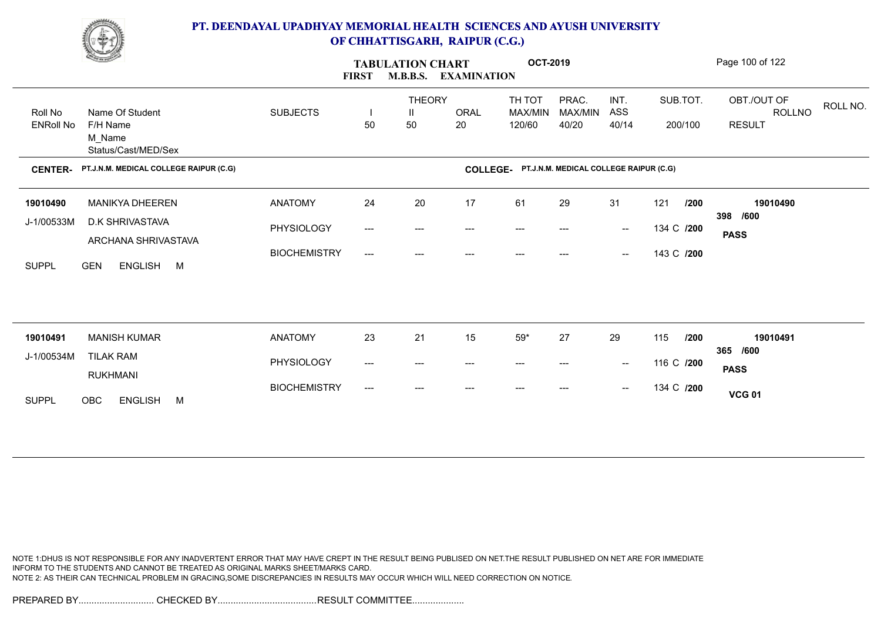

|                                                               |                                                           |                                                                       | <b>M.B.B.S.</b> |       |                                                         |                               |                                                |     |                                                 | Page 100 of 122                                                                             |
|---------------------------------------------------------------|-----------------------------------------------------------|-----------------------------------------------------------------------|-----------------|-------|---------------------------------------------------------|-------------------------------|------------------------------------------------|-----|-------------------------------------------------|---------------------------------------------------------------------------------------------|
|                                                               |                                                           |                                                                       | Ш               |       | TH TOT                                                  | PRAC.                         | INT.                                           |     |                                                 | OBT./OUT OF<br>ROLL NO.<br><b>ROLLNO</b>                                                    |
| <b>ENRoll No</b><br>F/H Name<br>M Name<br>Status/Cast/MED/Sex |                                                           | 50                                                                    | 50              | 20    | 120/60                                                  | 40/20                         | 40/14                                          |     |                                                 | <b>RESULT</b>                                                                               |
| PT.J.N.M. MEDICAL COLLEGE RAIPUR (C.G)<br><b>CENTER-</b>      |                                                           |                                                                       |                 |       |                                                         |                               |                                                |     |                                                 |                                                                                             |
| <b>MANIKYA DHEEREN</b>                                        | <b>ANATOMY</b>                                            | 24                                                                    | 20              | 17    | 61                                                      | 29                            | 31                                             | 121 |                                                 | 19010490                                                                                    |
| D.K SHRIVASTAVA<br>J-1/00533M                                 | PHYSIOLOGY                                                | $\hspace{0.05cm}---\hspace{0.05cm}$                                   | ---             | ---   | ---                                                     | ---                           | $\hspace{0.1mm}-\hspace{0.1mm}-\hspace{0.1mm}$ |     |                                                 | 398 /600<br><b>PASS</b>                                                                     |
| ENGLISH M<br><b>GEN</b>                                       | <b>BIOCHEMISTRY</b>                                       | $\qquad \qquad -\qquad -$                                             | ---             |       |                                                         |                               | $\hspace{0.1mm}-\hspace{0.1mm}-\hspace{0.1mm}$ |     |                                                 |                                                                                             |
|                                                               |                                                           |                                                                       |                 |       |                                                         |                               |                                                |     |                                                 |                                                                                             |
| <b>MANISH KUMAR</b>                                           | <b>ANATOMY</b>                                            | 23                                                                    | 21              | 15    | $59*$                                                   | 27                            | 29                                             | 115 |                                                 | 19010491                                                                                    |
| J-1/00534M<br><b>TILAK RAM</b>                                | PHYSIOLOGY                                                | $\hspace{0.05cm} \ldots \hspace{0.05cm}$                              | ---             | ---   | ---                                                     | ---                           | $\sim$                                         |     |                                                 | 365 /600<br><b>PASS</b>                                                                     |
|                                                               | <b>BIOCHEMISTRY</b>                                       | $\hspace{0.05cm}---\hspace{0.05cm}$                                   | ---             | $---$ | $---$                                                   | ---                           | $\hspace{0.1mm}-\hspace{0.1mm}-\hspace{0.1mm}$ |     |                                                 | <b>VCG 01</b>                                                                               |
|                                                               | Name Of Student<br>ARCHANA SHRIVASTAVA<br><b>RUKHMANI</b> | <u>Change</u><br><b>SUBJECTS</b><br>OBC<br><b>ENGLISH</b><br><b>M</b> | <b>FIRST</b>    |       | <b>TABULATION CHART</b><br><b>THEORY</b><br><b>ORAL</b> | <b>EXAMINATION</b><br>MAX/MIN | <b>OCT-2019</b><br>MAX/MIN                     | ASS | COLLEGE- PT.J.N.M. MEDICAL COLLEGE RAIPUR (C.G) | SUB.TOT.<br>200/100<br>/200<br>134 C /200<br>143 C /200<br>/200<br>116 C /200<br>134 C /200 |

NOTE 1:DHUS IS NOT RESPONSIBLE FOR ANY INADVERTENT ERROR THAT MAY HAVE CREPT IN THE RESULT BEING PUBLISED ON NET.THE RESULT PUBLISHED ON NET ARE FOR IMMEDIATE INFORM TO THE STUDENTS AND CANNOT BE TREATED AS ORIGINAL MARKS SHEET/MARKS CARD. NOTE 2: AS THEIR CAN TECHNICAL PROBLEM IN GRACING,SOME DISCREPANCIES IN RESULTS MAY OCCUR WHICH WILL NEED CORRECTION ON NOTICE.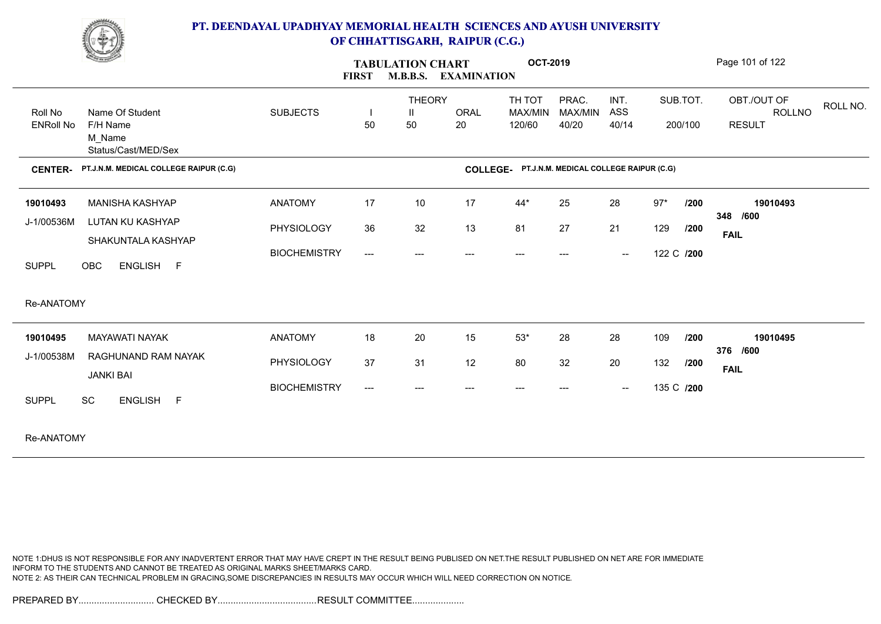

|                                                      | <b>Contract Contract Contract Contract Contract Contract Contract Contract Contract Contract Contract Contract Contract Contract Contract Contract Contract Contract Contract Contract Contract Contract Contract Contract Contr</b> |                                                     | <b>FIRST</b>                                    | <b>TABULATION CHART</b>             | <b>M.B.B.S. EXAMINATION</b> | <b>OCT-2019</b>             |                                        |                      |                            |                            | Page 101 of 122                        |          |
|------------------------------------------------------|--------------------------------------------------------------------------------------------------------------------------------------------------------------------------------------------------------------------------------------|-----------------------------------------------------|-------------------------------------------------|-------------------------------------|-----------------------------|-----------------------------|----------------------------------------|----------------------|----------------------------|----------------------------|----------------------------------------|----------|
| Roll No<br><b>ENRoll No</b>                          | Name Of Student<br>F/H Name<br>M Name<br>Status/Cast/MED/Sex                                                                                                                                                                         | <b>SUBJECTS</b>                                     | 50                                              | <b>THEORY</b><br>$\mathbf{H}$<br>50 | <b>ORAL</b><br>20           | TH TOT<br>MAX/MIN<br>120/60 | PRAC.<br>MAX/MIN<br>40/20              | INT.<br>ASS<br>40/14 |                            | SUB.TOT.<br>200/100        | OBT./OUT OF<br>ROLLNO<br><b>RESULT</b> | ROLL NO. |
| <b>CENTER-</b>                                       | PT.J.N.M. MEDICAL COLLEGE RAIPUR (C.G)                                                                                                                                                                                               |                                                     |                                                 |                                     | COLLEGE-                    |                             | PT.J.N.M. MEDICAL COLLEGE RAIPUR (C.G) |                      |                            |                            |                                        |          |
| 19010493<br>J-1/00536M<br><b>SUPPL</b><br>Re-ANATOMY | <b>MANISHA KASHYAP</b><br>LUTAN KU KASHYAP<br>SHAKUNTALA KASHYAP<br>OBC<br>ENGLISH F                                                                                                                                                 | <b>ANATOMY</b><br>PHYSIOLOGY<br><b>BIOCHEMISTRY</b> | 17<br>36<br>$\qquad \qquad - - -$               | $10$<br>32<br>---                   | 17<br>13<br>---             | 44*<br>81<br>$---$          | 25<br>27<br>$---$                      | 28<br>21<br>$\sim$   | $97*$<br>129<br>122 C /200 | /200<br>/200               | 19010493<br>348 /600<br><b>FAIL</b>    |          |
| 19010495<br>J-1/00538M<br><b>SUPPL</b>               | <b>MAYAWATI NAYAK</b><br>RAGHUNAND RAM NAYAK<br><b>JANKI BAI</b><br><b>SC</b><br>ENGLISH F                                                                                                                                           | <b>ANATOMY</b><br>PHYSIOLOGY<br><b>BIOCHEMISTRY</b> | 18<br>37<br>$\hspace{0.05cm}---\hspace{0.05cm}$ | 20<br>31                            | 15<br>12                    | $53^{\star}$<br>80          | 28<br>32                               | 28<br>20<br>$\sim$   | 109<br>132                 | /200<br>/200<br>135 C /200 | 19010495<br>376 /600<br><b>FAIL</b>    |          |

Re-ANATOMY

NOTE 1:DHUS IS NOT RESPONSIBLE FOR ANY INADVERTENT ERROR THAT MAY HAVE CREPT IN THE RESULT BEING PUBLISED ON NET.THE RESULT PUBLISHED ON NET ARE FOR IMMEDIATE INFORM TO THE STUDENTS AND CANNOT BE TREATED AS ORIGINAL MARKS SHEET/MARKS CARD. NOTE 2: AS THEIR CAN TECHNICAL PROBLEM IN GRACING,SOME DISCREPANCIES IN RESULTS MAY OCCUR WHICH WILL NEED CORRECTION ON NOTICE.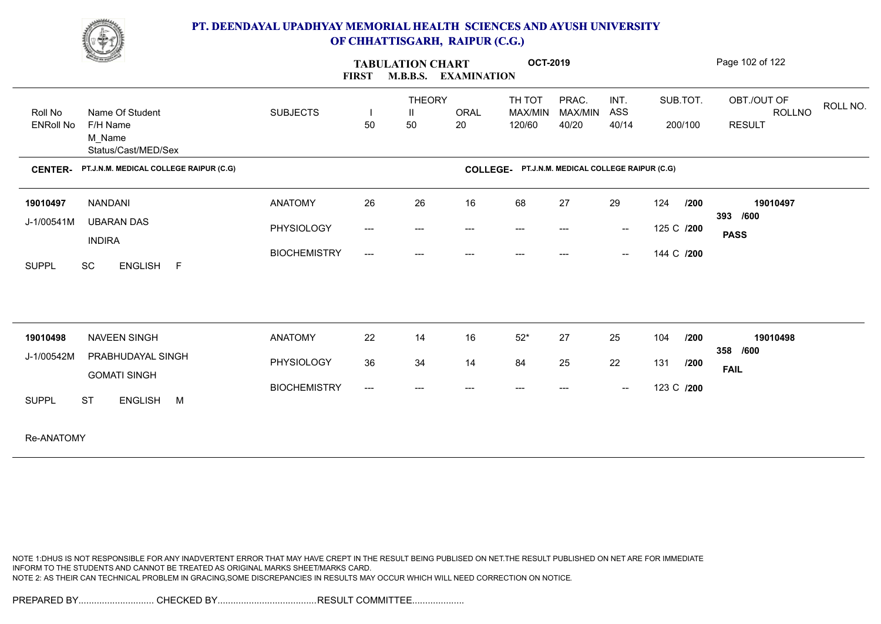

| <b>Contract of the Contract of the Contract of the Contract of the Contract of the Contract of the Contract of The Contract of The Contract of The Contract of The Contract of The Contract of The Contract of The Contract of T</b> |                     | <b>FIRST</b>                        | <b>TABULATION CHART</b><br><b>M.B.B.S. EXAMINATION</b> |             | <b>OCT-2019</b>                                 |                         |                                                |            |         | Page 102 of 122       |          |
|--------------------------------------------------------------------------------------------------------------------------------------------------------------------------------------------------------------------------------------|---------------------|-------------------------------------|--------------------------------------------------------|-------------|-------------------------------------------------|-------------------------|------------------------------------------------|------------|---------|-----------------------|----------|
| Name Of Student<br>Roll No                                                                                                                                                                                                           | <b>SUBJECTS</b>     |                                     | <b>THEORY</b><br>Ш                                     | <b>ORAL</b> | TH TOT<br>MAX/MIN                               | PRAC.<br><b>MAX/MIN</b> | INT.<br>ASS                                    | SUB.TOT.   |         | OBT./OUT OF<br>ROLLNO | ROLL NO. |
| <b>ENRoll No</b><br>F/H Name<br>M_Name<br>Status/Cast/MED/Sex                                                                                                                                                                        |                     | 50                                  | 50                                                     | 20          | 120/60                                          | 40/20                   | 40/14                                          |            | 200/100 | <b>RESULT</b>         |          |
| PT.J.N.M. MEDICAL COLLEGE RAIPUR (C.G)<br><b>CENTER-</b>                                                                                                                                                                             |                     |                                     |                                                        |             | COLLEGE- PT.J.N.M. MEDICAL COLLEGE RAIPUR (C.G) |                         |                                                |            |         |                       |          |
| <b>NANDANI</b><br>19010497                                                                                                                                                                                                           | <b>ANATOMY</b>      | 26                                  | 26                                                     | 16          | 68                                              | 27                      | 29                                             | 124        | /200    | 19010497<br>393 /600  |          |
| J-1/00541M<br><b>UBARAN DAS</b><br><b>INDIRA</b>                                                                                                                                                                                     | PHYSIOLOGY          | $\hspace{0.05cm}---\hspace{0.05cm}$ | $---$                                                  | ---         | $---$                                           | $---$                   | $\hspace{0.1mm}-\hspace{0.1mm}-\hspace{0.1mm}$ | 125 C /200 |         | <b>PASS</b>           |          |
| SC<br>ENGLISH F<br><b>SUPPL</b>                                                                                                                                                                                                      | <b>BIOCHEMISTRY</b> | $\hspace{0.05cm} \ldots$            | $---$                                                  | ---         | $---$                                           | $---$                   | $\hspace{0.1mm}-\hspace{0.1mm}-\hspace{0.1mm}$ | 144 C /200 |         |                       |          |
|                                                                                                                                                                                                                                      |                     |                                     |                                                        |             |                                                 |                         |                                                |            |         |                       |          |
| <b>NAVEEN SINGH</b><br>19010498                                                                                                                                                                                                      | <b>ANATOMY</b>      | 22                                  | 14                                                     | 16          | $52*$                                           | 27                      | 25                                             | 104        | 1200    | 19010498<br>358 /600  |          |
| J-1/00542M<br>PRABHUDAYAL SINGH<br><b>GOMATI SINGH</b>                                                                                                                                                                               | PHYSIOLOGY          | 36                                  | 34                                                     | 14          | 84                                              | 25                      | 22                                             | 131        | /200    | <b>FAIL</b>           |          |
| <b>SUPPL</b><br><b>ST</b><br>ENGLISH M                                                                                                                                                                                               | <b>BIOCHEMISTRY</b> | $\hspace{0.05cm}---\hspace{0.05cm}$ | $---$                                                  | ---         | $---$                                           | $---$                   | $\sim$                                         | 123 C /200 |         |                       |          |
| Re-ANATOMY                                                                                                                                                                                                                           |                     |                                     |                                                        |             |                                                 |                         |                                                |            |         |                       |          |

NOTE 1:DHUS IS NOT RESPONSIBLE FOR ANY INADVERTENT ERROR THAT MAY HAVE CREPT IN THE RESULT BEING PUBLISED ON NET.THE RESULT PUBLISHED ON NET ARE FOR IMMEDIATE INFORM TO THE STUDENTS AND CANNOT BE TREATED AS ORIGINAL MARKS SHEET/MARKS CARD. NOTE 2: AS THEIR CAN TECHNICAL PROBLEM IN GRACING,SOME DISCREPANCIES IN RESULTS MAY OCCUR WHICH WILL NEED CORRECTION ON NOTICE.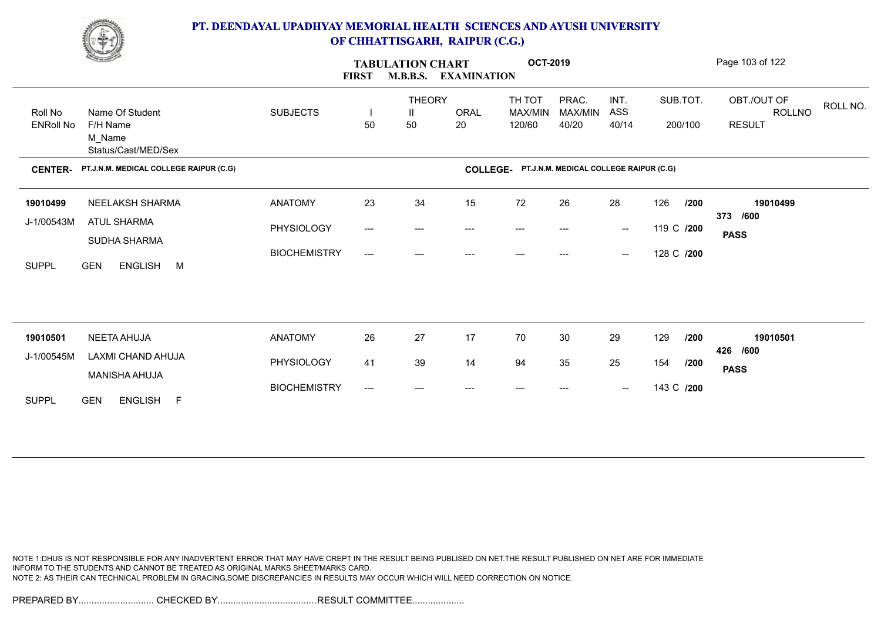

|                             | <u>Change</u>                          |                     | <b>FIRST</b>             | <b>TABULATION CHART</b><br><b>M.B.B.S.</b> | <b>EXAMINATION</b> | <b>OCT-2019</b>                                 |                           |                                                |            |                     | Page 103 of 122                                    |
|-----------------------------|----------------------------------------|---------------------|--------------------------|--------------------------------------------|--------------------|-------------------------------------------------|---------------------------|------------------------------------------------|------------|---------------------|----------------------------------------------------|
| Roll No<br><b>ENRoll No</b> | Name Of Student<br>F/H Name            | <b>SUBJECTS</b>     | 50                       | <b>THEORY</b><br>Ш<br>50                   | <b>ORAL</b><br>20  | TH TOT<br>MAX/MIN<br>120/60                     | PRAC.<br>MAX/MIN<br>40/20 | INT.<br>ASS<br>40/14                           |            | SUB.TOT.<br>200/100 | OBT./OUT OF<br>ROLL NO.<br>ROLLNO<br><b>RESULT</b> |
|                             | M_Name<br>Status/Cast/MED/Sex          |                     |                          |                                            |                    |                                                 |                           |                                                |            |                     |                                                    |
| <b>CENTER-</b>              | PT.J.N.M. MEDICAL COLLEGE RAIPUR (C.G) |                     |                          |                                            |                    | COLLEGE- PT.J.N.M. MEDICAL COLLEGE RAIPUR (C.G) |                           |                                                |            |                     |                                                    |
| 19010499                    | NEELAKSH SHARMA                        | <b>ANATOMY</b>      | 23                       | 34                                         | 15                 | 72                                              | 26                        | 28                                             | 126        | /200                | 19010499<br>373 /600                               |
| J-1/00543M                  | ATUL SHARMA<br>SUDHA SHARMA            | PHYSIOLOGY          | $\hspace{0.05cm} \ldots$ | ---                                        |                    |                                                 |                           | $\overline{\phantom{a}}$                       | 119 C /200 |                     | <b>PASS</b>                                        |
| <b>SUPPL</b>                | ENGLISH M<br><b>GEN</b>                | <b>BIOCHEMISTRY</b> | ---                      | ---                                        |                    |                                                 |                           | $\overline{\phantom{a}}$                       | 128 C /200 |                     |                                                    |
|                             |                                        |                     |                          |                                            |                    |                                                 |                           |                                                |            |                     |                                                    |
|                             | NEETA AHUJA                            | <b>ANATOMY</b>      | 26                       | 27                                         | 17                 | 70                                              | 30                        | 29                                             | 129        | /200                | 19010501                                           |
| 19010501<br>J-1/00545M      | LAXMI CHAND AHUJA                      |                     |                          |                                            |                    |                                                 |                           |                                                |            |                     | 426 /600                                           |
|                             | MANISHA AHUJA                          | PHYSIOLOGY          | 41                       | 39                                         | 14                 | 94                                              | 35                        | 25                                             | 154        | /200                | <b>PASS</b>                                        |
| <b>SUPPL</b>                | <b>GEN</b><br>ENGLISH F                | <b>BIOCHEMISTRY</b> | ---                      | ---                                        |                    |                                                 |                           | $\hspace{0.1mm}-\hspace{0.1mm}-\hspace{0.1mm}$ | 143 C /200 |                     |                                                    |

NOTE 1:DHUS IS NOT RESPONSIBLE FOR ANY INADVERTENT ERROR THAT MAY HAVE CREPT IN THE RESULT BEING PUBLISED ON NET.THE RESULT PUBLISHED ON NET ARE FOR IMMEDIATE INFORM TO THE STUDENTS AND CANNOT BE TREATED AS ORIGINAL MARKS SHEET/MARKS CARD. NOTE 2: AS THEIR CAN TECHNICAL PROBLEM IN GRACING,SOME DISCREPANCIES IN RESULTS MAY OCCUR WHICH WILL NEED CORRECTION ON NOTICE.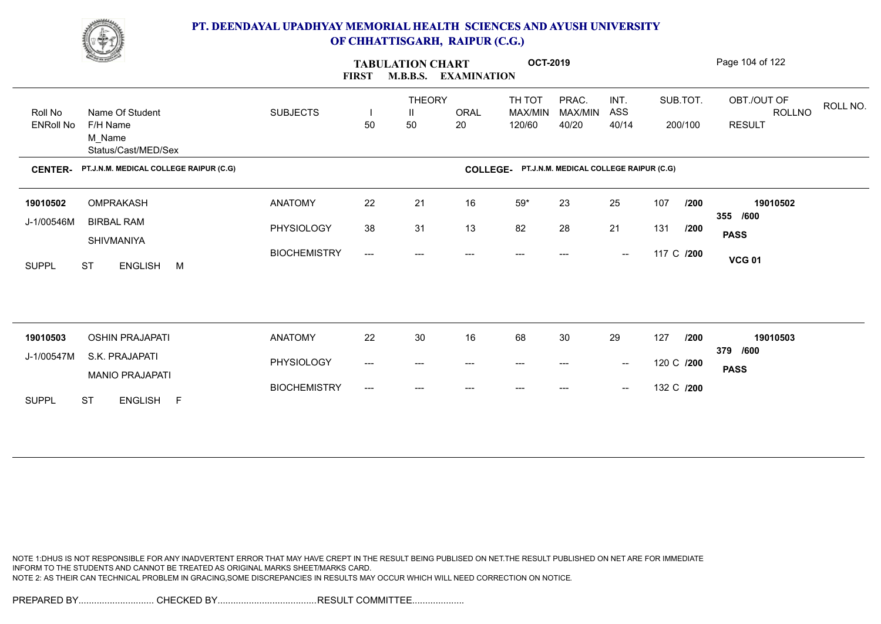

|                             | <u>Change</u>                                                | <b>FIRST</b>        | <b>TABULATION CHART</b><br><b>M.B.B.S.</b> | <b>EXAMINATION</b>       | <b>OCT-2019</b>   |                                                 |                           |                                                |            | Page 104 of 122     |                                                    |
|-----------------------------|--------------------------------------------------------------|---------------------|--------------------------------------------|--------------------------|-------------------|-------------------------------------------------|---------------------------|------------------------------------------------|------------|---------------------|----------------------------------------------------|
| Roll No<br><b>ENRoll No</b> | Name Of Student<br>F/H Name<br>M_Name<br>Status/Cast/MED/Sex | <b>SUBJECTS</b>     | H<br>50                                    | <b>THEORY</b><br>Ш<br>50 | <b>ORAL</b><br>20 | TH TOT<br>MAX/MIN<br>120/60                     | PRAC.<br>MAX/MIN<br>40/20 | INT.<br>ASS<br>40/14                           |            | SUB.TOT.<br>200/100 | OBT./OUT OF<br>ROLL NO.<br>ROLLNO<br><b>RESULT</b> |
| <b>CENTER-</b>              | PT.J.N.M. MEDICAL COLLEGE RAIPUR (C.G)                       |                     |                                            |                          |                   | COLLEGE- PT.J.N.M. MEDICAL COLLEGE RAIPUR (C.G) |                           |                                                |            |                     |                                                    |
| 19010502                    | OMPRAKASH                                                    | <b>ANATOMY</b>      | 22                                         | 21                       | 16                | $59*$                                           | 23                        | 25                                             | 107        | /200                | 19010502<br>355 /600                               |
| J-1/00546M                  | <b>BIRBAL RAM</b><br>SHIVMANIYA                              | PHYSIOLOGY          | 38                                         | 31                       | 13                | 82                                              | 28                        | 21                                             | 131        | /200                | <b>PASS</b>                                        |
| <b>SUPPL</b>                | ENGLISH M<br><b>ST</b>                                       | <b>BIOCHEMISTRY</b> | ---                                        | ---                      | ---               | ---                                             | ---                       | $\hspace{0.1mm}-\hspace{0.1mm}-\hspace{0.1mm}$ | 117 C /200 |                     | <b>VCG 01</b>                                      |
|                             |                                                              |                     |                                            |                          |                   |                                                 |                           |                                                |            |                     |                                                    |
| 19010503                    | <b>OSHIN PRAJAPATI</b>                                       | <b>ANATOMY</b>      | 22                                         | 30                       | 16                | 68                                              | 30                        | 29                                             | 127        | /200                | 19010503<br>379 /600                               |
| J-1/00547M                  | S.K. PRAJAPATI<br><b>MANIO PRAJAPATI</b>                     | PHYSIOLOGY          | ---                                        | ---                      | ---               | ---                                             | ---                       | $\overline{\phantom{a}}$                       | 120 C /200 |                     | <b>PASS</b>                                        |
| <b>SUPPL</b>                | <b>ST</b><br>ENGLISH F                                       | <b>BIOCHEMISTRY</b> | ---                                        | ---                      | ---               | $---$                                           | ---                       | $\hspace{0.1mm}-\hspace{0.1mm}-\hspace{0.1mm}$ | 132 C /200 |                     |                                                    |

NOTE 1:DHUS IS NOT RESPONSIBLE FOR ANY INADVERTENT ERROR THAT MAY HAVE CREPT IN THE RESULT BEING PUBLISED ON NET.THE RESULT PUBLISHED ON NET ARE FOR IMMEDIATE INFORM TO THE STUDENTS AND CANNOT BE TREATED AS ORIGINAL MARKS SHEET/MARKS CARD. NOTE 2: AS THEIR CAN TECHNICAL PROBLEM IN GRACING,SOME DISCREPANCIES IN RESULTS MAY OCCUR WHICH WILL NEED CORRECTION ON NOTICE.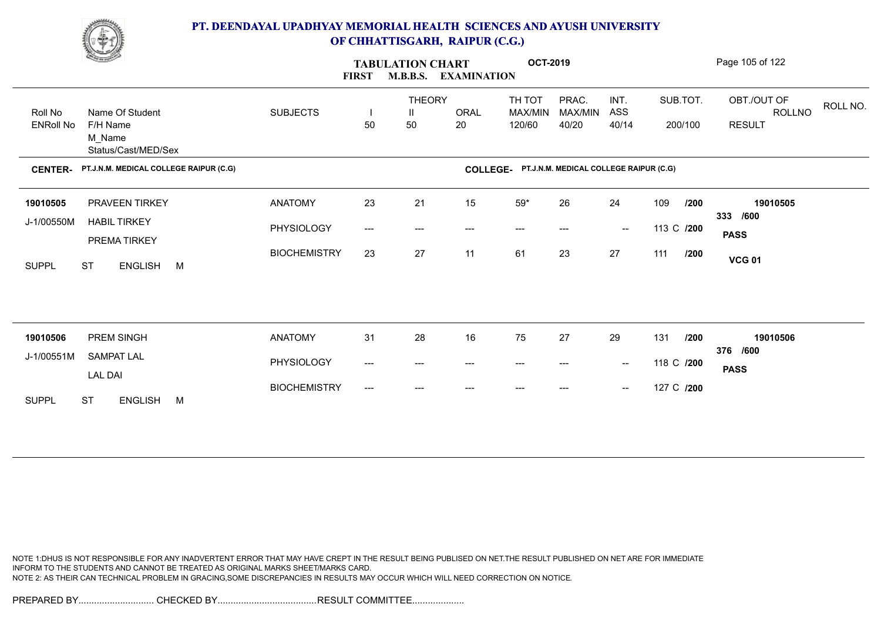

| <b>Comment</b>                                                |                                        | <b>FIRST</b>        |                          | <b>TABULATION CHART</b><br><b>M.B.B.S.</b> | <b>EXAMINATION</b> | <b>OCT-2019</b>   |                                                 |                                                |            |         | Page 105 of 122              |          |
|---------------------------------------------------------------|----------------------------------------|---------------------|--------------------------|--------------------------------------------|--------------------|-------------------|-------------------------------------------------|------------------------------------------------|------------|---------|------------------------------|----------|
| Name Of Student<br>Roll No                                    |                                        | <b>SUBJECTS</b>     | $\overline{\phantom{a}}$ | <b>THEORY</b><br>Ш                         | <b>ORAL</b>        | TH TOT<br>MAX/MIN | PRAC.<br>MAX/MIN                                | INT.<br>ASS                                    | SUB.TOT.   |         | OBT./OUT OF<br><b>ROLLNO</b> | ROLL NO. |
| <b>ENRoll No</b><br>F/H Name<br>M_Name<br>Status/Cast/MED/Sex |                                        |                     | 50                       | 50                                         | 20                 | 120/60            | 40/20                                           | 40/14                                          |            | 200/100 | <b>RESULT</b>                |          |
| <b>CENTER-</b>                                                | PT.J.N.M. MEDICAL COLLEGE RAIPUR (C.G) |                     |                          |                                            |                    |                   | COLLEGE- PT.J.N.M. MEDICAL COLLEGE RAIPUR (C.G) |                                                |            |         |                              |          |
| PRAVEEN TIRKEY<br>19010505                                    |                                        | <b>ANATOMY</b>      | 23                       | 21                                         | 15                 | $59^{\star}$      | 26                                              | 24                                             | 109        | /200    | 19010505<br>333 /600         |          |
| J-1/00550M<br><b>HABIL TIRKEY</b><br>PREMATIRKEY              |                                        | PHYSIOLOGY          | ---                      | ---                                        | $---$              | $---$             | $---$                                           | $\hspace{0.1mm}-\hspace{0.1mm}-\hspace{0.1mm}$ | 113 C /200 |         | <b>PASS</b>                  |          |
| <b>ST</b><br><b>SUPPL</b>                                     | ENGLISH M                              | <b>BIOCHEMISTRY</b> | 23                       | 27                                         | 11                 | 61                | 23                                              | 27                                             | 111        | /200    | <b>VCG 01</b>                |          |
|                                                               |                                        |                     |                          |                                            |                    |                   |                                                 |                                                |            |         |                              |          |
| PREM SINGH<br>19010506                                        |                                        | <b>ANATOMY</b>      | 31                       | 28                                         | 16                 | 75                | 27                                              | 29                                             | 131        | /200    | 19010506                     |          |
| <b>SAMPAT LAL</b><br>J-1/00551M                               |                                        | PHYSIOLOGY          | ---                      | ---                                        | $---$              | ---               | ---                                             | $\hspace{0.1mm}-\hspace{0.1mm}-\hspace{0.1mm}$ | 118 C /200 |         | 376 /600<br><b>PASS</b>      |          |
| <b>LAL DAI</b><br><b>ST</b><br><b>SUPPL</b>                   | <b>ENGLISH</b><br>M                    | <b>BIOCHEMISTRY</b> | ---                      | ---                                        | $---$              | $---$             | ---                                             | $\hspace{0.1mm}-\hspace{0.1mm}-\hspace{0.1mm}$ | 127 C /200 |         |                              |          |
|                                                               |                                        |                     |                          |                                            |                    |                   |                                                 |                                                |            |         |                              |          |

NOTE 1:DHUS IS NOT RESPONSIBLE FOR ANY INADVERTENT ERROR THAT MAY HAVE CREPT IN THE RESULT BEING PUBLISED ON NET.THE RESULT PUBLISHED ON NET ARE FOR IMMEDIATE INFORM TO THE STUDENTS AND CANNOT BE TREATED AS ORIGINAL MARKS SHEET/MARKS CARD. NOTE 2: AS THEIR CAN TECHNICAL PROBLEM IN GRACING,SOME DISCREPANCIES IN RESULTS MAY OCCUR WHICH WILL NEED CORRECTION ON NOTICE.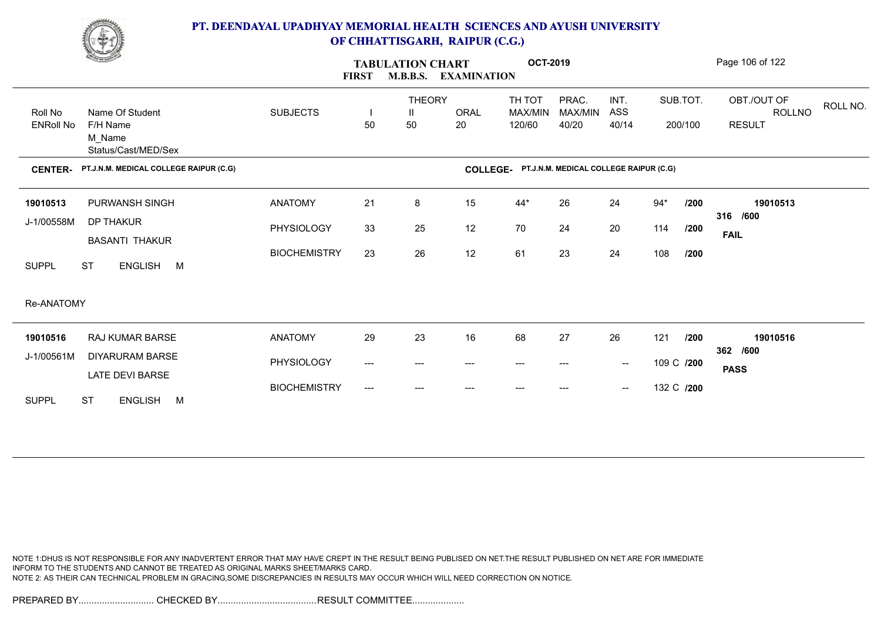

|                             | <u>Construction of the Sea</u>                               |                     | <b>FIRST</b>        | <b>TABULATION CHART</b><br><b>M.B.B.S.</b> | <b>EXAMINATION</b>     | <b>OCT-2019</b>             |                                        |                                                |            |                     | Page 106 of 122                                    |
|-----------------------------|--------------------------------------------------------------|---------------------|---------------------|--------------------------------------------|------------------------|-----------------------------|----------------------------------------|------------------------------------------------|------------|---------------------|----------------------------------------------------|
| Roll No<br><b>ENRoll No</b> | Name Of Student<br>F/H Name<br>M_Name<br>Status/Cast/MED/Sex | <b>SUBJECTS</b>     | 50                  | <b>THEORY</b><br>Ш<br>50                   | <b>ORAL</b><br>20      | TH TOT<br>MAX/MIN<br>120/60 | PRAC.<br>MAX/MIN<br>40/20              | INT.<br>ASS<br>40/14                           |            | SUB.TOT.<br>200/100 | OBT./OUT OF<br>ROLL NO.<br>ROLLNO<br><b>RESULT</b> |
| <b>CENTER-</b>              | PT.J.N.M. MEDICAL COLLEGE RAIPUR (C.G)                       |                     |                     |                                            | <b>COLLEGE-</b>        |                             | PT.J.N.M. MEDICAL COLLEGE RAIPUR (C.G) |                                                |            |                     |                                                    |
| 19010513                    | PURWANSH SINGH                                               | <b>ANATOMY</b>      | 21                  | 8                                          | 15                     | 44*                         | 26                                     | 24                                             | $94*$      | /200                | 19010513                                           |
| J-1/00558M                  | DP THAKUR<br><b>BASANTI THAKUR</b>                           | PHYSIOLOGY          | 33                  | 25                                         | 12                     | 70                          | 24                                     | 20                                             | 114        | /200                | 316 /600<br><b>FAIL</b>                            |
| <b>SUPPL</b>                | <b>ST</b><br>ENGLISH M                                       | <b>BIOCHEMISTRY</b> | 23                  | 26                                         | 12                     | 61                          | 23                                     | 24                                             | 108        | /200                |                                                    |
| Re-ANATOMY                  |                                                              |                     |                     |                                            |                        |                             |                                        |                                                |            |                     |                                                    |
| 19010516                    | <b>RAJ KUMAR BARSE</b>                                       | <b>ANATOMY</b>      | 29                  | 23                                         | 16                     | 68                          | 27                                     | 26                                             | 121        | /200                | 19010516<br>362 /600                               |
| J-1/00561M                  | <b>DIYARURAM BARSE</b><br>LATE DEVI BARSE                    | PHYSIOLOGY          | $\qquad \qquad - -$ | ---                                        | $\qquad \qquad \cdots$ | $---$                       | $---$                                  | $\hspace{0.1mm}-\hspace{0.1mm}-\hspace{0.1mm}$ | 109 C /200 |                     | <b>PASS</b>                                        |
| <b>SUPPL</b>                | <b>ST</b><br><b>ENGLISH</b><br>M                             | <b>BIOCHEMISTRY</b> | $---$               | ---                                        |                        |                             |                                        | $\hspace{0.1mm}-\hspace{0.1mm}-\hspace{0.1mm}$ | 132 C /200 |                     |                                                    |

NOTE 1:DHUS IS NOT RESPONSIBLE FOR ANY INADVERTENT ERROR THAT MAY HAVE CREPT IN THE RESULT BEING PUBLISED ON NET.THE RESULT PUBLISHED ON NET ARE FOR IMMEDIATE INFORM TO THE STUDENTS AND CANNOT BE TREATED AS ORIGINAL MARKS SHEET/MARKS CARD. NOTE 2: AS THEIR CAN TECHNICAL PROBLEM IN GRACING,SOME DISCREPANCIES IN RESULTS MAY OCCUR WHICH WILL NEED CORRECTION ON NOTICE.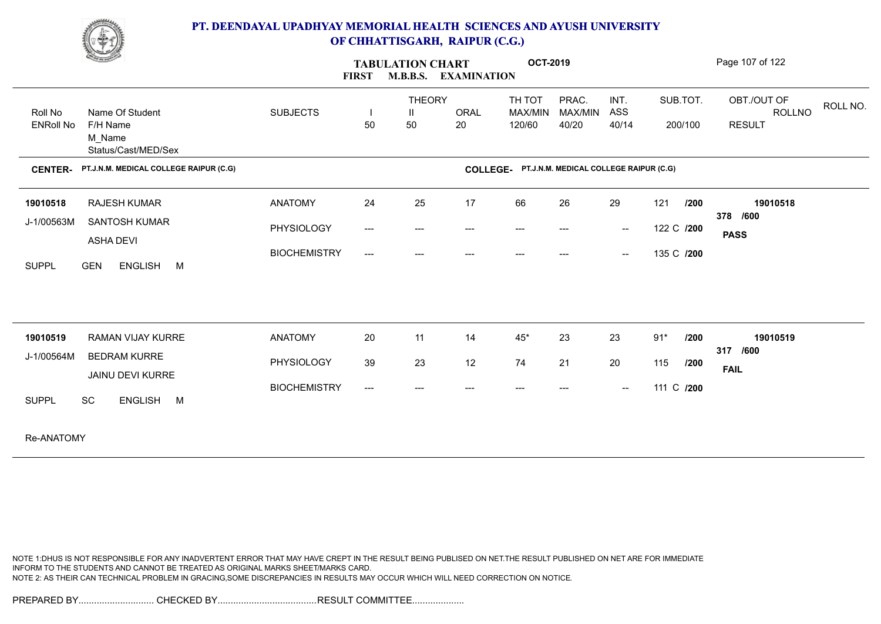

| <b>Change of Congress</b>                                     |                     | <b>FIRST</b>                        | <b>TABULATION CHART</b><br><b>M.B.B.S.</b> | <b>EXAMINATION</b> | <b>OCT-2019</b>                                 |         |        |            |         | Page 107 of 122 |          |
|---------------------------------------------------------------|---------------------|-------------------------------------|--------------------------------------------|--------------------|-------------------------------------------------|---------|--------|------------|---------|-----------------|----------|
|                                                               |                     |                                     | <b>THEORY</b>                              |                    | TH TOT                                          | PRAC.   | INT.   | SUB.TOT.   |         | OBT./OUT OF     | ROLL NO. |
| Roll No<br>Name Of Student                                    | <b>SUBJECTS</b>     |                                     | Ш                                          | <b>ORAL</b>        | MAX/MIN                                         | MAX/MIN | ASS    |            |         | ROLLNO          |          |
| <b>ENRoll No</b><br>F/H Name<br>M_Name<br>Status/Cast/MED/Sex |                     | 50                                  | 50                                         | 20                 | 120/60                                          | 40/20   | 40/14  |            | 200/100 | <b>RESULT</b>   |          |
| PT.J.N.M. MEDICAL COLLEGE RAIPUR (C.G)<br><b>CENTER-</b>      |                     |                                     |                                            |                    | COLLEGE- PT.J.N.M. MEDICAL COLLEGE RAIPUR (C.G) |         |        |            |         |                 |          |
| <b>RAJESH KUMAR</b><br>19010518                               | <b>ANATOMY</b>      | 24                                  | 25                                         | 17                 | 66                                              | 26      | 29     | 121        | /200    | 19010518        |          |
| J-1/00563M<br>SANTOSH KUMAR                                   | PHYSIOLOGY          | $\hspace{0.05cm}---\hspace{0.05cm}$ | $\qquad \qquad -\qquad -$                  | ---                | $---$                                           | $---$   | $\sim$ | 122 C /200 |         | 378 /600        |          |
| <b>ASHA DEVI</b>                                              |                     |                                     |                                            |                    |                                                 |         |        |            |         | <b>PASS</b>     |          |
| <b>SUPPL</b><br><b>GEN</b><br>ENGLISH M                       | <b>BIOCHEMISTRY</b> | $\hspace{0.05cm}---\hspace{0.05cm}$ | $---$                                      | $---$              | $---$                                           | $---$   | $\sim$ | 135 C /200 |         |                 |          |
| 19010519<br>RAMAN VIJAY KURRE                                 | <b>ANATOMY</b>      | 20                                  | 11                                         | 14                 | $45*$                                           | 23      | 23     | $91*$      | /200    | 19010519        |          |
| J-1/00564M<br><b>BEDRAM KURRE</b>                             |                     |                                     |                                            |                    |                                                 |         |        |            |         | 317 /600        |          |
| JAINU DEVI KURRE                                              | PHYSIOLOGY          | 39                                  | 23                                         | 12                 | 74                                              | 21      | 20     | 115        | /200    | <b>FAIL</b>     |          |
| SC<br>ENGLISH M<br><b>SUPPL</b>                               | <b>BIOCHEMISTRY</b> | $\hspace{0.05cm}---\hspace{0.05cm}$ | ---                                        | ---                | ---                                             | ---     | $\sim$ | 111 C /200 |         |                 |          |
| Re-ANATOMY                                                    |                     |                                     |                                            |                    |                                                 |         |        |            |         |                 |          |

NOTE 1:DHUS IS NOT RESPONSIBLE FOR ANY INADVERTENT ERROR THAT MAY HAVE CREPT IN THE RESULT BEING PUBLISED ON NET.THE RESULT PUBLISHED ON NET ARE FOR IMMEDIATE INFORM TO THE STUDENTS AND CANNOT BE TREATED AS ORIGINAL MARKS SHEET/MARKS CARD. NOTE 2: AS THEIR CAN TECHNICAL PROBLEM IN GRACING,SOME DISCREPANCIES IN RESULTS MAY OCCUR WHICH WILL NEED CORRECTION ON NOTICE.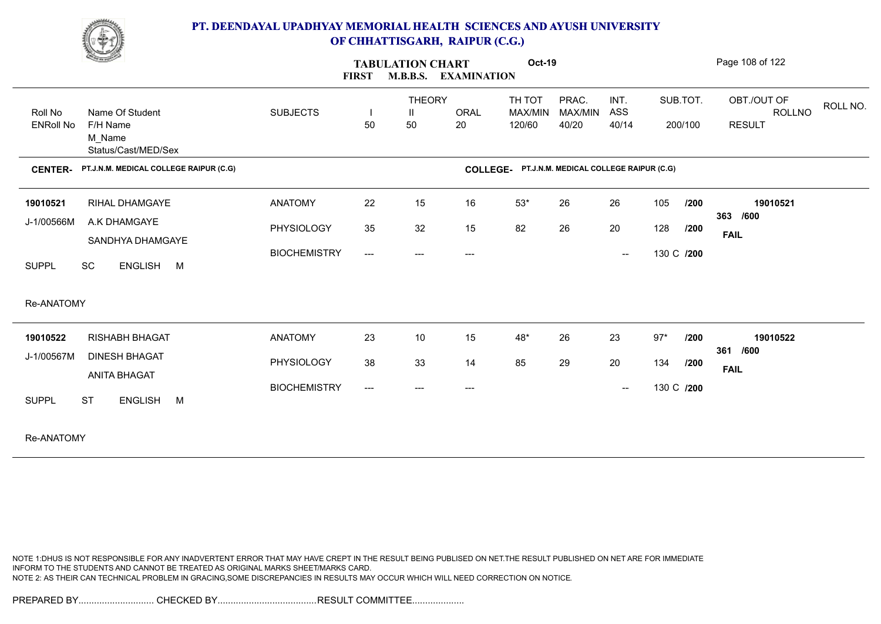

|                             | <u>Common Common Common Common Common Common Common Common Common Common Common Common Common Common Common Comm</u> |                     | <b>FIRST</b>        | <b>TABULATION CHART</b><br><b>M.B.B.S.</b> | <b>EXAMINATION</b>                  | <b>Oct-19</b>               |                                        |                                                |            |                     | Page 108 of 122                                           |
|-----------------------------|----------------------------------------------------------------------------------------------------------------------|---------------------|---------------------|--------------------------------------------|-------------------------------------|-----------------------------|----------------------------------------|------------------------------------------------|------------|---------------------|-----------------------------------------------------------|
| Roll No<br><b>ENRoll No</b> | Name Of Student<br>F/H Name<br>M Name<br>Status/Cast/MED/Sex                                                         | <b>SUBJECTS</b>     | 50                  | <b>THEORY</b><br>Ш<br>50                   | ORAL<br>20                          | TH TOT<br>MAX/MIN<br>120/60 | PRAC.<br>MAX/MIN<br>40/20              | INT.<br>ASS<br>40/14                           |            | SUB.TOT.<br>200/100 | OBT./OUT OF<br>ROLL NO.<br><b>ROLLNO</b><br><b>RESULT</b> |
| <b>CENTER-</b>              | PT.J.N.M. MEDICAL COLLEGE RAIPUR (C.G)                                                                               |                     |                     |                                            | <b>COLLEGE-</b>                     |                             | PT.J.N.M. MEDICAL COLLEGE RAIPUR (C.G) |                                                |            |                     |                                                           |
| 19010521                    | RIHAL DHAMGAYE                                                                                                       | <b>ANATOMY</b>      | 22                  | 15                                         | 16                                  | $53*$                       | 26                                     | 26                                             | 105        | /200                | 19010521<br>363 /600                                      |
| J-1/00566M                  | A.K DHAMGAYE<br>SANDHYA DHAMGAYE                                                                                     | PHYSIOLOGY          | 35                  | 32                                         | 15                                  | 82                          | 26                                     | 20                                             | 128        | /200                | <b>FAIL</b>                                               |
| SC<br><b>SUPPL</b>          | ENGLISH M                                                                                                            | <b>BIOCHEMISTRY</b> | $\qquad \qquad - -$ | ---                                        | $\hspace{0.05cm}---\hspace{0.05cm}$ |                             |                                        | $\hspace{0.1mm}-\hspace{0.1mm}-\hspace{0.1mm}$ | 130 C /200 |                     |                                                           |
| Re-ANATOMY                  |                                                                                                                      |                     |                     |                                            |                                     |                             |                                        |                                                |            |                     |                                                           |
| 19010522                    | <b>RISHABH BHAGAT</b>                                                                                                | <b>ANATOMY</b>      | 23                  | 10                                         | 15                                  | $48^{\star}$                | 26                                     | 23                                             | $97*$      | /200                | 19010522<br>361 /600                                      |
| J-1/00567M                  | <b>DINESH BHAGAT</b><br><b>ANITA BHAGAT</b>                                                                          | PHYSIOLOGY          | 38                  | 33                                         | 14                                  | 85                          | 29                                     | 20                                             | 134        | /200                | <b>FAIL</b>                                               |
| <b>ST</b><br><b>SUPPL</b>   | <b>ENGLISH</b><br>M                                                                                                  | <b>BIOCHEMISTRY</b> | $---$               |                                            | ---                                 |                             |                                        | $\hspace{0.05cm}$                              |            | 130 C /200          |                                                           |
|                             |                                                                                                                      |                     |                     |                                            |                                     |                             |                                        |                                                |            |                     |                                                           |

Re-ANATOMY

NOTE 1:DHUS IS NOT RESPONSIBLE FOR ANY INADVERTENT ERROR THAT MAY HAVE CREPT IN THE RESULT BEING PUBLISED ON NET.THE RESULT PUBLISHED ON NET ARE FOR IMMEDIATE INFORM TO THE STUDENTS AND CANNOT BE TREATED AS ORIGINAL MARKS SHEET/MARKS CARD. NOTE 2: AS THEIR CAN TECHNICAL PROBLEM IN GRACING,SOME DISCREPANCIES IN RESULTS MAY OCCUR WHICH WILL NEED CORRECTION ON NOTICE.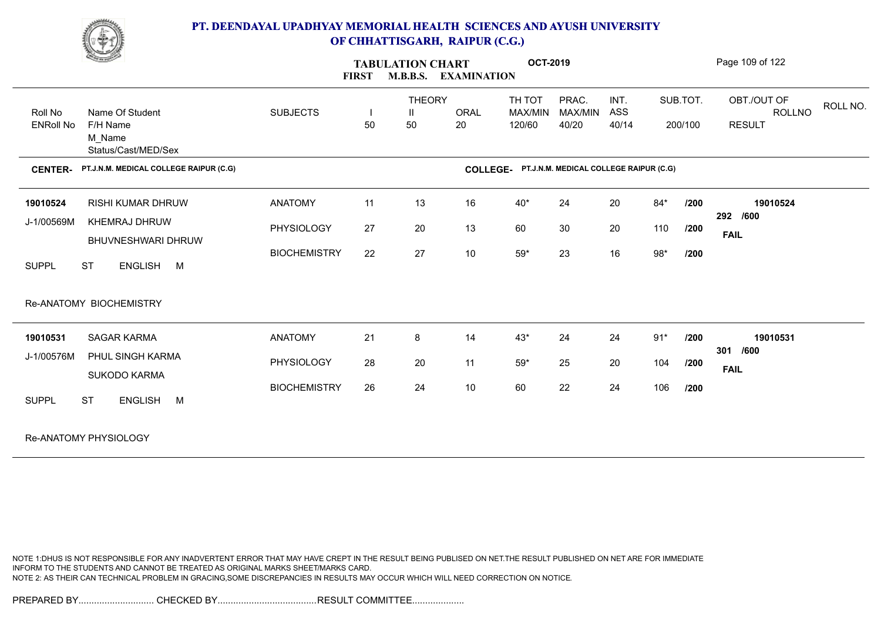

| <u>Change of the South of the South of the South of the South of the South of the South of the South of the South of the South of the South of the South of the South of the South of the South of the South of the South of the</u> |                              | <b>FIRST</b> | <b>TABULATION CHART</b><br><b>M.B.B.S.</b> | <b>EXAMINATION</b> | <b>OCT-2019</b>                                 |                           |                      |              |                     | Page 109 of 122                               |          |
|--------------------------------------------------------------------------------------------------------------------------------------------------------------------------------------------------------------------------------------|------------------------------|--------------|--------------------------------------------|--------------------|-------------------------------------------------|---------------------------|----------------------|--------------|---------------------|-----------------------------------------------|----------|
| Name Of Student<br>Roll No<br><b>ENRoll No</b><br>F/H Name<br>M_Name<br>Status/Cast/MED/Sex                                                                                                                                          | <b>SUBJECTS</b>              | 50           | <b>THEORY</b><br>$\mathbf{H}$<br>50        | <b>ORAL</b><br>20  | TH TOT<br>MAX/MIN<br>120/60                     | PRAC.<br>MAX/MIN<br>40/20 | INT.<br>ASS<br>40/14 |              | SUB.TOT.<br>200/100 | OBT./OUT OF<br><b>ROLLNO</b><br><b>RESULT</b> | ROLL NO. |
| PT.J.N.M. MEDICAL COLLEGE RAIPUR (C.G)<br><b>CENTER-</b>                                                                                                                                                                             |                              |              |                                            |                    | COLLEGE- PT.J.N.M. MEDICAL COLLEGE RAIPUR (C.G) |                           |                      |              |                     |                                               |          |
| 19010524<br><b>RISHI KUMAR DHRUW</b><br>J-1/00569M<br>KHEMRAJ DHRUW                                                                                                                                                                  | <b>ANATOMY</b><br>PHYSIOLOGY | 11<br>27     | 13<br>20                                   | 16<br>13           | $40^*$<br>60                                    | 24<br>30                  | 20<br>20             | $84*$<br>110 | /200<br>/200        | 19010524<br>292 /600                          |          |
| BHUVNESHWARI DHRUW<br><b>SUPPL</b><br><b>ST</b><br>ENGLISH M                                                                                                                                                                         | <b>BIOCHEMISTRY</b>          | 22           | 27                                         | $10\,$             | $59^{\star}$                                    | 23                        | 16                   | $98*$        | /200                | <b>FAIL</b>                                   |          |
| Re-ANATOMY BIOCHEMISTRY                                                                                                                                                                                                              |                              |              |                                            |                    |                                                 |                           |                      |              |                     |                                               |          |
| <b>SAGAR KARMA</b><br>19010531                                                                                                                                                                                                       | <b>ANATOMY</b>               | 21           | 8                                          | 14                 | $43*$                                           | 24                        | 24                   | $91*$        | /200                | 19010531                                      |          |
| J-1/00576M<br>PHUL SINGH KARMA<br><b>SUKODO KARMA</b>                                                                                                                                                                                | PHYSIOLOGY                   | 28           | 20                                         | 11                 | $59^{\star}$                                    | 25                        | 20                   | 104          | /200                | 301 /600<br><b>FAIL</b>                       |          |
| <b>ST</b><br>ENGLISH M<br><b>SUPPL</b>                                                                                                                                                                                               | <b>BIOCHEMISTRY</b>          | 26           | 24                                         | 10                 | 60                                              | 22                        | 24                   | 106          | /200                |                                               |          |
| Re-ANATOMY PHYSIOLOGY                                                                                                                                                                                                                |                              |              |                                            |                    |                                                 |                           |                      |              |                     |                                               |          |

NOTE 1:DHUS IS NOT RESPONSIBLE FOR ANY INADVERTENT ERROR THAT MAY HAVE CREPT IN THE RESULT BEING PUBLISED ON NET.THE RESULT PUBLISHED ON NET ARE FOR IMMEDIATE INFORM TO THE STUDENTS AND CANNOT BE TREATED AS ORIGINAL MARKS SHEET/MARKS CARD. NOTE 2: AS THEIR CAN TECHNICAL PROBLEM IN GRACING,SOME DISCREPANCIES IN RESULTS MAY OCCUR WHICH WILL NEED CORRECTION ON NOTICE.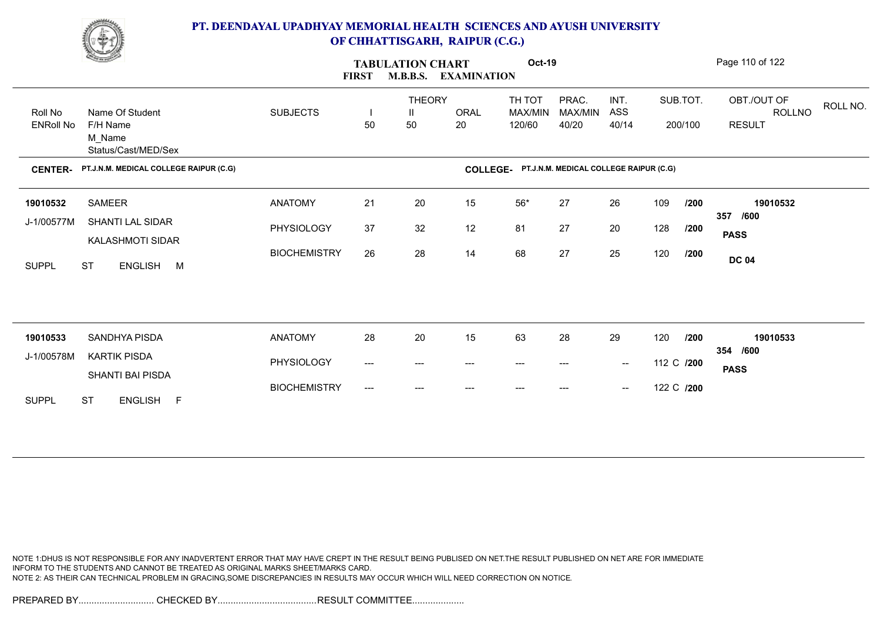

|                                                                                             | <u>Change</u>                               |                     | <b>FIRST</b> | <b>TABULATION CHART</b><br><b>M.B.B.S.</b> | <b>EXAMINATION</b> | Oct-19                                          |                           |                                                |     |                     | Page 110 of 122                                           |
|---------------------------------------------------------------------------------------------|---------------------------------------------|---------------------|--------------|--------------------------------------------|--------------------|-------------------------------------------------|---------------------------|------------------------------------------------|-----|---------------------|-----------------------------------------------------------|
| Name Of Student<br>Roll No<br><b>ENRoll No</b><br>F/H Name<br>M Name<br>Status/Cast/MED/Sex |                                             | <b>SUBJECTS</b>     | H<br>50      | <b>THEORY</b><br>Ш<br>50                   | ORAL<br>20         | TH TOT<br>MAX/MIN<br>120/60                     | PRAC.<br>MAX/MIN<br>40/20 | INT.<br>ASS<br>40/14                           |     | SUB.TOT.<br>200/100 | OBT./OUT OF<br>ROLL NO.<br><b>ROLLNO</b><br><b>RESULT</b> |
| <b>CENTER-</b>                                                                              | PT.J.N.M. MEDICAL COLLEGE RAIPUR (C.G)      |                     |              |                                            |                    | COLLEGE- PT.J.N.M. MEDICAL COLLEGE RAIPUR (C.G) |                           |                                                |     |                     |                                                           |
| 19010532                                                                                    | SAMEER                                      | <b>ANATOMY</b>      | 21           | 20                                         | 15                 | 56*                                             | 27                        | 26                                             | 109 | /200                | 19010532<br>357<br>/600                                   |
| J-1/00577M                                                                                  | <b>SHANTI LAL SIDAR</b><br>KALASHMOTI SIDAR | PHYSIOLOGY          | 37           | 32                                         | 12                 | 81                                              | 27                        | 20                                             | 128 | /200                | <b>PASS</b>                                               |
| <b>SUPPL</b>                                                                                | <b>ST</b><br>ENGLISH M                      | <b>BIOCHEMISTRY</b> | 26           | 28                                         | 14                 | 68                                              | 27                        | 25                                             | 120 | /200                | <b>DC 04</b>                                              |
|                                                                                             |                                             |                     |              |                                            |                    |                                                 |                           |                                                |     |                     |                                                           |
| 19010533                                                                                    | SANDHYA PISDA                               | <b>ANATOMY</b>      | 28           | 20                                         | 15                 | 63                                              | 28                        | 29                                             | 120 | /200                | 19010533<br>354 /600                                      |
| J-1/00578M                                                                                  | <b>KARTIK PISDA</b><br>SHANTI BAI PISDA     | PHYSIOLOGY          | ---          | ---                                        | $---$              | ---                                             | ---                       | $\hspace{0.1mm}-\hspace{0.1mm}-\hspace{0.1mm}$ |     | 112 C /200          | <b>PASS</b>                                               |
| <b>SUPPL</b>                                                                                | <b>ST</b><br>ENGLISH F                      | <b>BIOCHEMISTRY</b> | ---          | ---                                        | $---$              | $---$                                           | ---                       | $\hspace{0.1mm}-\hspace{0.1mm}-\hspace{0.1mm}$ |     | 122 C /200          |                                                           |

NOTE 1:DHUS IS NOT RESPONSIBLE FOR ANY INADVERTENT ERROR THAT MAY HAVE CREPT IN THE RESULT BEING PUBLISED ON NET.THE RESULT PUBLISHED ON NET ARE FOR IMMEDIATE INFORM TO THE STUDENTS AND CANNOT BE TREATED AS ORIGINAL MARKS SHEET/MARKS CARD. NOTE 2: AS THEIR CAN TECHNICAL PROBLEM IN GRACING,SOME DISCREPANCIES IN RESULTS MAY OCCUR WHICH WILL NEED CORRECTION ON NOTICE.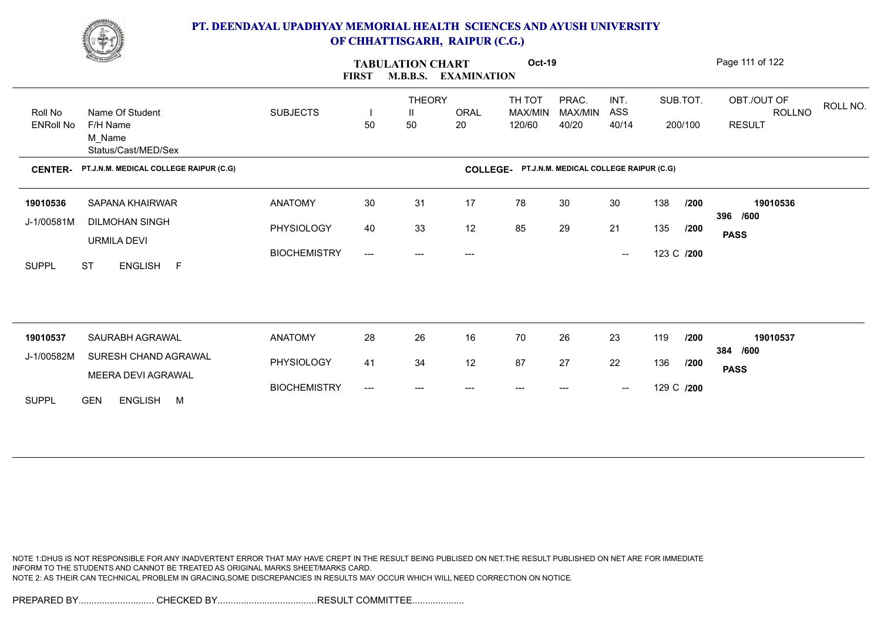

|                  | <u>Change</u>                               |                     | <b>FIRST</b>              | <b>TABULATION CHART</b><br><b>M.B.B.S.</b> | <b>EXAMINATION</b> | <b>Oct-19</b>                                   |                  |                                                |            |          | Page 111 of 122                          |
|------------------|---------------------------------------------|---------------------|---------------------------|--------------------------------------------|--------------------|-------------------------------------------------|------------------|------------------------------------------------|------------|----------|------------------------------------------|
| Roll No          | Name Of Student                             | <b>SUBJECTS</b>     |                           | <b>THEORY</b><br>$\mathbf{I}$              | <b>ORAL</b>        | TH TOT<br>MAX/MIN                               | PRAC.<br>MAX/MIN | INT.<br>ASS                                    |            | SUB.TOT. | OBT./OUT OF<br>ROLL NO.<br><b>ROLLNO</b> |
| <b>ENRoll No</b> | F/H Name<br>M Name<br>Status/Cast/MED/Sex   |                     | 50                        | 50                                         | 20                 | 120/60                                          | 40/20            | 40/14                                          |            | 200/100  | <b>RESULT</b>                            |
| <b>CENTER-</b>   | PT.J.N.M. MEDICAL COLLEGE RAIPUR (C.G)      |                     |                           |                                            |                    | COLLEGE- PT.J.N.M. MEDICAL COLLEGE RAIPUR (C.G) |                  |                                                |            |          |                                          |
| 19010536         | <b>SAPANA KHAIRWAR</b>                      | <b>ANATOMY</b>      | 30                        | 31                                         | 17                 | 78                                              | 30               | 30                                             | 138        | /200     | 19010536                                 |
| J-1/00581M       | <b>DILMOHAN SINGH</b><br><b>URMILA DEVI</b> | PHYSIOLOGY          | 40                        | 33                                         | 12                 | 85                                              | 29               | 21                                             | 135        | /200     | 396 /600<br><b>PASS</b>                  |
| <b>SUPPL</b>     | ENGLISH F<br><b>ST</b>                      | <b>BIOCHEMISTRY</b> | $\qquad \qquad -\qquad -$ | ---                                        | ---                |                                                 |                  | $\hspace{0.1mm}-\hspace{0.1mm}-\hspace{0.1mm}$ | 123 C /200 |          |                                          |
| 19010537         | SAURABH AGRAWAL                             | <b>ANATOMY</b>      | 28                        | 26                                         | 16                 | 70                                              | 26               | 23                                             | 119        | /200     | 19010537                                 |
| J-1/00582M       | SURESH CHAND AGRAWAL                        | PHYSIOLOGY          | 41                        | 34                                         | 12                 | 87                                              | 27               | 22                                             | 136        | /200     | 384 /600                                 |
|                  | MEERA DEVI AGRAWAL                          | <b>BIOCHEMISTRY</b> | ---                       | ---                                        | $---$              | $---$                                           | ---              | $\hspace{0.1mm}-\hspace{0.1mm}-\hspace{0.1mm}$ | 129 C /200 |          | <b>PASS</b>                              |
| <b>SUPPL</b>     | <b>GEN</b><br>ENGLISH M                     |                     |                           |                                            |                    |                                                 |                  |                                                |            |          |                                          |

NOTE 1:DHUS IS NOT RESPONSIBLE FOR ANY INADVERTENT ERROR THAT MAY HAVE CREPT IN THE RESULT BEING PUBLISED ON NET.THE RESULT PUBLISHED ON NET ARE FOR IMMEDIATE INFORM TO THE STUDENTS AND CANNOT BE TREATED AS ORIGINAL MARKS SHEET/MARKS CARD. NOTE 2: AS THEIR CAN TECHNICAL PROBLEM IN GRACING,SOME DISCREPANCIES IN RESULTS MAY OCCUR WHICH WILL NEED CORRECTION ON NOTICE.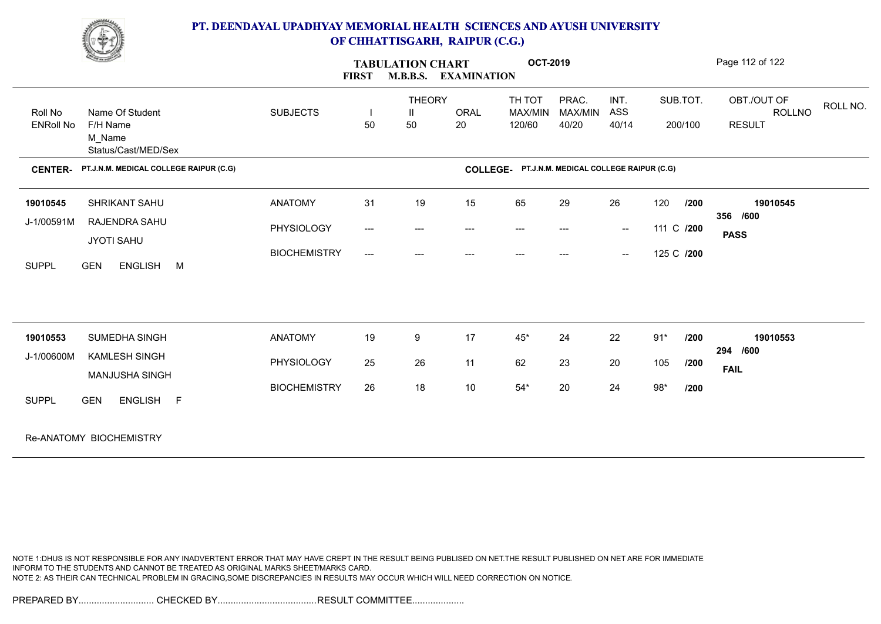

| <b>Comment of the Comment of the Comment of the Comment of the Comment of The Comment of The Comment of The Comment of The Comment of The Comment of The Comment of The Comment of The Comment of The Comment of The Comment of </b> |                                                              | <b>TABULATION CHART</b><br><b>M.B.B.S. EXAMINATION</b><br><b>FIRST</b> |                          |                           |                   |                                                 | <b>OCT-2019</b>           |                                                |            |                     | Page 112 of 122                               |          |
|--------------------------------------------------------------------------------------------------------------------------------------------------------------------------------------------------------------------------------------|--------------------------------------------------------------|------------------------------------------------------------------------|--------------------------|---------------------------|-------------------|-------------------------------------------------|---------------------------|------------------------------------------------|------------|---------------------|-----------------------------------------------|----------|
| Roll No<br><b>ENRoll No</b>                                                                                                                                                                                                          | Name Of Student<br>F/H Name<br>M Name<br>Status/Cast/MED/Sex | <b>SUBJECTS</b>                                                        | $\mathbf{I}$<br>50       | <b>THEORY</b><br>Ш<br>50  | <b>ORAL</b><br>20 | TH TOT<br>MAX/MIN<br>120/60                     | PRAC.<br>MAX/MIN<br>40/20 | INT.<br>ASS<br>40/14                           |            | SUB.TOT.<br>200/100 | OBT./OUT OF<br><b>ROLLNO</b><br><b>RESULT</b> | ROLL NO. |
| <b>CENTER-</b>                                                                                                                                                                                                                       | PT.J.N.M. MEDICAL COLLEGE RAIPUR (C.G)                       |                                                                        |                          |                           |                   | COLLEGE- PT.J.N.M. MEDICAL COLLEGE RAIPUR (C.G) |                           |                                                |            |                     |                                               |          |
| 19010545                                                                                                                                                                                                                             | SHRIKANT SAHU                                                | <b>ANATOMY</b>                                                         | 31                       | 19                        | 15                | 65                                              | 29                        | 26                                             | 120        | 1200                | 19010545<br>356 /600                          |          |
| J-1/00591M                                                                                                                                                                                                                           | RAJENDRA SAHU<br><b>JYOTI SAHU</b>                           | PHYSIOLOGY                                                             | $\hspace{0.05cm} \ldots$ | $\qquad \qquad -\qquad -$ | ---               | $\hspace{0.05cm}---\hspace{0.05cm}$             | $---$                     | $\sim$                                         | 111 C /200 |                     | <b>PASS</b>                                   |          |
| <b>SUPPL</b>                                                                                                                                                                                                                         | <b>GEN</b><br>ENGLISH M                                      | <b>BIOCHEMISTRY</b>                                                    | $\hspace{0.05cm} \ldots$ | ---                       | ---               |                                                 |                           | $\hspace{0.1mm}-\hspace{0.1mm}-\hspace{0.1mm}$ | 125 C /200 |                     |                                               |          |
|                                                                                                                                                                                                                                      |                                                              |                                                                        |                          |                           |                   |                                                 |                           |                                                |            |                     |                                               |          |
| 19010553                                                                                                                                                                                                                             | SUMEDHA SINGH                                                | <b>ANATOMY</b>                                                         | 19                       | 9                         | 17                | $45*$                                           | 24                        | 22                                             | $91*$      | /200                | 19010553<br>294 /600                          |          |
| J-1/00600M                                                                                                                                                                                                                           | KAMLESH SINGH<br>MANJUSHA SINGH                              | PHYSIOLOGY                                                             | 25                       | 26                        | 11                | 62                                              | 23                        | 20                                             | 105        | /200                | <b>FAIL</b>                                   |          |
| <b>SUPPL</b>                                                                                                                                                                                                                         | <b>GEN</b><br>ENGLISH F                                      | <b>BIOCHEMISTRY</b>                                                    | 26                       | 18                        | 10                | $54^{\star}$                                    | 20                        | 24                                             | $98*$      | /200                |                                               |          |
|                                                                                                                                                                                                                                      | Re-ANATOMY BIOCHEMISTRY                                      |                                                                        |                          |                           |                   |                                                 |                           |                                                |            |                     |                                               |          |

NOTE 1:DHUS IS NOT RESPONSIBLE FOR ANY INADVERTENT ERROR THAT MAY HAVE CREPT IN THE RESULT BEING PUBLISED ON NET.THE RESULT PUBLISHED ON NET ARE FOR IMMEDIATE INFORM TO THE STUDENTS AND CANNOT BE TREATED AS ORIGINAL MARKS SHEET/MARKS CARD. NOTE 2: AS THEIR CAN TECHNICAL PROBLEM IN GRACING,SOME DISCREPANCIES IN RESULTS MAY OCCUR WHICH WILL NEED CORRECTION ON NOTICE.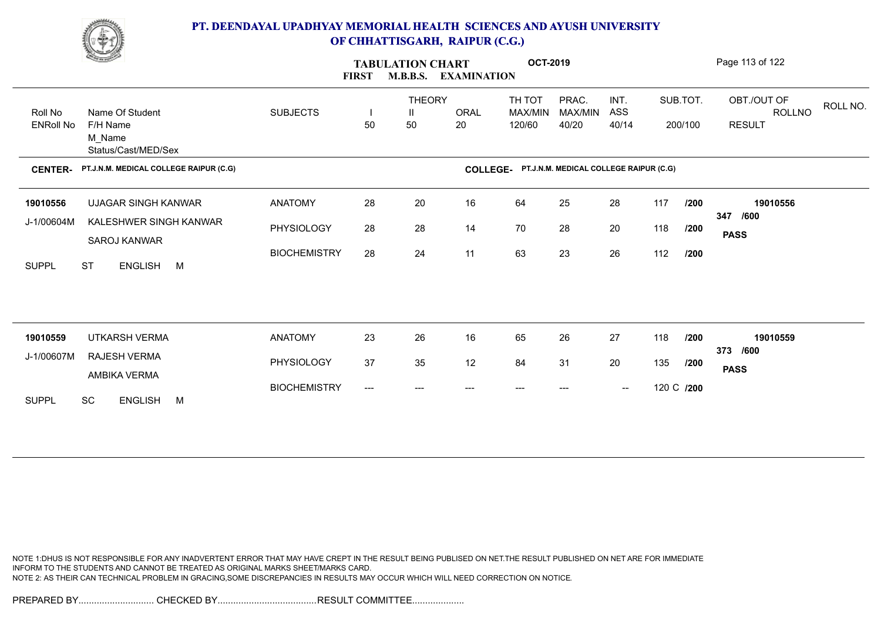

|                           | <b>Contract of the Contract of the Contract of the Contract of the Contract of the Contract of the Contract of The Contract of The Contract of The Contract of The Contract of The Contract of The Contract of The Contract of T</b> |                     | <b>FIRST</b>                        | <b>TABULATION CHART</b><br><b>M.B.B.S.</b> | <b>EXAMINATION</b> | <b>OCT-2019</b>                                 |                  |                                                |            |          | Page 113 of 122                          |
|---------------------------|--------------------------------------------------------------------------------------------------------------------------------------------------------------------------------------------------------------------------------------|---------------------|-------------------------------------|--------------------------------------------|--------------------|-------------------------------------------------|------------------|------------------------------------------------|------------|----------|------------------------------------------|
| Roll No                   | Name Of Student                                                                                                                                                                                                                      | <b>SUBJECTS</b>     |                                     | <b>THEORY</b><br>Ш                         | <b>ORAL</b>        | TH TOT<br>MAX/MIN                               | PRAC.<br>MAX/MIN | INT.<br>ASS                                    |            | SUB.TOT. | OBT./OUT OF<br>ROLL NO.<br><b>ROLLNO</b> |
| <b>ENRoll No</b>          | F/H Name<br>M Name<br>Status/Cast/MED/Sex                                                                                                                                                                                            |                     | 50                                  | 50                                         | 20                 | 120/60                                          | 40/20            | 40/14                                          |            | 200/100  | <b>RESULT</b>                            |
| <b>CENTER-</b>            | PT.J.N.M. MEDICAL COLLEGE RAIPUR (C.G)                                                                                                                                                                                               |                     |                                     |                                            |                    | COLLEGE- PT.J.N.M. MEDICAL COLLEGE RAIPUR (C.G) |                  |                                                |            |          |                                          |
| 19010556                  | <b>UJAGAR SINGH KANWAR</b>                                                                                                                                                                                                           | <b>ANATOMY</b>      | 28                                  | 20                                         | 16                 | 64                                              | 25               | 28                                             | 117        | /200     | 19010556<br>/600                         |
| J-1/00604M                | KALESHWER SINGH KANWAR<br>SAROJ KANWAR                                                                                                                                                                                               | PHYSIOLOGY          | 28                                  | 28                                         | 14                 | 70                                              | 28               | 20                                             | 118        | /200     | 347<br><b>PASS</b>                       |
| <b>SUPPL</b><br><b>ST</b> | ENGLISH M                                                                                                                                                                                                                            | <b>BIOCHEMISTRY</b> | 28                                  | 24                                         | 11                 | 63                                              | 23               | 26                                             | 112        | /200     |                                          |
|                           |                                                                                                                                                                                                                                      |                     |                                     |                                            |                    |                                                 |                  |                                                |            |          |                                          |
| 19010559                  | UTKARSH VERMA                                                                                                                                                                                                                        | <b>ANATOMY</b>      | 23                                  | 26                                         | 16                 | 65                                              | 26               | 27                                             | 118        | /200     | 19010559                                 |
| J-1/00607M                | RAJESH VERMA<br>AMBIKA VERMA                                                                                                                                                                                                         | PHYSIOLOGY          | 37                                  | 35                                         | 12                 | 84                                              | 31               | 20                                             | 135        | /200     | 373 /600<br><b>PASS</b>                  |
| SC<br><b>SUPPL</b>        | ENGLISH M                                                                                                                                                                                                                            | <b>BIOCHEMISTRY</b> | $\hspace{0.05cm}---\hspace{0.05cm}$ | $---$                                      | ---                | $--$                                            | $---$            | $\hspace{0.1mm}-\hspace{0.1mm}-\hspace{0.1mm}$ | 120 C /200 |          |                                          |
|                           |                                                                                                                                                                                                                                      |                     |                                     |                                            |                    |                                                 |                  |                                                |            |          |                                          |

NOTE 1:DHUS IS NOT RESPONSIBLE FOR ANY INADVERTENT ERROR THAT MAY HAVE CREPT IN THE RESULT BEING PUBLISED ON NET.THE RESULT PUBLISHED ON NET ARE FOR IMMEDIATE INFORM TO THE STUDENTS AND CANNOT BE TREATED AS ORIGINAL MARKS SHEET/MARKS CARD. NOTE 2: AS THEIR CAN TECHNICAL PROBLEM IN GRACING,SOME DISCREPANCIES IN RESULTS MAY OCCUR WHICH WILL NEED CORRECTION ON NOTICE.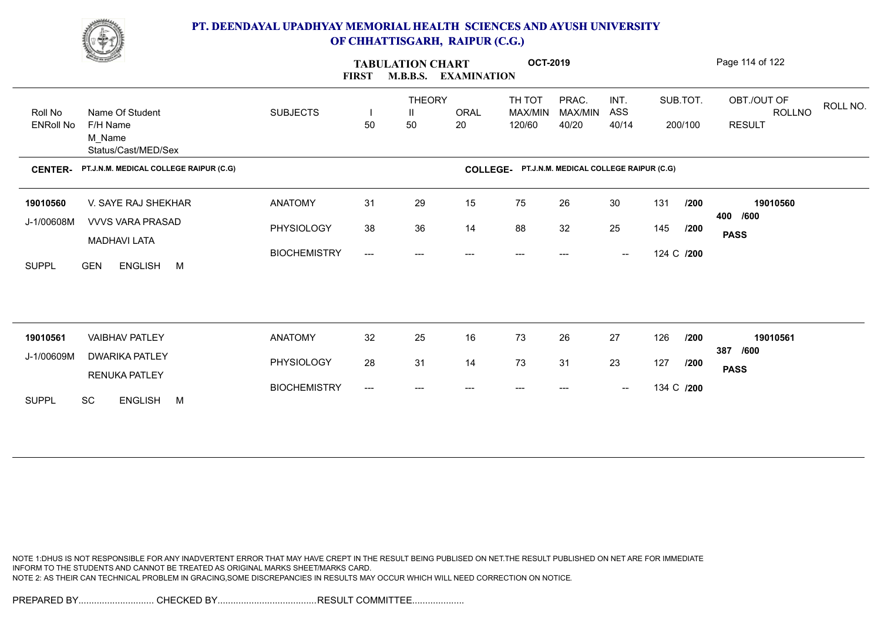

|                  | <b>Change of Congress</b>                      |                     | <b>FIRST</b>                        | <b>TABULATION CHART</b><br><b>M.B.B.S.</b> | <b>EXAMINATION</b> | <b>OCT-2019</b>                                 |                        |                                                |            |          | Page 114 of 122                   |
|------------------|------------------------------------------------|---------------------|-------------------------------------|--------------------------------------------|--------------------|-------------------------------------------------|------------------------|------------------------------------------------|------------|----------|-----------------------------------|
| Roll No          | Name Of Student                                | <b>SUBJECTS</b>     |                                     | <b>THEORY</b><br>Ш                         | <b>ORAL</b>        | TH TOT<br>MAX/MIN                               | PRAC.<br>MAX/MIN       | INT.<br>ASS                                    |            | SUB.TOT. | OBT./OUT OF<br>ROLL NO.<br>ROLLNO |
| <b>ENRoll No</b> | F/H Name<br>M Name<br>Status/Cast/MED/Sex      |                     | 50                                  | 50                                         | 20                 | 120/60                                          | 40/20                  | 40/14                                          |            | 200/100  | <b>RESULT</b>                     |
| <b>CENTER-</b>   | PT.J.N.M. MEDICAL COLLEGE RAIPUR (C.G)         |                     |                                     |                                            |                    | COLLEGE- PT.J.N.M. MEDICAL COLLEGE RAIPUR (C.G) |                        |                                                |            |          |                                   |
| 19010560         | V. SAYE RAJ SHEKHAR                            | <b>ANATOMY</b>      | 31                                  | 29                                         | 15                 | 75                                              | 26                     | 30                                             | 131        | /200     | 19010560                          |
| J-1/00608M       | <b>VVVS VARA PRASAD</b>                        | PHYSIOLOGY          | 38                                  | 36                                         | 14                 | 88                                              | 32                     | 25                                             | 145        | /200     | 400 /600<br><b>PASS</b>           |
| <b>SUPPL</b>     | <b>MADHAVI LATA</b><br><b>GEN</b><br>ENGLISH M | <b>BIOCHEMISTRY</b> | $\qquad \qquad -\qquad -$           | ---                                        | $---$              | ---                                             | $\qquad \qquad \cdots$ | $\hspace{0.1mm}-\hspace{0.1mm}-\hspace{0.1mm}$ | 124 C /200 |          |                                   |
|                  |                                                |                     |                                     |                                            |                    |                                                 |                        |                                                |            |          |                                   |
| 19010561         | <b>VAIBHAV PATLEY</b>                          | <b>ANATOMY</b>      | 32                                  | 25                                         | 16                 | 73                                              | 26                     | 27                                             | 126        | /200     | 19010561<br>387 /600              |
| J-1/00609M       | <b>DWARIKA PATLEY</b>                          | PHYSIOLOGY          | 28                                  | 31                                         | 14                 | 73                                              | 31                     | 23                                             | 127        | /200     | <b>PASS</b>                       |
| <b>SUPPL</b>     | <b>RENUKA PATLEY</b><br><b>SC</b><br>ENGLISH M | <b>BIOCHEMISTRY</b> | $\hspace{0.05cm}---\hspace{0.05cm}$ | ---                                        |                    |                                                 |                        | $\hspace{0.1mm}-\hspace{0.1mm}-\hspace{0.1mm}$ | 134 C /200 |          |                                   |

NOTE 1:DHUS IS NOT RESPONSIBLE FOR ANY INADVERTENT ERROR THAT MAY HAVE CREPT IN THE RESULT BEING PUBLISED ON NET.THE RESULT PUBLISHED ON NET ARE FOR IMMEDIATE INFORM TO THE STUDENTS AND CANNOT BE TREATED AS ORIGINAL MARKS SHEET/MARKS CARD. NOTE 2: AS THEIR CAN TECHNICAL PROBLEM IN GRACING,SOME DISCREPANCIES IN RESULTS MAY OCCUR WHICH WILL NEED CORRECTION ON NOTICE.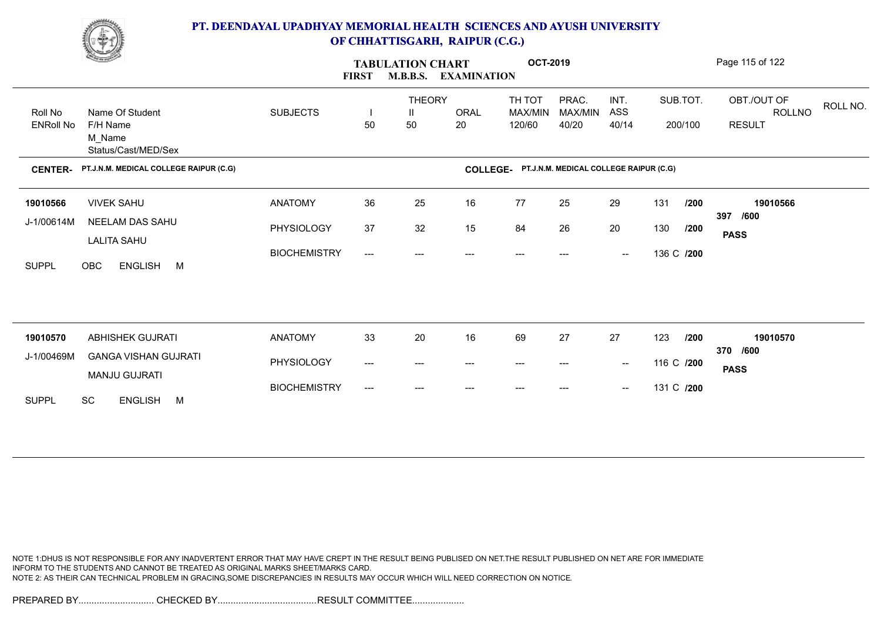

|                  | <b>Change of Congress</b>                           |                     | <b>FIRST</b> | <b>TABULATION CHART</b> | <b>M.B.B.S. EXAMINATION</b> | <b>OCT-2019</b>                                 |                  |                                                |            |          | Page 115 of 122                          |
|------------------|-----------------------------------------------------|---------------------|--------------|-------------------------|-----------------------------|-------------------------------------------------|------------------|------------------------------------------------|------------|----------|------------------------------------------|
| Roll No          | Name Of Student                                     | <b>SUBJECTS</b>     | H            | <b>THEORY</b><br>Ш      | ORAL                        | TH TOT<br>MAX/MIN                               | PRAC.<br>MAX/MIN | INT.<br>ASS                                    |            | SUB.TOT. | OBT./OUT OF<br>ROLL NO.<br><b>ROLLNO</b> |
| <b>ENRoll No</b> | F/H Name<br>M_Name<br>Status/Cast/MED/Sex           |                     | 50           | 50                      | 20                          | 120/60                                          | 40/20            | 40/14                                          |            | 200/100  | <b>RESULT</b>                            |
| <b>CENTER-</b>   | PT.J.N.M. MEDICAL COLLEGE RAIPUR (C.G)              |                     |              |                         |                             | COLLEGE- PT.J.N.M. MEDICAL COLLEGE RAIPUR (C.G) |                  |                                                |            |          |                                          |
| 19010566         | <b>VIVEK SAHU</b>                                   | <b>ANATOMY</b>      | 36           | 25                      | 16                          | 77                                              | 25               | 29                                             | 131        | /200     | 19010566                                 |
| J-1/00614M       | NEELAM DAS SAHU<br><b>LALITA SAHU</b>               | PHYSIOLOGY          | 37           | 32                      | 15                          | 84                                              | 26               | 20                                             | 130        | /200     | 397 /600<br><b>PASS</b>                  |
| <b>SUPPL</b>     | ENGLISH M<br><b>OBC</b>                             | <b>BIOCHEMISTRY</b> | ---          | ---                     | $---$                       | ---                                             | ---              | $\sim$                                         | 136 C /200 |          |                                          |
|                  |                                                     |                     |              |                         |                             |                                                 |                  |                                                |            |          |                                          |
| 19010570         | <b>ABHISHEK GUJRATI</b>                             | <b>ANATOMY</b>      | 33           | 20                      | 16                          | 69                                              | 27               | 27                                             | 123        | /200     | 19010570<br>370 /600                     |
| J-1/00469M       | <b>GANGA VISHAN GUJRATI</b><br><b>MANJU GUJRATI</b> | PHYSIOLOGY          | ---          | ---                     | ---                         | $---$                                           | ---              | $\hspace{0.1mm}-\hspace{0.1mm}-\hspace{0.1mm}$ | 116 C /200 |          | <b>PASS</b>                              |
| <b>SUPPL</b>     | <b>SC</b><br>ENGLISH M                              | <b>BIOCHEMISTRY</b> | ---          | ---                     |                             |                                                 | ---              | $\hspace{0.1mm}-\hspace{0.1mm}-\hspace{0.1mm}$ | 131 C /200 |          |                                          |

NOTE 1:DHUS IS NOT RESPONSIBLE FOR ANY INADVERTENT ERROR THAT MAY HAVE CREPT IN THE RESULT BEING PUBLISED ON NET.THE RESULT PUBLISHED ON NET ARE FOR IMMEDIATE INFORM TO THE STUDENTS AND CANNOT BE TREATED AS ORIGINAL MARKS SHEET/MARKS CARD. NOTE 2: AS THEIR CAN TECHNICAL PROBLEM IN GRACING,SOME DISCREPANCIES IN RESULTS MAY OCCUR WHICH WILL NEED CORRECTION ON NOTICE.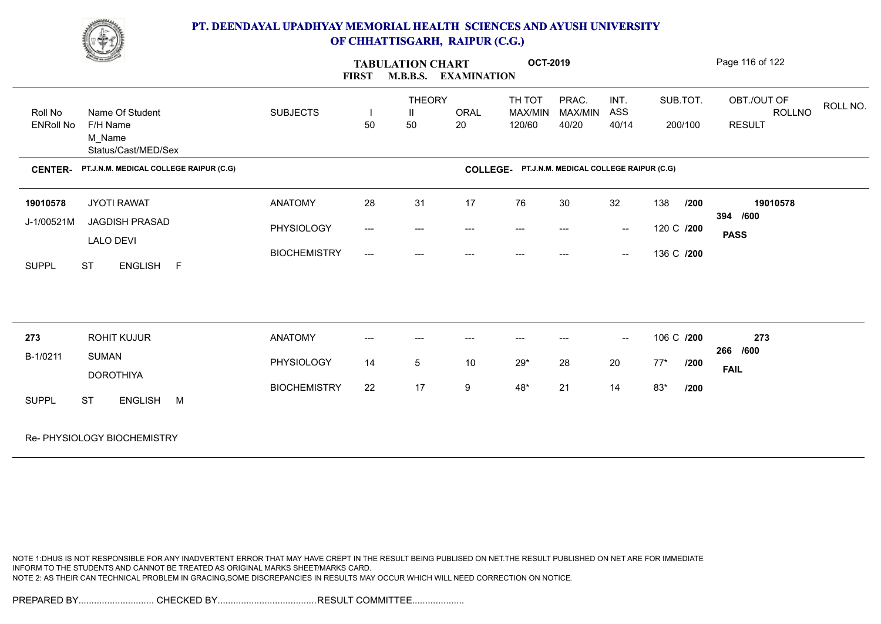

|                  | <u>Change</u>                             |                     | <b>FIRST</b>             | <b>TABULATION CHART</b><br><b>M.B.B.S.</b> | <b>EXAMINATION</b> | <b>OCT-2019</b>                                 |         |                                                |               | Page 116 of 122 |          |
|------------------|-------------------------------------------|---------------------|--------------------------|--------------------------------------------|--------------------|-------------------------------------------------|---------|------------------------------------------------|---------------|-----------------|----------|
|                  |                                           |                     |                          | <b>THEORY</b>                              |                    | TH TOT                                          | PRAC.   | INT.                                           | SUB.TOT.      | OBT./OUT OF     | ROLL NO. |
| Roll No          | Name Of Student                           | <b>SUBJECTS</b>     |                          | Ш                                          | <b>ORAL</b>        | MAX/MIN                                         | MAX/MIN | ASS                                            |               | ROLLNO          |          |
| <b>ENRoll No</b> | F/H Name<br>M_Name<br>Status/Cast/MED/Sex |                     | 50                       | 50                                         | 20                 | 120/60                                          | 40/20   | 40/14                                          | 200/100       | <b>RESULT</b>   |          |
| <b>CENTER-</b>   | PT.J.N.M. MEDICAL COLLEGE RAIPUR (C.G)    |                     |                          |                                            |                    | COLLEGE- PT.J.N.M. MEDICAL COLLEGE RAIPUR (C.G) |         |                                                |               |                 |          |
| 19010578         | <b>JYOTI RAWAT</b>                        | <b>ANATOMY</b>      | 28                       | 31                                         | 17                 | 76                                              | 30      | 32                                             | 138<br>1200   | 19010578        |          |
| J-1/00521M       | JAGDISH PRASAD                            | PHYSIOLOGY          | $\hspace{0.05cm} \ldots$ | $\qquad \qquad -\qquad -$                  | ---                | $\hspace{0.05cm}---\hspace{0.05cm}$             | $---$   | $\sim$                                         | 120 C /200    | 394 /600        |          |
|                  | <b>LALO DEVI</b>                          |                     |                          |                                            |                    |                                                 |         |                                                |               | <b>PASS</b>     |          |
|                  |                                           | <b>BIOCHEMISTRY</b> | $\hspace{0.05cm} \ldots$ | ---                                        | $---$              | $---$                                           |         | $\hspace{0.1mm}-\hspace{0.1mm}-\hspace{0.1mm}$ | 136 C /200    |                 |          |
| <b>SUPPL</b>     | ENGLISH F<br><b>ST</b>                    |                     |                          |                                            |                    |                                                 |         |                                                |               |                 |          |
| 273              | <b>ROHIT KUJUR</b>                        | <b>ANATOMY</b>      | ---                      | ---                                        | ---                |                                                 |         | $\sim$                                         | 106 C /200    | 273             |          |
| B-1/0211         | <b>SUMAN</b>                              | PHYSIOLOGY          | 14                       | 5                                          | 10                 | $29^{\star}$                                    | 28      | 20                                             | $77*$<br>/200 | 266 /600        |          |
|                  | <b>DOROTHIYA</b>                          |                     |                          |                                            |                    |                                                 |         |                                                |               | <b>FAIL</b>     |          |
|                  |                                           | <b>BIOCHEMISTRY</b> | 22                       | 17                                         | 9                  | $48*$                                           | 21      | 14                                             | $83*$<br>/200 |                 |          |
| <b>SUPPL</b>     | <b>ST</b><br>ENGLISH M                    |                     |                          |                                            |                    |                                                 |         |                                                |               |                 |          |
|                  | Re- PHYSIOLOGY BIOCHEMISTRY               |                     |                          |                                            |                    |                                                 |         |                                                |               |                 |          |

NOTE 1:DHUS IS NOT RESPONSIBLE FOR ANY INADVERTENT ERROR THAT MAY HAVE CREPT IN THE RESULT BEING PUBLISED ON NET.THE RESULT PUBLISHED ON NET ARE FOR IMMEDIATE INFORM TO THE STUDENTS AND CANNOT BE TREATED AS ORIGINAL MARKS SHEET/MARKS CARD. NOTE 2: AS THEIR CAN TECHNICAL PROBLEM IN GRACING,SOME DISCREPANCIES IN RESULTS MAY OCCUR WHICH WILL NEED CORRECTION ON NOTICE.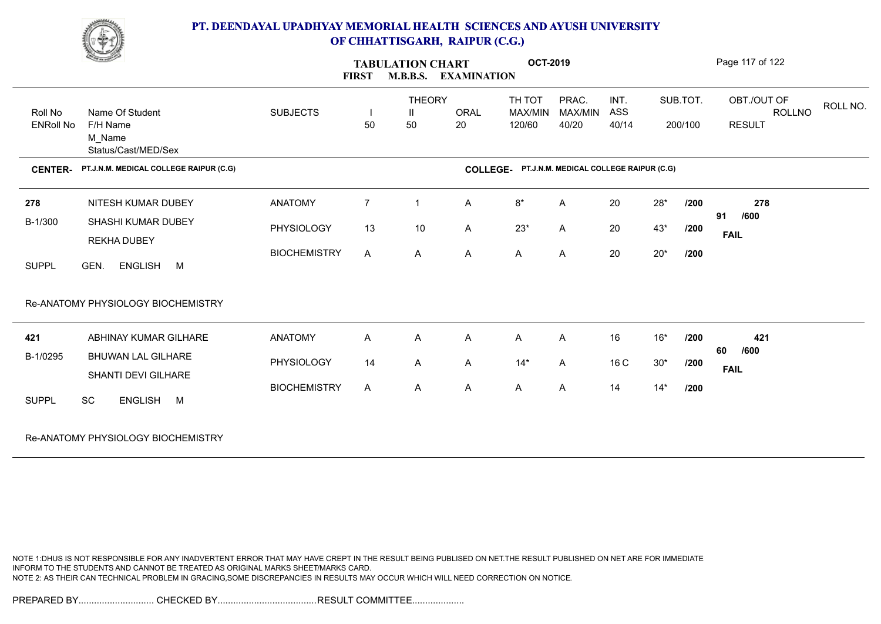

| <u>Change</u>    |                                        |                     | <b>FIRST</b>   | <b>TABULATION CHART</b><br><b>M.B.B.S.</b> | <b>EXAMINATION</b> | <b>OCT-2019</b>                                 |         |       |       |          | Page 117 of 122 |          |
|------------------|----------------------------------------|---------------------|----------------|--------------------------------------------|--------------------|-------------------------------------------------|---------|-------|-------|----------|-----------------|----------|
|                  |                                        |                     |                | <b>THEORY</b>                              |                    | TH TOT                                          | PRAC.   | INT.  |       | SUB.TOT. | OBT./OUT OF     | ROLL NO. |
| Roll No          | Name Of Student                        | <b>SUBJECTS</b>     |                | $\mathbf{I}$                               | <b>ORAL</b>        | MAX/MIN                                         | MAX/MIN | ASS   |       |          | ROLLNO          |          |
| <b>ENRoll No</b> | F/H Name                               |                     | 50             | 50                                         | 20                 | 120/60                                          | 40/20   | 40/14 |       | 200/100  | <b>RESULT</b>   |          |
|                  | M_Name                                 |                     |                |                                            |                    |                                                 |         |       |       |          |                 |          |
|                  | Status/Cast/MED/Sex                    |                     |                |                                            |                    |                                                 |         |       |       |          |                 |          |
| <b>CENTER-</b>   | PT.J.N.M. MEDICAL COLLEGE RAIPUR (C.G) |                     |                |                                            |                    | COLLEGE- PT.J.N.M. MEDICAL COLLEGE RAIPUR (C.G) |         |       |       |          |                 |          |
| 278              | NITESH KUMAR DUBEY                     | <b>ANATOMY</b>      | $\overline{7}$ | $\mathbf{1}$                               | Α                  | $8^\star$                                       | Α       | 20    | $28*$ | /200     | 278             |          |
| B-1/300          | SHASHI KUMAR DUBEY                     |                     |                |                                            |                    |                                                 |         |       |       |          | 91<br>/600      |          |
|                  | <b>REKHA DUBEY</b>                     | PHYSIOLOGY          | 13             | $10$                                       | Α                  | $23*$                                           | Α       | 20    | $43*$ | /200     | <b>FAIL</b>     |          |
|                  |                                        | <b>BIOCHEMISTRY</b> | $\mathsf{A}$   | A                                          | Α                  | A                                               | A       | 20    | $20*$ | /200     |                 |          |
| <b>SUPPL</b>     | ENGLISH M<br>GEN.                      |                     |                |                                            |                    |                                                 |         |       |       |          |                 |          |
|                  | Re-ANATOMY PHYSIOLOGY BIOCHEMISTRY     |                     |                |                                            |                    |                                                 |         |       |       |          |                 |          |
|                  |                                        |                     |                |                                            |                    |                                                 |         |       |       |          |                 |          |
| 421              | ABHINAY KUMAR GILHARE                  | <b>ANATOMY</b>      | $\mathsf{A}$   | A                                          | Α                  | Α                                               | A       | 16    | $16*$ | /200     | 421             |          |
| B-1/0295         | <b>BHUWAN LAL GILHARE</b>              |                     |                |                                            |                    |                                                 |         |       |       |          | /600<br>60      |          |
|                  | SHANTI DEVI GILHARE                    | PHYSIOLOGY          | 14             | A                                          | Α                  | $14*$                                           | Α       | 16 C  | $30*$ | /200     | <b>FAIL</b>     |          |
|                  |                                        | <b>BIOCHEMISTRY</b> | A              | A                                          | A                  | A                                               | Α       | 14    | $14*$ | /200     |                 |          |
| <b>SUPPL</b>     | SC<br>ENGLISH M                        |                     |                |                                            |                    |                                                 |         |       |       |          |                 |          |
|                  | Re-ANATOMY PHYSIOLOGY BIOCHEMISTRY     |                     |                |                                            |                    |                                                 |         |       |       |          |                 |          |
|                  |                                        |                     |                |                                            |                    |                                                 |         |       |       |          |                 |          |

NOTE 1:DHUS IS NOT RESPONSIBLE FOR ANY INADVERTENT ERROR THAT MAY HAVE CREPT IN THE RESULT BEING PUBLISED ON NET.THE RESULT PUBLISHED ON NET ARE FOR IMMEDIATE INFORM TO THE STUDENTS AND CANNOT BE TREATED AS ORIGINAL MARKS SHEET/MARKS CARD. NOTE 2: AS THEIR CAN TECHNICAL PROBLEM IN GRACING,SOME DISCREPANCIES IN RESULTS MAY OCCUR WHICH WILL NEED CORRECTION ON NOTICE.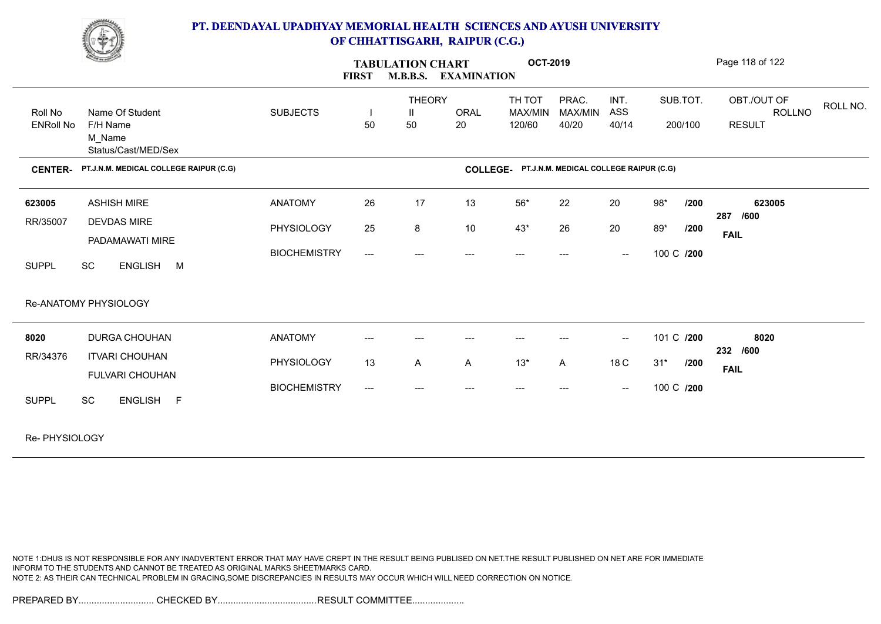

|                             | <b>Change of Contract of Street</b>                           |                     | <b>FIRST</b>                        | <b>TABULATION CHART</b> | <b>M.B.B.S. EXAMINATION</b> | <b>OCT-2019</b>   |                                        |                          |            |          | Page 118 of 122                |          |
|-----------------------------|---------------------------------------------------------------|---------------------|-------------------------------------|-------------------------|-----------------------------|-------------------|----------------------------------------|--------------------------|------------|----------|--------------------------------|----------|
|                             |                                                               |                     |                                     | <b>THEORY</b>           |                             | TH TOT            | PRAC.                                  | INT.                     |            | SUB.TOT. | OBT./OUT OF                    | ROLL NO. |
| Roll No<br><b>ENRoll No</b> | Name Of Student<br>F/H Name<br>M Name                         | <b>SUBJECTS</b>     | 50                                  | $\mathbf{H}$<br>50      | <b>ORAL</b><br>20           | MAX/MIN<br>120/60 | MAX/MIN<br>40/20                       | ASS<br>40/14             |            | 200/100  | <b>ROLLNO</b><br><b>RESULT</b> |          |
| <b>CENTER-</b>              | Status/Cast/MED/Sex<br>PT.J.N.M. MEDICAL COLLEGE RAIPUR (C.G) |                     |                                     |                         | <b>COLLEGE-</b>             |                   | PT.J.N.M. MEDICAL COLLEGE RAIPUR (C.G) |                          |            |          |                                |          |
|                             |                                                               |                     |                                     |                         |                             |                   |                                        |                          |            |          |                                |          |
| 623005                      | <b>ASHISH MIRE</b>                                            | <b>ANATOMY</b>      | 26                                  | 17                      | 13                          | $56*$             | 22                                     | 20                       | $98*$      | /200     | 623005<br>287 /600             |          |
| RR/35007                    | <b>DEVDAS MIRE</b>                                            | PHYSIOLOGY          | 25                                  | 8                       | 10                          | $43*$             | 26                                     | 20                       | 89*        | /200     | <b>FAIL</b>                    |          |
| <b>SUPPL</b>                | PADAMAWATI MIRE<br>SC<br>ENGLISH M                            | <b>BIOCHEMISTRY</b> | $\hspace{0.05cm} \ldots$            | ---                     | ---                         | ---               |                                        | $\overline{\phantom{a}}$ | 100 C /200 |          |                                |          |
|                             | Re-ANATOMY PHYSIOLOGY                                         |                     |                                     |                         |                             |                   |                                        |                          |            |          |                                |          |
| 8020                        | <b>DURGA CHOUHAN</b>                                          | <b>ANATOMY</b>      |                                     |                         |                             |                   |                                        | $\overline{\phantom{a}}$ | 101 C /200 |          | 8020<br>232 /600               |          |
| RR/34376                    | <b>ITVARI CHOUHAN</b><br><b>FULVARI CHOUHAN</b>               | PHYSIOLOGY          | 13                                  | A                       | A                           | $13*$             | A                                      | 18 C                     | $31*$      | /200     | <b>FAIL</b>                    |          |
| <b>SUPPL</b>                | SC<br>ENGLISH F                                               | <b>BIOCHEMISTRY</b> | $\hspace{0.05cm}---\hspace{0.05cm}$ |                         |                             |                   |                                        | $\overline{\phantom{a}}$ | 100 C /200 |          |                                |          |
|                             |                                                               |                     |                                     |                         |                             |                   |                                        |                          |            |          |                                |          |

Re- PHYSIOLOGY

NOTE 1:DHUS IS NOT RESPONSIBLE FOR ANY INADVERTENT ERROR THAT MAY HAVE CREPT IN THE RESULT BEING PUBLISED ON NET.THE RESULT PUBLISHED ON NET ARE FOR IMMEDIATE INFORM TO THE STUDENTS AND CANNOT BE TREATED AS ORIGINAL MARKS SHEET/MARKS CARD. NOTE 2: AS THEIR CAN TECHNICAL PROBLEM IN GRACING,SOME DISCREPANCIES IN RESULTS MAY OCCUR WHICH WILL NEED CORRECTION ON NOTICE.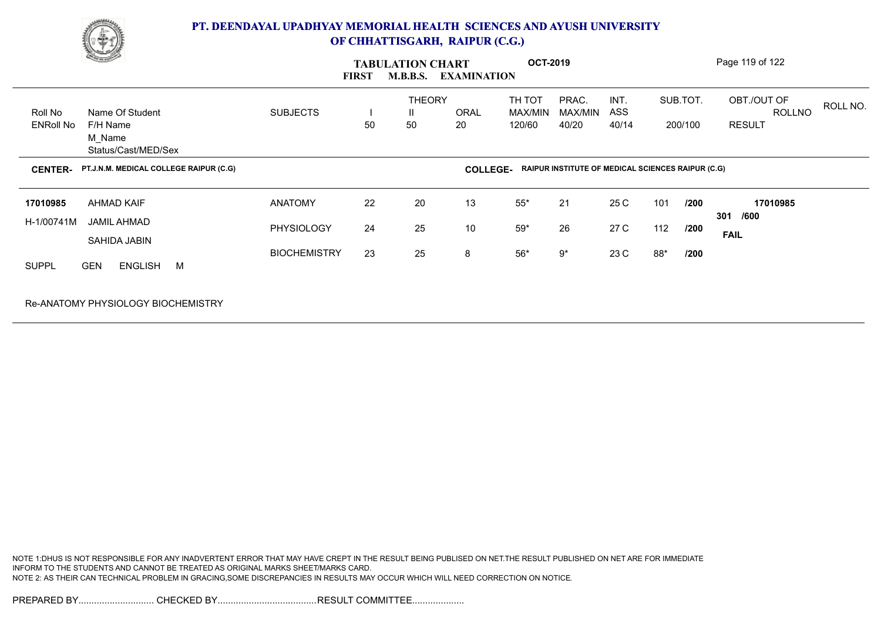

| <u>Change</u>                                                                               |                                     | <b>FIRST</b> | <b>TABULATION CHART</b><br><b>M.B.B.S.</b> | <b>EXAMINATION</b> | <b>OCT-2019</b>             |                                                          |                      |            |                     | Page 119 of 122                                           |
|---------------------------------------------------------------------------------------------|-------------------------------------|--------------|--------------------------------------------|--------------------|-----------------------------|----------------------------------------------------------|----------------------|------------|---------------------|-----------------------------------------------------------|
| Roll No<br>Name Of Student<br><b>ENRoll No</b><br>F/H Name<br>M_Name<br>Status/Cast/MED/Sex | <b>SUBJECTS</b>                     | 50           | <b>THEORY</b><br>H.<br>50                  | ORAL<br>20         | TH TOT<br>MAX/MIN<br>120/60 | PRAC.<br>MAX/MIN<br>40/20                                | INT.<br>ASS<br>40/14 |            | SUB.TOT.<br>200/100 | OBT./OUT OF<br>ROLL NO.<br><b>ROLLNO</b><br><b>RESULT</b> |
| PT.J.N.M. MEDICAL COLLEGE RAIPUR (C.G)<br><b>CENTER-</b>                                    |                                     |              |                                            | <b>COLLEGE-</b>    |                             | <b>RAIPUR INSTITUTE OF MEDICAL SCIENCES RAIPUR (C.G)</b> |                      |            |                     |                                                           |
| 17010985<br>AHMAD KAIF<br>H-1/00741M<br>JAMIL AHMAD<br>SAHIDA JABIN                         | <b>ANATOMY</b><br><b>PHYSIOLOGY</b> | 22<br>24     | 20<br>25                                   | 13<br>10           | $55*$<br>$59*$              | 21<br>26                                                 | 25 C<br>27 C         | 101<br>112 | /200<br>/200        | 17010985<br>/600<br>301<br><b>FAIL</b>                    |
| <b>SUPPL</b><br><b>GEN</b><br><b>ENGLISH</b><br><b>M</b>                                    | <b>BIOCHEMISTRY</b>                 | 23           | 25                                         | 8                  | $56*$                       | $9^{\ast}$                                               | 23 C                 | 88*        | /200                |                                                           |
| Re-ANATOMY PHYSIOLOGY BIOCHEMISTRY                                                          |                                     |              |                                            |                    |                             |                                                          |                      |            |                     |                                                           |

NOTE 1:DHUS IS NOT RESPONSIBLE FOR ANY INADVERTENT ERROR THAT MAY HAVE CREPT IN THE RESULT BEING PUBLISED ON NET.THE RESULT PUBLISHED ON NET ARE FOR IMMEDIATE INFORM TO THE STUDENTS AND CANNOT BE TREATED AS ORIGINAL MARKS SHEET/MARKS CARD. NOTE 2: AS THEIR CAN TECHNICAL PROBLEM IN GRACING,SOME DISCREPANCIES IN RESULTS MAY OCCUR WHICH WILL NEED CORRECTION ON NOTICE.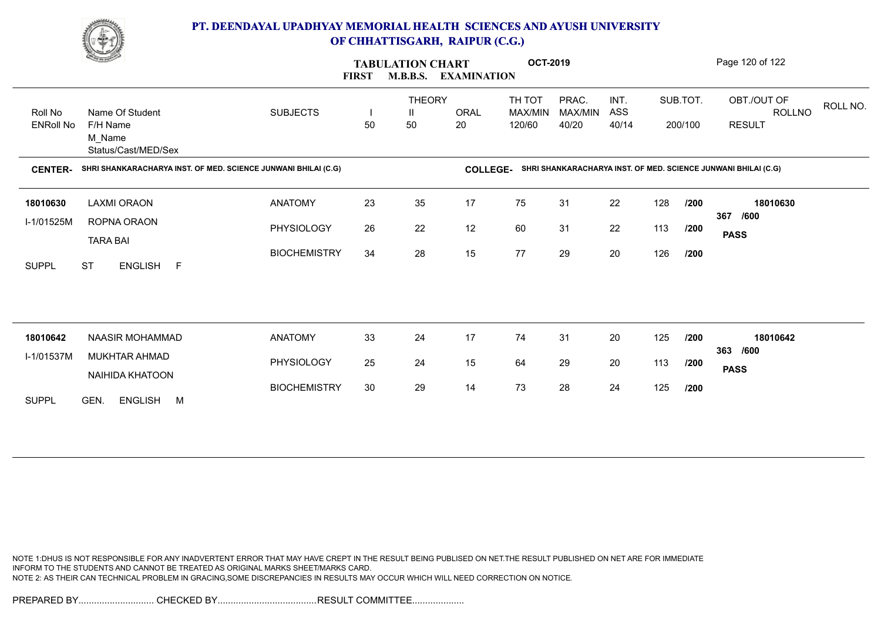

|                             | <u>Change</u>                                                  |                     | <b>FIRST</b>                   | <b>TABULATION CHART</b>  | <b>M.B.B.S. EXAMINATION</b> | <b>OCT-2019</b>             |                           |                      |     |                     | Page 120 of 122                                                |
|-----------------------------|----------------------------------------------------------------|---------------------|--------------------------------|--------------------------|-----------------------------|-----------------------------|---------------------------|----------------------|-----|---------------------|----------------------------------------------------------------|
| Roll No<br><b>ENRoll No</b> | Name Of Student<br>F/H Name<br>M_Name<br>Status/Cast/MED/Sex   | <b>SUBJECTS</b>     | $\overline{\phantom{a}}$<br>50 | <b>THEORY</b><br>Ш<br>50 | <b>ORAL</b><br>20           | TH TOT<br>MAX/MIN<br>120/60 | PRAC.<br>MAX/MIN<br>40/20 | INT.<br>ASS<br>40/14 |     | SUB.TOT.<br>200/100 | OBT./OUT OF<br>ROLL NO.<br><b>ROLLNO</b><br><b>RESULT</b>      |
| <b>CENTER-</b>              | SHRI SHANKARACHARYA INST. OF MED. SCIENCE JUNWANI BHILAI (C.G) |                     |                                |                          | <b>COLLEGE-</b>             |                             |                           |                      |     |                     | SHRI SHANKARACHARYA INST. OF MED. SCIENCE JUNWANI BHILAI (C.G) |
| 18010630                    | <b>LAXMI ORAON</b>                                             | <b>ANATOMY</b>      | 23                             | 35                       | 17                          | 75                          | 31                        | 22                   | 128 | /200                | 18010630                                                       |
| I-1/01525M                  | ROPNA ORAON<br><b>TARA BAI</b>                                 | PHYSIOLOGY          | 26                             | 22                       | 12                          | 60                          | 31                        | 22                   | 113 | /200                | 367<br>/600<br><b>PASS</b>                                     |
| <b>SUPPL</b>                | <b>ST</b><br>ENGLISH F                                         | <b>BIOCHEMISTRY</b> | 34                             | 28                       | 15                          | $77\,$                      | 29                        | 20                   | 126 | /200                |                                                                |
|                             |                                                                |                     |                                |                          |                             |                             |                           |                      |     |                     |                                                                |
| 18010642                    | NAASIR MOHAMMAD                                                | <b>ANATOMY</b>      | 33                             | 24                       | 17                          | 74                          | 31                        | 20                   | 125 | /200                | 18010642<br>363 /600                                           |
| I-1/01537M                  | <b>MUKHTAR AHMAD</b><br>NAIHIDA KHATOON                        | PHYSIOLOGY          | 25                             | 24                       | 15                          | 64                          | 29                        | 20                   | 113 | /200                | <b>PASS</b>                                                    |
| <b>SUPPL</b>                | GEN.<br>ENGLISH M                                              | <b>BIOCHEMISTRY</b> | 30                             | 29                       | 14                          | 73                          | 28                        | 24                   | 125 | /200                |                                                                |

NOTE 1:DHUS IS NOT RESPONSIBLE FOR ANY INADVERTENT ERROR THAT MAY HAVE CREPT IN THE RESULT BEING PUBLISED ON NET.THE RESULT PUBLISHED ON NET ARE FOR IMMEDIATE INFORM TO THE STUDENTS AND CANNOT BE TREATED AS ORIGINAL MARKS SHEET/MARKS CARD. NOTE 2: AS THEIR CAN TECHNICAL PROBLEM IN GRACING,SOME DISCREPANCIES IN RESULTS MAY OCCUR WHICH WILL NEED CORRECTION ON NOTICE.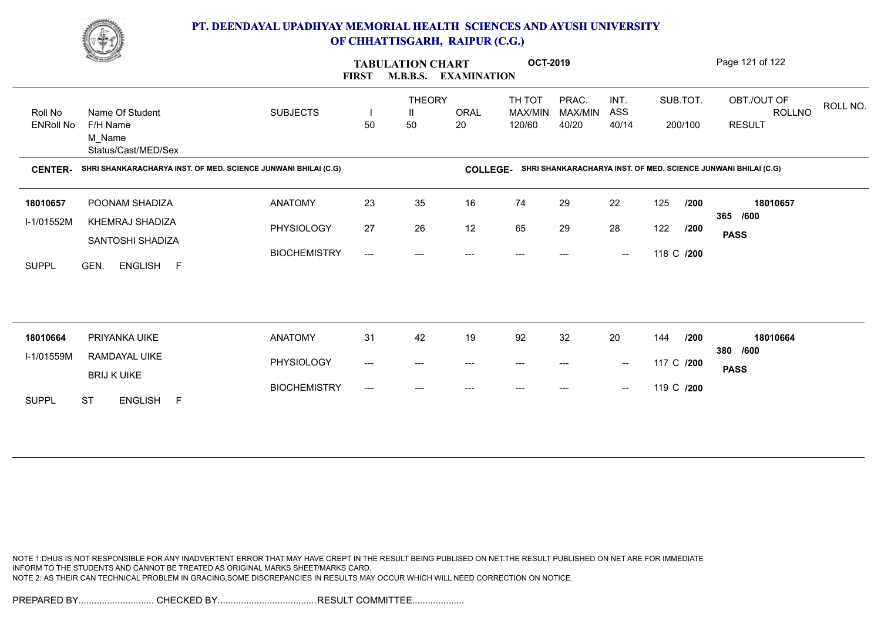

|                             | <u>Change</u>                                                  | <b>TABULATION CHART</b><br><b>M.B.B.S.</b><br><b>FIRST</b> |                                                                                   | <b>EXAMINATION</b>       |            | <b>OCT-2019</b>             |                           |                                                |            | Page 121 of 122     |                                        |          |  |
|-----------------------------|----------------------------------------------------------------|------------------------------------------------------------|-----------------------------------------------------------------------------------|--------------------------|------------|-----------------------------|---------------------------|------------------------------------------------|------------|---------------------|----------------------------------------|----------|--|
| Roll No<br><b>ENRoll No</b> | Name Of Student<br>F/H Name<br>M_Name<br>Status/Cast/MED/Sex   | <b>SUBJECTS</b>                                            | 50                                                                                | <b>THEORY</b><br>Ш<br>50 | ORAL<br>20 | TH TOT<br>MAX/MIN<br>120/60 | PRAC.<br>MAX/MIN<br>40/20 | INT.<br>ASS<br>40/14                           |            | SUB.TOT.<br>200/100 | OBT./OUT OF<br>ROLLNO<br><b>RESULT</b> | ROLL NO. |  |
| <b>CENTER-</b>              | SHRI SHANKARACHARYA INST. OF MED. SCIENCE JUNWANI BHILAI (C.G) |                                                            | SHRI SHANKARACHARYA INST. OF MED. SCIENCE JUNWANI BHILAI (C.G)<br><b>COLLEGE-</b> |                          |            |                             |                           |                                                |            |                     |                                        |          |  |
| 18010657                    | POONAM SHADIZA                                                 | <b>ANATOMY</b>                                             | 23                                                                                | 35                       | 16         | 74                          | 29                        | 22                                             | 125        | /200                | 18010657                               |          |  |
| I-1/01552M                  | KHEMRAJ SHADIZA                                                | PHYSIOLOGY                                                 | 27                                                                                | 26                       | 12         | 65                          | 29                        | 28                                             | 122        | /200                | 365 /600<br><b>PASS</b>                |          |  |
| <b>SUPPL</b>                | SANTOSHI SHADIZA<br>GEN.<br>ENGLISH F                          | <b>BIOCHEMISTRY</b>                                        | $\qquad \qquad -\qquad -$                                                         | ---                      | ---        | $---$                       | ---                       | $\hspace{0.1mm}-\hspace{0.1mm}-\hspace{0.1mm}$ | 118 C /200 |                     |                                        |          |  |
|                             |                                                                |                                                            |                                                                                   |                          |            |                             |                           |                                                |            |                     |                                        |          |  |
| 18010664                    | PRIYANKA UIKE                                                  | <b>ANATOMY</b>                                             | 31                                                                                | 42                       | 19         | 92                          | 32                        | 20                                             | 144        | /200                | 18010664                               |          |  |
| I-1/01559M                  | RAMDAYAL UIKE                                                  | PHYSIOLOGY                                                 | $\hspace{0.05cm}---\hspace{0.05cm}$                                               | $---$                    | ---        | $\qquad \qquad \cdots$      | $---$                     | $\overline{\phantom{a}}$                       | 117 C /200 |                     | 380 /600<br><b>PASS</b>                |          |  |
| <b>SUPPL</b>                | <b>BRIJ K UIKE</b><br><b>ST</b><br><b>ENGLISH</b><br>F         | <b>BIOCHEMISTRY</b>                                        | $---$                                                                             | ---                      |            |                             |                           | $\hspace{0.1mm}-\hspace{0.1mm}-\hspace{0.1mm}$ | 119 C /200 |                     |                                        |          |  |
|                             |                                                                |                                                            |                                                                                   |                          |            |                             |                           |                                                |            |                     |                                        |          |  |

NOTE 1:DHUS IS NOT RESPONSIBLE FOR ANY INADVERTENT ERROR THAT MAY HAVE CREPT IN THE RESULT BEING PUBLISED ON NET.THE RESULT PUBLISHED ON NET ARE FOR IMMEDIATE INFORM TO THE STUDENTS AND CANNOT BE TREATED AS ORIGINAL MARKS SHEET/MARKS CARD. NOTE 2: AS THEIR CAN TECHNICAL PROBLEM IN GRACING,SOME DISCREPANCIES IN RESULTS MAY OCCUR WHICH WILL NEED CORRECTION ON NOTICE.